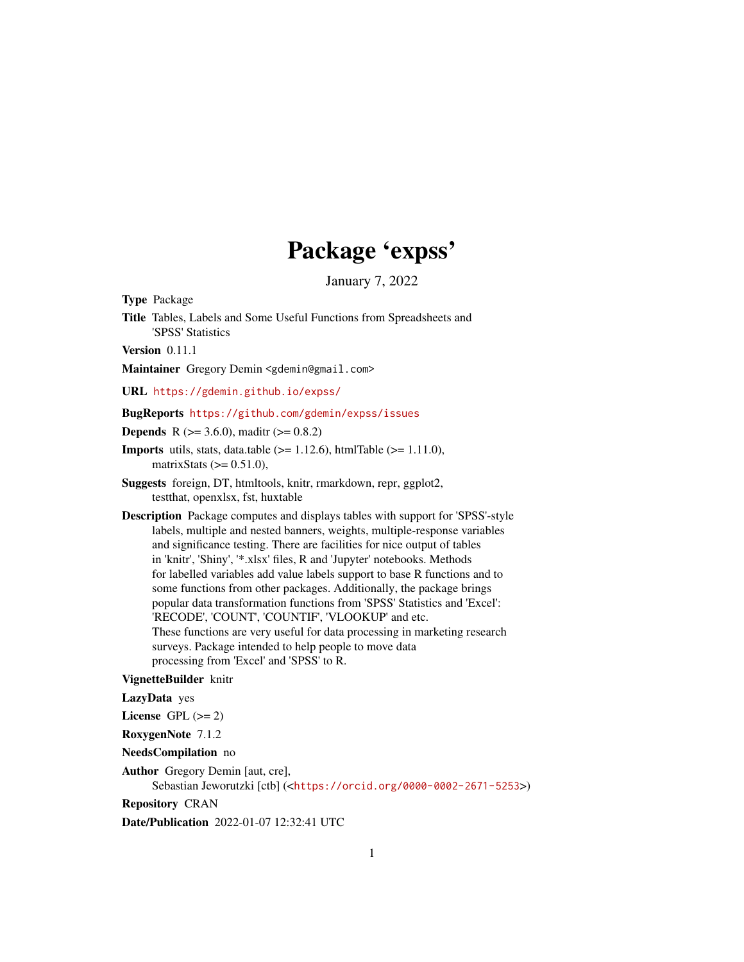# Package 'expss'

January 7, 2022

<span id="page-0-0"></span>Type Package

Title Tables, Labels and Some Useful Functions from Spreadsheets and 'SPSS' Statistics

Version 0.11.1

Maintainer Gregory Demin <gdemin@gmail.com>

URL <https://gdemin.github.io/expss/>

#### BugReports <https://github.com/gdemin/expss/issues>

**Depends** R ( $>= 3.6.0$ ), maditr ( $>= 0.8.2$ )

- **Imports** utils, stats, data.table  $(>= 1.12.6)$ , htmlTable  $(>= 1.11.0)$ , matrix Stats  $(>= 0.51.0)$ ,
- Suggests foreign, DT, htmltools, knitr, rmarkdown, repr, ggplot2, testthat, openxlsx, fst, huxtable
- Description Package computes and displays tables with support for 'SPSS'-style labels, multiple and nested banners, weights, multiple-response variables and significance testing. There are facilities for nice output of tables in 'knitr', 'Shiny', '\*.xlsx' files, R and 'Jupyter' notebooks. Methods for labelled variables add value labels support to base R functions and to some functions from other packages. Additionally, the package brings popular data transformation functions from 'SPSS' Statistics and 'Excel': 'RECODE', 'COUNT', 'COUNTIF', 'VLOOKUP' and etc. These functions are very useful for data processing in marketing research surveys. Package intended to help people to move data processing from 'Excel' and 'SPSS' to R.

#### VignetteBuilder knitr

#### LazyData yes

License GPL  $(>= 2)$ 

RoxygenNote 7.1.2

NeedsCompilation no

Author Gregory Demin [aut, cre],

Sebastian Jeworutzki [ctb] (<<https://orcid.org/0000-0002-2671-5253>>)

Repository CRAN

Date/Publication 2022-01-07 12:32:41 UTC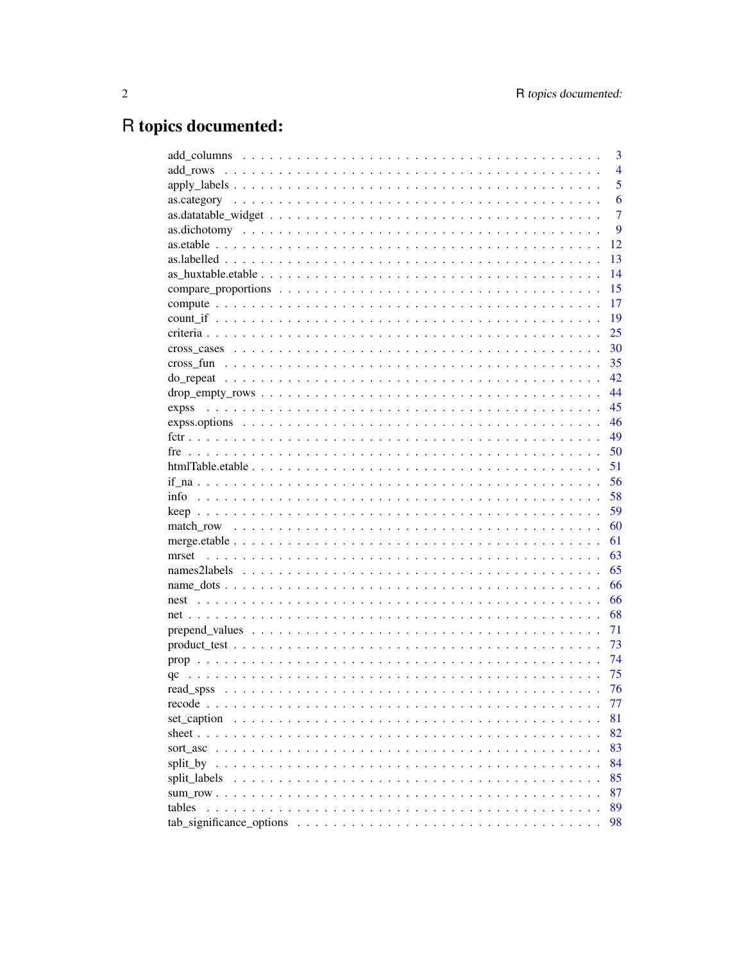# R topics documented:

|              | 3              |
|--------------|----------------|
|              | $\overline{4}$ |
|              | 5              |
|              | 6              |
|              | 7              |
|              | 9              |
|              | 12             |
|              | 13             |
|              | 14             |
|              | 15             |
|              | 17             |
|              | 19             |
|              | 25             |
|              | 30             |
|              | 35             |
|              | 42             |
|              | 44             |
| expss        | 45             |
|              | 46             |
|              | 49             |
|              | 50             |
|              | 51             |
|              | 56             |
|              | 58             |
|              | 59             |
|              | 60             |
|              | 61             |
| mrset        | 63             |
|              | 65             |
|              | 66             |
|              | 66             |
|              | 68             |
|              | 71             |
|              | 73             |
|              | 74             |
| qc           | 75             |
|              | 76             |
|              | 77             |
| set caption  | 81             |
|              | 82             |
|              | 83             |
|              | 84             |
| split_labels | 85             |
|              | 87             |
| tables       | 89             |
|              | 98             |
|              |                |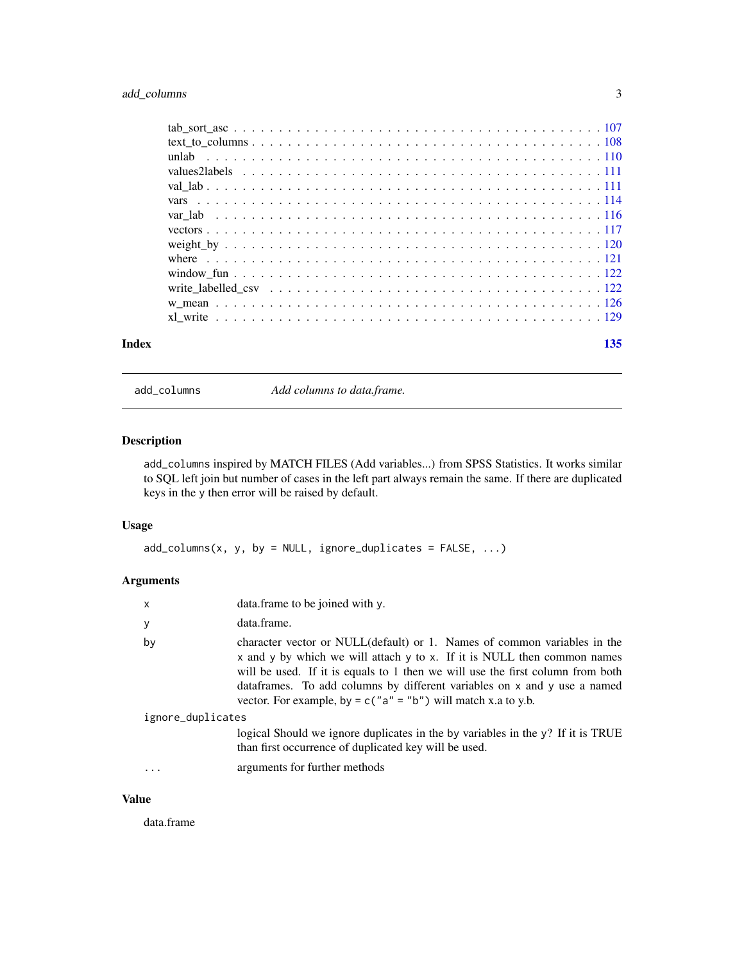# <span id="page-2-0"></span>add\_columns 3

| Index | 135 |  |
|-------|-----|--|

add\_columns *Add columns to data.frame.*

# Description

add\_columns inspired by MATCH FILES (Add variables...) from SPSS Statistics. It works similar to SQL left join but number of cases in the left part always remain the same. If there are duplicated keys in the y then error will be raised by default.

# Usage

```
add\_columns(x, y, by = NULL, ignore\_duplicates = FALSE, ...)
```
# Arguments

| x                 | data.frame to be joined with y.                                                                                                                                                                                                                                                                                                                                                      |
|-------------------|--------------------------------------------------------------------------------------------------------------------------------------------------------------------------------------------------------------------------------------------------------------------------------------------------------------------------------------------------------------------------------------|
| у                 | data.frame.                                                                                                                                                                                                                                                                                                                                                                          |
| by                | character vector or NULL(default) or 1. Names of common variables in the<br>x and y by which we will attach y to x. If it is NULL then common names<br>will be used. If it is equals to 1 then we will use the first column from both<br>dataframes. To add columns by different variables on x and y use a named<br>vector. For example, by = $c("a" = "b")$ will match x.a to y.b. |
| ignore_duplicates |                                                                                                                                                                                                                                                                                                                                                                                      |
|                   | logical Should we ignore duplicates in the by variables in the y? If it is TRUE<br>than first occurrence of duplicated key will be used.                                                                                                                                                                                                                                             |
|                   | arguments for further methods                                                                                                                                                                                                                                                                                                                                                        |

# Value

data.frame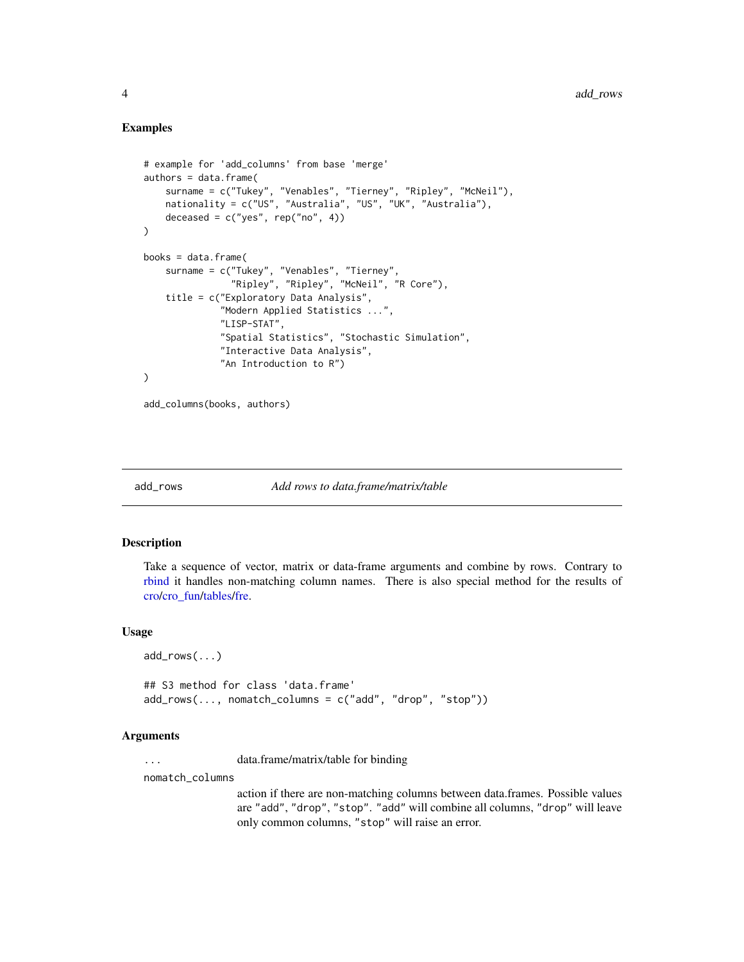# Examples

```
# example for 'add_columns' from base 'merge'
authors = data.frame(
    surname = c("Tukey", "Venables", "Tierney", "Ripley", "McNeil"),
    nationality = c("US", "Australia", "US", "UK", "Australia"),
    deceased = c("yes", rep("no", 4)))
books = data.frame(
    surname = c("Tukey", "Venables", "Tierney",
                "Ripley", "Ripley", "McNeil", "R Core"),
    title = c("Exploratory Data Analysis",
              "Modern Applied Statistics ...",
              "LISP-STAT",
              "Spatial Statistics", "Stochastic Simulation",
              "Interactive Data Analysis",
              "An Introduction to R")
)
add_columns(books, authors)
```
<span id="page-3-1"></span>

add\_rows *Add rows to data.frame/matrix/table*

#### Description

Take a sequence of vector, matrix or data-frame arguments and combine by rows. Contrary to [rbind](#page-0-0) it handles non-matching column names. There is also special method for the results of [cro/](#page-29-1)[cro\\_fun/](#page-34-1)[tables/](#page-88-1)[fre.](#page-49-1)

#### Usage

```
## S3 method for class 'data.frame'
add_rows(..., nomatch_columns = c("add", "drop", "stop"))
```
#### Arguments

... data.frame/matrix/table for binding

nomatch\_columns

add\_rows(...)

action if there are non-matching columns between data.frames. Possible values are "add", "drop", "stop". "add" will combine all columns, "drop" will leave only common columns, "stop" will raise an error.

<span id="page-3-0"></span>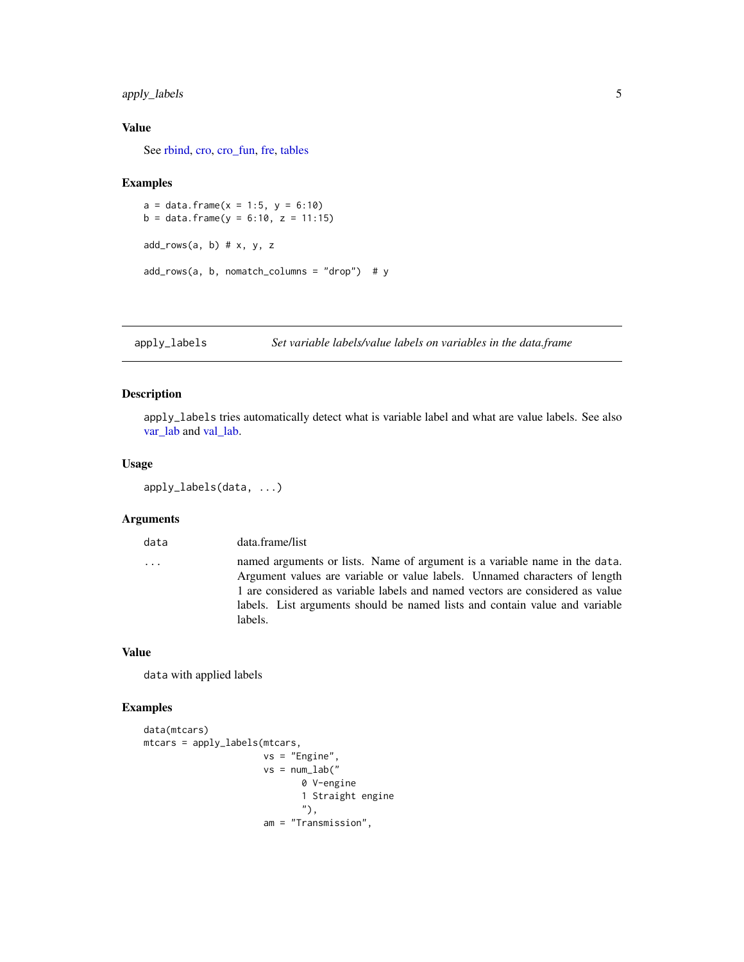# <span id="page-4-0"></span>apply\_labels 5

#### Value

See [rbind,](#page-0-0) [cro,](#page-29-1) [cro\\_fun,](#page-34-1) [fre,](#page-49-1) [tables](#page-88-1)

#### Examples

```
a = data. frame(x = 1:5, y = 6:10)
b = data. frame(y = 6:10, z = 11:15)
add\_rows(a, b) # x, y, zadd_rows(a, b, nomatch_columns = "drop") # y
```
apply\_labels *Set variable labels/value labels on variables in the data.frame*

# Description

apply\_labels tries automatically detect what is variable label and what are value labels. See also [var\\_lab](#page-115-1) and [val\\_lab.](#page-110-1)

#### Usage

```
apply_labels(data, ...)
```
#### Arguments

data data.frame/list

... named arguments or lists. Name of argument is a variable name in the data. Argument values are variable or value labels. Unnamed characters of length 1 are considered as variable labels and named vectors are considered as value labels. List arguments should be named lists and contain value and variable labels.

### Value

data with applied labels

```
data(mtcars)
mtcars = apply_labels(mtcars,
                      vs = "Engine",
                      vs = num\_lab("0 V-engine
                             1 Straight engine
                             "),
                      am = "Transmission",
```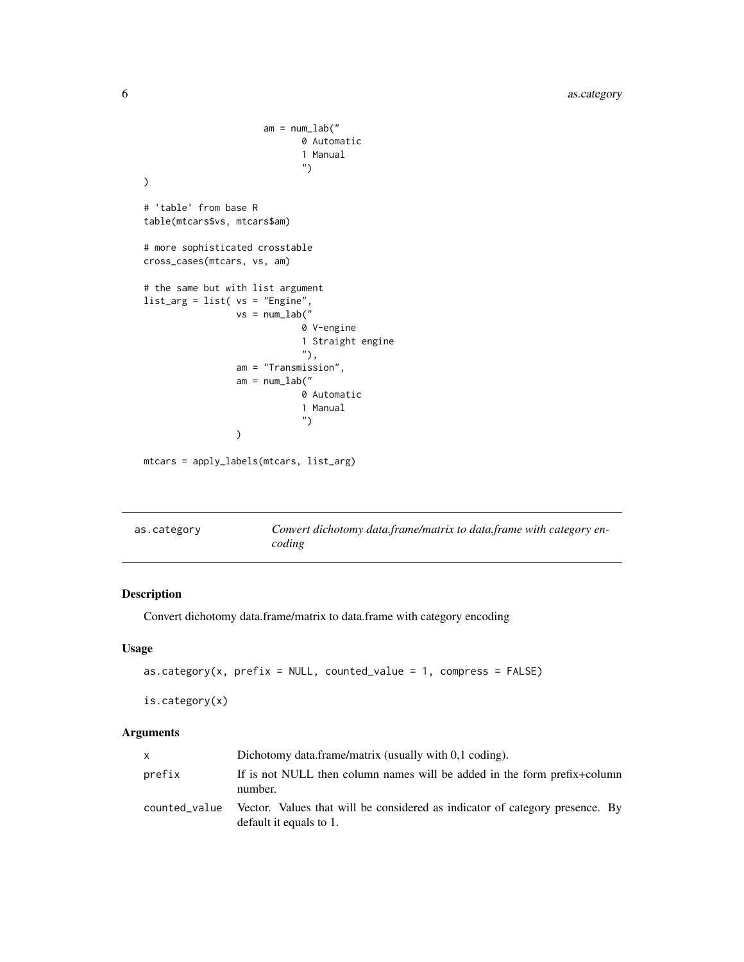```
am = num\_lab("0 Automatic
                               1 Manual
                               ")
\mathcal{L}# 'table' from base R
table(mtcars$vs, mtcars$am)
# more sophisticated crosstable
cross_cases(mtcars, vs, am)
# the same but with list argument
list_arg = list( vs = "Engine",
                  vs = num\_lab("0 V-engine
                              1 Straight engine
                              "),
                  am = "Transmission",
                  am = num\_lab("0 Automatic
                              1 Manual
                               ")
                  \mathcal{L}
```
mtcars = apply\_labels(mtcars, list\_arg)

<span id="page-5-1"></span>

| as.category | Convert dichotomy data.frame/matrix to data.frame with category en- |
|-------------|---------------------------------------------------------------------|
|             | coding                                                              |

# Description

Convert dichotomy data.frame/matrix to data.frame with category encoding

#### Usage

```
as.category(x, prefix = NULL, counted_value = 1, compress = FALSE)
```

```
is.category(x)
```
# Arguments

| X             | Dichotomy data.frame/matrix (usually with 0.1 coding).                                                  |
|---------------|---------------------------------------------------------------------------------------------------------|
| prefix        | If is not NULL then column names will be added in the form prefix+column<br>number.                     |
| counted value | Vector. Values that will be considered as indicator of category presence. By<br>default it equals to 1. |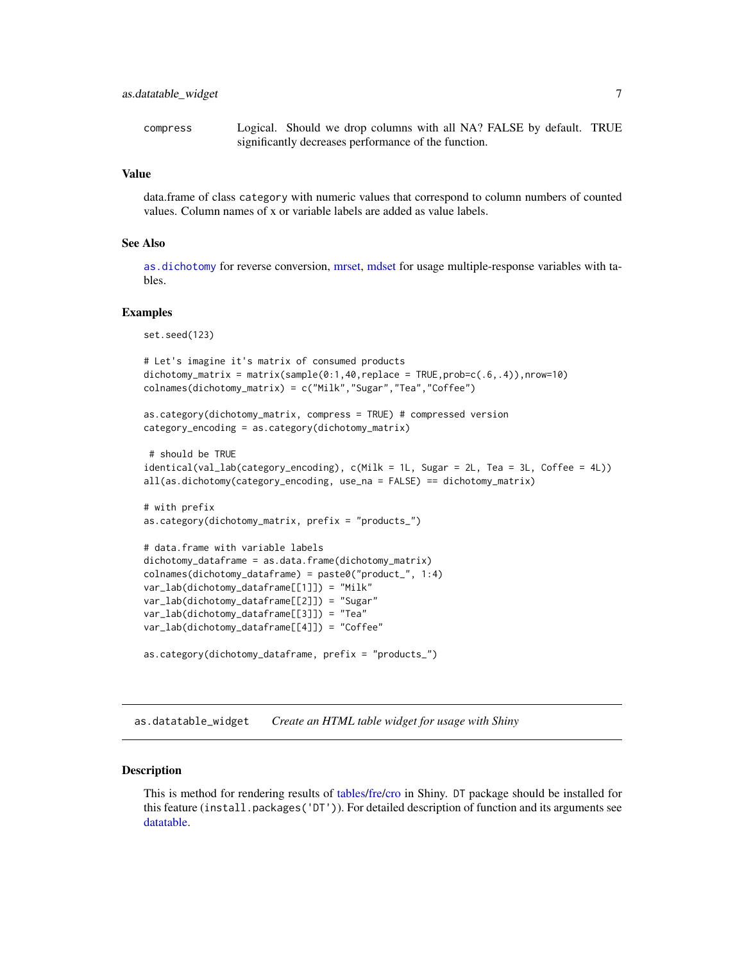<span id="page-6-0"></span>compress Logical. Should we drop columns with all NA? FALSE by default. TRUE significantly decreases performance of the function.

# Value

data.frame of class category with numeric values that correspond to column numbers of counted values. Column names of x or variable labels are added as value labels.

#### See Also

[as.dichotomy](#page-8-1) for reverse conversion, [mrset,](#page-62-1) [mdset](#page-62-2) for usage multiple-response variables with tables.

#### Examples

set.seed(123)

```
# Let's imagine it's matrix of consumed products
dichotomy_matrix = matrix(sample(0:1,40,replace = TRUE,prob=c(.6,.4)),nrow=10)
colnames(dichotomy_matrix) = c("Milk","Sugar","Tea","Coffee")
```

```
as.category(dichotomy_matrix, compress = TRUE) # compressed version
category_encoding = as.category(dichotomy_matrix)
```

```
# should be TRUE
identical(val_lab(category_encoding), c(Milk = 1L, Sugar = 2L, Tea = 3L, Coffee = 4L))
all(as.dichotomy(category_encoding, use_na = FALSE) == dichotomy_matrix)
```

```
# with prefix
as.category(dichotomy_matrix, prefix = "products_")
```

```
# data.frame with variable labels
dichotomy_dataframe = as.data.frame(dichotomy_matrix)
colnames(dichotomy_dataframe) = paste0("product_", 1:4)
var_lab(dichotomy_dataframe[[1]]) = "Milk"
var_lab(dichotomy_dataframe[[2]]) = "Sugar"
var_lab(dichotomy_dataframe[[3]]) = "Tea"
var_lab(dichotomy_dataframe[[4]]) = "Coffee"
```

```
as.category(dichotomy_dataframe, prefix = "products_")
```
as.datatable\_widget *Create an HTML table widget for usage with Shiny*

#### Description

This is method for rendering results of [tables/](#page-88-1)[fre/](#page-49-1)[cro](#page-29-1) in Shiny. DT package should be installed for this feature (install.packages('DT')). For detailed description of function and its arguments see [datatable.](#page-0-0)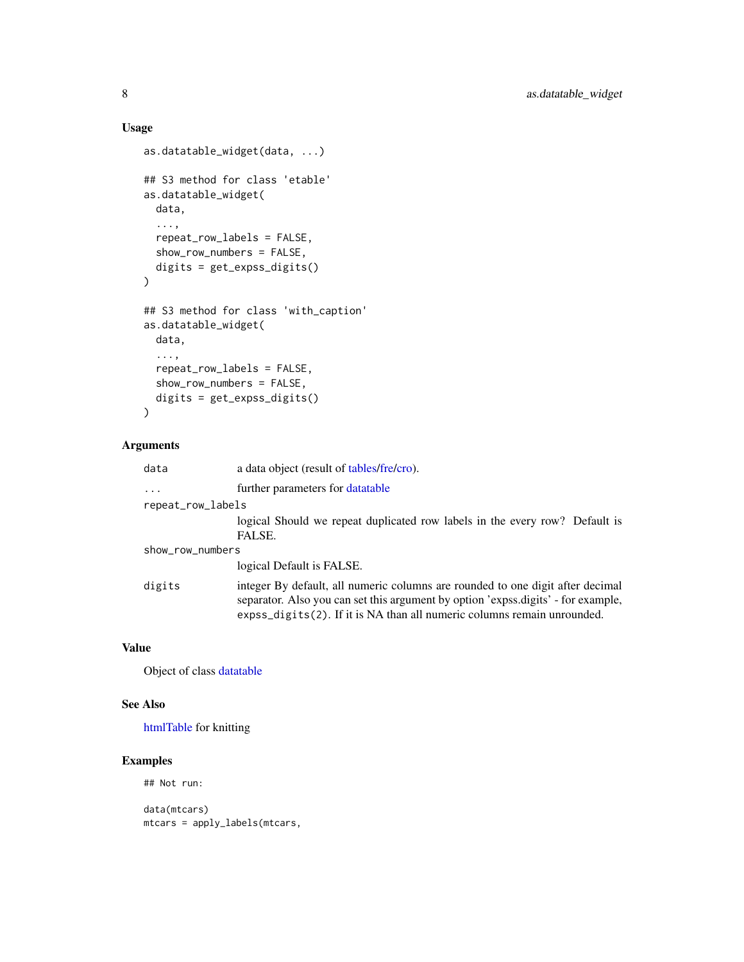# Usage

```
as.datatable_widget(data, ...)
## S3 method for class 'etable'
as.datatable_widget(
 data,
  ...,
 repeat_row_labels = FALSE,
 show_row_numbers = FALSE,
 digits = get_expss_digits()
\mathcal{L}## S3 method for class 'with_caption'
as.datatable_widget(
 data,
  ...,
 repeat_row_labels = FALSE,
  show_row_numbers = FALSE,
 digits = get_expss_digits()
)
```
#### Arguments

| data              | a data object (result of tables/fre/cro).                                                                                                                                                                                                                                      |  |
|-------------------|--------------------------------------------------------------------------------------------------------------------------------------------------------------------------------------------------------------------------------------------------------------------------------|--|
| $\cdots$          | further parameters for data table                                                                                                                                                                                                                                              |  |
| repeat_row_labels |                                                                                                                                                                                                                                                                                |  |
|                   | logical Should we repeat duplicated row labels in the every row? Default is<br>FALSE.                                                                                                                                                                                          |  |
| show_row_numbers  |                                                                                                                                                                                                                                                                                |  |
|                   | logical Default is FALSE.                                                                                                                                                                                                                                                      |  |
| digits            | integer By default, all numeric columns are rounded to one digit after decimal<br>separator. Also you can set this argument by option 'expss.digits' - for example,<br>$\exp\left(\frac{1}{2}t\right)$ expss_digits(2). If it is NA than all numeric columns remain unrounded. |  |

# Value

Object of class [datatable](#page-0-0)

# See Also

[htmlTable](#page-0-0) for knitting

# Examples

## Not run:

data(mtcars) mtcars = apply\_labels(mtcars,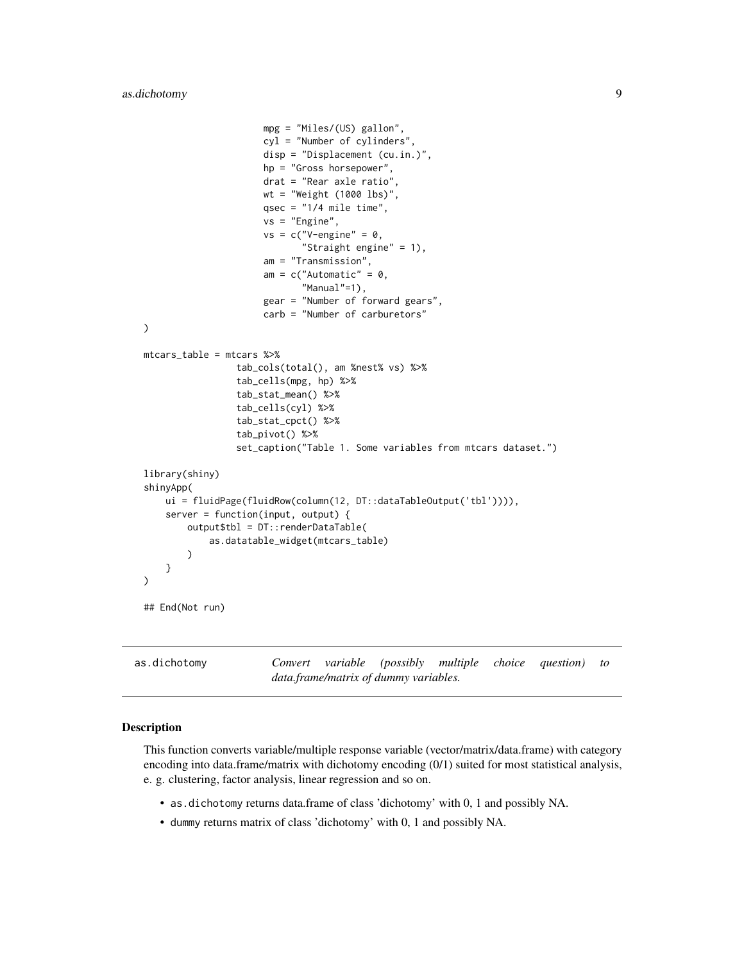```
mpg = "Miles/(US) gallon",
                      cyl = "Number of cylinders",
                      disp = "Displacement (cu.in.)",
                      hp = "Gross horsepower",
                      drat = "Rear axle ratio",
                      wt = "Weight (1000 lbs)",
                      qsec = "1/4 mile time",
                      vs = "Engine",
                      vs = c("V-engine" = 0,"Straight engine" = 1),
                      am = "Transmission",
                      am = c("Automatic" = 0,"Manual"=1),
                      gear = "Number of forward gears",
                      carb = "Number of carburetors"
)
mtcars_table = mtcars %>%
                 tab_cols(total(), am %nest% vs) %>%
                 tab_cells(mpg, hp) %>%
                 tab_stat_mean() %>%
                 tab_cells(cyl) %>%
                 tab_stat_cpct() %>%
                 tab_pivot() %>%
                 set_caption("Table 1. Some variables from mtcars dataset.")
library(shiny)
shinyApp(
   ui = fluidPage(fluidRow(column(12, DT::dataTableOutput('tbl')))),
    server = function(input, output) {
        output$tbl = DT::renderDataTable(
            as.datatable_widget(mtcars_table)
        )
    }
\mathcal{L}## End(Not run)
```
<span id="page-8-1"></span>as.dichotomy *Convert variable (possibly multiple choice question) to data.frame/matrix of dummy variables.*

# Description

This function converts variable/multiple response variable (vector/matrix/data.frame) with category encoding into data.frame/matrix with dichotomy encoding (0/1) suited for most statistical analysis, e. g. clustering, factor analysis, linear regression and so on.

- as.dichotomy returns data.frame of class 'dichotomy' with 0, 1 and possibly NA.
- dummy returns matrix of class 'dichotomy' with 0, 1 and possibly NA.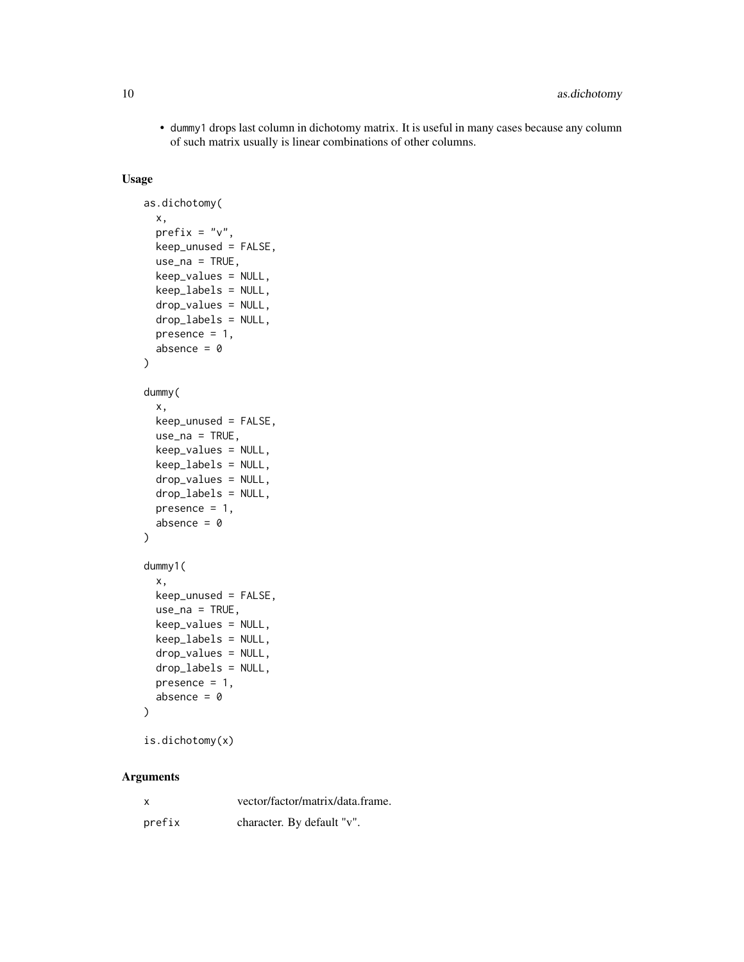• dummy1 drops last column in dichotomy matrix. It is useful in many cases because any column of such matrix usually is linear combinations of other columns.

# Usage

```
as.dichotomy(
  x,
  prefix = "v",keep_unused = FALSE,
  use\_na = TRUE,keep_values = NULL,
  keep_labels = NULL,
  drop_values = NULL,
  drop_labels = NULL,
  presence = 1,
  absence = \theta)
dummy(
  x,
  keep_unused = FALSE,
  use_na = TRUE,
  keep_values = NULL,
  keep_labels = NULL,
  drop_values = NULL,
  drop_labels = NULL,
  presence = 1,
  absence = \theta)
dummy1(
  x,
  keep_unused = FALSE,
  use\_na = TRUE,keep_values = NULL,
  keep_labels = NULL,
  drop_values = NULL,
  drop_labels = NULL,
  presence = 1,
  absence = \theta\lambda
```

```
is.dichotomy(x)
```
# Arguments

| $\boldsymbol{\mathsf{x}}$ | vector/factor/matrix/data.frame. |
|---------------------------|----------------------------------|
| prefix                    | character. By default "v".       |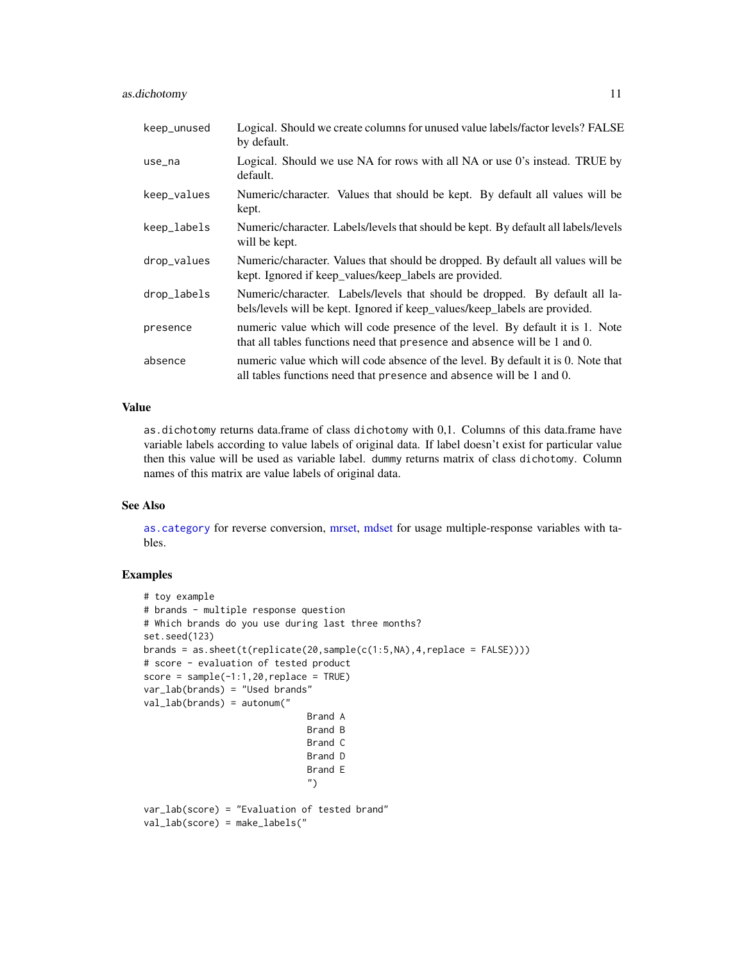# as.dichotomy 11

| keep_unused | Logical. Should we create columns for unused value labels/factor levels? FALSE<br>by default.                                                              |
|-------------|------------------------------------------------------------------------------------------------------------------------------------------------------------|
| use_na      | Logical. Should we use NA for rows with all NA or use 0's instead. TRUE by<br>default.                                                                     |
| keep_values | Numeric/character. Values that should be kept. By default all values will be<br>kept.                                                                      |
| keep_labels | Numeric/character. Labels/levels that should be kept. By default all labels/levels<br>will be kept.                                                        |
| drop_values | Numeric/character. Values that should be dropped. By default all values will be<br>kept. Ignored if keep_values/keep_labels are provided.                  |
| drop_labels | Numeric/character. Labels/levels that should be dropped. By default all la-<br>bels/levels will be kept. Ignored if keep_values/keep_labels are provided.  |
| presence    | numeric value which will code presence of the level. By default it is 1. Note<br>that all tables functions need that presence and absence will be 1 and 0. |
| absence     | numeric value which will code absence of the level. By default it is 0. Note that<br>all tables functions need that presence and absence will be 1 and 0.  |

# Value

as.dichotomy returns data.frame of class dichotomy with 0,1. Columns of this data.frame have variable labels according to value labels of original data. If label doesn't exist for particular value then this value will be used as variable label. dummy returns matrix of class dichotomy. Column names of this matrix are value labels of original data.

#### See Also

[as.category](#page-5-1) for reverse conversion, [mrset,](#page-62-1) [mdset](#page-62-2) for usage multiple-response variables with tables.

```
# toy example
# brands - multiple response question
# Which brands do you use during last three months?
set.seed(123)
brands = as.sheet(t(replicate(20,sample(c(1:5,NA),4,replace = FALSE))))
# score - evaluation of tested product
score = sample(-1:1,20, replace = TRUE)var_lab(brands) = "Used brands"
val_lab(brands) = autonum("
                              Brand A
                              Brand B
                              Brand C
                              Brand D
                              Brand E
                              ")
var_lab(score) = "Evaluation of tested brand"
val_lab(score) = make_labels("
```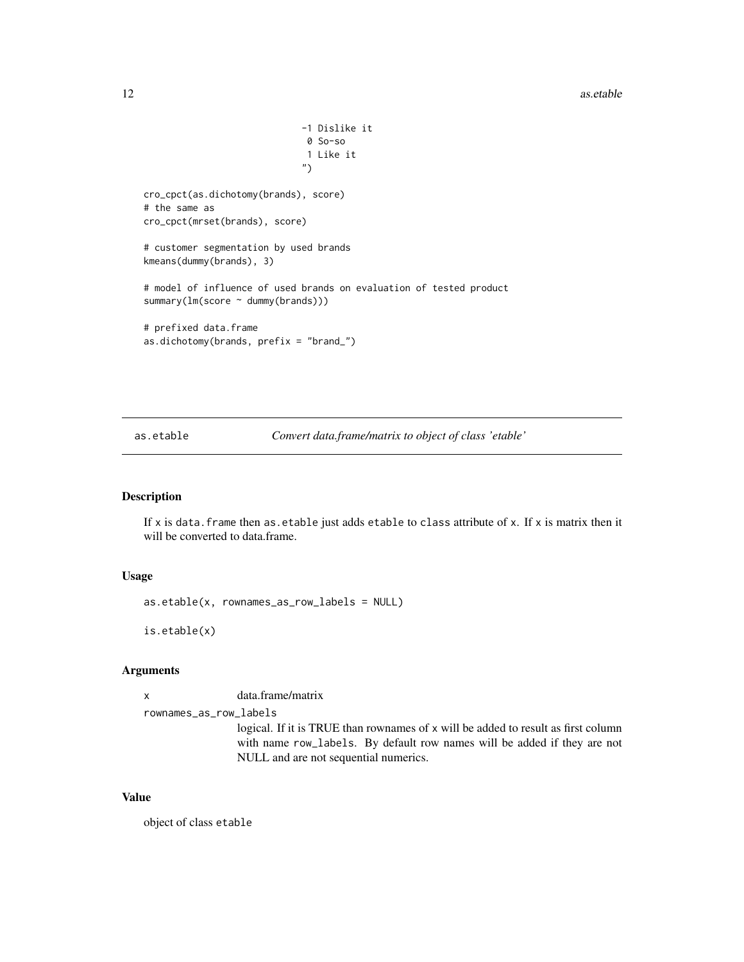```
-1 Dislike it
                              0 So-so
                              1 Like it
                             ")
cro_cpct(as.dichotomy(brands), score)
# the same as
cro_cpct(mrset(brands), score)
# customer segmentation by used brands
kmeans(dummy(brands), 3)
# model of influence of used brands on evaluation of tested product
summary(lm(score ~ dummy(brands)))
# prefixed data.frame
as.dichotomy(brands, prefix = "brand_")
```
as.etable *Convert data.frame/matrix to object of class 'etable'*

#### Description

If x is data. frame then as.etable just adds etable to class attribute of x. If x is matrix then it will be converted to data.frame.

### Usage

```
as.etable(x, rownames_as_row_labels = NULL)
```
is.etable(x)

#### Arguments

x data.frame/matrix

rownames\_as\_row\_labels

logical. If it is TRUE than rownames of x will be added to result as first column with name row\_labels. By default row names will be added if they are not NULL and are not sequential numerics.

#### Value

object of class etable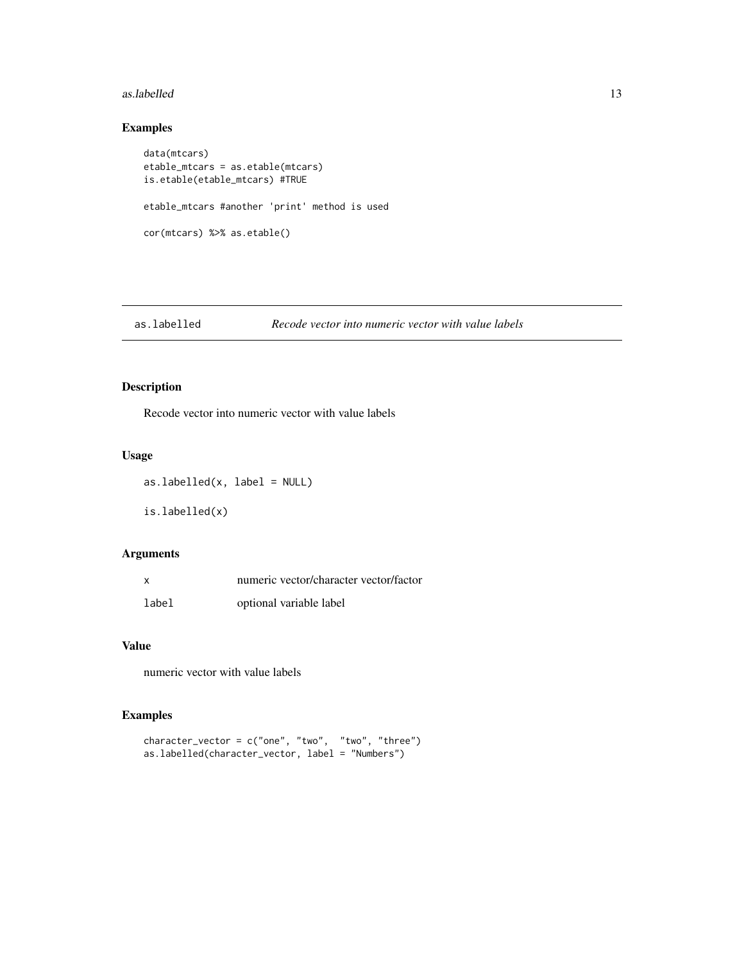#### <span id="page-12-0"></span>as.labelled 13

# Examples

```
data(mtcars)
etable_mtcars = as.etable(mtcars)
is.etable(etable_mtcars) #TRUE
etable_mtcars #another 'print' method is used
cor(mtcars) %>% as.etable()
```
#### as.labelled *Recode vector into numeric vector with value labels*

# Description

Recode vector into numeric vector with value labels

### Usage

as.labelled(x, label = NULL) is.labelled(x)

# Arguments

|       | numeric vector/character vector/factor |
|-------|----------------------------------------|
| label | optional variable label                |

#### Value

numeric vector with value labels

```
character_vector = c("one", "two", "two", "three")
as.labelled(character_vector, label = "Numbers")
```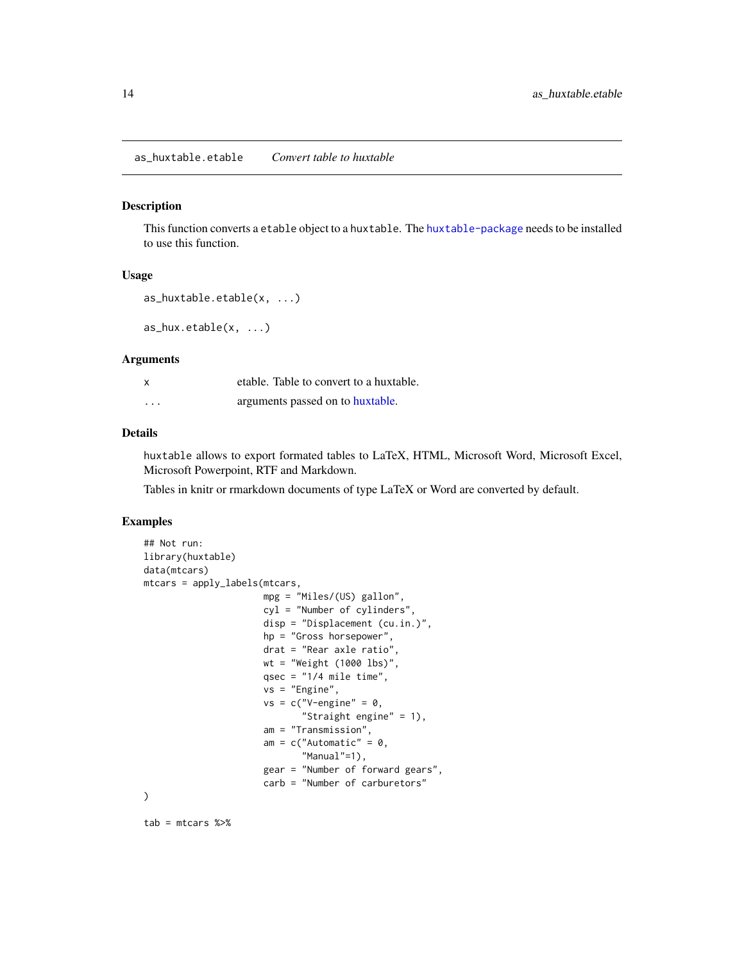#### <span id="page-13-0"></span>Description

This function converts a etable object to a huxtable. The [huxtable-package](#page-0-0) needs to be installed to use this function.

#### Usage

```
as_huxtable.etable(x, ...)
```
as\_hux.etable(x, ...)

#### **Arguments**

|          | etable. Table to convert to a huxtable. |
|----------|-----------------------------------------|
| $\cdots$ | arguments passed on to huxtable.        |

#### Details

huxtable allows to export formated tables to LaTeX, HTML, Microsoft Word, Microsoft Excel, Microsoft Powerpoint, RTF and Markdown.

Tables in knitr or rmarkdown documents of type LaTeX or Word are converted by default.

# Examples

```
## Not run:
library(huxtable)
data(mtcars)
mtcars = apply_labels(mtcars,
                      mpg = "Miles/(US) gallon",
                      cyl = "Number of cylinders",
                      disp = "Displacement (cu.in.)",
                      hp = "Gross horsepower",
                      drat = "Rear axle ratio",
                      wt = "Weight (1000 lbs)",
                      qsec = "1/4 mile time",
                      vs = "Engine",
                      vs = c("V-engine" = 0,"Straight engine" = 1),
                      am = "Transmission",
                      am = c("Automatic" = 0,"Manual"=1),
                      gear = "Number of forward gears",
                      carb = "Number of carburetors"
```
)

tab = mtcars %>%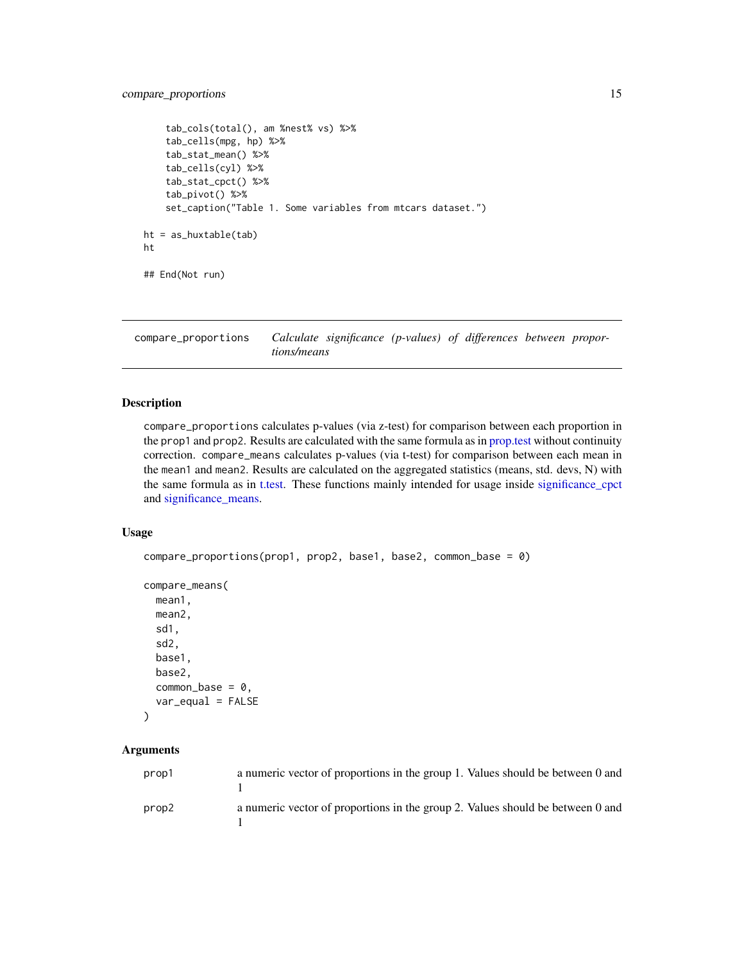# <span id="page-14-0"></span>compare\_proportions 15

```
tab_cols(total(), am %nest% vs) %>%
    tab_cells(mpg, hp) %>%
    tab_stat_mean() %>%
    tab_cells(cyl) %>%
    tab_stat_cpct() %>%
    tab_pivot() %>%
    set_caption("Table 1. Some variables from mtcars dataset.")
ht = as_huxtable(tab)
ht
## End(Not run)
```
compare\_proportions *Calculate significance (p-values) of differences between proportions/means*

# Description

compare\_proportions calculates p-values (via z-test) for comparison between each proportion in the prop1 and prop2. Results are calculated with the same formula as in [prop.test](#page-0-0) without continuity correction. compare\_means calculates p-values (via t-test) for comparison between each mean in the mean1 and mean2. Results are calculated on the aggregated statistics (means, std. devs, N) with the same formula as in [t.test.](#page-0-0) These functions mainly intended for usage inside [significance\\_cpct](#page-97-1) and [significance\\_means.](#page-97-1)

#### Usage

```
compare_proportions(prop1, prop2, base1, base2, common_base = 0)
```

```
compare_means(
 mean1,
 mean2,
  sd1,
  sd2,
 base1,
 base2,
  common_base = 0,
  var_equal = FALSE
```

```
)
```
# Arguments

| prop1 | a numeric vector of proportions in the group 1. Values should be between 0 and |
|-------|--------------------------------------------------------------------------------|
| prop2 | a numeric vector of proportions in the group 2. Values should be between 0 and |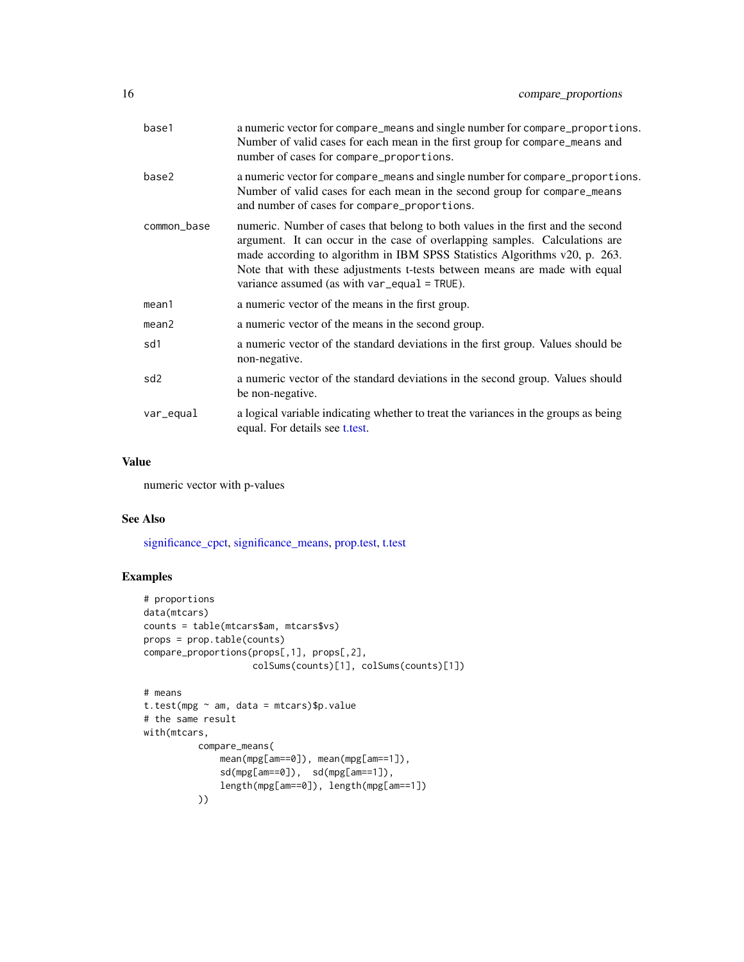| base1           | a numeric vector for compare_means and single number for compare_proportions.<br>Number of valid cases for each mean in the first group for compare_means and<br>number of cases for compare_proportions.                                                                                                                                                                      |
|-----------------|--------------------------------------------------------------------------------------------------------------------------------------------------------------------------------------------------------------------------------------------------------------------------------------------------------------------------------------------------------------------------------|
| base2           | a numeric vector for compare_means and single number for compare_proportions.<br>Number of valid cases for each mean in the second group for compare_means<br>and number of cases for compare_proportions.                                                                                                                                                                     |
| common_base     | numeric. Number of cases that belong to both values in the first and the second<br>argument. It can occur in the case of overlapping samples. Calculations are<br>made according to algorithm in IBM SPSS Statistics Algorithms v20, p. 263.<br>Note that with these adjustments t-tests between means are made with equal<br>variance assumed (as with $var_{equal}$ = TRUE). |
| mean1           | a numeric vector of the means in the first group.                                                                                                                                                                                                                                                                                                                              |
| mean2           | a numeric vector of the means in the second group.                                                                                                                                                                                                                                                                                                                             |
| sd1             | a numeric vector of the standard deviations in the first group. Values should be<br>non-negative.                                                                                                                                                                                                                                                                              |
| sd <sub>2</sub> | a numeric vector of the standard deviations in the second group. Values should<br>be non-negative.                                                                                                                                                                                                                                                                             |
| var_equal       | a logical variable indicating whether to treat the variances in the groups as being<br>equal. For details see t.test.                                                                                                                                                                                                                                                          |

#### Value

numeric vector with p-values

# See Also

[significance\\_cpct,](#page-97-1) [significance\\_means,](#page-97-1) [prop.test,](#page-0-0) [t.test](#page-0-0)

```
# proportions
data(mtcars)
counts = table(mtcars$am, mtcars$vs)
props = prop.table(counts)
compare_proportions(props[,1], props[,2],
                    colSums(counts)[1], colSums(counts)[1])
# means
t.test(mpg ~ am, data = mtcars)$p.value
# the same result
with(mtcars,
          compare_means(
             mean(mpg[am==0]), mean(mpg[am==1]),
              sd(mpg[am==0]), sd(mpg[am==1]),
              length(mpg[am==0]), length(mpg[am==1])
          ))
```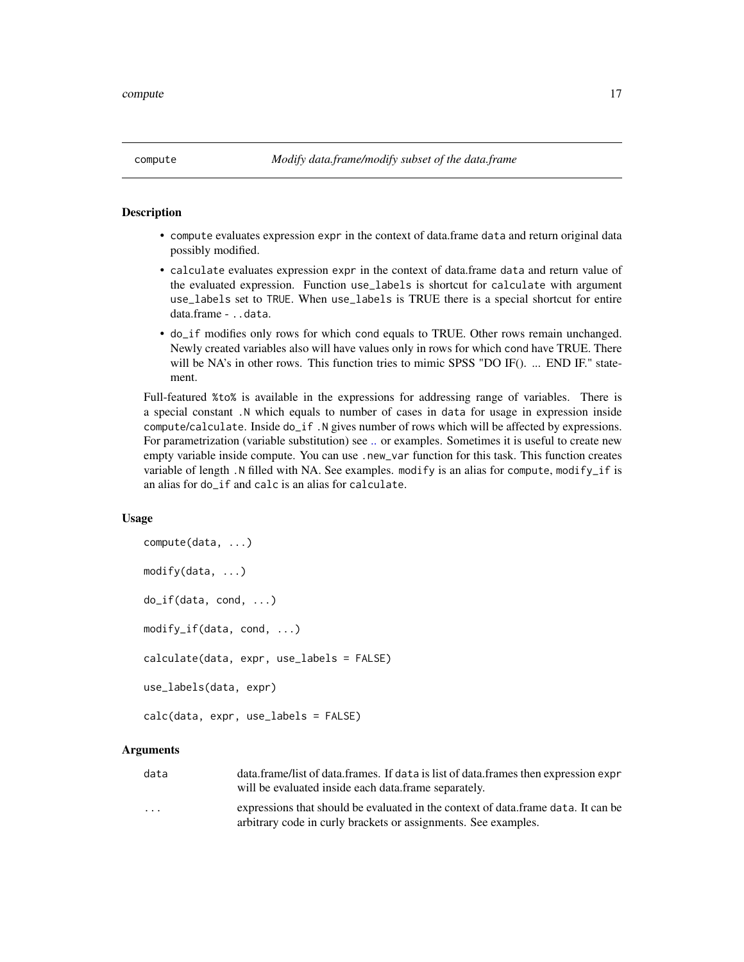<span id="page-16-0"></span>

# Description

- compute evaluates expression expr in the context of data.frame data and return original data possibly modified.
- calculate evaluates expression expr in the context of data.frame data and return value of the evaluated expression. Function use\_labels is shortcut for calculate with argument use\_labels set to TRUE. When use\_labels is TRUE there is a special shortcut for entire data.frame - ..data.
- do\_if modifies only rows for which cond equals to TRUE. Other rows remain unchanged. Newly created variables also will have values only in rows for which cond have TRUE. There will be NA's in other rows. This function tries to mimic SPSS "DO IF(). ... END IF." statement.

Full-featured %to% is available in the expressions for addressing range of variables. There is a special constant .N which equals to number of cases in data for usage in expression inside compute/calculate. Inside do\_if .N gives number of rows which will be affected by expressions. For parametrization (variable substitution) see [..](#page-113-1) or examples. Sometimes it is useful to create new empty variable inside compute. You can use .new\_var function for this task. This function creates variable of length .N filled with NA. See examples. modify is an alias for compute, modify\_if is an alias for do\_if and calc is an alias for calculate.

#### Usage

```
compute(data, ...)
modify(data, ...)
do_if(data, cond, ...)
modify_if(data, cond, ...)
calculate(data, expr, use_labels = FALSE)
use_labels(data, expr)
```
calc(data, expr, use\_labels = FALSE)

#### Arguments

- data data.frame/list of data.frames. If data is list of data.frames then expression expr will be evaluated inside each data.frame separately.
- ... expressions that should be evaluated in the context of data.frame data. It can be arbitrary code in curly brackets or assignments. See examples.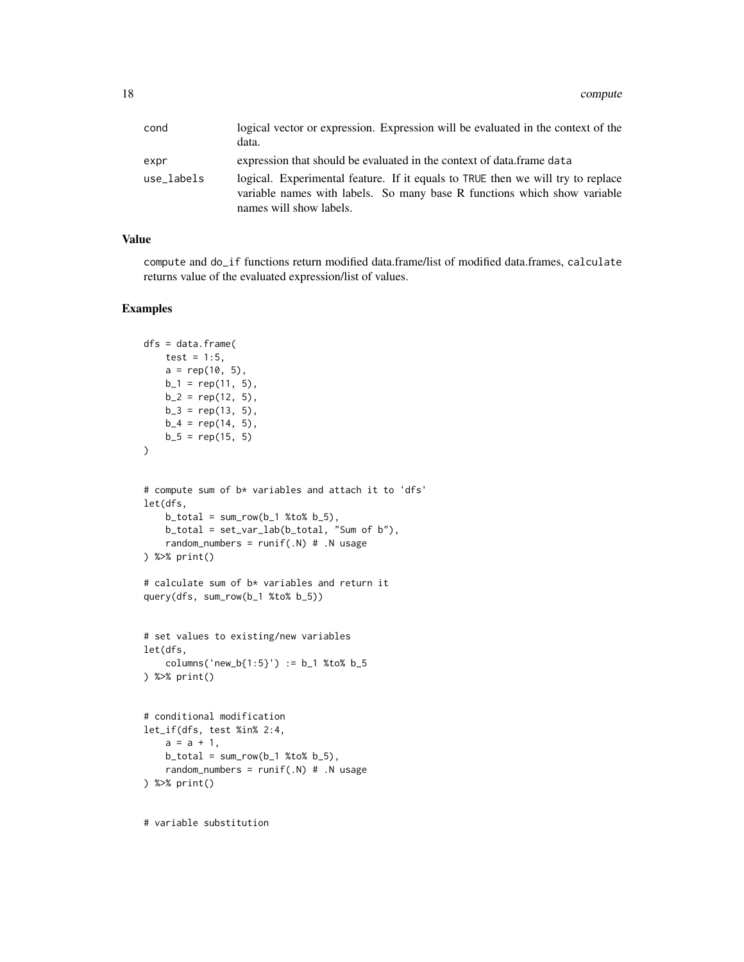| cond       | logical vector or expression. Expression will be evaluated in the context of the<br>data.                                                                                              |
|------------|----------------------------------------------------------------------------------------------------------------------------------------------------------------------------------------|
| expr       | expression that should be evaluated in the context of data. frame data                                                                                                                 |
| use labels | logical. Experimental feature. If it equals to TRUE then we will try to replace<br>variable names with labels. So many base R functions which show variable<br>names will show labels. |

#### Value

compute and do\_if functions return modified data.frame/list of modified data.frames, calculate returns value of the evaluated expression/list of values.

# Examples

```
dfs = data.frame(test = 1:5,
    a = rep(10, 5),b_1 = rep(11, 5),b_2 = rep(12, 5),b_3 = rep(13, 5),b_4 = rep(14, 5),b_5 = rep(15, 5))
# compute sum of b* variables and attach it to 'dfs'
let(dfs,
    b\_total = sum_{row}(b_1 % b_2 % b_3 % b_4 % b_5),
    b_total = set_var_lab(b_total, "Sum of b"),
    random_numbers = runif(.N) # .N usage) %>% print()
# calculate sum of b* variables and return it
query(dfs, sum_row(b_1 %to% b_5))
# set values to existing/new variables
let(dfs,
    columns('new_b{1:5}') := b_1 %to% b_5
) %>% print()
# conditional modification
let_if(dfs, test %in% 2:4,
    a = a + 1,
    b\_total = sum_{row}(b_1 % b_2 % b_3 % b_4 % b_5),
    random_numbers = runif(.N) # .N usage) %>% print()
```
# variable substitution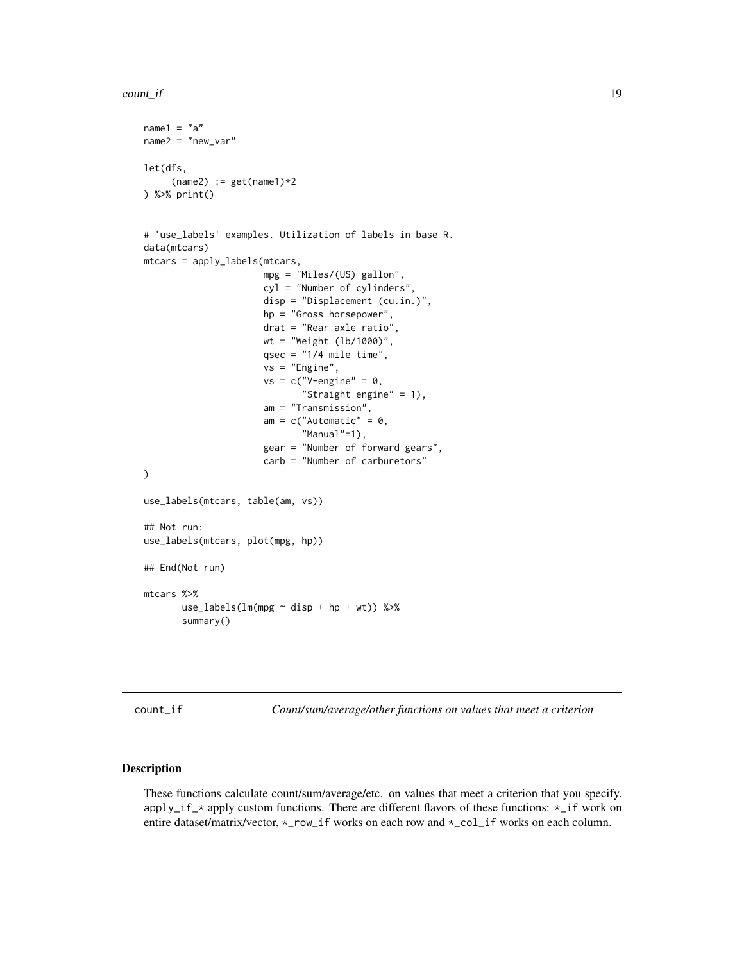```
count_if 19
```

```
name1 = "a"name2 = "new-var"let(dfs,
     (name2) := get(name1)*2) %>% print()
# 'use_labels' examples. Utilization of labels in base R.
data(mtcars)
mtcars = apply_labels(mtcars,
                      mpg = "Miles/(US) gallon",
                      cyl = "Number of cylinders",
                      disp = "Displacement (cu.in.)",
                      hp = "Gross horsepower",
                      drat = "Rear axle ratio",
                      wt = "Weight (lb/1000)",
                      qsec = "1/4 mile time",
                      vs = "Engine",
                      vs = c("V-engine" = 0,"Straight engine" = 1),
                      am = "Transmission",
                      am = c("Automatic" = 0,"Manual"=1),
                      gear = "Number of forward gears",
                      carb = "Number of carburetors"
\mathcal{L}use_labels(mtcars, table(am, vs))
## Not run:
use_labels(mtcars, plot(mpg, hp))
## End(Not run)
mtcars %>%
       use_labels(lm(mpg ~ disp + hp + wt)) %>%
       summary()
```
<span id="page-18-1"></span>count\_if *Count/sum/average/other functions on values that meet a criterion*

#### Description

These functions calculate count/sum/average/etc. on values that meet a criterion that you specify. apply\_if\_\* apply custom functions. There are different flavors of these functions:  $\star$ \_if work on entire dataset/matrix/vector,  $\star$ \_row\_if works on each row and  $\star$ \_col\_if works on each column.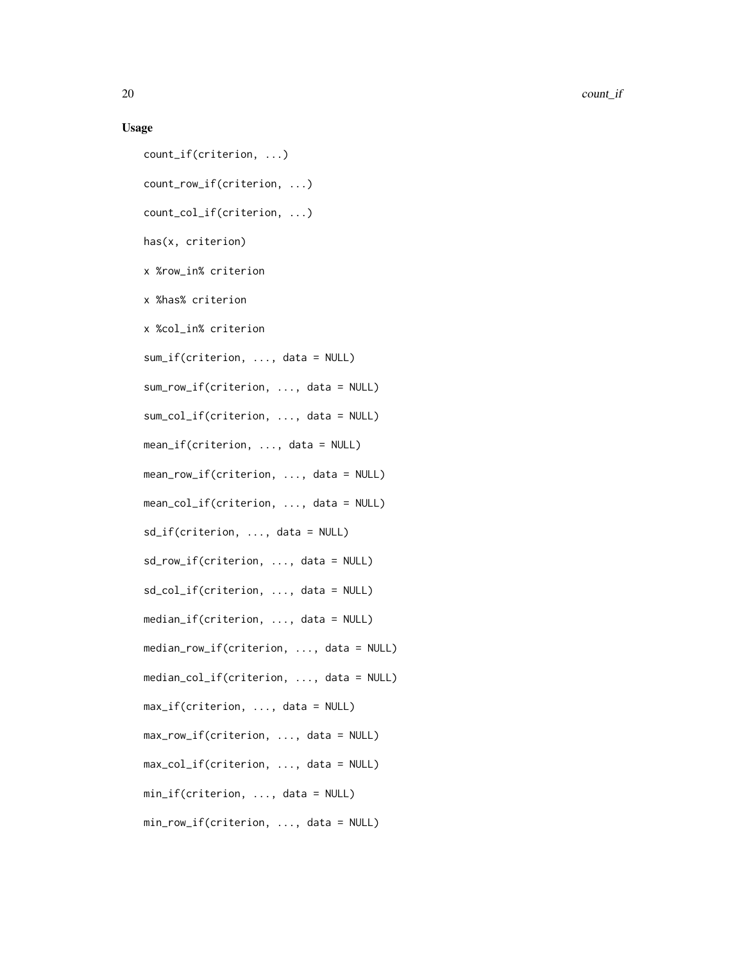20 count\_if

#### Usage

count\_if(criterion, ...) count\_row\_if(criterion, ...) count\_col\_if(criterion, ...) has(x, criterion) x %row\_in% criterion x %has% criterion x %col\_in% criterion sum\_if(criterion, ..., data = NULL) sum\_row\_if(criterion, ..., data = NULL) sum\_col\_if(criterion, ..., data = NULL) mean\_if(criterion, ..., data = NULL) mean\_row\_if(criterion, ..., data = NULL) mean\_col\_if(criterion, ..., data = NULL) sd\_if(criterion, ..., data = NULL) sd\_row\_if(criterion, ..., data = NULL) sd\_col\_if(criterion, ..., data = NULL) median\_if(criterion, ..., data = NULL) median\_row\_if(criterion, ..., data = NULL) median\_col\_if(criterion, ..., data = NULL) max\_if(criterion, ..., data = NULL) max\_row\_if(criterion, ..., data = NULL) max\_col\_if(criterion, ..., data = NULL) min\_if(criterion, ..., data = NULL) min\_row\_if(criterion, ..., data = NULL)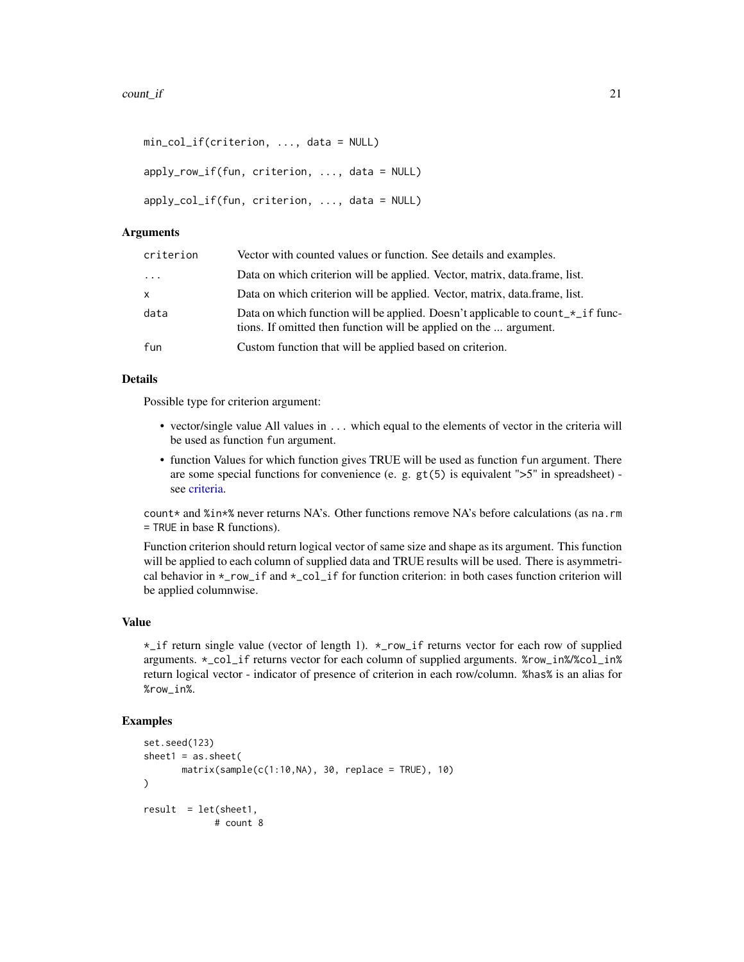```
min_col_if(criterion, ..., data = NULL)
apply_row_if(fun, criterion, ..., data = NULL)
apply_col_if(fun, criterion, ..., data = NULL)
```
#### **Arguments**

| criterion           | Vector with counted values or function. See details and examples.                                                                                              |
|---------------------|----------------------------------------------------------------------------------------------------------------------------------------------------------------|
| $\cdot \cdot \cdot$ | Data on which criterion will be applied. Vector, matrix, data.frame, list.                                                                                     |
| $\mathsf{x}$        | Data on which criterion will be applied. Vector, matrix, data.frame, list.                                                                                     |
| data                | Data on which function will be applied. Doesn't applicable to count $x \text{ if }$ func-<br>tions. If omitted then function will be applied on the  argument. |
| fun                 | Custom function that will be applied based on criterion.                                                                                                       |

#### Details

Possible type for criterion argument:

- vector/single value All values in ... which equal to the elements of vector in the criteria will be used as function fun argument.
- function Values for which function gives TRUE will be used as function fun argument. There are some special functions for convenience (e. g.  $gt(5)$  is equivalent " $>5$ " in spreadsheet) see [criteria.](#page-24-1)

count\* and  $% i \times \mathcal{L}$  never returns NA's. Other functions remove NA's before calculations (as na.rm = TRUE in base R functions).

Function criterion should return logical vector of same size and shape as its argument. This function will be applied to each column of supplied data and TRUE results will be used. There is asymmetrical behavior in \*\_row\_if and \*\_col\_if for function criterion: in both cases function criterion will be applied columnwise.

# Value

\*\_if return single value (vector of length 1). \*\_row\_if returns vector for each row of supplied arguments. \*\_col\_if returns vector for each column of supplied arguments. %row\_in%/%col\_in% return logical vector - indicator of presence of criterion in each row/column. %has% is an alias for %row\_in%.

```
set.seed(123)
sheet1 = as. sheet(matrix(sample(c(1:10,NA), 30, replace = TRUE), 10)
)
result = let(sheet1,
             # count 8
```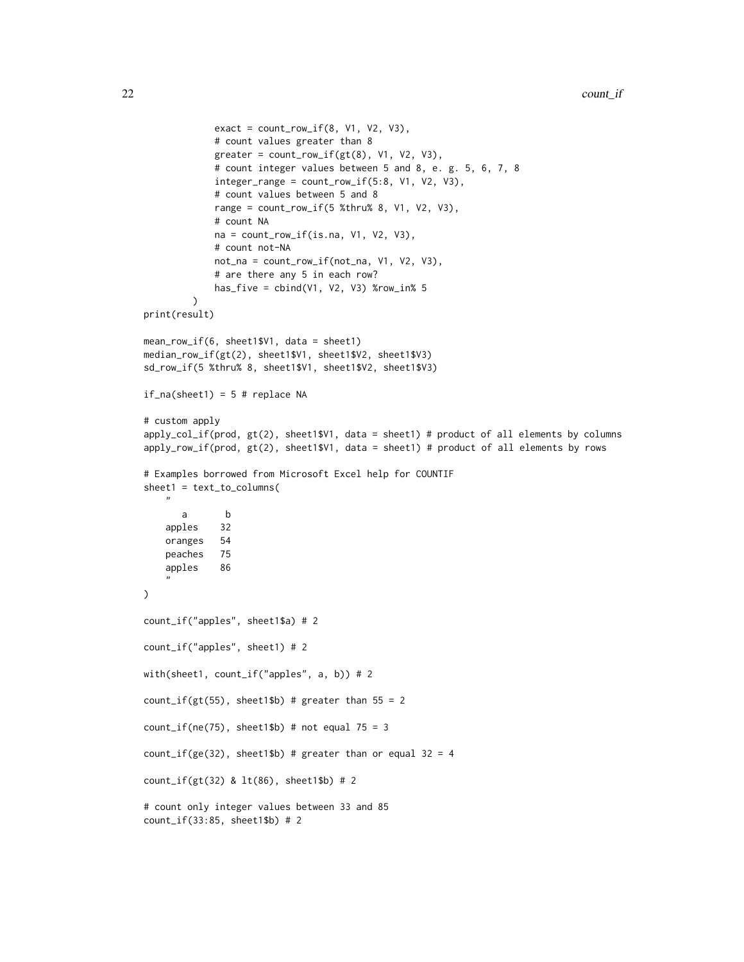```
exact = count_{row\_if(8, V1, V2, V3)},
             # count values greater than 8
             greater = count_{row\_if(gt(8), V1, V2, V3)},
             # count integer values between 5 and 8, e. g. 5, 6, 7, 8
             integer_range = count(row_if(5:8, V1, V2, V3),# count values between 5 and 8
             range = count_{row\_if(5 %thru% 8, V1, V2, V3)},
             # count NA
             na = count_{row\_if(is.na, V1, V2, V3),# count not-NA
             not_na = count_row_if(not_na, V1, V2, V3),
             # are there any 5 in each row?
             has_five = cbind(V1, V2, V3) %row_in% 5
         \lambdaprint(result)
mean_row_if(6, sheet1$V1, data = sheet1)
median_row_if(gt(2), sheet1$V1, sheet1$V2, sheet1$V3)
sd_row_if(5 %thru% 8, sheet1$V1, sheet1$V2, sheet1$V3)
if\_na(sheet1) = 5 # replace NA# custom apply
apply_col_if(prod, gt(2), sheet1$V1, data = sheet1) # product of all elements by columns
apply_row_if(prod, gt(2), sheet1$V1, data = sheet1) # product of all elements by rows
# Examples borrowed from Microsoft Excel help for COUNTIF
sheet1 = text_to_columns(
   "
       a b
    apples 32
    oranges 54
    peaches 75
    apples 86
    "
\lambdacount_if("apples", sheet1$a) # 2
count_if("apples", sheet1) # 2
with(sheet1, count_if("apples", a, b)) # 2
count_if(gt(55), sheet1$b) # greater than 55 = 2count_if(ne(75), sheet1$b) # not equal 75 = 3
count_if(ge(32), sheet1$b) # greater than or equal 32 = 4count_if(gt(32) & lt(86), sheet1$b) # 2
# count only integer values between 33 and 85
count_if(33:85, sheet1$b) # 2
```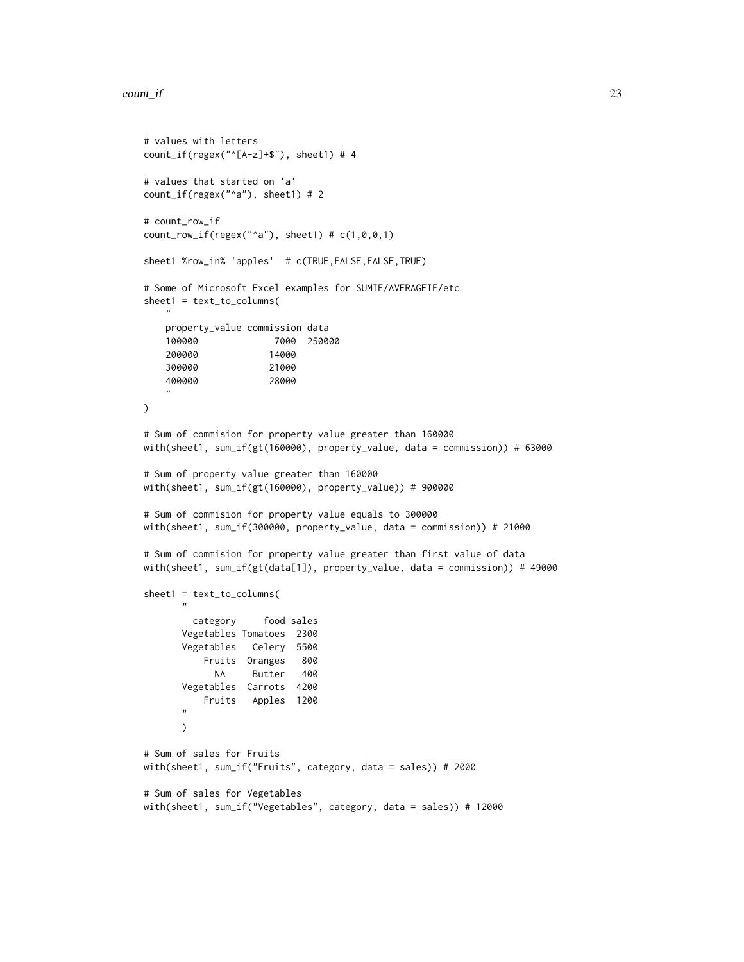#### $count\_if$  23

```
# values with letters
count_if(regex("^[A-z]+$"), sheet1) # 4
# values that started on 'a'
count_if(regex("^a"), sheet1) # 2
# count_row_if
count_{row\_if(regex("^a", sheet1) # c(1,0,0,1))sheet1 %row_in% 'apples' # c(TRUE,FALSE,FALSE,TRUE)
# Some of Microsoft Excel examples for SUMIF/AVERAGEIF/etc
sheet1 = text_to_columns(
   \mathbf{u}property_value commission data
   100000 7000 250000
   200000 14000
   300000 21000
    400000 28000
    \mathbf{u}\lambda# Sum of commision for property value greater than 160000
with(sheet1, sum_if(gt(160000), property_value, data = commission)) # 63000
# Sum of property value greater than 160000
with(sheet1, sum_if(gt(160000), property_value)) # 900000
# Sum of commision for property value equals to 300000
with(sheet1, sum_if(300000, property_value, data = commission)) # 21000
# Sum of commision for property value greater than first value of data
with(sheet1, sum_if(gt(data[1]), property_value, data = commission)) # 49000
sheet1 = text_to_columns(
       "
        category food sales
      Vegetables Tomatoes 2300
      Vegetables Celery 5500
          Fruits Oranges 800
            NA Butter 400
      Vegetables Carrots 4200
          Fruits Apples 1200
       "
      \mathcal{L}# Sum of sales for Fruits
with(sheet1, sum_if("Fruits", category, data = sales)) # 2000
# Sum of sales for Vegetables
with(sheet1, sum_if("Vegetables", category, data = sales)) # 12000
```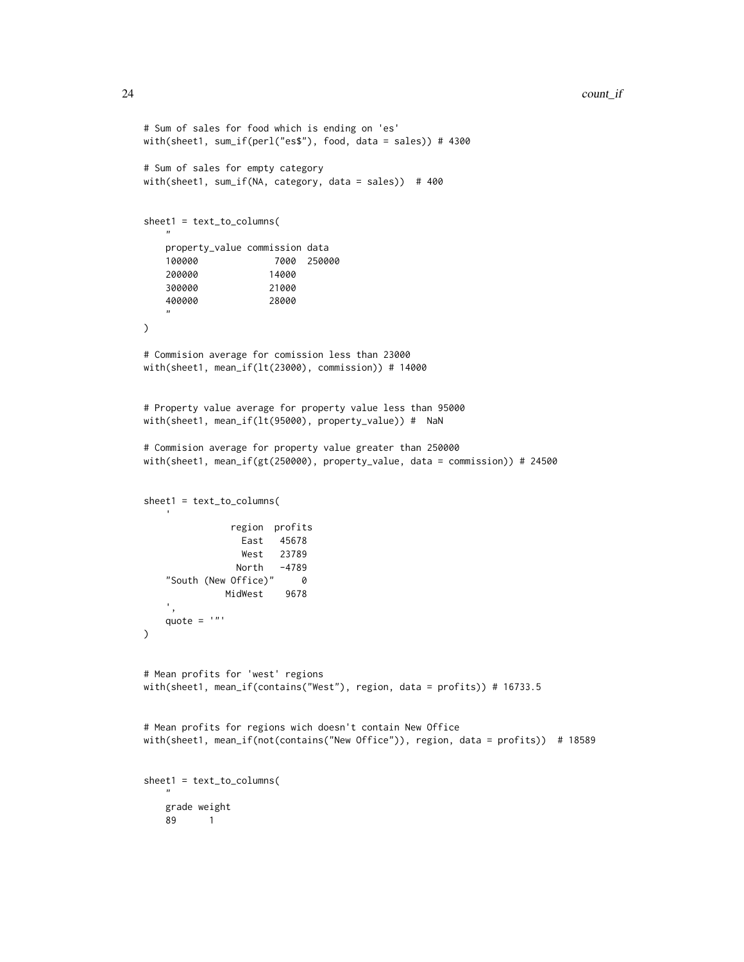```
# Sum of sales for food which is ending on 'es'
with(sheet1, sum_if(perl("es$"), food, data = sales)) # 4300
# Sum of sales for empty category
with(sheet1, sum_if(NA, category, data = sales)) # 400
sheet1 = text_to_columns(
    "
   property_value commission data
   100000 7000 250000
   200000 14000
    300000 21000
    400000 28000
    "
\mathcal{L}# Commision average for comission less than 23000
with(sheet1, mean_if(lt(23000), commission)) # 14000
# Property value average for property value less than 95000
with(sheet1, mean_if(lt(95000), property_value)) # NaN
# Commision average for property value greater than 250000
with(sheet1, mean_if(gt(250000), property_value, data = commission)) # 24500
sheet1 = text_to_columns(
               region profits
                 East 45678
                 West 23789
                North -4789
    "South (New Office)" 0
              MidWest 9678
   ',
   quote = '"'
)
# Mean profits for 'west' regions
with(sheet1, mean_if(contains("West"), region, data = profits)) # 16733.5
# Mean profits for regions wich doesn't contain New Office
with(sheet1, mean_if(not(contains("New Office")), region, data = profits)) # 18589
sheet1 = text_to_columns(
    ^{\prime\prime}grade weight
   89 1
```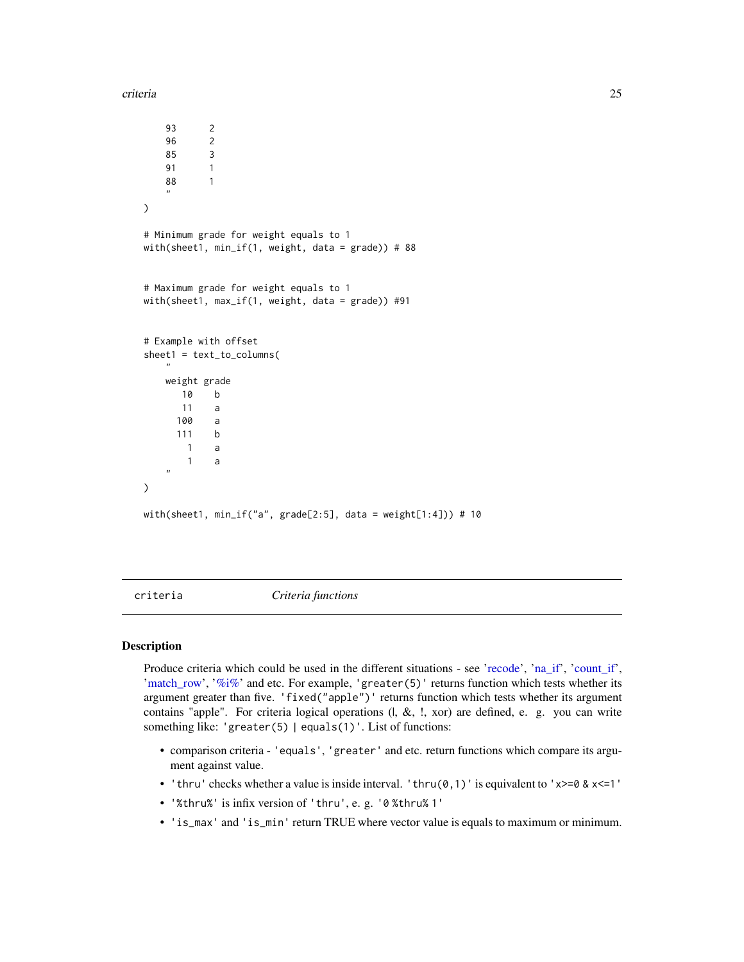<span id="page-24-0"></span>criteria 25

```
93 2
   96 2
   85 3
   91 1
   88 1
    "
)
# Minimum grade for weight equals to 1
with(sheet1, min_if(1, weight, data = grade)) # 88
# Maximum grade for weight equals to 1
with(sheet1, max_if(1, weight, data = grade)) #91
# Example with offset
sheet1 = text_to_columns(
    "
   weight grade
      10 b
      11 a
     100 a
     111 b
      1 a
       1 a
   "
\mathcal{L}with(sheet1, min_if("a", grade[2:5], data = weight[1:4])) # 10
```
<span id="page-24-1"></span>

criteria *Criteria functions*

#### Description

Produce criteria which could be used in the different situations - see ['recode'](#page-76-1), ['na\\_if'](#page-55-1), ['count\\_if'](#page-18-1), 'match row', ['%i%'](#page-116-1) and etc. For example, 'greater(5)' returns function which tests whether its argument greater than five. 'fixed("apple")' returns function which tests whether its argument contains "apple". For criteria logical operations  $(l, \&, l, x$ or) are defined, e. g. you can write something like: 'greater(5) | equals(1)'. List of functions:

- comparison criteria 'equals', 'greater' and etc. return functions which compare its argument against value.
- 'thru' checks whether a value is inside interval. 'thru( $\emptyset$ , 1)' is equivalent to 'x>= $\emptyset$  & x<=1'
- '%thru%' is infix version of 'thru', e. g. '0 %thru% 1'
- 'is\_max' and 'is\_min' return TRUE where vector value is equals to maximum or minimum.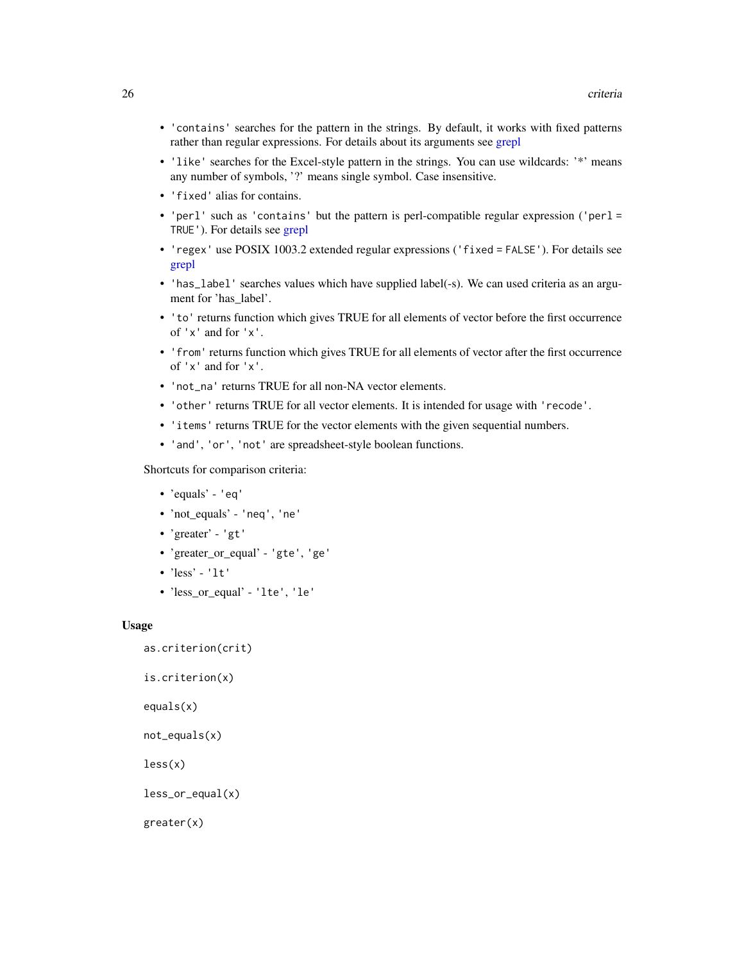- 'contains' searches for the pattern in the strings. By default, it works with fixed patterns rather than regular expressions. For details about its arguments see [grepl](#page-0-0)
- 'like' searches for the Excel-style pattern in the strings. You can use wildcards: '\*' means any number of symbols, '?' means single symbol. Case insensitive.
- 'fixed' alias for contains.
- 'perl' such as 'contains' but the pattern is perl-compatible regular expression ('perl = TRUE'). For details see [grepl](#page-0-0)
- 'regex' use POSIX 1003.2 extended regular expressions ('fixed = FALSE'). For details see [grepl](#page-0-0)
- 'has\_label' searches values which have supplied label(-s). We can used criteria as an argument for 'has\_label'.
- 'to' returns function which gives TRUE for all elements of vector before the first occurrence of 'x' and for 'x'.
- 'from' returns function which gives TRUE for all elements of vector after the first occurrence of 'x' and for 'x'.
- 'not\_na' returns TRUE for all non-NA vector elements.
- 'other' returns TRUE for all vector elements. It is intended for usage with 'recode'.
- 'items' returns TRUE for the vector elements with the given sequential numbers.
- 'and', 'or', 'not' are spreadsheet-style boolean functions.

Shortcuts for comparison criteria:

- 'equals' 'eq'
- 'not\_equals' 'neq', 'ne'
- 'greater' 'gt'
- 'greater\_or\_equal' 'gte', 'ge'
- 'less' 'lt'
- 'less\_or\_equal' 'lte', 'le'

# Usage

```
as.criterion(crit)
```

```
is.criterion(x)
```
equals(x)

```
not_equals(x)
```
less(x)

less\_or\_equal(x)

```
greater(x)
```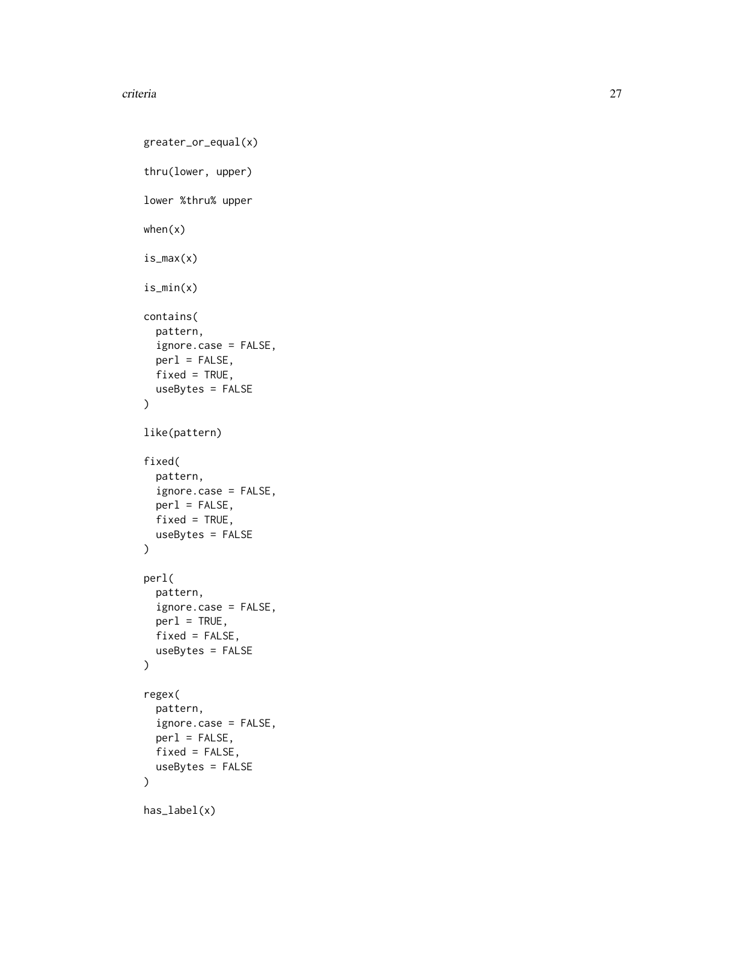#### criteria and 27 and 28 and 27 and 27 and 27 and 27 and 27 and 27 and 27 and 27 and 27 and 27 and 27 and 27 and 27

```
greater_or_equal(x)
thru(lower, upper)
lower %thru% upper
when(x)
is_max(x)
is_min(x)
contains(
 pattern,
  ignore.case = FALSE,
 perl = FALSE,
 fixed = TRUE,useBytes = FALSE
\lambdalike(pattern)
fixed(
 pattern,
 ignore.case = FALSE,
 perl = FALSE,
 fixed = TRUE,useBytes = FALSE
)
perl(
 pattern,
  ignore.case = FALSE,
 per1 = TRUE,fixed = FALSE,
 useBytes = FALSE
\mathcal{L}regex(
 pattern,
  ignore.case = FALSE,
 per1 = FALSE,fixed = FALSE,useBytes = FALSE
)
has_label(x)
```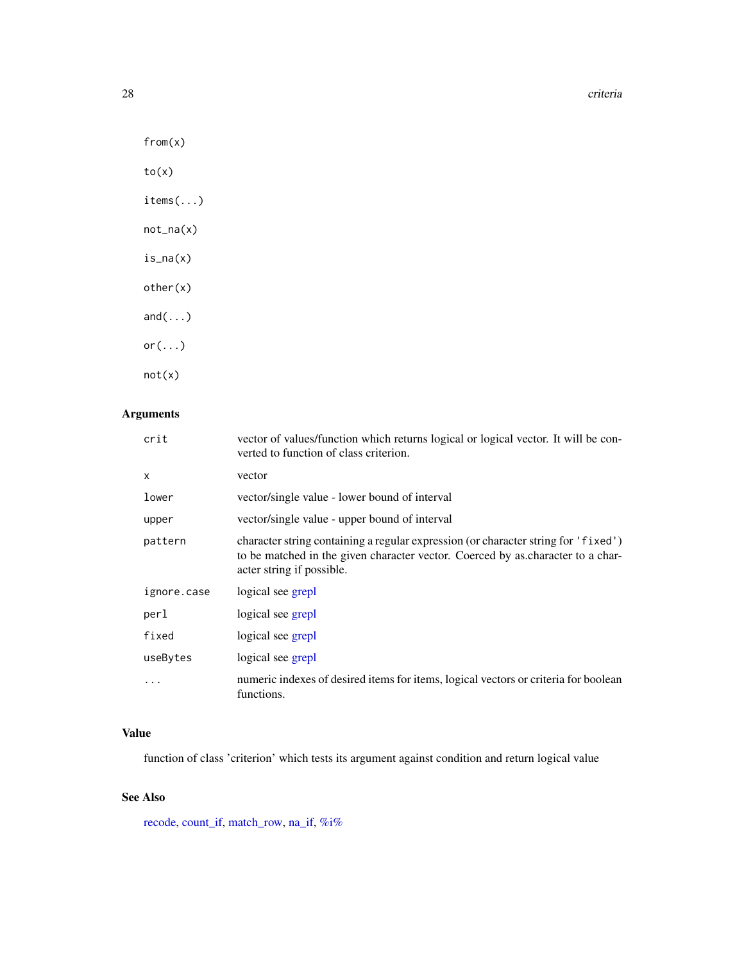28 criteria de la contrada de la contrada de la criteria de la criteria de la criteria de la criteria de la criteria

from(x)

to(x)

items(...)

not\_na(x)

is\_na(x)

other(x)

and(...) or $(\ldots)$ 

not(x)

# Arguments

| crit         | vector of values/function which returns logical or logical vector. It will be con-<br>verted to function of class criterion.                                                                       |
|--------------|----------------------------------------------------------------------------------------------------------------------------------------------------------------------------------------------------|
| $\mathsf{x}$ | vector                                                                                                                                                                                             |
| lower        | vector/single value - lower bound of interval                                                                                                                                                      |
| upper        | vector/single value - upper bound of interval                                                                                                                                                      |
| pattern      | character string containing a regular expression (or character string for 'fixed')<br>to be matched in the given character vector. Coerced by as character to a char-<br>acter string if possible. |
| ignore.case  | logical see grepl                                                                                                                                                                                  |
| perl         | logical see grepl                                                                                                                                                                                  |
| fixed        | logical see grepl                                                                                                                                                                                  |
| useBytes     | logical see grepl                                                                                                                                                                                  |
| .            | numeric indexes of desired items for items, logical vectors or criteria for boolean<br>functions.                                                                                                  |

# Value

function of class 'criterion' which tests its argument against condition and return logical value

# See Also

[recode,](#page-76-1) [count\\_if,](#page-18-1) [match\\_row,](#page-59-1) [na\\_if,](#page-55-1) [%i%](#page-116-1)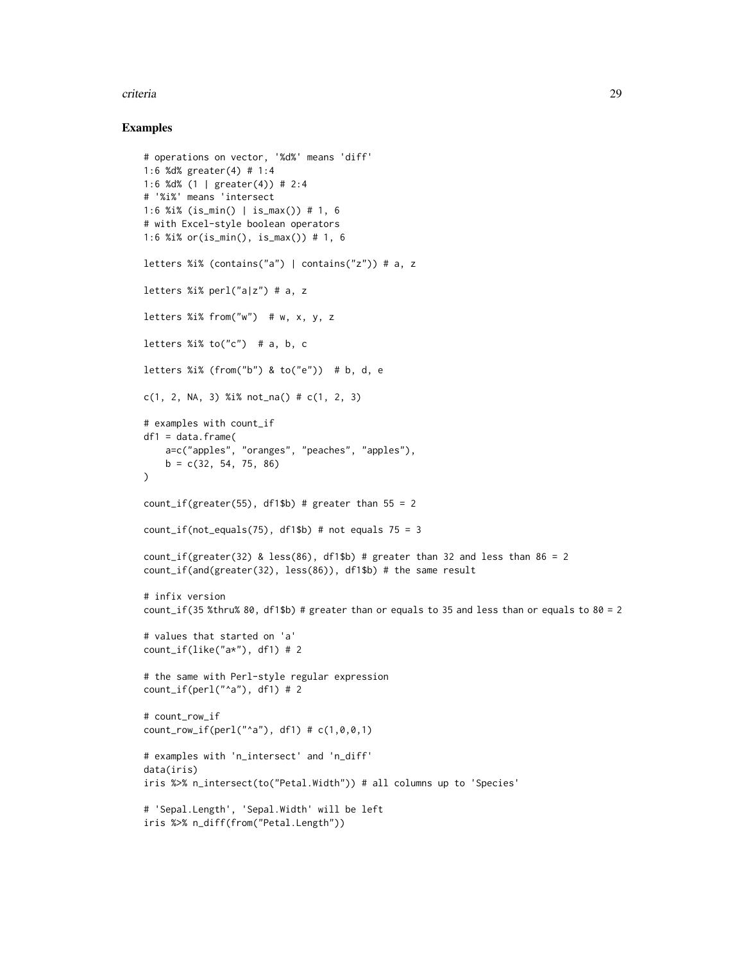#### criteria 29

```
# operations on vector, '%d%' means 'diff'
1:6 %d% greater(4) # 1:4
1:6 %d% (1 | greater(4)) # 2:4
# '%i%' means 'intersect
1:6 %i% (is_min() | is_max()) # 1, 6
# with Excel-style boolean operators
1:6 %i% or(is_min(), is_max()) # 1, 6
letters %i% (contains("a") | contains("z")) # a, z
letters %i% perl("a|z") # a, z
letters %i% from("w") # w, x, y, zletters %i% to("c") # a, b, c
letters %i% (from("b") & to("e")) # b, d, e
c(1, 2, NA, 3) %i% not_na() # c(1, 2, 3)
# examples with count_if
df1 = data.frame(
   a=c("apples", "oranges", "peaches", "apples"),
    b = c(32, 54, 75, 86)\lambdacount_if(greater(55), df1$b) # greater than 55 = 2count_if(not_equals(75), df1$b) # not equals 75 = 3count_if(greacter(32) & less(86), df1$b) # greater than 32 and less than 86 = 2count_if(and(greater(32), less(86)), df1$b) # the same result
# infix version
count_if(35 %thru% 80, df1$b) # greater than or equals to 35 and less than or equals to 80 = 2# values that started on 'a'
count_if(like("a*"), df1) # 2
# the same with Perl-style regular expression
count_if(perl("^a", df1) # 2# count_row_if
count_{row\_if(perl("^a"), df1) # c(1,0,0,1)# examples with 'n_intersect' and 'n_diff'
data(iris)
iris %>% n_intersect(to("Petal.Width")) # all columns up to 'Species'
# 'Sepal.Length', 'Sepal.Width' will be left
iris %>% n_diff(from("Petal.Length"))
```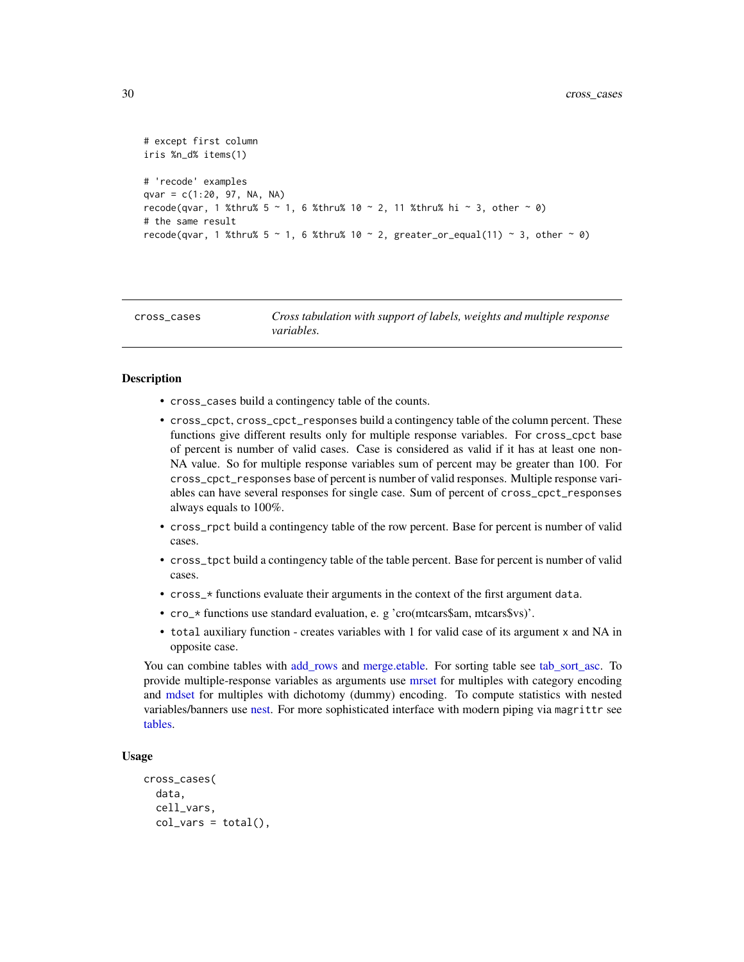```
# except first column
iris %n_d% items(1)
# 'recode' examples
qvar = c(1:20, 97, NA, NA)recode(qvar, 1 %thru% 5 \sim 1, 6 %thru% 10 \sim 2, 11 %thru% hi \sim 3, other \sim 0)
# the same result
recode(qvar, 1 %thru% 5 \sim 1, 6 %thru% 10 \sim 2, greater_or_equal(11) \sim 3, other \sim 0)
```

```
cross_cases Cross tabulation with support of labels, weights and multiple response
                        variables.
```
#### <span id="page-29-1"></span>**Description**

- cross\_cases build a contingency table of the counts.
- cross\_cpct, cross\_cpct\_responses build a contingency table of the column percent. These functions give different results only for multiple response variables. For cross\_cpct base of percent is number of valid cases. Case is considered as valid if it has at least one non-NA value. So for multiple response variables sum of percent may be greater than 100. For cross\_cpct\_responses base of percent is number of valid responses. Multiple response variables can have several responses for single case. Sum of percent of cross\_cpct\_responses always equals to 100%.
- cross\_rpct build a contingency table of the row percent. Base for percent is number of valid cases.
- cross\_tpct build a contingency table of the table percent. Base for percent is number of valid cases.
- cross\_\* functions evaluate their arguments in the context of the first argument data.
- cro\_\* functions use standard evaluation, e. g 'cro(mtcars\$am, mtcars\$vs)'.
- total auxiliary function creates variables with 1 for valid case of its argument x and NA in opposite case.

You can combine tables with [add\\_rows](#page-3-1) and [merge.etable.](#page-60-1) For sorting table see [tab\\_sort\\_asc.](#page-106-1) To provide multiple-response variables as arguments use [mrset](#page-62-1) for multiples with category encoding and [mdset](#page-62-2) for multiples with dichotomy (dummy) encoding. To compute statistics with nested variables/banners use [nest.](#page-65-1) For more sophisticated interface with modern piping via magrittr see [tables.](#page-88-1)

#### Usage

```
cross_cases(
  data,
  cell_vars,
  col\_vars = total(),
```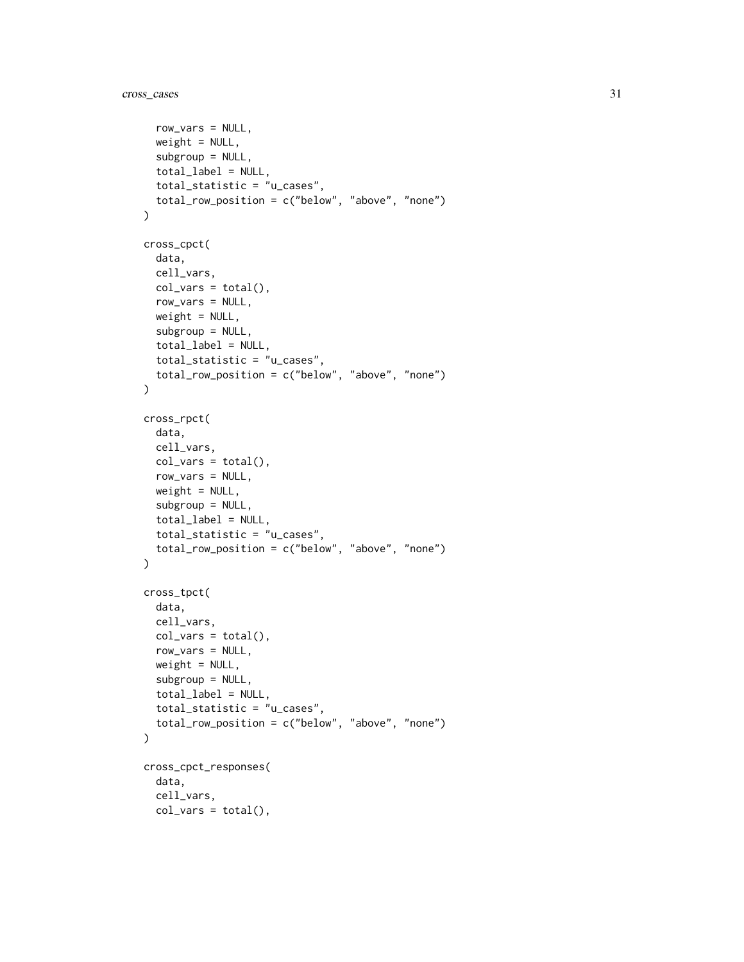```
row_vars = NULL,
 weight = NULL,subgroup = NULL,
  total_label = NULL,
  total_statistic = "u_cases",
  total_row_position = c("below", "above", "none")
\mathcal{L}cross_cpct(
 data,
 cell_vars,
  col\_vars = total(),
 row_vars = NULL,
 weight = NULL,subgroup = NULL,
  total_label = NULL,
  total_statistic = "u_cases",
  total_row_position = c("below", "above", "none")
\lambdacross_rpct(
 data,
 cell_vars,
 col\_vars = total(),
 row_vars = NULL,
 weight = NULL,subgroup = NULL,
  total_label = NULL,
  total_statistic = "u_cases",
  total_row_position = c("below", "above", "none")
\mathcal{L}cross_tpct(
  data,
  cell_vars,
 col\_vars = total(),
 row_vars = NULL,
 weight = NULL,subgroup = NULL,
  total_label = NULL,
  total_statistic = "u_cases",
  total_row_position = c("below", "above", "none")
\mathcal{L}cross_cpct_responses(
  data,
  cell_vars,
 col\_vars = total(),
```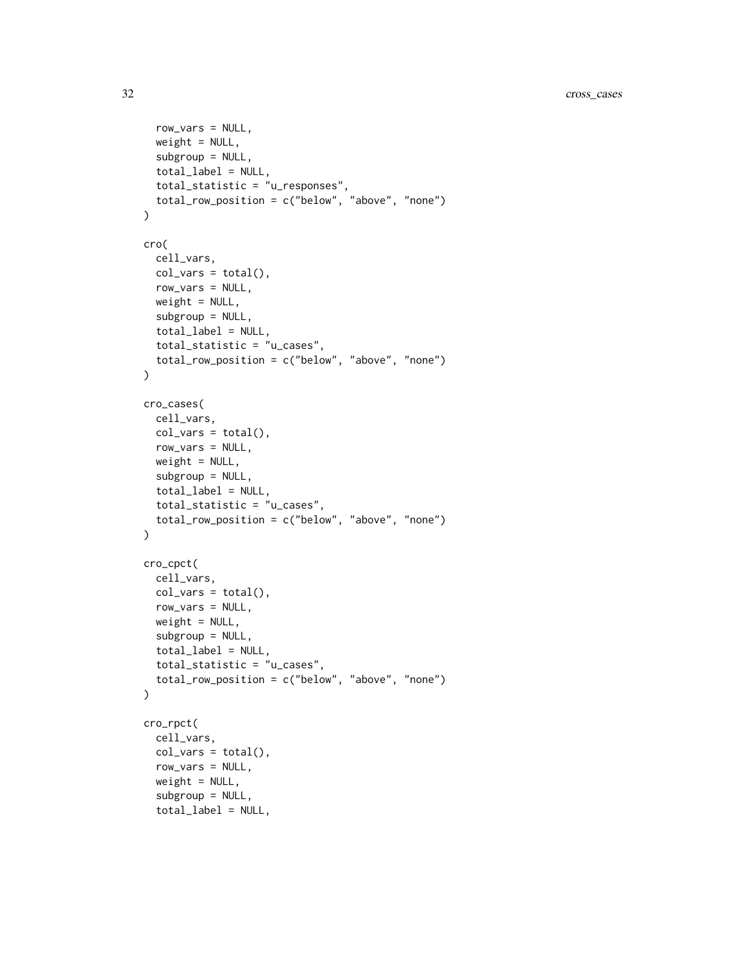```
row_vars = NULL,
  weight = NULL,subgroup = NULL,
  total_label = NULL,
  total_statistic = "u_responses",
  total_row_position = c("below", "above", "none")
\mathcal{L}cro(
  cell_vars,
  col\_vars = total(),
  row_vars = NULL,
  weight = NULL,subgroup = NULL,
  total_label = NULL,
  total_statistic = "u_cases",
  total_row_position = c("below", "above", "none")
\mathcal{L}cro_cases(
  cell_vars,
  col\_vars = total(),
  row_vars = NULL,
  weight = NULL,subgroup = NULL,
  total_label = NULL,
  total_statistic = "u_cases",
  total_row_position = c("below", "above", "none")
\mathcal{L}cro_cpct(
  cell_vars,
  col\_vars = total(),
  row_vars = NULL,
  weight = NULL,subgroup = NULL,
  total \text{label} = NULL,total_statistic = "u_cases",
  total_row_position = c("below", "above", "none")
\mathcal{L}cro_rpct(
  cell_vars,
  col\_vars = total(),
  row_vars = NULL,
  weight = NULL,subgroup = NULL,
  total_label = NULL,
```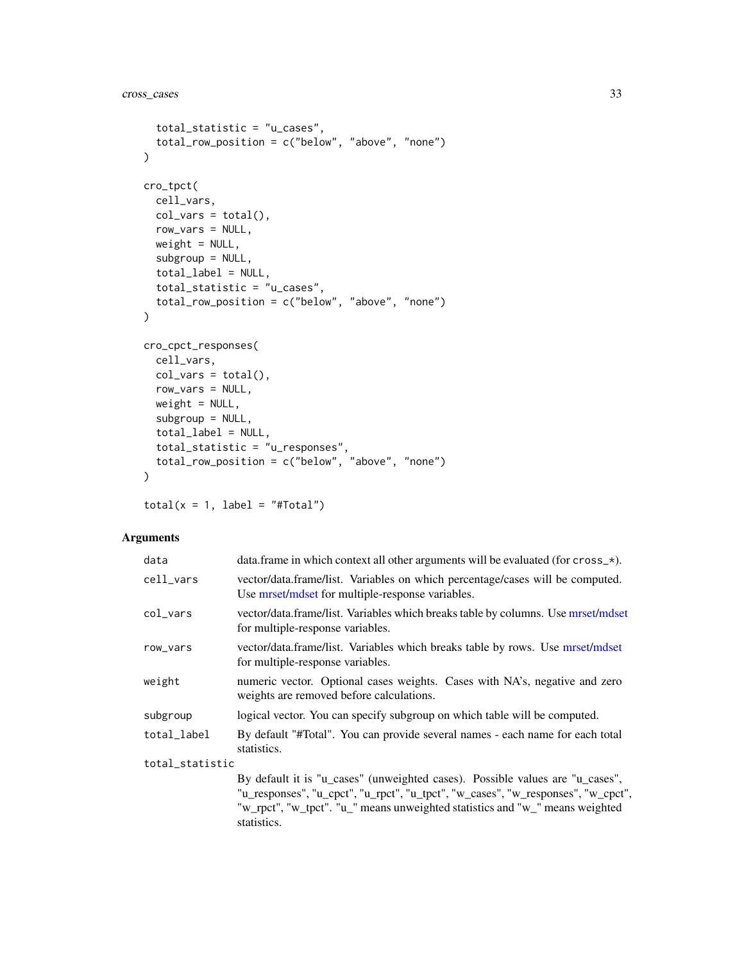```
total_statistic = "u_cases",
  total_row_position = c("below", "above", "none")
\lambdacro_tpct(
  cell_vars,
  col\_vars = total(),
  row_vars = NULL,
  weight = NULL,subgroup = NULL,
  total_label = NULL,
  total_statistic = "u_cases",
  total_row_position = c("below", "above", "none")
)
cro_cpct_responses(
  cell_vars,
  col\_vars = total(),
  row_vars = NULL,
  weight = NULL,subgroup = NULL,
  total_label = NULL,
  total_statistic = "u_responses",
  total_row_position = c("below", "above", "none")
\lambda
```
 $total(x = 1, label = "#Total")$ 

# Arguments

| data            | data.frame in which context all other arguments will be evaluated (for cross_*).                                                                                                                                                                                 |
|-----------------|------------------------------------------------------------------------------------------------------------------------------------------------------------------------------------------------------------------------------------------------------------------|
| cell_vars       | vector/data.frame/list. Variables on which percentage/cases will be computed.<br>Use mrset/mdset for multiple-response variables.                                                                                                                                |
| col_vars        | vector/data.frame/list. Variables which breaks table by columns. Use mrset/mdset<br>for multiple-response variables.                                                                                                                                             |
| row_vars        | vector/data.frame/list. Variables which breaks table by rows. Use mrset/mdset<br>for multiple-response variables.                                                                                                                                                |
| weight          | numeric vector. Optional cases weights. Cases with NA's, negative and zero<br>weights are removed before calculations.                                                                                                                                           |
| subgroup        | logical vector. You can specify subgroup on which table will be computed.                                                                                                                                                                                        |
| total_label     | By default "#Total". You can provide several names - each name for each total<br>statistics.                                                                                                                                                                     |
| total_statistic |                                                                                                                                                                                                                                                                  |
|                 | By default it is "u_cases" (unweighted cases). Possible values are "u_cases",<br>"u_responses", "u_cpct", "u_rpct", "u_tpct", "w_cases", "w_responses", "w_cpct",<br>"w_rpct", "w_tpct". "u_" means unweighted statistics and "w_" means weighted<br>statistics. |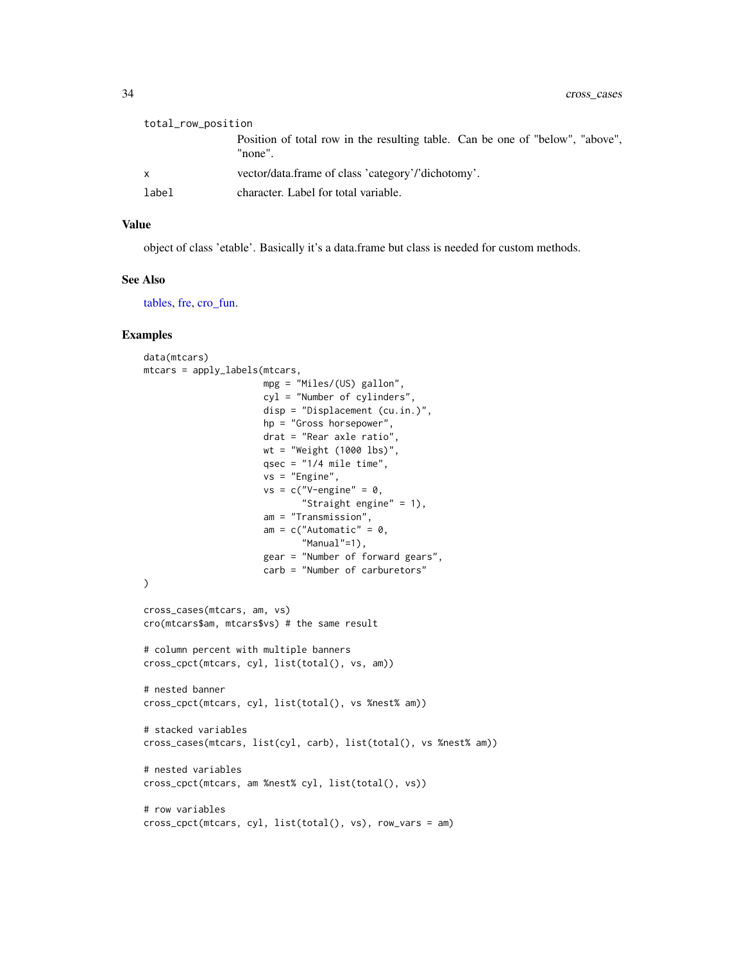| total_row_position |                                                                                          |  |
|--------------------|------------------------------------------------------------------------------------------|--|
|                    | Position of total row in the resulting table. Can be one of "below", "above",<br>"none". |  |
| $\mathsf{X}$       | vector/data.frame of class 'category'/'dichotomy'.                                       |  |
| label              | character. Label for total variable.                                                     |  |

#### Value

object of class 'etable'. Basically it's a data.frame but class is needed for custom methods.

# See Also

[tables,](#page-88-1) [fre,](#page-49-1) [cro\\_fun.](#page-34-1)

```
data(mtcars)
mtcars = apply_labels(mtcars,
                      mpg = "Miles/(US) gallon",
                      cyl = "Number of cylinders",
                      disp = "Displacement (cu.in.)",
                      hp = "Gross horsepower",
                      drat = "Rear axle ratio",
                      wt = "Weight (1000 lbs)",
                      qsec = "1/4 mile time",
                      vs = "Engine",
                      vs = c("V-engine" = 0,"Straight engine" = 1),
                      am = "Transmission",
                      am = c("Automatic" = 0,"Manual"=1),
                      gear = "Number of forward gears",
                      carb = "Number of carburetors"
)
cross_cases(mtcars, am, vs)
cro(mtcars$am, mtcars$vs) # the same result
# column percent with multiple banners
cross_cpct(mtcars, cyl, list(total(), vs, am))
# nested banner
cross_cpct(mtcars, cyl, list(total(), vs %nest% am))
# stacked variables
cross_cases(mtcars, list(cyl, carb), list(total(), vs %nest% am))
# nested variables
cross_cpct(mtcars, am %nest% cyl, list(total(), vs))
# row variables
cross_cpct(mtcars, cyl, list(total(), vs), row_vars = am)
```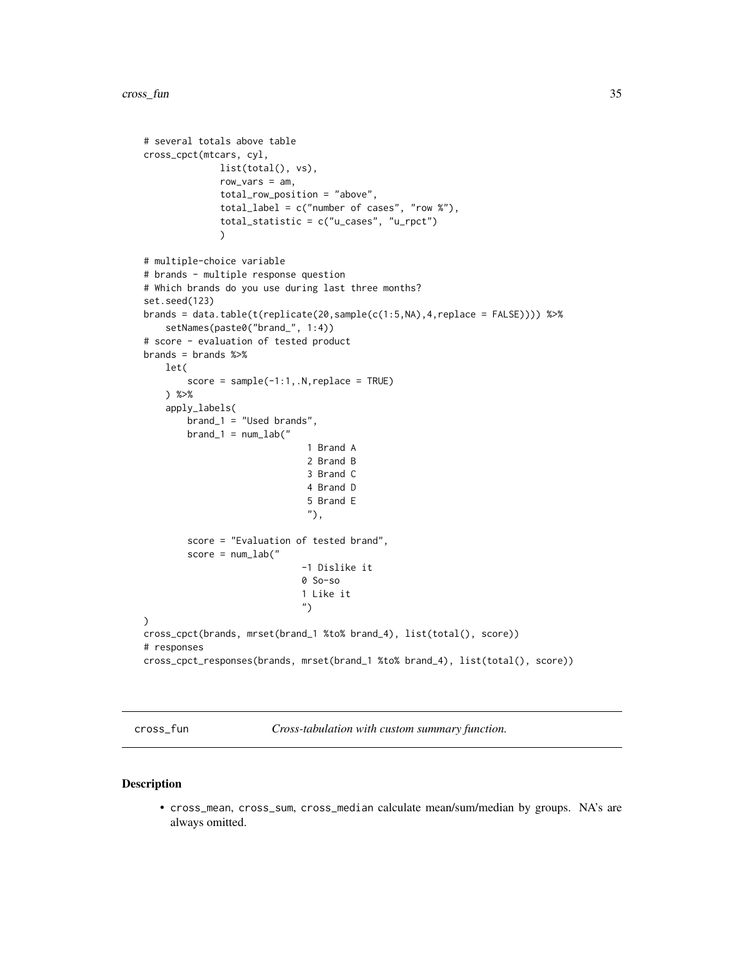```
# several totals above table
cross_cpct(mtcars, cyl,
              list(total(), vs),
              row_vars = am,
              total_row_position = "above",
              total_label = c("number of cases", "row %"),
              total_statistic = c("u_cases", "u_rpct")
              )
# multiple-choice variable
# brands - multiple response question
# Which brands do you use during last three months?
set.seed(123)
brands = data.table(t(replicate(20,sample(c(1:5,NA),4,replace = FALSE)))) %>%
    setNames(paste0("brand_", 1:4))
# score - evaluation of tested product
brands = brands %>%
   let(
        score = sample(-1:1, .N, replace = TRUE)) %>%
    apply_labels(
        brand_1 = "Used brands",
        brand_1 = num_lab("1 Brand A
                               2 Brand B
                              3 Brand C
                              4 Brand D
                               5 Brand E
                               "),
        score = "Evaluation of tested brand",
        score = num\_lab("-1 Dislike it
                             0 So-so
                             1 Like it
                              ")
\mathcal{L}cross_cpct(brands, mrset(brand_1 %to% brand_4), list(total(), score))
# responses
cross_cpct_responses(brands, mrset(brand_1 %to% brand_4), list(total(), score))
```
cross\_fun *Cross-tabulation with custom summary function.*

#### <span id="page-34-1"></span>Description

• cross\_mean, cross\_sum, cross\_median calculate mean/sum/median by groups. NA's are always omitted.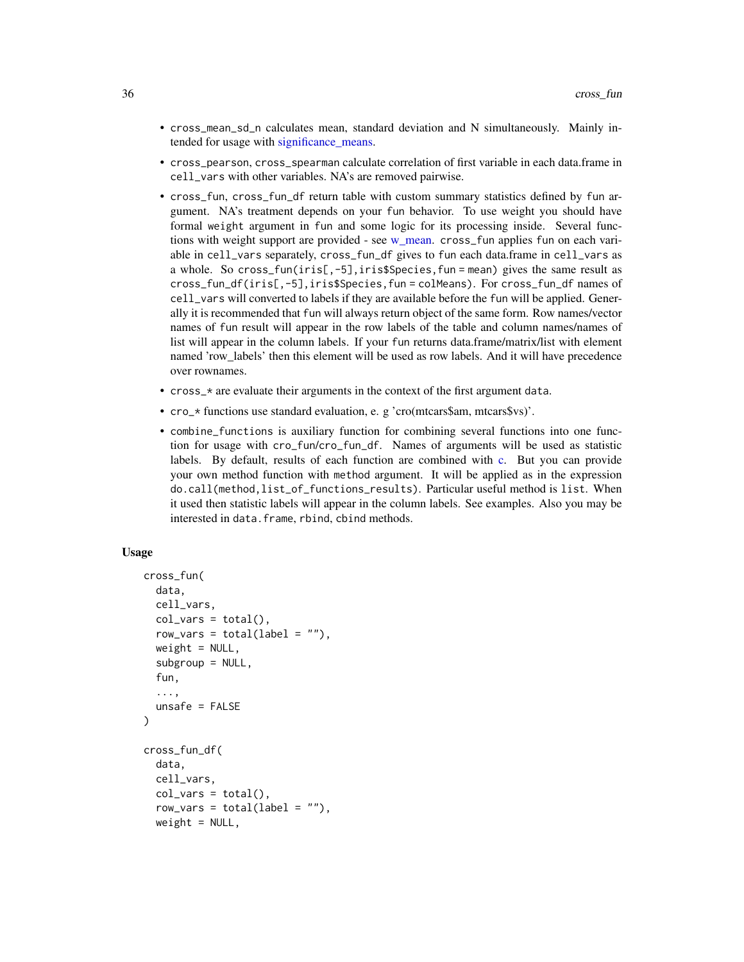- cross\_mean\_sd\_n calculates mean, standard deviation and N simultaneously. Mainly intended for usage with significance means.
- cross\_pearson, cross\_spearman calculate correlation of first variable in each data.frame in cell\_vars with other variables. NA's are removed pairwise.
- cross\_fun, cross\_fun\_df return table with custom summary statistics defined by fun argument. NA's treatment depends on your fun behavior. To use weight you should have formal weight argument in fun and some logic for its processing inside. Several functions with weight support are provided - see [w\\_mean.](#page-125-1) cross\_fun applies fun on each variable in cell\_vars separately, cross\_fun\_df gives to fun each data.frame in cell\_vars as a whole. So cross\_fun(iris[,-5],iris\$Species,fun = mean) gives the same result as cross\_fun\_df(iris[,-5],iris\$Species,fun = colMeans). For cross\_fun\_df names of cell\_vars will converted to labels if they are available before the fun will be applied. Generally it is recommended that fun will always return object of the same form. Row names/vector names of fun result will appear in the row labels of the table and column names/names of list will appear in the column labels. If your fun returns data.frame/matrix/list with element named 'row\_labels' then this element will be used as row labels. And it will have precedence over rownames.
- cross\_\* are evaluate their arguments in the context of the first argument data.
- cro\_\* functions use standard evaluation, e. g 'cro(mtcars\$am, mtcars\$vs)'.
- combine\_functions is auxiliary function for combining several functions into one function for usage with cro\_fun/cro\_fun\_df. Names of arguments will be used as statistic labels. By default, results of each function are combined with [c.](#page-0-0) But you can provide your own method function with method argument. It will be applied as in the expression do.call(method,list\_of\_functions\_results). Particular useful method is list. When it used then statistic labels will appear in the column labels. See examples. Also you may be interested in data.frame, rbind, cbind methods.

#### Usage

```
cross_fun(
  data,
  cell_vars,
  col\_vars = total(),
  row\_vars = total(label = ""),weight = NULL,subgroup = NULL,fun,
  ...,
  unsafe = FALSE)
cross_fun_df(
  data,
  cell_vars,
  col\_vars = total(),
  row\_vars = total(label = ""),weight = NULL,
```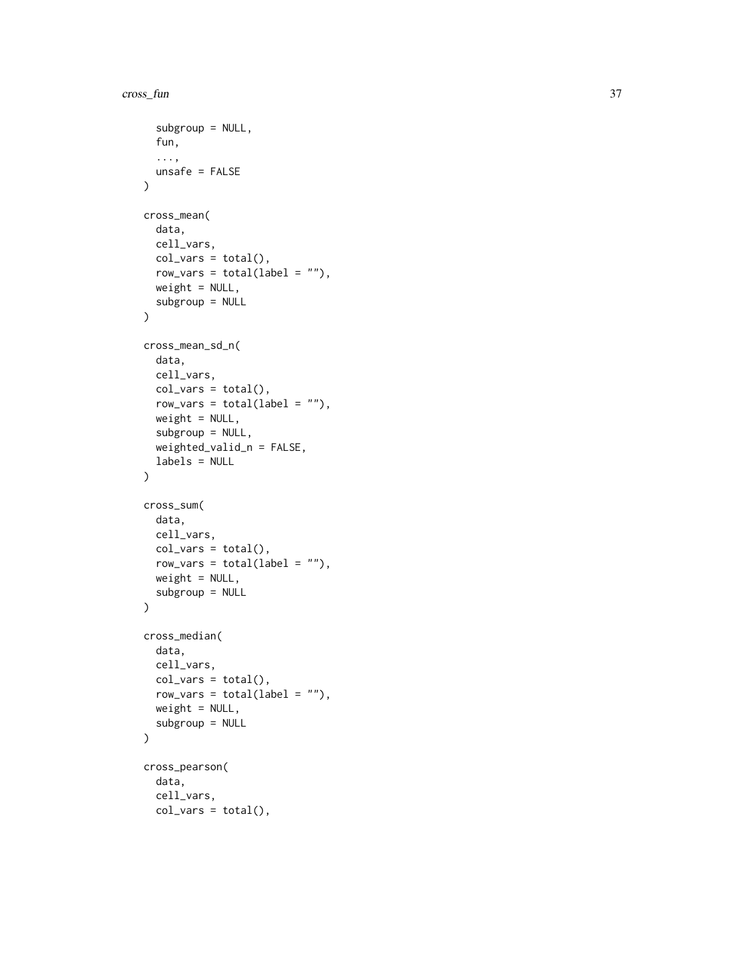```
subgroup = NULL,
  fun,
  ...,
 unsafe = FALSE
\mathcal{L}cross_mean(
 data,
 cell_vars,
 col\_vars = total(),row\_vars = total(label = ""),
 weight = NULL,subgroup = NULL
\mathcal{L}cross_mean_sd_n(
 data,
 cell_vars,
 col\_vars = total(),
  row_vars = total(label = "),
 weight = NULL,subgroup = NULL,
 weighted_valid_n = FALSE,
  labels = NULL
\mathcal{L}cross_sum(
 data,
 cell_vars,
 col\_vars = total(),row\_vars = total(label = ""),
 weight = NULL,
  subgroup = NULL
\lambdacross_median(
 data,
 cell_vars,
 col\_vars = total(),
 row\_vars = total(label = ""),
 weight = NULL,subgroup = NULL
\mathcal{L}cross_pearson(
  data,
  cell_vars,
 col\_vars = total(),
```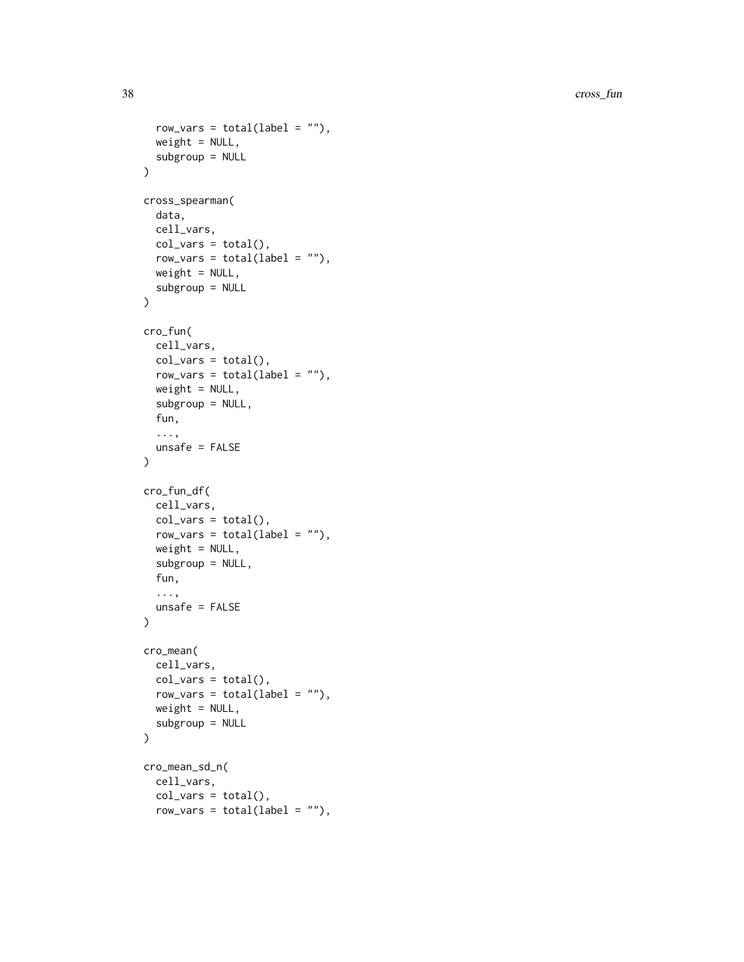```
row\_vars = total(label = ""),
  weight = NULL,subgroup = NULL
\lambdacross_spearman(
  data,
  cell_vars,
  col\_vars = total(),
  row_vars = total(label = "),
  weight = NULL,subgroup = NULL
\mathcal{L}cro_fun(
  cell_vars,
  col\_vars = total(),row_vars = total(label = "),
  weight = NULL,subgroup = NULL,
  fun,
  ...,
  unsafe = FALSE\mathcal{L}cro_fun_df(
  cell_vars,
  col\_vars = total(),
  row\_vars = total(label = ""),
  weight = NULL,subgroup = NULL,
  fun,
  ...,
  unsafe = FALSE
\mathcal{L}cro_mean(
  cell_vars,
  col\_vars = total(),
  row\_vars = total(label = ""),
  weight = NULL,subgroup = NULL
\mathcal{L}cro_mean_sd_n(
  cell_vars,
  col\_vars = total(),
  row_vars = total(label = "),
```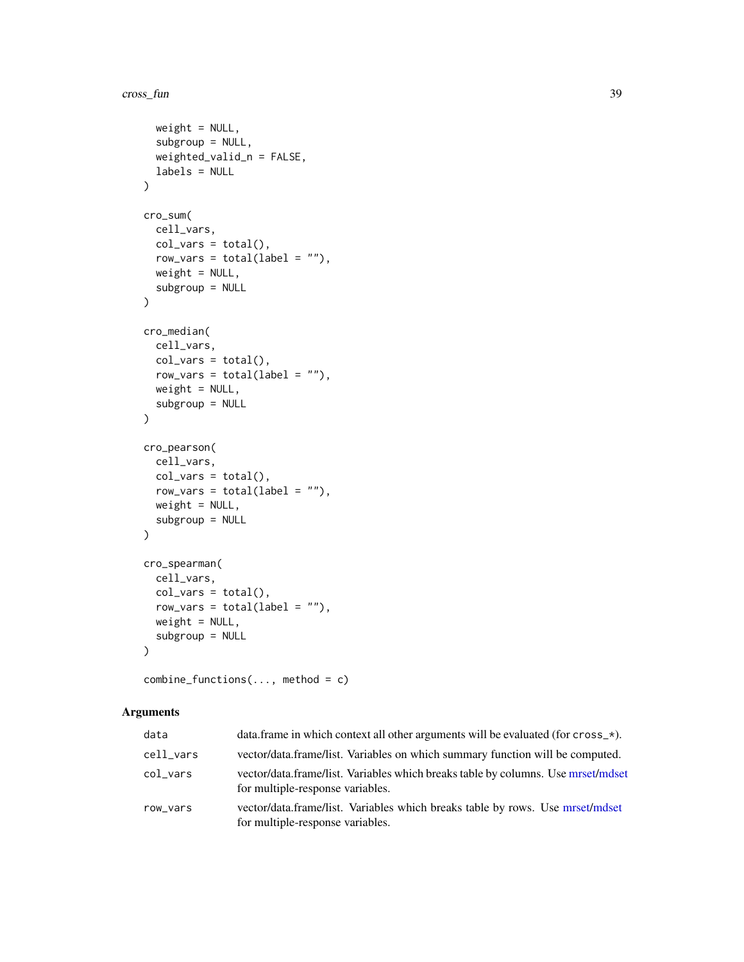```
weight = NULL,subgroup = NULL,
  weighted_valid_n = FALSE,
  labels = NULL
\mathcal{L}cro_sum(
  cell_vars,
  col\_vars = total(),
  row\_vars = total(label = ""),
  weight = NULL,subgroup = NULL
\mathcal{L}cro_median(
  cell_vars,
  col\_vars = total(),
  row_vars = total(label = "),
  weight = NULL,subgroup = NULL
\mathcal{L}cro_pearson(
  cell_vars,
  col\_vars = total(),row\_vars = total(label = ""),
  weight = NULL,subgroup = NULL
)
cro_spearman(
  cell_vars,
  col\_vars = total(),row\_vars = total(label = ""),weight = NULL,subgroup = NULL
\lambda
```
combine\_functions(..., method = c)

### Arguments

| data      | data. frame in which context all other arguments will be evaluated (for $\text{cross}\_\star$ ).                     |
|-----------|----------------------------------------------------------------------------------------------------------------------|
| cell_vars | vector/data.frame/list. Variables on which summary function will be computed.                                        |
| col vars  | vector/data.frame/list. Variables which breaks table by columns. Use mrset/mdset<br>for multiple-response variables. |
| row_vars  | vector/data.frame/list. Variables which breaks table by rows. Use mrset/mdset<br>for multiple-response variables.    |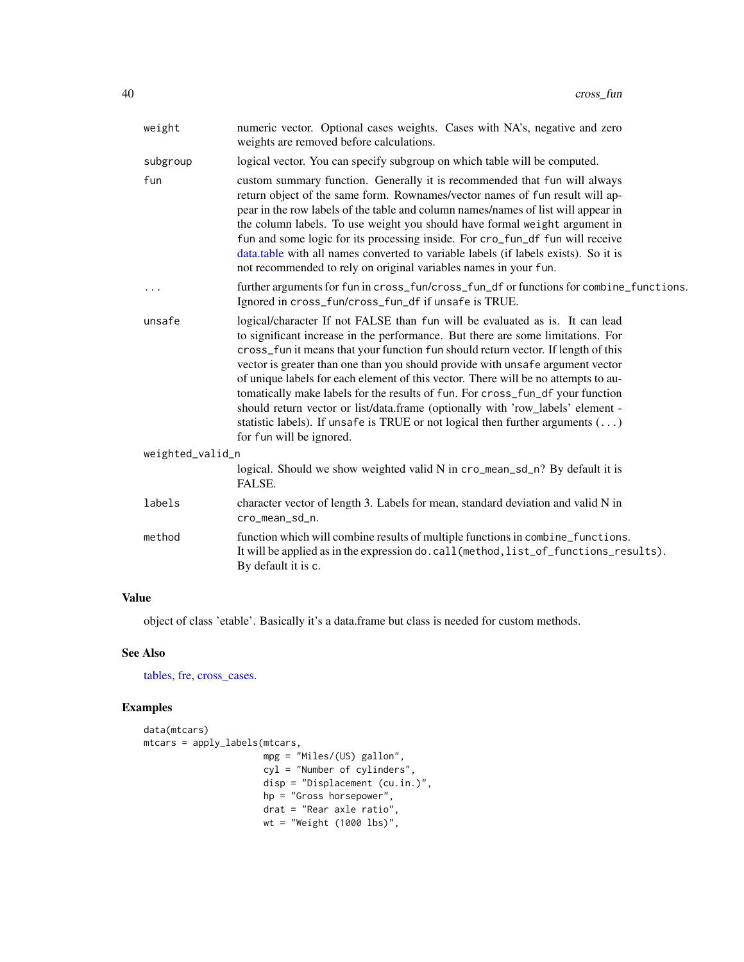| weight           | numeric vector. Optional cases weights. Cases with NA's, negative and zero<br>weights are removed before calculations.                                                                                                                                                                                                                                                                                                                                                                                                                                                                                                                                                                                                 |
|------------------|------------------------------------------------------------------------------------------------------------------------------------------------------------------------------------------------------------------------------------------------------------------------------------------------------------------------------------------------------------------------------------------------------------------------------------------------------------------------------------------------------------------------------------------------------------------------------------------------------------------------------------------------------------------------------------------------------------------------|
| subgroup         | logical vector. You can specify subgroup on which table will be computed.                                                                                                                                                                                                                                                                                                                                                                                                                                                                                                                                                                                                                                              |
| fun              | custom summary function. Generally it is recommended that fun will always<br>return object of the same form. Rownames/vector names of fun result will ap-<br>pear in the row labels of the table and column names/names of list will appear in<br>the column labels. To use weight you should have formal weight argument in<br>fun and some logic for its processing inside. For cro_fun_df fun will receive<br>data.table with all names converted to variable labels (if labels exists). So it is<br>not recommended to rely on original variables names in your fun.                                                                                                                                               |
| $\cdots$         | further arguments for fun in cross_fun/cross_fun_df or functions for combine_functions.<br>Ignored in cross_fun/cross_fun_df if unsafe is TRUE.                                                                                                                                                                                                                                                                                                                                                                                                                                                                                                                                                                        |
| unsafe           | logical/character If not FALSE than fun will be evaluated as is. It can lead<br>to significant increase in the performance. But there are some limitations. For<br>cross_fun it means that your function fun should return vector. If length of this<br>vector is greater than one than you should provide with unsafe argument vector<br>of unique labels for each element of this vector. There will be no attempts to au-<br>tomatically make labels for the results of fun. For cross_fun_df your function<br>should return vector or list/data.frame (optionally with 'row_labels' element -<br>statistic labels). If unsafe is TRUE or not logical then further arguments $(\ldots)$<br>for fun will be ignored. |
| weighted_valid_n |                                                                                                                                                                                                                                                                                                                                                                                                                                                                                                                                                                                                                                                                                                                        |
|                  | logical. Should we show weighted valid N in cro_mean_sd_n? By default it is<br>FALSE.                                                                                                                                                                                                                                                                                                                                                                                                                                                                                                                                                                                                                                  |
| labels           | character vector of length 3. Labels for mean, standard deviation and valid N in<br>cro_mean_sd_n.                                                                                                                                                                                                                                                                                                                                                                                                                                                                                                                                                                                                                     |
| method           | function which will combine results of multiple functions in combine_functions.<br>It will be applied as in the expression do.call (method, list_of_functions_results).<br>By default it is c.                                                                                                                                                                                                                                                                                                                                                                                                                                                                                                                         |

# Value

object of class 'etable'. Basically it's a data.frame but class is needed for custom methods.

# See Also

[tables,](#page-88-0) [fre,](#page-49-0) [cross\\_cases.](#page-29-0)

```
data(mtcars)
mtcars = apply_labels(mtcars,
                     mpg = "Miles/(US) gallon",
                      cyl = "Number of cylinders",
                      disp = "Displacement (cu.in.)",
                     hp = "Gross horsepower",
                      drat = "Rear axle ratio",
                      wt = "Weight (1000 lbs)",
```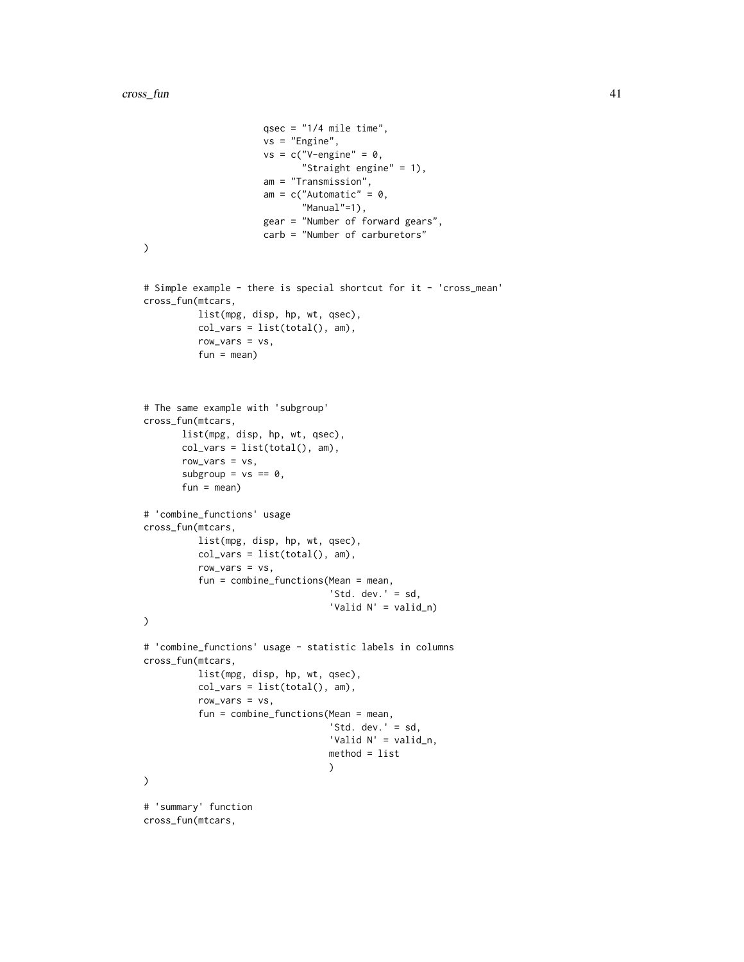```
qsec = "1/4 mile time",
                      vs = "Engine",
                      vs = c("V-engine" = 0,"Straight engine" = 1),
                      am = "Transmission",
                      am = c("Automatic" = 0,"Manual"=1),
                      gear = "Number of forward gears",
                      carb = "Number of carburetors"
\mathcal{L}# Simple example - there is special shortcut for it - 'cross_mean'
cross_fun(mtcars,
          list(mpg, disp, hp, wt, qsec),
          col_vars = list(total(), am),row_vars = vs,
          fun = mean)
# The same example with 'subgroup'
cross_fun(mtcars,
       list(mpg, disp, hp, wt, qsec),
       col_vars = list(total(), am),row\_vars = vs,subgroup = vs == 0,
       fun = mean)# 'combine_functions' usage
cross_fun(mtcars,
          list(mpg, disp, hp, wt, qsec),
          col_vars = list(total(), am),row_vars = vs,
          fun = combine_functions(Mean = mean,
                                   'Std. dev.' = sd,
                                   'Valid N' = valid_n)
\mathcal{L}# 'combine_functions' usage - statistic labels in columns
cross_fun(mtcars,
          list(mpg, disp, hp, wt, qsec),
          col_vars = list(total(), am),
          row_vars = vs,
          fun = combine_functions(Mean = mean,
                                   'Std. dev.' = sd,
                                   'Valid N' = valid_n,
                                   method = list
                                   \mathcal{L}\lambda# 'summary' function
cross_fun(mtcars,
```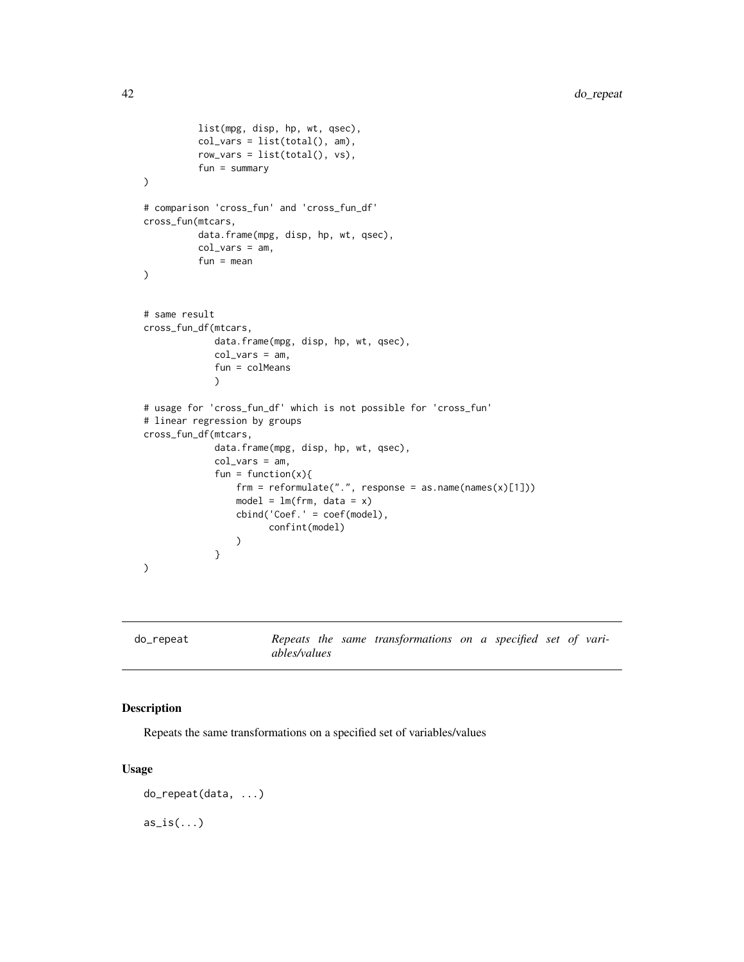```
list(mpg, disp, hp, wt, qsec),
          col_{vars} = list(total(), am),row_vars = list(total(), vs),
          fun = summary
)
# comparison 'cross_fun' and 'cross_fun_df'
cross_fun(mtcars,
          data.frame(mpg, disp, hp, wt, qsec),
          col_vars = am,
          fun = mean
)
# same result
cross_fun_df(mtcars,
             data.frame(mpg, disp, hp, wt, qsec),
             col_vars = am,
             fun = colMeans
             \mathcal{L}# usage for 'cross_fun_df' which is not possible for 'cross_fun'
# linear regression by groups
cross_fun_df(mtcars,
             data.frame(mpg, disp, hp, wt, qsec),
             col_vars = am,
             fun = function(x){
                 frm = reformulate(".", response = as.name(names(x)[1]))
                 model = lm(frm, data = x)cbind('Coef.' = coef(model),
                       confint(model)
                 )
             }
)
```

| do_repeat |                     |  | Repeats the same transformations on a specified set of vari- |  |  |  |
|-----------|---------------------|--|--------------------------------------------------------------|--|--|--|
|           | <i>ables/values</i> |  |                                                              |  |  |  |

## Description

Repeats the same transformations on a specified set of variables/values

```
do_repeat(data, ...)
as_is(...)
```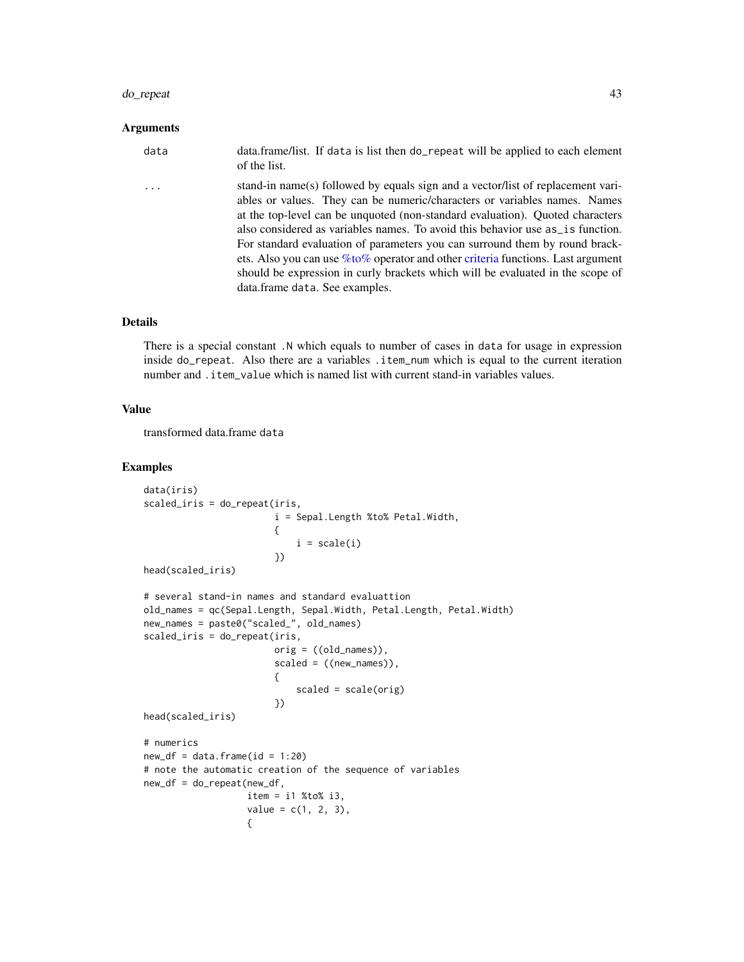#### do\_repeat 43

## Arguments

| data     | data.frame/list. If data is list then do_repeat will be applied to each element<br>of the list.                                                                                                                                                                                                                                                                                                                                                                                                                                                                                                                                 |
|----------|---------------------------------------------------------------------------------------------------------------------------------------------------------------------------------------------------------------------------------------------------------------------------------------------------------------------------------------------------------------------------------------------------------------------------------------------------------------------------------------------------------------------------------------------------------------------------------------------------------------------------------|
| $\ddots$ | stand-in name(s) followed by equals sign and a vector/list of replacement vari-<br>ables or values. They can be numeric/characters or variables names. Names<br>at the top-level can be unquoted (non-standard evaluation). Quoted characters<br>also considered as variables names. To avoid this behavior use $as_is$ function.<br>For standard evaluation of parameters you can surround them by round brack-<br>ets. Also you can use $\%$ to $\%$ operator and other criteria functions. Last argument<br>should be expression in curly brackets which will be evaluated in the scope of<br>data.frame data. See examples. |

# Details

There is a special constant .N which equals to number of cases in data for usage in expression inside do\_repeat. Also there are a variables .item\_num which is equal to the current iteration number and .item\_value which is named list with current stand-in variables values.

## Value

transformed data.frame data

```
data(iris)
scaled_iris = do_repeat(iris,
                        i = Sepal.Length %to% Petal.Width,
                        {
                            i = scale(i)})
head(scaled_iris)
# several stand-in names and standard evaluattion
old_names = qc(Sepal.Length, Sepal.Width, Petal.Length, Petal.Width)
new_names = paste0("scaled_", old_names)
scaled_iris = do_repeat(iris,
                       orig = ((old_names)),scaled = ((new_names)),{
                            scaled = scale(orig)
                        })
head(scaled_iris)
# numerics
new_d f = data.frame(id = 1:20)# note the automatic creation of the sequence of variables
new_df = do_repeat(new_df,
                  item = i1 %to% i3,
                  value = c(1, 2, 3),{
```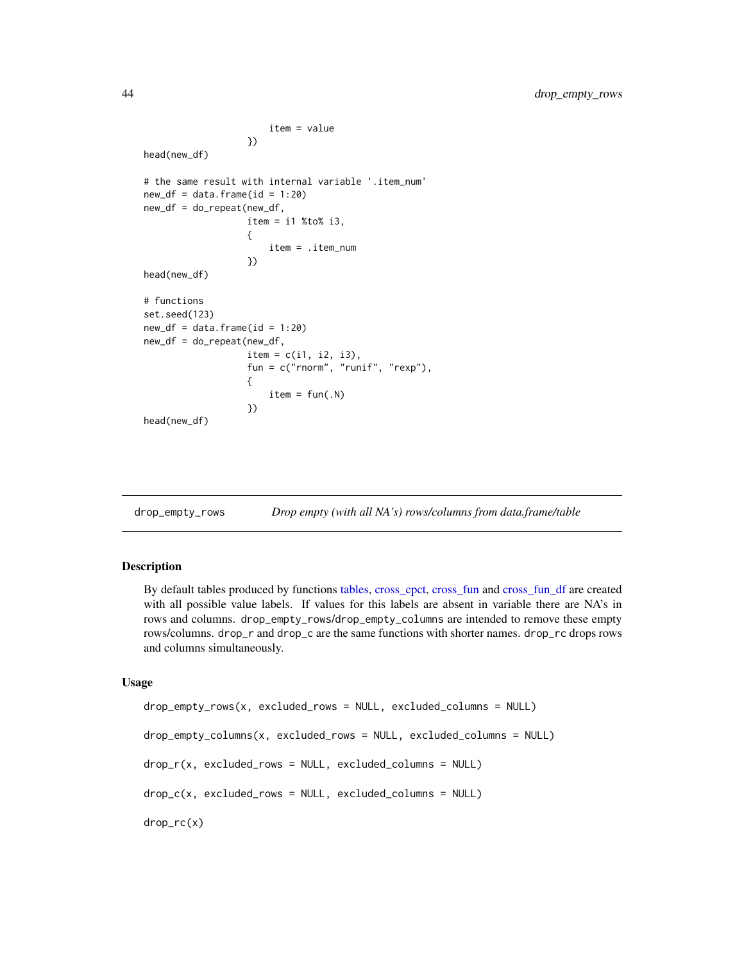```
item = value
                   })
head(new_df)
# the same result with internal variable '.item_num'
new_d f = data frame(id = 1:20)new_df = do_repeat(new_df,
                   item = i1 %to% i3,
                   {
                       item = .item_num
                   })
head(new_df)
# functions
set.seed(123)
new_d f = data frame(id = 1:20)new_df = do_repeat(new_df,
                   item = c(i1, i2, i3),
                   fun = c("rnorm", "runif", "rexp"),
                   {
                       item = fun(.N)})
head(new_df)
```
drop\_empty\_rows *Drop empty (with all NA's) rows/columns from data.frame/table*

#### Description

By default tables produced by functions [tables,](#page-88-0) [cross\\_cpct,](#page-29-1) [cross\\_fun](#page-34-0) and [cross\\_fun\\_df](#page-34-1) are created with all possible value labels. If values for this labels are absent in variable there are NA's in rows and columns. drop\_empty\_rows/drop\_empty\_columns are intended to remove these empty rows/columns. drop\_r and drop\_c are the same functions with shorter names. drop\_rc drops rows and columns simultaneously.

```
drop_empty_rows(x, excluded_rows = NULL, excluded_columns = NULL)
drop_empty_columns(x, excluded_rows = NULL, excluded_columns = NULL)
drop_r(x, excluded_rows = NULL, excluded_columns = NULL)
drop_c(x, excluded_rows = NULL, excluded_columns = NULL)
drop_rc(x)
```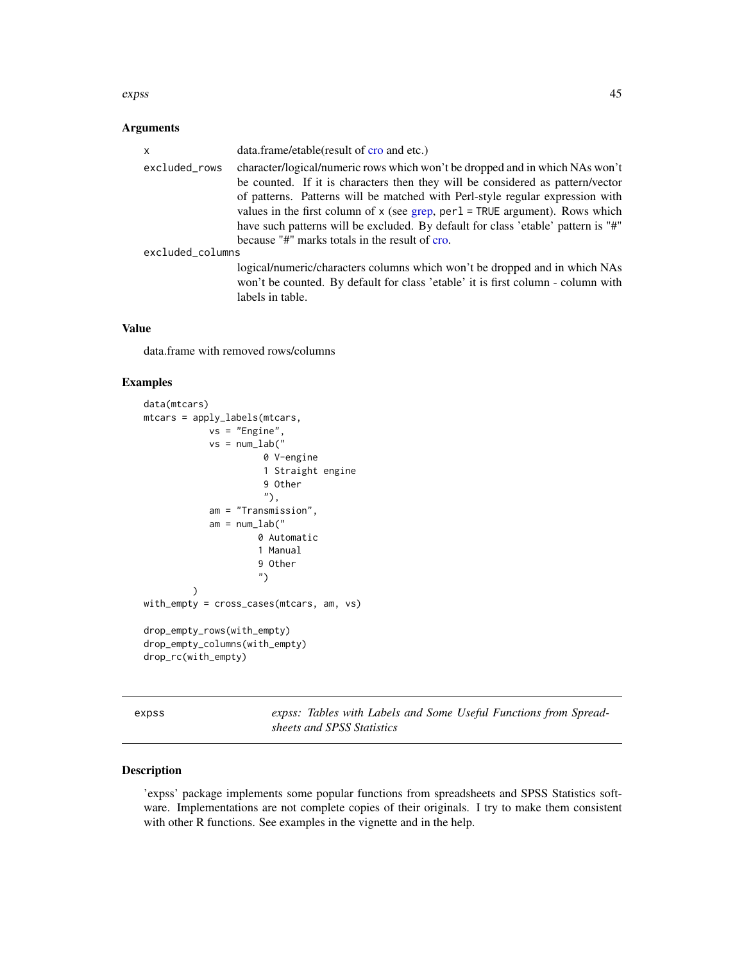#### expss and the contract of the contract of the contract of the contract of the contract of the contract of the contract of the contract of the contract of the contract of the contract of the contract of the contract of the

# Arguments

| $\mathsf{x}$     | data.frame/etable(result of cro and etc.)                                         |
|------------------|-----------------------------------------------------------------------------------|
| excluded_rows    | character/logical/numeric rows which won't be dropped and in which NAs won't      |
|                  | be counted. If it is characters then they will be considered as pattern/vector    |
|                  | of patterns. Patterns will be matched with Perl-style regular expression with     |
|                  | values in the first column of $x$ (see grep, per $l = TRUE$ argument). Rows which |
|                  | have such patterns will be excluded. By default for class 'etable' pattern is "#" |
|                  | because "#" marks totals in the result of cro.                                    |
| excluded_columns |                                                                                   |
|                  | logical/numeric/characters columns which won't be dropped and in which NAs        |
|                  | won't be counted. By default for class 'etable' it is first column - column with  |
|                  | labels in table.                                                                  |

# Value

data.frame with removed rows/columns

# Examples

```
data(mtcars)
mtcars = apply_labels(mtcars,
            vs = "Engine",
            vs = num\_lab("0 V-engine
                      1 Straight engine
                      9 Other
                      "),
            am = "Transmission",
            am = num\_lab("0 Automatic
                     1 Manual
                     9 Other
                     ")
         )
with_empty = cross_cases(mtcars, am, vs)
drop_empty_rows(with_empty)
drop_empty_columns(with_empty)
drop_rc(with_empty)
```
expss *expss: Tables with Labels and Some Useful Functions from Spreadsheets and SPSS Statistics*

# Description

'expss' package implements some popular functions from spreadsheets and SPSS Statistics software. Implementations are not complete copies of their originals. I try to make them consistent with other R functions. See examples in the vignette and in the help.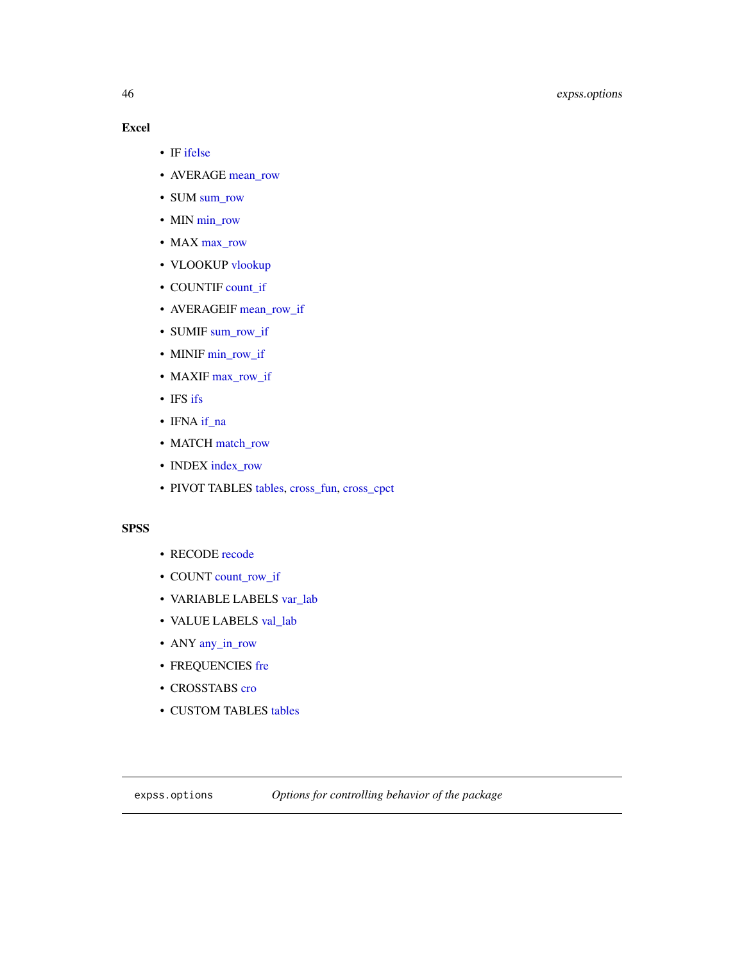# 46 expss.options

# Excel

- IF [ifelse](#page-0-0)
- AVERAGE [mean\\_row](#page-86-0)
- SUM [sum\\_row](#page-86-1)
- MIN [min\\_row](#page-86-0)
- MAX [max\\_row](#page-86-0)
- VLOOKUP [vlookup](#page-0-0)
- COUNTIF [count\\_if](#page-18-0)
- AVERAGEIF [mean\\_row\\_if](#page-18-1)
- SUMIF [sum\\_row\\_if](#page-18-1)
- MINIF [min\\_row\\_if](#page-18-1)
- MAXIF [max\\_row\\_if](#page-18-1)
- IFS [ifs](#page-76-0)
- IFNA [if\\_na](#page-55-0)
- MATCH [match\\_row](#page-59-0)
- INDEX [index\\_row](#page-59-1)
- PIVOT TABLES [tables,](#page-88-0) [cross\\_fun,](#page-34-0) [cross\\_cpct](#page-29-1)

# **SPSS**

- RECODE [recode](#page-76-1)
- COUNT [count\\_row\\_if](#page-18-1)
- VARIABLE LABELS [var\\_lab](#page-115-0)
- VALUE LABELS [val\\_lab](#page-110-0)
- ANY [any\\_in\\_row](#page-86-0)
- FREQUENCIES [fre](#page-49-0)
- CROSSTABS [cro](#page-29-1)
- CUSTOM TABLES [tables](#page-88-0)

<span id="page-45-0"></span>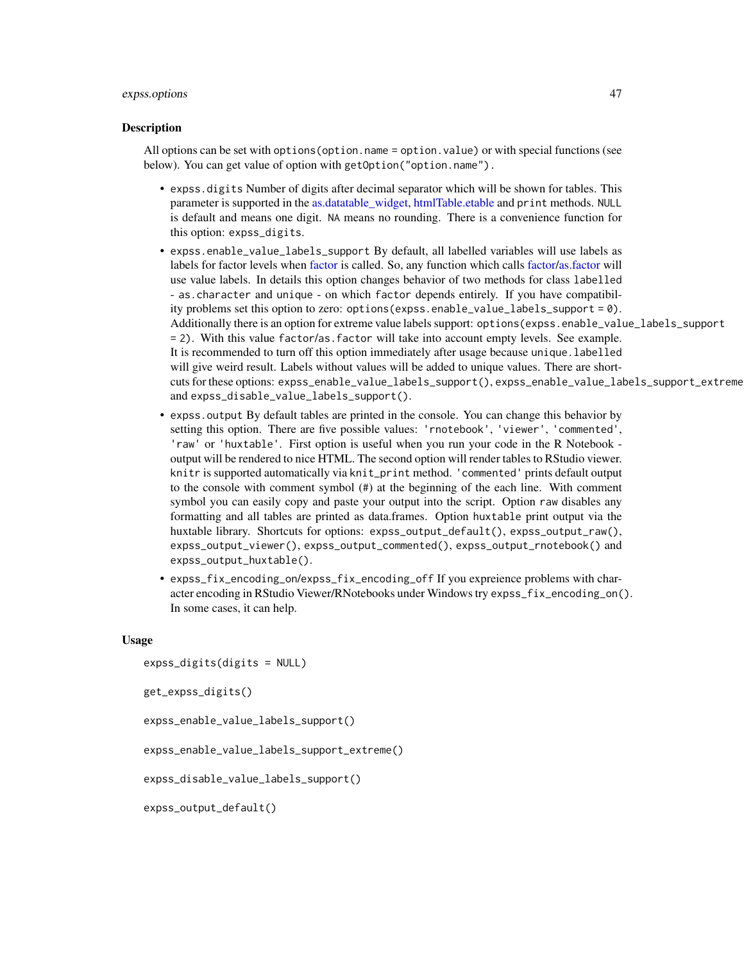#### expss.options 47

#### Description

All options can be set with options(option.name = option.value) or with special functions (see below). You can get value of option with getOption("option.name").

- expss.digits Number of digits after decimal separator which will be shown for tables. This parameter is supported in the [as.datatable\\_widget,](#page-6-0) [htmlTable.etable](#page-50-0) and print methods. NULL is default and means one digit. NA means no rounding. There is a convenience function for this option: expss\_digits.
- expss.enable\_value\_labels\_support By default, all labelled variables will use labels as labels for factor levels when [factor](#page-0-0) is called. So, any function which calls [factor/as.factor](#page-0-0) will use value labels. In details this option changes behavior of two methods for class labelled - as.character and unique - on which factor depends entirely. If you have compatibility problems set this option to zero: options(expss.enable\_value\_labels\_support = 0). Additionally there is an option for extreme value labels support: options(expss.enable\_value\_labels\_support = 2). With this value factor/as.factor will take into account empty levels. See example. It is recommended to turn off this option immediately after usage because unique.labelled will give weird result. Labels without values will be added to unique values. There are shortcuts for these options: expss\_enable\_value\_labels\_support(), expss\_enable\_value\_labels\_support\_extreme() and expss\_disable\_value\_labels\_support().
- expss.output By default tables are printed in the console. You can change this behavior by setting this option. There are five possible values: 'rnotebook', 'viewer', 'commented', 'raw' or 'huxtable'. First option is useful when you run your code in the R Notebook output will be rendered to nice HTML. The second option will render tables to RStudio viewer. knitr is supported automatically via knit\_print method. 'commented' prints default output to the console with comment symbol (#) at the beginning of the each line. With comment symbol you can easily copy and paste your output into the script. Option raw disables any formatting and all tables are printed as data.frames. Option huxtable print output via the huxtable library. Shortcuts for options: expss\_output\_default(), expss\_output\_raw(), expss\_output\_viewer(), expss\_output\_commented(), expss\_output\_rnotebook() and expss\_output\_huxtable().
- expss\_fix\_encoding\_on/expss\_fix\_encoding\_off If you expreience problems with character encoding in RStudio Viewer/RNotebooks under Windows try expss\_fix\_encoding\_on(). In some cases, it can help.

```
expss_digits(digits = NULL)
get_expss_digits()
expss_enable_value_labels_support()
expss_enable_value_labels_support_extreme()
expss_disable_value_labels_support()
```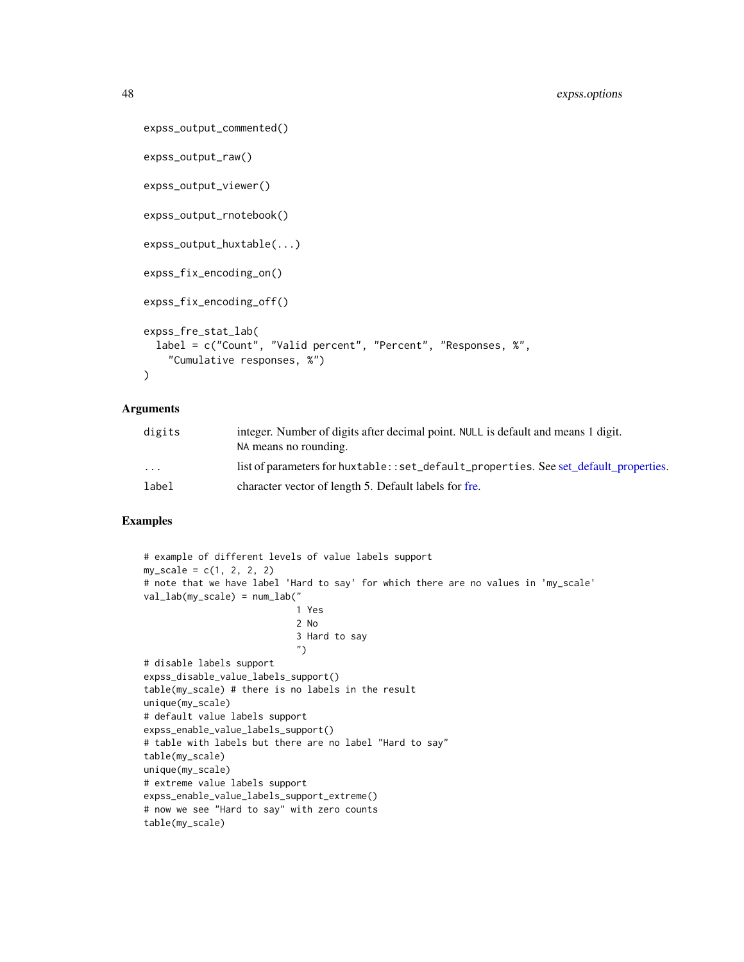```
expss_output_commented()
expss_output_raw()
expss_output_viewer()
expss_output_rnotebook()
expss_output_huxtable(...)
expss_fix_encoding_on()
expss_fix_encoding_off()
expss_fre_stat_lab(
  label = c("Count", "Valid percent", "Percent", "Responses, %",
    "Cumulative responses, %")
)
```
# Arguments

| digits  | integer. Number of digits after decimal point. NULL is default and means 1 digit.    |
|---------|--------------------------------------------------------------------------------------|
|         | NA means no rounding.                                                                |
| $\cdot$ | list of parameters for huxtable::set_default_properties. See set default properties. |
| label   | character vector of length 5. Default labels for fre.                                |

```
# example of different levels of value labels support
my\_scale = c(1, 2, 2, 2)# note that we have label 'Hard to say' for which there are no values in 'my_scale'
val_lab(my_scale) = num_lab("
                            1 Yes
                            2 No
                            3 Hard to say
                            ")
# disable labels support
expss_disable_value_labels_support()
table(my_scale) # there is no labels in the result
unique(my_scale)
# default value labels support
expss_enable_value_labels_support()
# table with labels but there are no label "Hard to say"
table(my_scale)
unique(my_scale)
# extreme value labels support
expss_enable_value_labels_support_extreme()
# now we see "Hard to say" with zero counts
table(my_scale)
```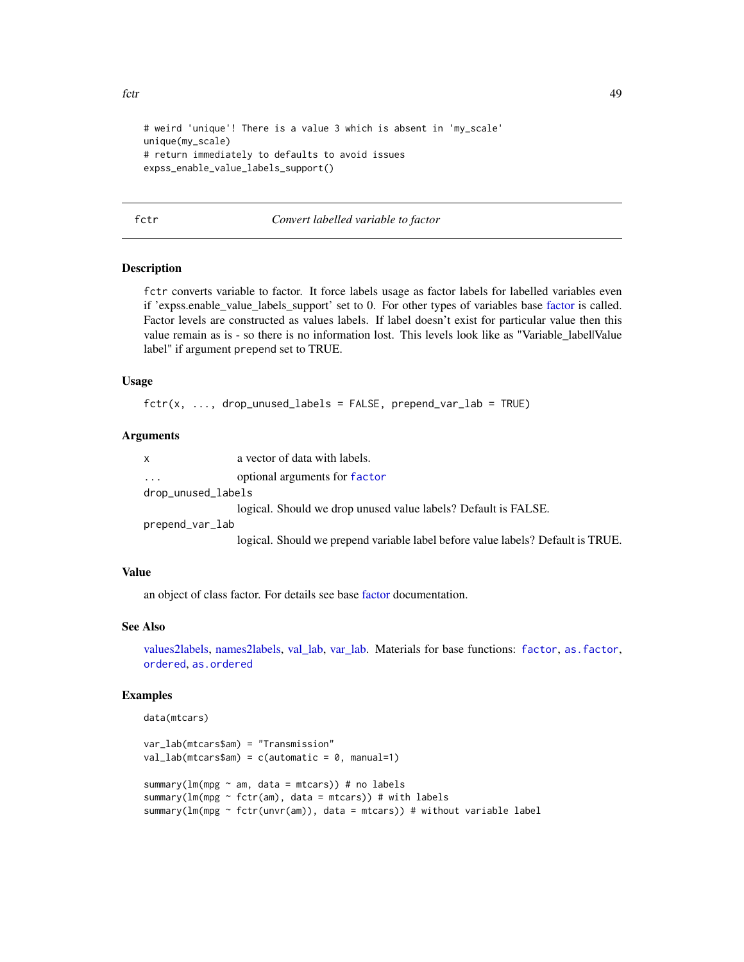```
fctr and the state of the state of the state of the state of the state of the state of the state of the state of the state of the state of the state of the state of the state of the state of the state of the state of the s
```

```
# weird 'unique'! There is a value 3 which is absent in 'my_scale'
unique(my_scale)
# return immediately to defaults to avoid issues
expss_enable_value_labels_support()
```
## fctr *Convert labelled variable to factor*

#### **Description**

fctr converts variable to factor. It force labels usage as factor labels for labelled variables even if 'expss.enable\_value\_labels\_support' set to 0. For other types of variables base [factor](#page-0-0) is called. Factor levels are constructed as values labels. If label doesn't exist for particular value then this value remain as is - so there is no information lost. This levels look like as "Variable\_label|Value label" if argument prepend set to TRUE.

### Usage

```
fctr(x, ..., drop\_unused\_labels = FALSE, prepend\_var\_lab = TRUE)
```
## Arguments

| $\mathsf{X}$       | a vector of data with labels.                                                   |
|--------------------|---------------------------------------------------------------------------------|
| $\ddotsc$          | optional arguments for factor                                                   |
| drop_unused_labels |                                                                                 |
|                    | logical. Should we drop unused value labels? Default is FALSE.                  |
| prepend_var_lab    |                                                                                 |
|                    | logical. Should we prepend variable label before value labels? Default is TRUE. |

## Value

an object of class factor. For details see base [factor](#page-0-0) documentation.

## See Also

[values2labels,](#page-110-1) [names2labels,](#page-64-0) [val\\_lab,](#page-110-0) [var\\_lab.](#page-115-0) Materials for base functions: [factor](#page-0-0), [as.factor](#page-0-0), [ordered](#page-0-0), [as.ordered](#page-0-0)

```
data(mtcars)
```

```
var_lab(mtcars$am) = "Transmission"
val\_lab(mtcars$am) = c(automatic = 0, manual=1)summary(lm(mpg \sim am, data = mtcars)) # no labels
summary(lm(mpg \sim fctr(am), data = mtcars)) # with labels
summary(lm(mpg ~ fctr(unvr(am)), data = mtcars)) # without variable label
```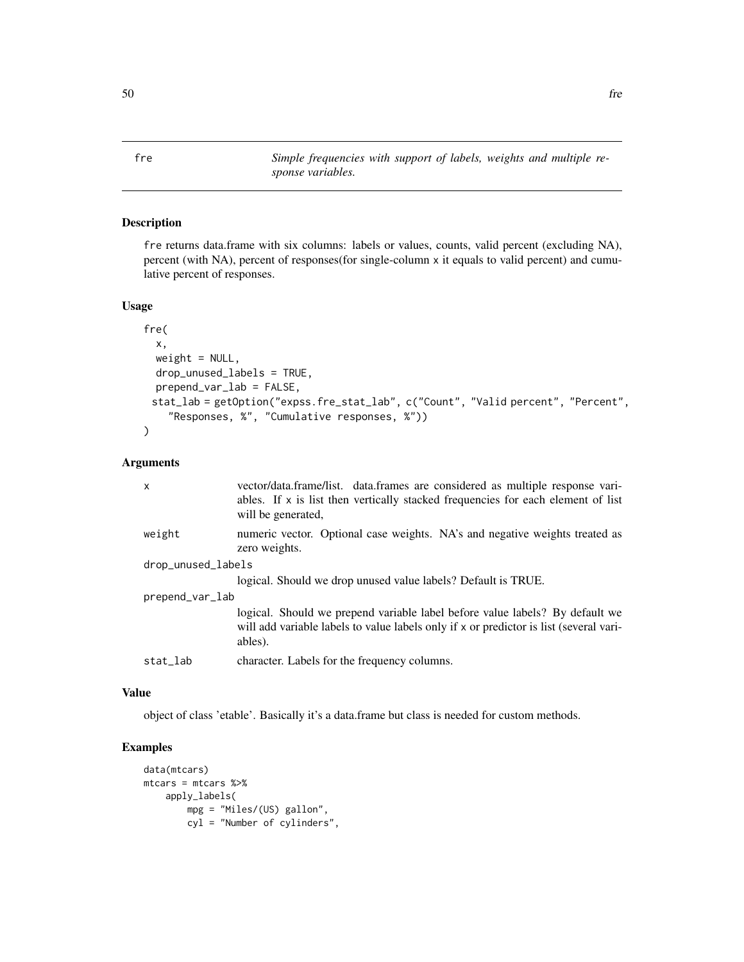<span id="page-49-0"></span>fre *Simple frequencies with support of labels, weights and multiple response variables.*

# Description

fre returns data.frame with six columns: labels or values, counts, valid percent (excluding NA), percent (with NA), percent of responses(for single-column x it equals to valid percent) and cumulative percent of responses.

# Usage

```
fre(
  x,
 weight = NULL,drop_unused_labels = TRUE,
 prepend_var_lab = FALSE,
 stat_lab = getOption("expss.fre_stat_lab", c("Count", "Valid percent", "Percent",
    "Responses, %", "Cumulative responses, %"))
)
```
# Arguments

| $\mathsf{x}$       | vector/data.frame/list. data.frames are considered as multiple response vari-<br>ables. If x is list then vertically stacked frequencies for each element of list<br>will be generated, |
|--------------------|-----------------------------------------------------------------------------------------------------------------------------------------------------------------------------------------|
| weight             | numeric vector. Optional case weights. NA's and negative weights treated as<br>zero weights.                                                                                            |
| drop_unused_labels |                                                                                                                                                                                         |
|                    | logical. Should we drop unused value labels? Default is TRUE.                                                                                                                           |
| prepend_var_lab    |                                                                                                                                                                                         |
|                    | logical. Should we prepend variable label before value labels? By default we<br>will add variable labels to value labels only if x or predictor is list (several vari-<br>ables).       |
| stat_lab           | character. Labels for the frequency columns.                                                                                                                                            |

#### Value

object of class 'etable'. Basically it's a data.frame but class is needed for custom methods.

```
data(mtcars)
mtcars = mtcars %>%
   apply_labels(
       mpg = "Miles/(US) gallon",
       cyl = "Number of cylinders",
```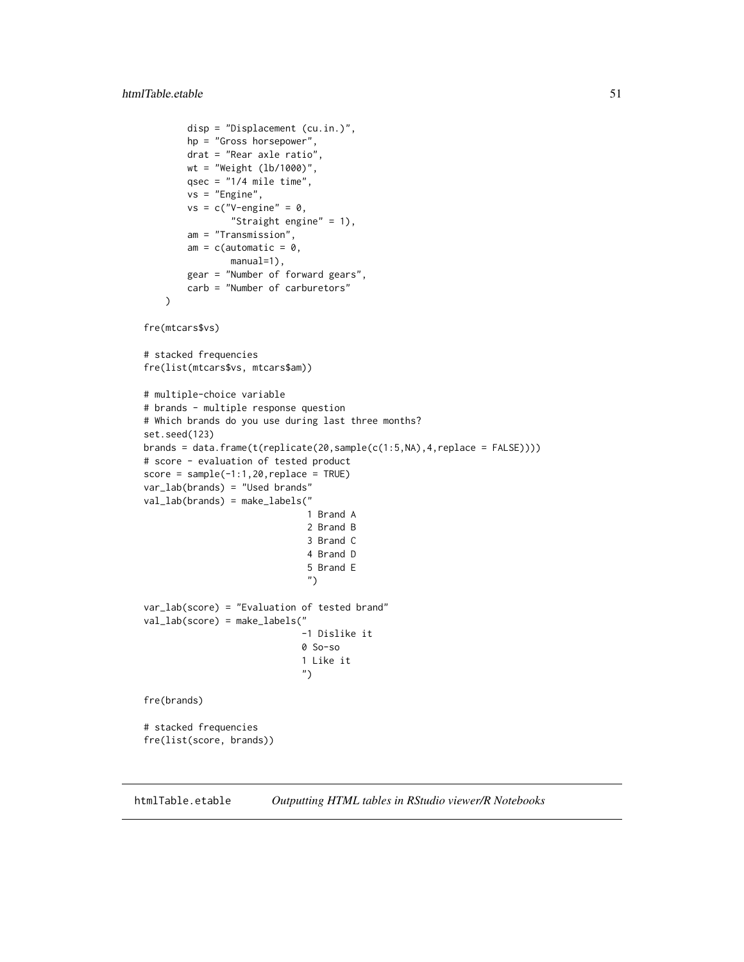```
disp = "Displacement (cu.in.)",
        hp = "Gross horsepower",
        drat = "Rear axle ratio",
       wt = "Weight (lb/1000)",
        qsec = "1/4 mile time",
        vs = "Engine",
        vs = c("V-engine" = 0,"Straight engine" = 1),
        am = "Transmission",
        am = c(automatic = 0,
                manual=1),
        gear = "Number of forward gears",
        carb = "Number of carburetors"
    \lambdafre(mtcars$vs)
# stacked frequencies
fre(list(mtcars$vs, mtcars$am))
# multiple-choice variable
# brands - multiple response question
# Which brands do you use during last three months?
set.seed(123)
brands = data.frame(t(replicate(20,sample(c(1:5,NA),4,replace = FALSE))))
# score - evaluation of tested product
score = sample(-1:1,20, replace = TRUE)var_lab(brands) = "Used brands"
val_lab(brands) = make_labels("
                              1 Brand A
                              2 Brand B
                              3 Brand C
                              4 Brand D
                              5 Brand E
                              ")
var_lab(score) = "Evaluation of tested brand"
val_lab(score) = make_labels("
                             -1 Dislike it
                             0 So-so
                             1 Like it
                             ")
fre(brands)
# stacked frequencies
fre(list(score, brands))
```
htmlTable.etable *Outputting HTML tables in RStudio viewer/R Notebooks*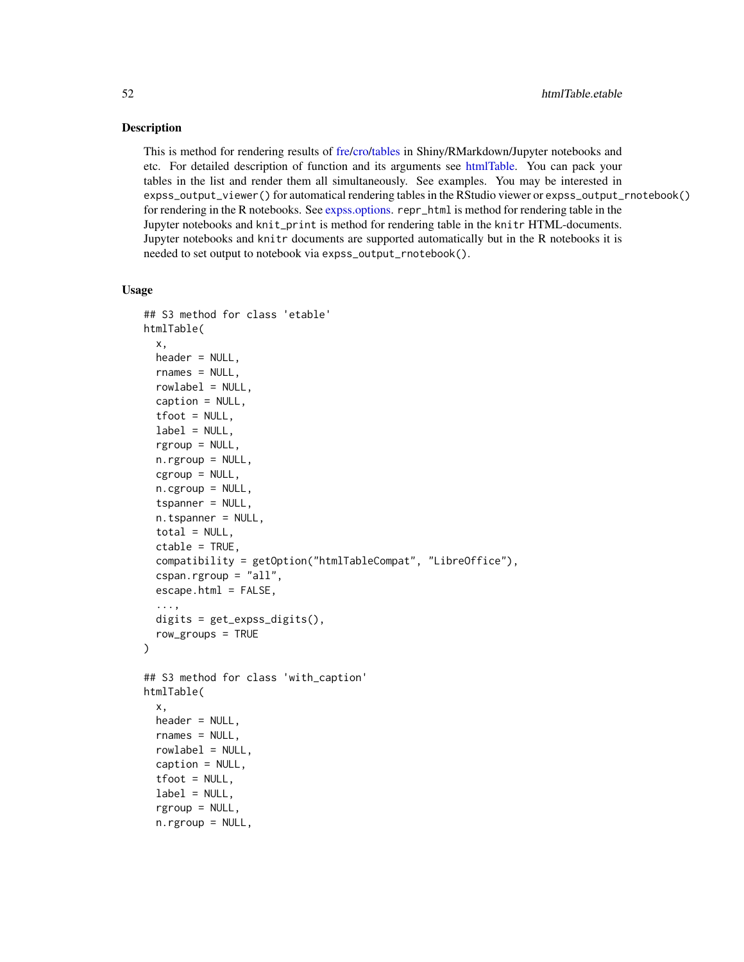## Description

This is method for rendering results of [fre/](#page-49-0)[cro](#page-29-1)[/tables](#page-88-0) in Shiny/RMarkdown/Jupyter notebooks and etc. For detailed description of function and its arguments see [htmlTable.](#page-0-0) You can pack your tables in the list and render them all simultaneously. See examples. You may be interested in expss\_output\_viewer() for automatical rendering tables in the RStudio viewer or expss\_output\_rnotebook() for rendering in the R notebooks. See [expss.options.](#page-45-0) repr\_html is method for rendering table in the Jupyter notebooks and knit\_print is method for rendering table in the knitr HTML-documents. Jupyter notebooks and knitr documents are supported automatically but in the R notebooks it is needed to set output to notebook via expss\_output\_rnotebook().

```
## S3 method for class 'etable'
htmlTable(
  x,
  header = NULL,
  rnames = NULL,
  rowlabel = NULL,
  caption = NULL,
  tfoot = NULL,label = NULL,rgroup = NULL,
  n.rgroup = NULL,
  cgroup = NULL,
  n.cgroup = NULL,
  tspanner = NULL,
  n.tspanner = NULL,
  total = NULL,ctable = TRUE,
  compatibility = getOption("htmlTableCompat", "LibreOffice"),
  cspan.rgroup = "all",
  escape.html = FALSE,...,
  digits = get_expss_digits(),
  row_groups = TRUE
)
## S3 method for class 'with_caption'
htmlTable(
  x,
  header = NULL,
  rnames = NULL,
  rowlabel = NULL,caption = NULL,
  tfoot = NULL,label = NULL,rgroup = NULL,
  n.rgroup = NULL,
```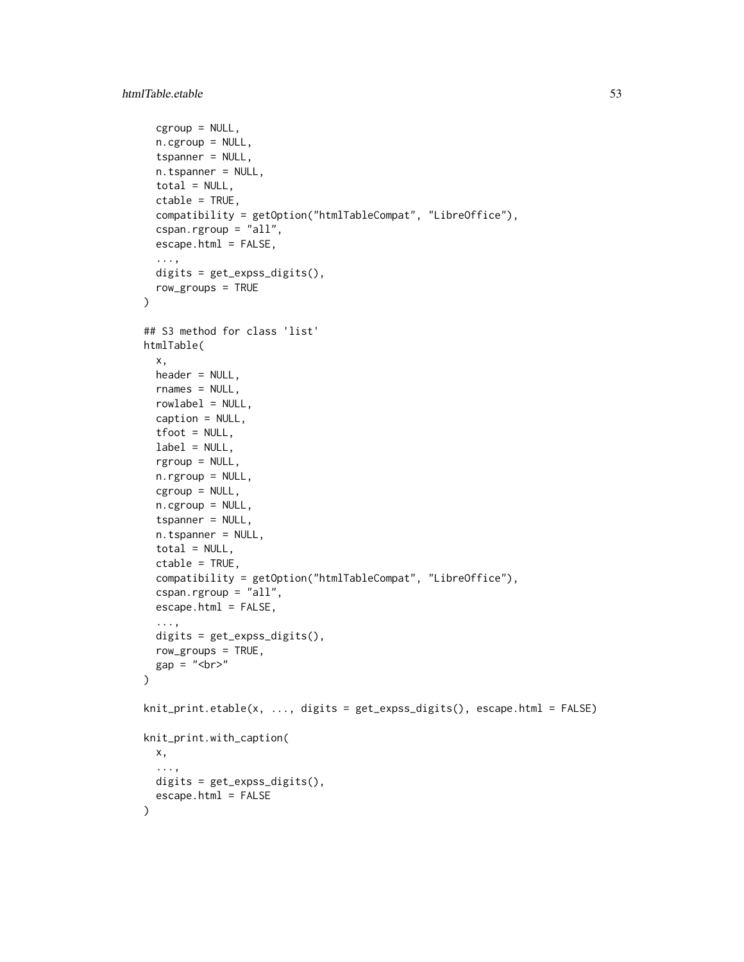```
cgroup = NULL,
  n.cgroup = NULL,
  tspanner = NULL,
  n.tspanner = NULL,
  total = NULL,ctable = TRUE,
  compatibility = getOption("htmlTableCompat", "LibreOffice"),
  cspan.rgroup = "all",
  escape.html = FALSE,
  ...,
  digits = get_expss_digits(),
  row_groups = TRUE
\mathcal{L}## S3 method for class 'list'
htmlTable(
 x,
 header = NULL,
  rnames = NULL,
  rowlabel = NULL,caption = NULL,
  tfoot = NULL,label = NULL,rgroup = NULL,
  n.rgroup = NULL,
  cgroup = NULL,n.cgroup = NULL,
  tspanner = NULL,
  n.tspanner = NULL,
  total = NULL,ctable = TRUE,compatibility = getOption("htmlTableCompat", "LibreOffice"),
  cspan.rgroup = "all",escape.html = FALSE,
  ...,
 digits = get_expss_digits(),
  row\_groups = TRUE,
 gap = "br>\lambdaknit_print.etable(x, ..., digits = get_expss_digits(), escape.html = FALSE)
knit_print.with_caption(
 x,
  ...,
 digits = get_expss_digits(),
  escape.html = FALSE
\mathcal{L}
```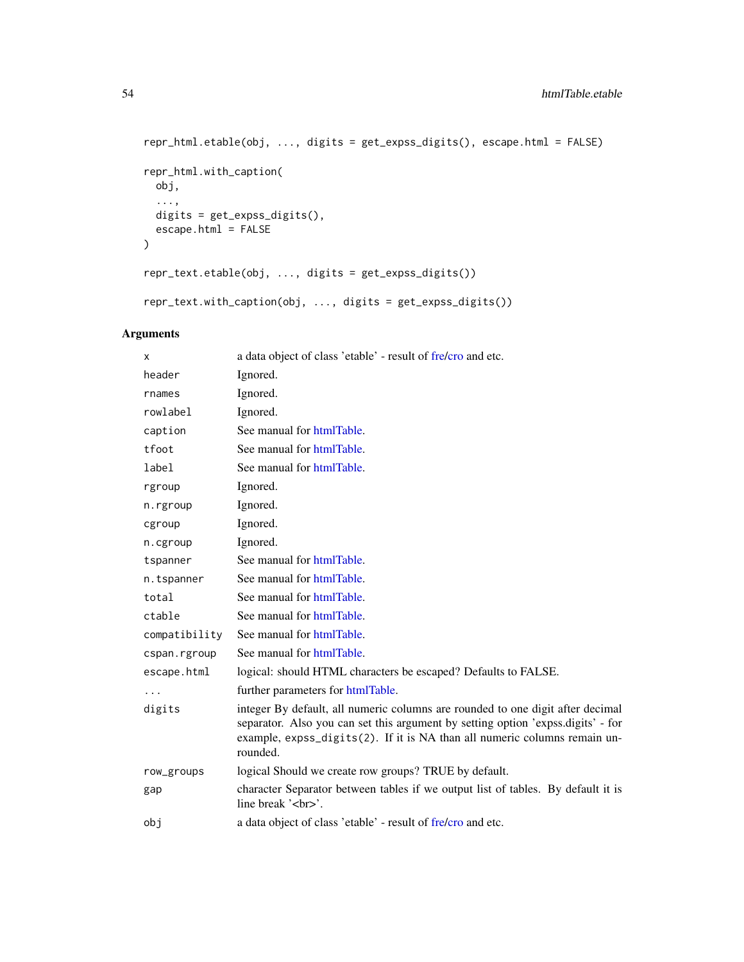```
repr_html.etable(obj, ..., digits = get_expss_digits(), escape.html = FALSE)
repr_html.with_caption(
 obj,
  ...,
 digits = get_expss_digits(),
 escape.html = FALSE
)
repr_text.etable(obj, ..., digits = get_expss_digits())
repr_text.with_caption(obj, ..., digits = get_expss_digits())
```
# Arguments

| x             | a data object of class 'etable' - result of fre/cro and etc.                                                                                                                                                                                                |
|---------------|-------------------------------------------------------------------------------------------------------------------------------------------------------------------------------------------------------------------------------------------------------------|
| header        | Ignored.                                                                                                                                                                                                                                                    |
| rnames        | Ignored.                                                                                                                                                                                                                                                    |
| rowlabel      | Ignored.                                                                                                                                                                                                                                                    |
| caption       | See manual for htmlTable.                                                                                                                                                                                                                                   |
| tfoot         | See manual for htmlTable.                                                                                                                                                                                                                                   |
| label         | See manual for htmlTable.                                                                                                                                                                                                                                   |
| rgroup        | Ignored.                                                                                                                                                                                                                                                    |
| n.rgroup      | Ignored.                                                                                                                                                                                                                                                    |
| cgroup        | Ignored.                                                                                                                                                                                                                                                    |
| n.cgroup      | Ignored.                                                                                                                                                                                                                                                    |
| tspanner      | See manual for htmlTable.                                                                                                                                                                                                                                   |
| n.tspanner    | See manual for htmlTable.                                                                                                                                                                                                                                   |
| total         | See manual for htmlTable.                                                                                                                                                                                                                                   |
| ctable        | See manual for htmlTable.                                                                                                                                                                                                                                   |
| compatibility | See manual for htmlTable.                                                                                                                                                                                                                                   |
| cspan.rgroup  | See manual for htmlTable.                                                                                                                                                                                                                                   |
| escape.html   | logical: should HTML characters be escaped? Defaults to FALSE.                                                                                                                                                                                              |
| .             | further parameters for htmlTable.                                                                                                                                                                                                                           |
| digits        | integer By default, all numeric columns are rounded to one digit after decimal<br>separator. Also you can set this argument by setting option 'expss.digits' - for<br>example, expss_digits(2). If it is NA than all numeric columns remain un-<br>rounded. |
| row_groups    | logical Should we create row groups? TRUE by default.                                                                                                                                                                                                       |
| gap           | character Separator between tables if we output list of tables. By default it is<br>line break '<br>'.                                                                                                                                                      |
| obj           | a data object of class 'etable' - result of fre/cro and etc.                                                                                                                                                                                                |
|               |                                                                                                                                                                                                                                                             |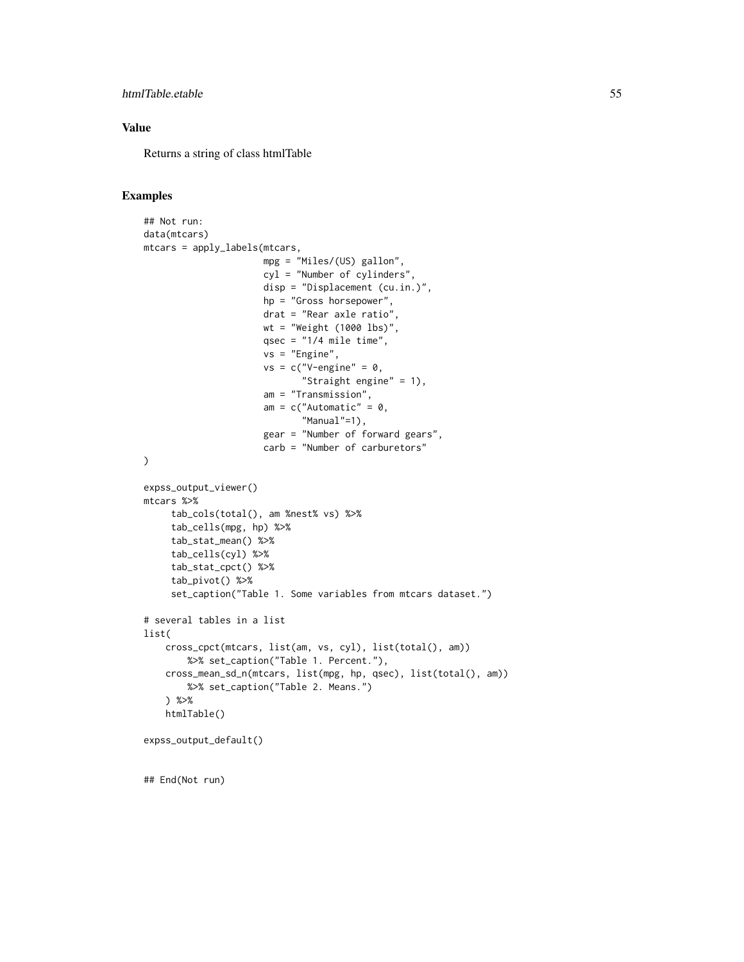## htmlTable.etable 55

## Value

Returns a string of class htmlTable

#### Examples

```
## Not run:
data(mtcars)
mtcars = apply_labels(mtcars,
                      mpg = "Miles/(US) gallon",
                      cyl = "Number of cylinders",
                      disp = "Displacement (cu.in.)",
                      hp = "Gross horsepower",
                      drat = "Rear axle ratio",
                      wt = "Weight (1000 lbs)",
                      qsec = "1/4 mile time",
                      vs = "Engine",
                      vs = c("V-engine" = 0,"Straight engine" = 1),
                      am = "Transmission",
                      am = c("Automatic" = 0,"Manual"=1),
                      gear = "Number of forward gears",
                      carb = "Number of carburetors"
)
expss_output_viewer()
mtcars %>%
     tab_cols(total(), am %nest% vs) %>%
     tab_cells(mpg, hp) %>%
     tab_stat_mean() %>%
     tab_cells(cyl) %>%
     tab_stat_cpct() %>%
     tab_pivot() %>%
     set_caption("Table 1. Some variables from mtcars dataset.")
# several tables in a list
list(
    cross_cpct(mtcars, list(am, vs, cyl), list(total(), am))
        %>% set_caption("Table 1. Percent."),
    cross_mean_sd_n(mtcars, list(mpg, hp, qsec), list(total(), am))
        %>% set_caption("Table 2. Means.")
    ) %>%
    htmlTable()
expss_output_default()
```
## End(Not run)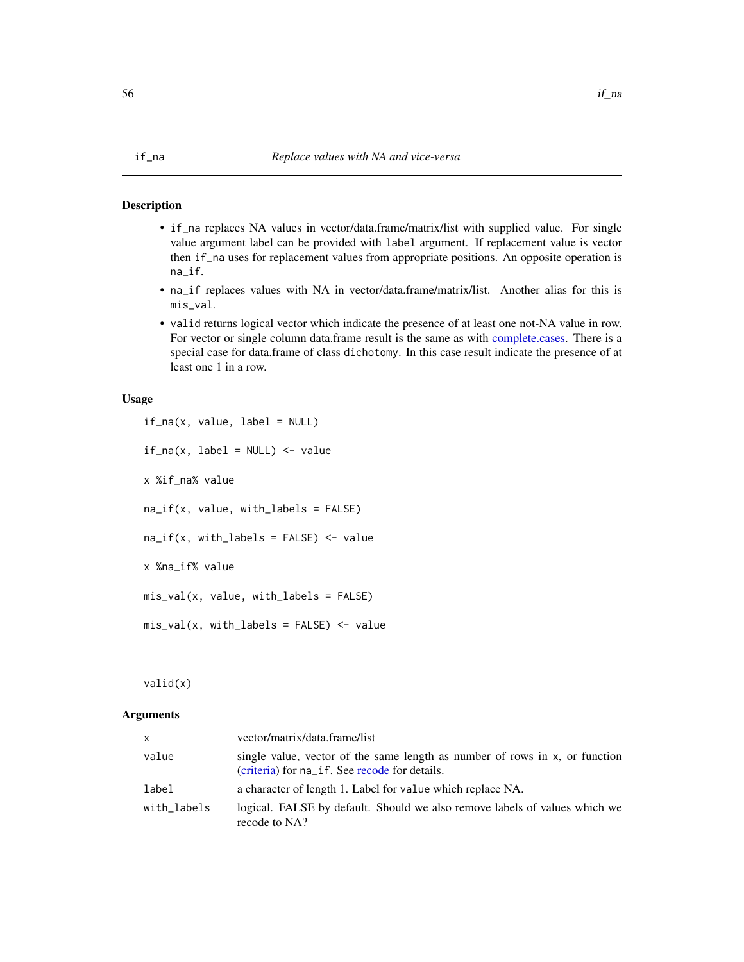#### <span id="page-55-0"></span>Description

- if\_na replaces NA values in vector/data.frame/matrix/list with supplied value. For single value argument label can be provided with label argument. If replacement value is vector then if\_na uses for replacement values from appropriate positions. An opposite operation is na\_if.
- na\_if replaces values with NA in vector/data.frame/matrix/list. Another alias for this is mis\_val.
- valid returns logical vector which indicate the presence of at least one not-NA value in row. For vector or single column data.frame result is the same as with [complete.cases.](#page-0-0) There is a special case for data.frame of class dichotomy. In this case result indicate the presence of at least one 1 in a row.

#### Usage

```
if_na(x, value, label = NULL)
if_na(x, label = NULL) <- value
x %if_na% value
na_{if}(x, value, with_{labels} = FALSE)na_{if}(x, with_{labels} = FALSE) <- value
x %na_if% value
mis_val(x, value, with_labels = FALSE)
mis_val(x, with_labels = FALSE) < - value
```
valid(x)

# Arguments

| <b>X</b>    | vector/matrix/data.frame/list                                                                                                |
|-------------|------------------------------------------------------------------------------------------------------------------------------|
| value       | single value, vector of the same length as number of rows in x, or function<br>(criteria) for na_if. See recode for details. |
| label       | a character of length 1. Label for value which replace NA.                                                                   |
| with_labels | logical. FALSE by default. Should we also remove labels of values which we<br>recode to NA?                                  |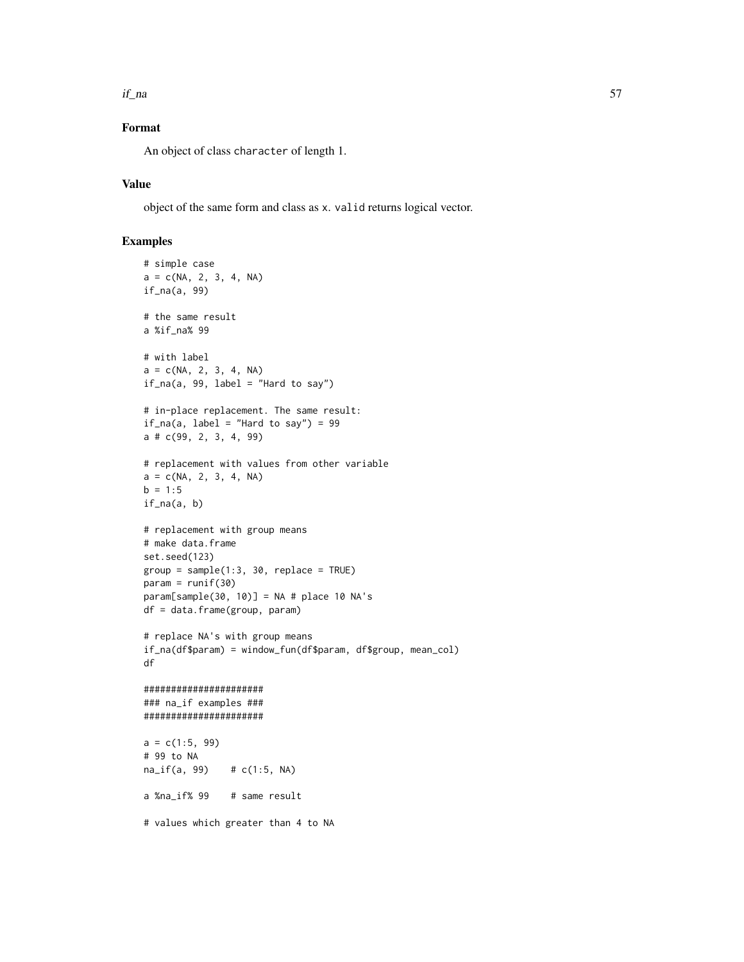$if\_na$  57

# Format

An object of class character of length 1.

## Value

object of the same form and class as x. valid returns logical vector.

```
# simple case
a = c(NA, 2, 3, 4, NA)if_na(a, 99)
# the same result
a %if_na% 99
# with label
a = c(NA, 2, 3, 4, NA)if_na(a, 99, label = "Hard to say")# in-place replacement. The same result:
if\_na(a, label = "Hard to say") = 99a # c(99, 2, 3, 4, 99)
# replacement with values from other variable
a = c(NA, 2, 3, 4, NA)b = 1:5if\_na(a, b)# replacement with group means
# make data.frame
set.seed(123)
group = sample(1:3, 30, replace = TRUE)param = runif(30)param[sample(30, 10)] = NA # place 10 NA's
df = data.frame(group, param)
# replace NA's with group means
if_na(df$param) = window_fun(df$param, df$group, mean_col)
df
######################
### na_if examples ###
######################
a = c(1:5, 99)# 99 to NA
na_if(a, 99) # c(1:5, NA)
a %na_if% 99 # same result
# values which greater than 4 to NA
```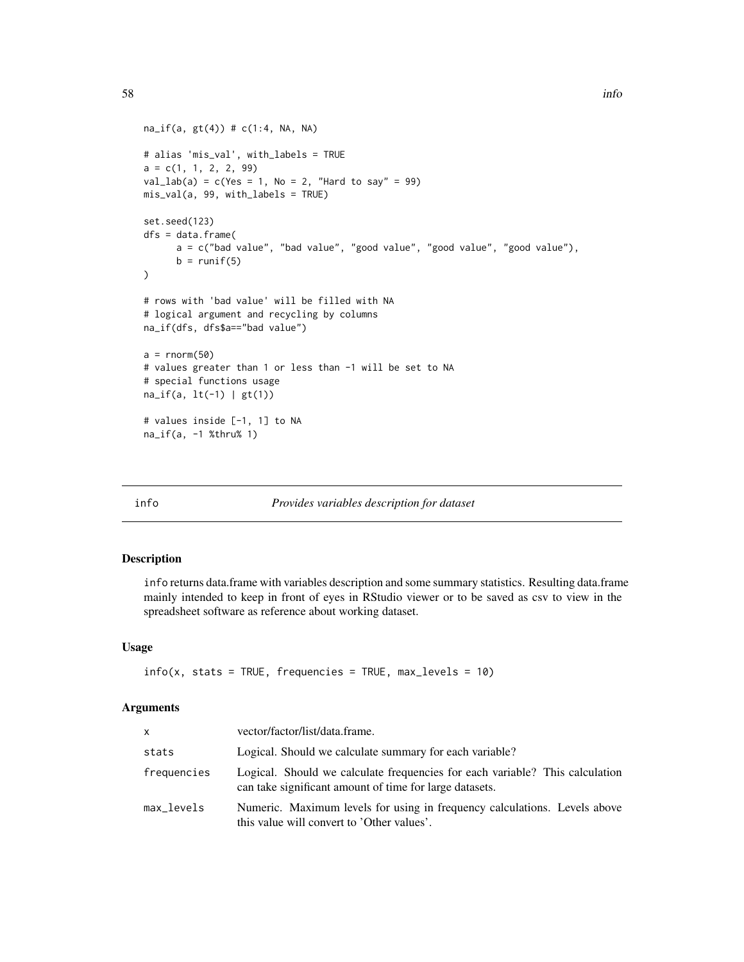```
na_{if}(a, gt(4)) # c(1:4, NA, NA)# alias 'mis_val', with_labels = TRUE
a = c(1, 1, 2, 2, 99)val\_lab(a) = c(Yes = 1, No = 2, "Hard to say" = 99)mis_val(a, 99, with_labels = TRUE)
set.seed(123)
dfs = data.frame(a = c("bad value", "bad value", "good value", "good value", "good value"),
      b = runif(5))
# rows with 'bad value' will be filled with NA
# logical argument and recycling by columns
na_if(dfs, dfs$a=="bad value")
a = rnorm(50)# values greater than 1 or less than -1 will be set to NA
# special functions usage
na_if(a, lt(-1) | gt(1))
# values inside [-1, 1] to NA
na_if(a, -1 %thru% 1)
```
## info *Provides variables description for dataset*

#### Description

info returns data.frame with variables description and some summary statistics. Resulting data.frame mainly intended to keep in front of eyes in RStudio viewer or to be saved as csv to view in the spreadsheet software as reference about working dataset.

## Usage

```
info(x, stats = TRUE, frequencies = TRUE, max\_levels = 10)
```
## Arguments

| $\mathsf{x}$ | vector/factor/list/data.frame.                                                                                                          |
|--------------|-----------------------------------------------------------------------------------------------------------------------------------------|
| stats        | Logical. Should we calculate summary for each variable?                                                                                 |
| frequencies  | Logical. Should we calculate frequencies for each variable? This calculation<br>can take significant amount of time for large datasets. |
| max_levels   | Numeric. Maximum levels for using in frequency calculations. Levels above<br>this value will convert to 'Other values'.                 |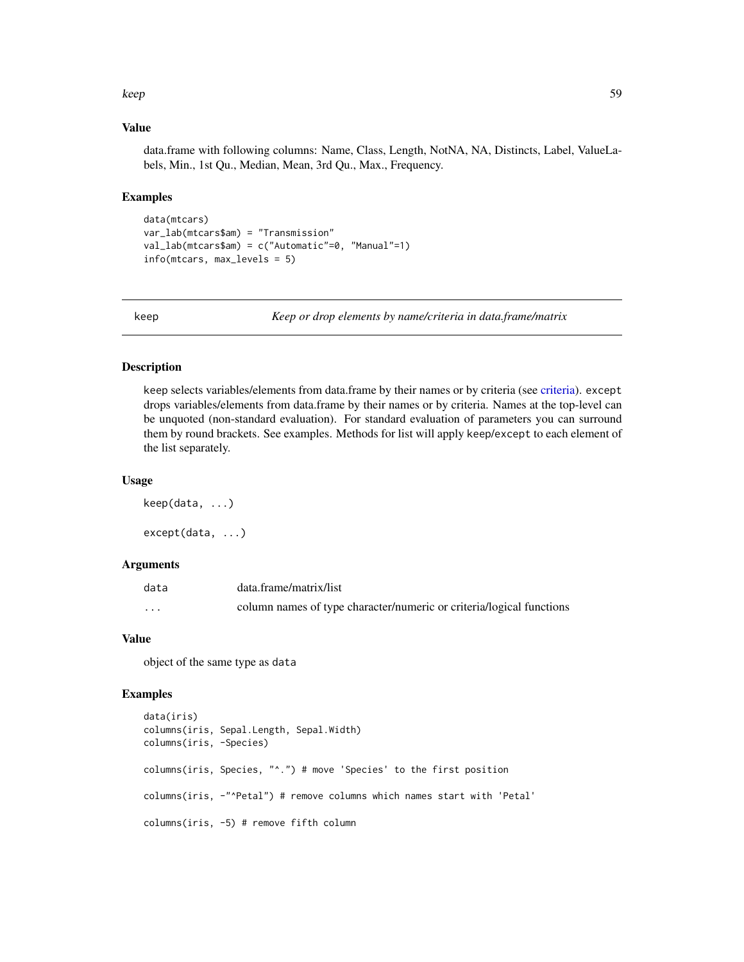#### keep 59

#### Value

data.frame with following columns: Name, Class, Length, NotNA, NA, Distincts, Label, ValueLabels, Min., 1st Qu., Median, Mean, 3rd Qu., Max., Frequency.

## Examples

```
data(mtcars)
var_lab(mtcars$am) = "Transmission"
val_lab(mtcars$am) = c("Automatic"=0, "Manual"=1)
info(mtcars, max_levels = 5)
```
keep *Keep or drop elements by name/criteria in data.frame/matrix*

# Description

keep selects variables/elements from data.frame by their names or by criteria (see [criteria\)](#page-24-0). except drops variables/elements from data.frame by their names or by criteria. Names at the top-level can be unquoted (non-standard evaluation). For standard evaluation of parameters you can surround them by round brackets. See examples. Methods for list will apply keep/except to each element of the list separately.

#### Usage

keep(data, ...) except(data, ...)

## Arguments

| data     | data.frame/matrix/list                                               |
|----------|----------------------------------------------------------------------|
| $\cdots$ | column names of type character/numeric or criteria/logical functions |

## Value

object of the same type as data

```
data(iris)
columns(iris, Sepal.Length, Sepal.Width)
columns(iris, -Species)
columns(iris, Species, "^.") # move 'Species' to the first position
columns(iris, -"^Petal") # remove columns which names start with 'Petal'
columns(iris, -5) # remove fifth column
```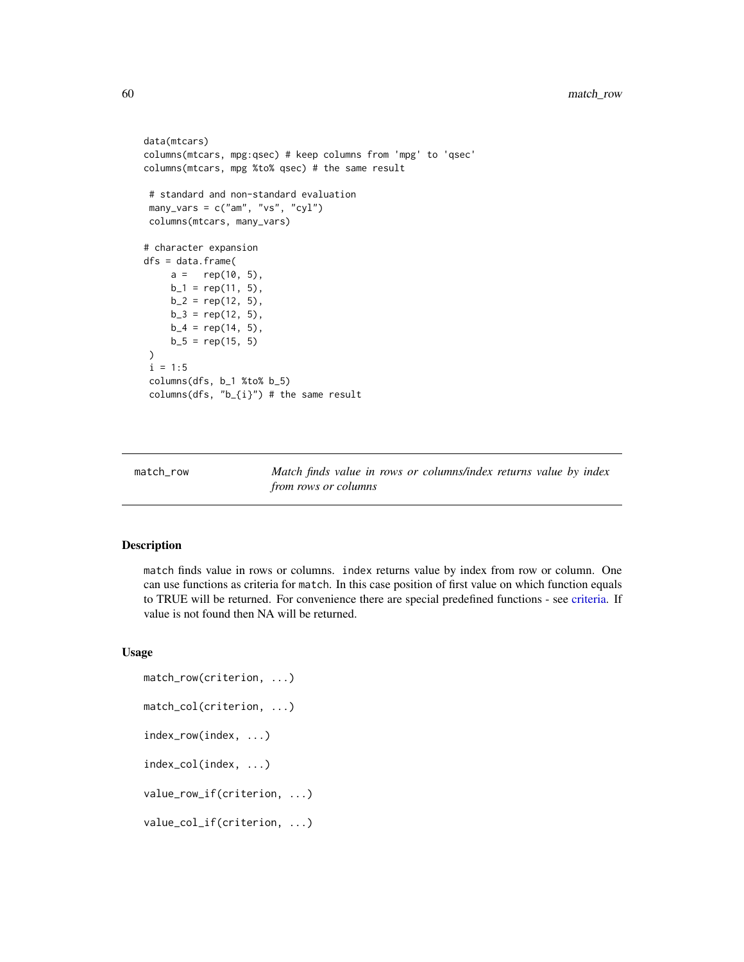```
data(mtcars)
columns(mtcars, mpg:qsec) # keep columns from 'mpg' to 'qsec'
columns(mtcars, mpg %to% qsec) # the same result
# standard and non-standard evaluation
many_vars = c("am", "vs", "cyl")columns(mtcars, many_vars)
# character expansion
dfs = data.frame(
    a = rep(10, 5),b_1 = rep(11, 5),b_2 = rep(12, 5),b_3 = rep(12, 5),b_4 = rep(14, 5),b_5 = rep(15, 5))
i = 1:5columns(dfs, b_1 %to% b_5)
columns(dfs, "b_{i}") # the same result
```
<span id="page-59-0"></span>match\_row *Match finds value in rows or columns/index returns value by index from rows or columns*

#### <span id="page-59-1"></span>Description

match finds value in rows or columns. index returns value by index from row or column. One can use functions as criteria for match. In this case position of first value on which function equals to TRUE will be returned. For convenience there are special predefined functions - see [criteria.](#page-24-0) If value is not found then NA will be returned.

```
match_row(criterion, ...)
match_col(criterion, ...)
index_row(index, ...)
index_col(index, ...)
value_row_if(criterion, ...)
value_col_if(criterion, ...)
```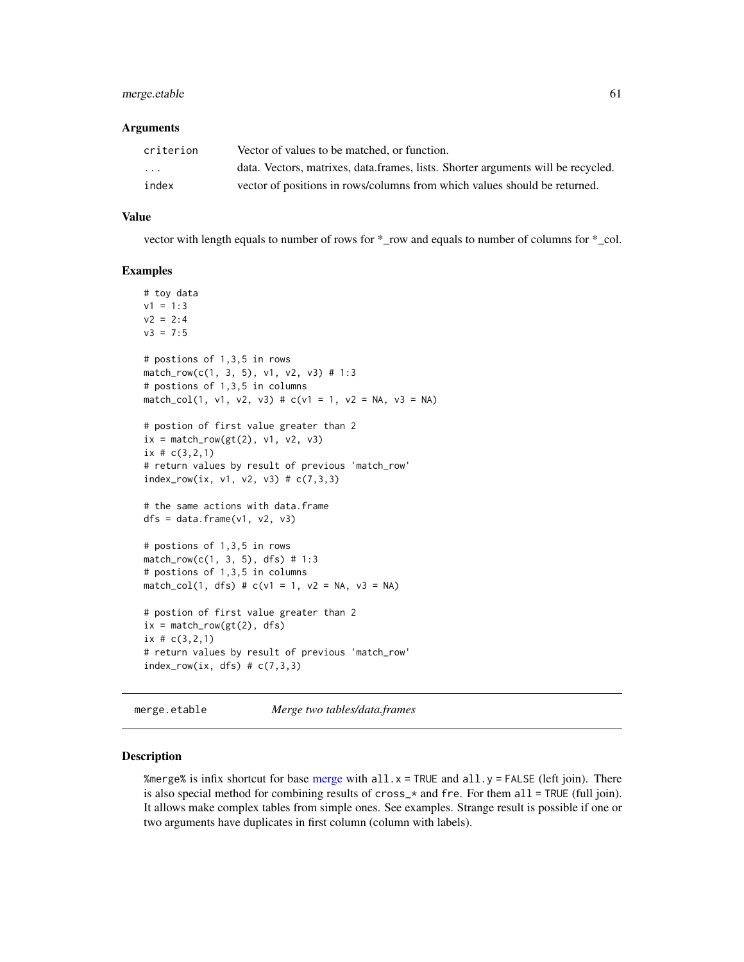# merge.etable 61

#### Arguments

| criterion               | Vector of values to be matched, or function.                                     |
|-------------------------|----------------------------------------------------------------------------------|
| $\cdot$ $\cdot$ $\cdot$ | data. Vectors, matrixes, data.frames, lists. Shorter arguments will be recycled. |
| index                   | vector of positions in rows/columns from which values should be returned.        |

## Value

vector with length equals to number of rows for \*\_row and equals to number of columns for \*\_col.

#### Examples

```
# toy data
v1 = 1:3v2 = 2:4v3 = 7:5# postions of 1,3,5 in rows
match_row(c(1, 3, 5), v1, v2, v3) # 1:3
# postions of 1,3,5 in columns
match_col(1, v1, v2, v3) # c(v1 = 1, v2 = NA, v3 = NA)# postion of first value greater than 2
ix = match_{row(gt(2), v1, v2, v3)}ix # c(3,2,1)
# return values by result of previous 'match_row'
index_row(ix, v1, v2, v3) # c(7,3,3)
# the same actions with data.frame
dfs = data frame(v1, v2, v3)# postions of 1,3,5 in rows
match_row(c(1, 3, 5), dfs) # 1:3
# postions of 1,3,5 in columns
match_col(1, dfs) # c(v1 = 1, v2 = NA, v3 = NA)# postion of first value greater than 2
ix = match_{row(gt(2), dfs})ix # c(3,2,1)
# return values by result of previous 'match_row'
index_{row(ix, dfs) \# c(7,3,3)}
```
merge.etable *Merge two tables/data.frames*

#### Description

%[merge](#page-0-0)% is infix shortcut for base merge with all. $x = TRUE$  and all. $y = FALSE$  (left join). There is also special method for combining results of  $\text{cross} \_\star$  and fre. For them all = TRUE (full join). It allows make complex tables from simple ones. See examples. Strange result is possible if one or two arguments have duplicates in first column (column with labels).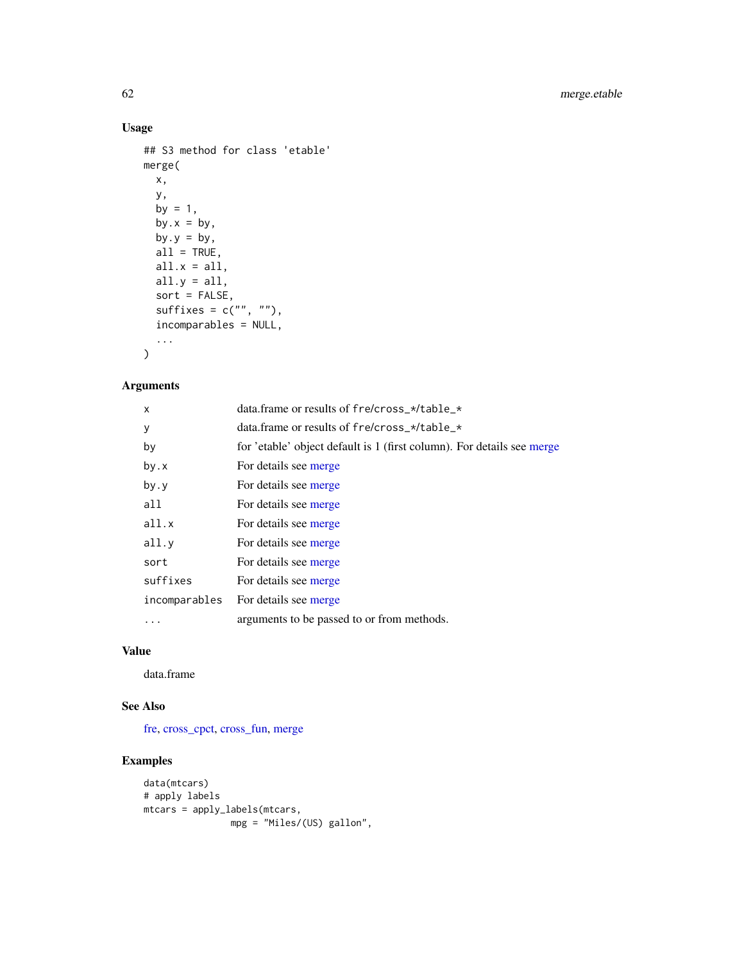# Usage

```
## S3 method for class 'etable'
merge(
 x,
 y,
 by = 1,by.x = by,
 by.y = by,
 all = TRUE,all.x = all,all.y = all,sort = FALSE,
 suffixes = c("", ""),
  incomparables = NULL,
  ...
\mathcal{L}
```
# Arguments

| X             | data.frame or results of fre/cross_*/table_*                           |
|---------------|------------------------------------------------------------------------|
| у             | data.frame or results of fre/cross_*/table_*                           |
| by            | for 'etable' object default is 1 (first column). For details see merge |
| by.x          | For details see merge                                                  |
| by.y          | For details see merge                                                  |
| all           | For details see merge                                                  |
| all.x         | For details see merge                                                  |
| all.y         | For details see merge                                                  |
| sort          | For details see merge                                                  |
| suffixes      | For details see merge                                                  |
| incomparables | For details see merge                                                  |
| .             | arguments to be passed to or from methods.                             |

# Value

data.frame

# See Also

[fre,](#page-49-0) [cross\\_cpct,](#page-29-1) [cross\\_fun,](#page-34-0) [merge](#page-0-0)

```
data(mtcars)
# apply labels
mtcars = apply_labels(mtcars,
               mpg = "Miles/(US) gallon",
```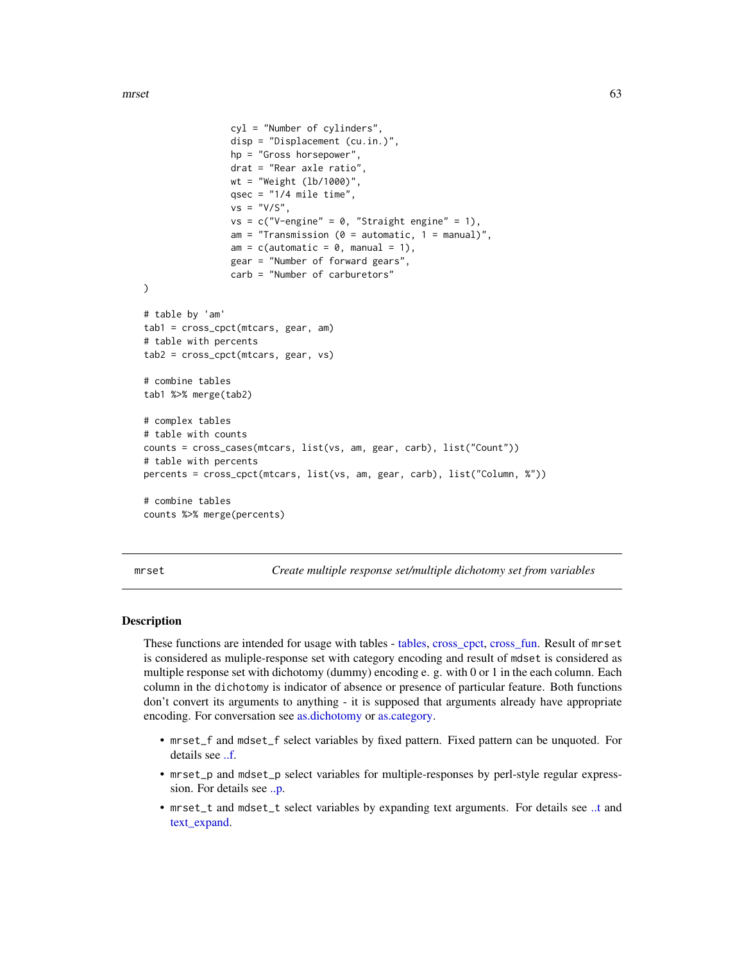mrset 63

```
cyl = "Number of cylinders",
                disp = "Displacement (cu.in.)",
               hp = "Gross horsepower",
                drat = "Rear axle ratio",
               wt = "Weight (lb/1000)",
                qsec = "1/4 mile time",
                vs = "V/S",vs = c("V-engine" = 0, "Straight engine" = 1),am = "Transmission (0 = automatic, 1 = manual)am = c(automatic = 0, manual = 1),
                gear = "Number of forward gears",
                carb = "Number of carburetors"
)
# table by 'am'
tab1 = cross_cpct(mtcars, gear, am)
# table with percents
tab2 = cross_cpct(mtcars, gear, vs)
# combine tables
tab1 %>% merge(tab2)
# complex tables
# table with counts
counts = cross_cases(mtcars, list(vs, am, gear, carb), list("Count"))
# table with percents
percents = cross_cpct(mtcars, list(vs, am, gear, carb), list("Column, %"))
# combine tables
counts %>% merge(percents)
```
<span id="page-62-0"></span>mrset *Create multiple response set/multiple dichotomy set from variables*

### <span id="page-62-1"></span>**Description**

These functions are intended for usage with tables - [tables,](#page-88-0) [cross\\_cpct,](#page-29-1) [cross\\_fun.](#page-34-0) Result of mrset is considered as muliple-response set with category encoding and result of mdset is considered as multiple response set with dichotomy (dummy) encoding e. g. with 0 or 1 in the each column. Each column in the dichotomy is indicator of absence or presence of particular feature. Both functions don't convert its arguments to anything - it is supposed that arguments already have appropriate encoding. For conversation see [as.dichotomy](#page-8-0) or [as.category.](#page-5-0)

- mrset\_f and mdset\_f select variables by fixed pattern. Fixed pattern can be unquoted. For details see [..f.](#page-113-0)
- mrset\_p and mdset\_p select variables for multiple-responses by perl-style regular expresssion. For details see [..p.](#page-113-0)
- mrset\_t and mdset\_t select variables by expanding text arguments. For details see [..t](#page-113-0) and [text\\_expand.](#page-0-0)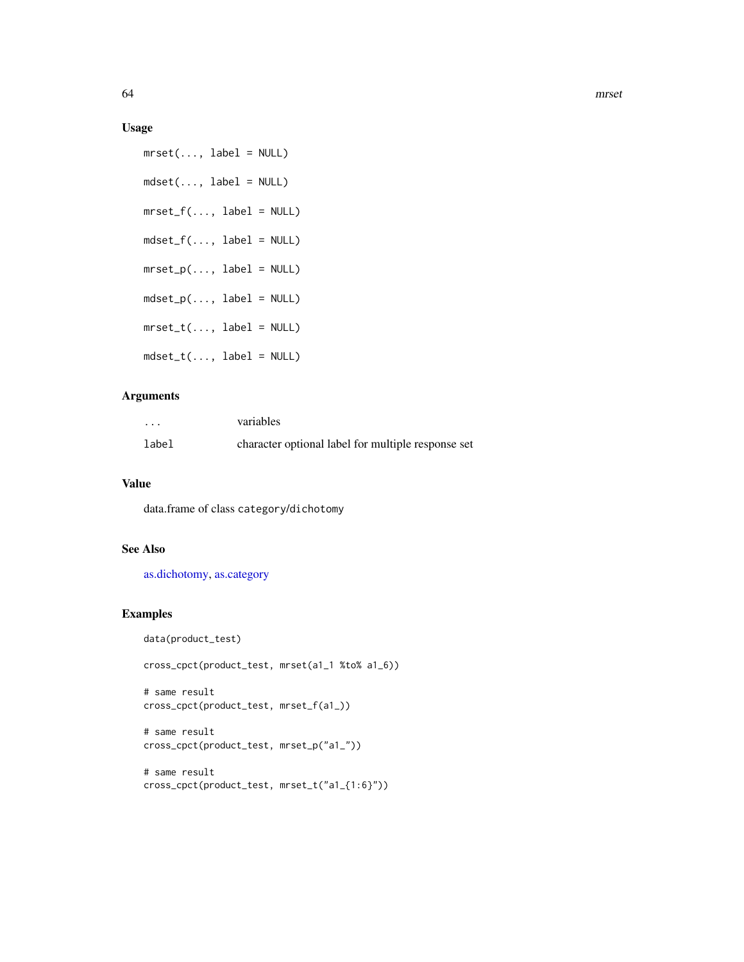## Usage

 $mrset(..., label = NULL)$  $mdset(..., label = NULL)$  $mrest_f(..., label = NULL)$ mdset\_f(..., label = NULL)  $mrset_p(..., label = NULL)$  $mdset\_p(..., label = NULL)$  $mrset_t(..., label = NULL)$ mdset\_t(..., label = NULL)

# Arguments

| $\cdots$ | variables                                          |
|----------|----------------------------------------------------|
| label    | character optional label for multiple response set |

## Value

data.frame of class category/dichotomy

## See Also

[as.dichotomy,](#page-8-0) [as.category](#page-5-0)

# Examples

data(product\_test)

cross\_cpct(product\_test, mrset(a1\_1 %to% a1\_6))

```
# same result
cross_cpct(product_test, mrset_f(a1_))
```

```
# same result
cross_cpct(product_test, mrset_p("a1_"))
```

```
# same result
cross_cpct(product_test, mrset_t("a1_{1:6}"))
```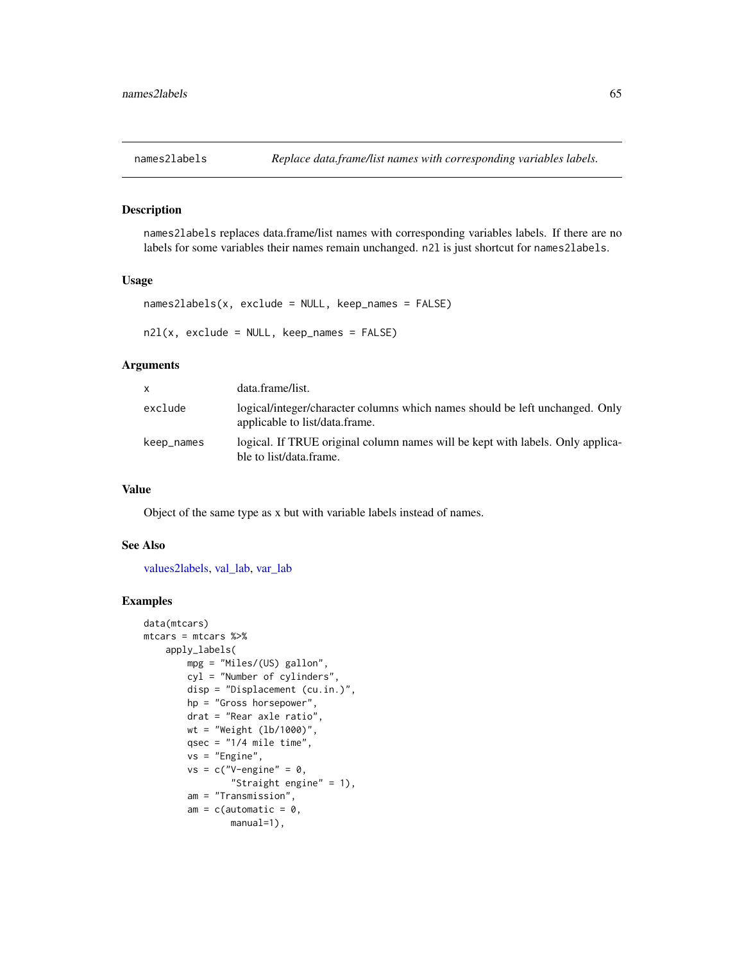<span id="page-64-0"></span>

## Description

names2labels replaces data.frame/list names with corresponding variables labels. If there are no labels for some variables their names remain unchanged. n2l is just shortcut for names2labels.

## Usage

```
names2labels(x, exclude = NULL, keep_names = FALSE)n2l(x, \text{exclude} = NULL, \text{keep} = false)
```
#### Arguments

| <b>X</b>   | data.frame/list.                                                                                               |
|------------|----------------------------------------------------------------------------------------------------------------|
| exclude    | logical/integer/character columns which names should be left unchanged. Only<br>applicable to list/data.frame. |
| keep_names | logical. If TRUE original column names will be kept with labels. Only applica-<br>ble to list/data.frame.      |

## Value

Object of the same type as x but with variable labels instead of names.

## See Also

[values2labels,](#page-110-1) [val\\_lab,](#page-110-0) [var\\_lab](#page-115-0)

```
data(mtcars)
mtcars = mtcars %>%
   apply_labels(
       mpg = "Miles/(US) gallon",
        cyl = "Number of cylinders",
        disp = "Displacement (cu.in.)",
       hp = "Gross horsepower",
       drat = "Rear axle ratio",
       wt = "Weight (lb/1000)",
       qsec = "1/4 mile time",
        vs = "Engine",
        vs = c("V-engine" = 0,"Straight engine" = 1),
        am = "Transmission",
        am = c(automatic = 0,
                manual=1),
```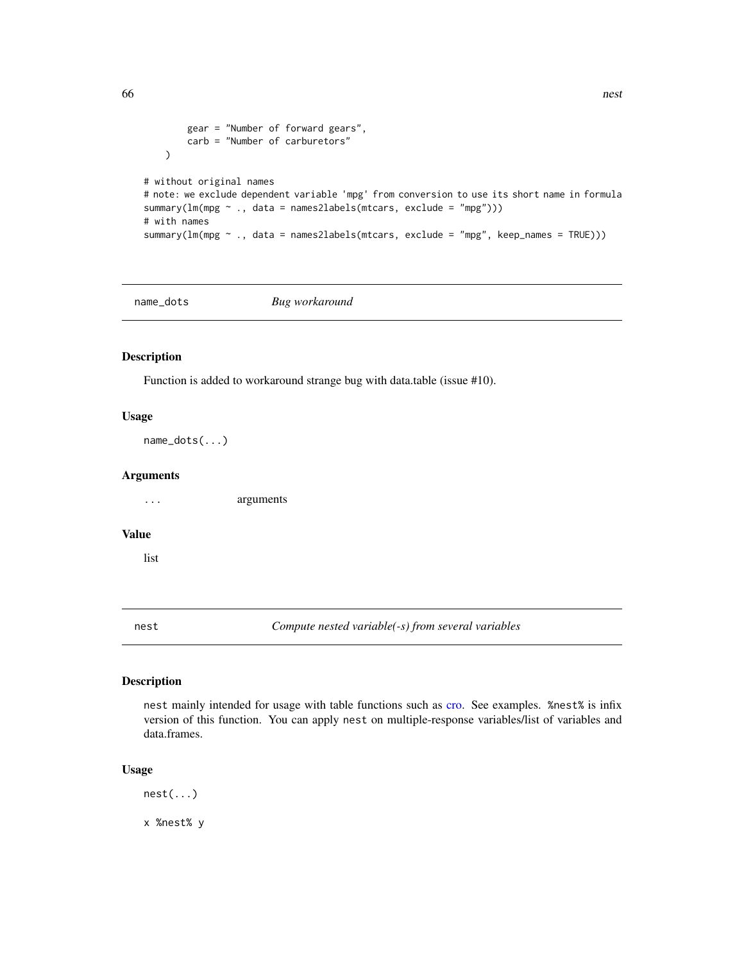```
gear = "Number of forward gears",
        carb = "Number of carburetors"
   )
# without original names
# note: we exclude dependent variable 'mpg' from conversion to use its short name in formula
summary(lm(mpg \sim ., data = names2labels(mtcars, exclude = "mpg")))
# with names
summary(lm(mpg ~ ., data = names2labels(mtcars, exclude = "mpg", keep_names = TRUE)))
```
name\_dots *Bug workaround*

## Description

Function is added to workaround strange bug with data.table (issue #10).

#### Usage

name\_dots(...)

## Arguments

... arguments

## Value

list

nest *Compute nested variable(-s) from several variables*

# Description

nest mainly intended for usage with table functions such as [cro.](#page-29-1) See examples. %nest% is infix version of this function. You can apply nest on multiple-response variables/list of variables and data.frames.

## Usage

nest(...)

x %nest% y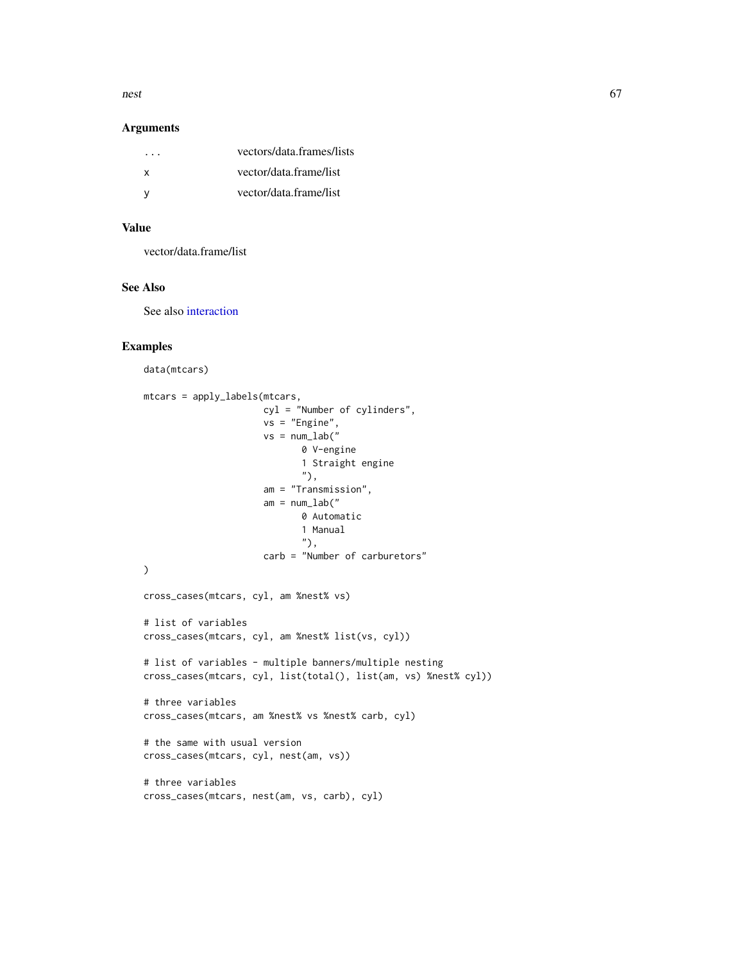nest 67

#### Arguments

| vectors/data.frames/lists |
|---------------------------|
| vector/data.frame/list    |
| vector/data.frame/list    |
|                           |

# Value

vector/data.frame/list

# See Also

See also [interaction](#page-0-0)

# Examples

data(mtcars)

```
mtcars = apply_labels(mtcars,
                      cyl = "Number of cylinders",
                      vs = "Engine",
                      vs = num\_lab("0 V-engine
                             1 Straight engine
                             "),
                      am = "Transmission",
                      am = num\_lab("0 Automatic
                             1 Manual
                             "),
                      carb = "Number of carburetors"
\mathcal{L}cross_cases(mtcars, cyl, am %nest% vs)
# list of variables
cross_cases(mtcars, cyl, am %nest% list(vs, cyl))
# list of variables - multiple banners/multiple nesting
cross_cases(mtcars, cyl, list(total(), list(am, vs) %nest% cyl))
# three variables
cross_cases(mtcars, am %nest% vs %nest% carb, cyl)
# the same with usual version
cross_cases(mtcars, cyl, nest(am, vs))
# three variables
cross_cases(mtcars, nest(am, vs, carb), cyl)
```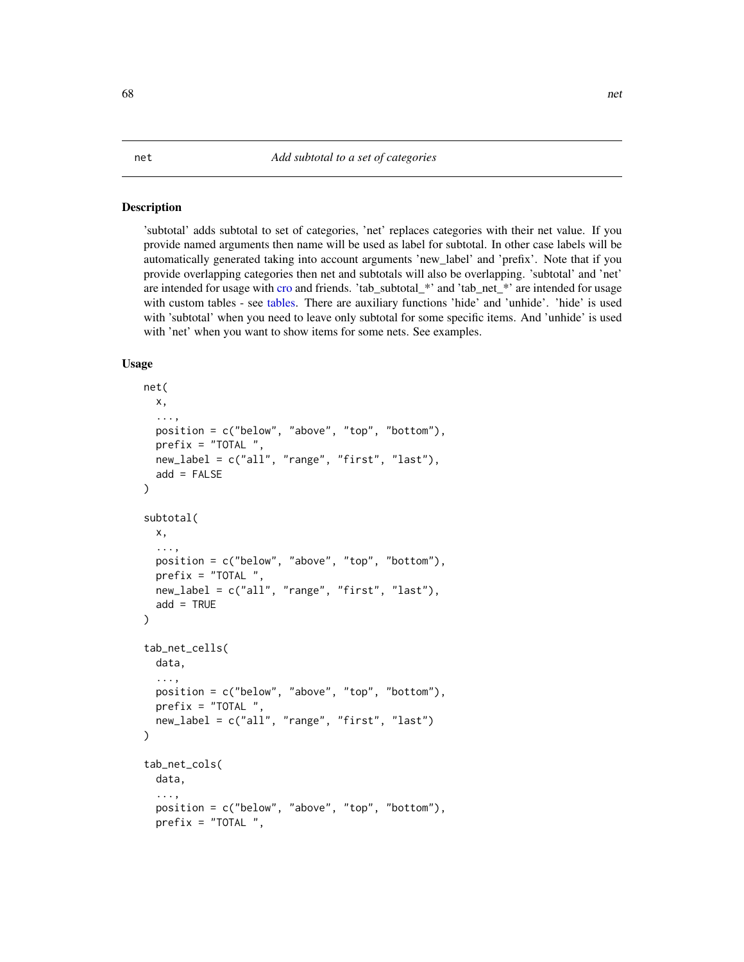#### Description

'subtotal' adds subtotal to set of categories, 'net' replaces categories with their net value. If you provide named arguments then name will be used as label for subtotal. In other case labels will be automatically generated taking into account arguments 'new\_label' and 'prefix'. Note that if you provide overlapping categories then net and subtotals will also be overlapping. 'subtotal' and 'net' are intended for usage with [cro](#page-29-1) and friends. 'tab\_subtotal\_\*' and 'tab\_net\_\*' are intended for usage with custom tables - see [tables.](#page-88-0) There are auxiliary functions 'hide' and 'unhide'. 'hide' is used with 'subtotal' when you need to leave only subtotal for some specific items. And 'unhide' is used with 'net' when you want to show items for some nets. See examples.

```
net(
  x,
  ...,
  position = c("below", "above", "top", "bottom"),
  prefix = "TOTAL",new_label = c("all", "range", "first", "last"),
  add = FALSE)
subtotal(
  x,
  ...,
  position = c("below", "above", "top", "bottom"),
  prefix = "TOTAL ",
  new_label = c("all", "range", "first", "last"),
  add = TRUE)
tab_net_cells(
  data,
  ...,
  position = c("below", "above", "top", "bottom"),
  prefix = "TOTAL"new_label = c("all", "range", "first", "last")
\mathcal{L}tab_net_cols(
  data,
  ...,
  position = c("below", "above", "top", "bottom"),
  prefix = "TOTAL ",
```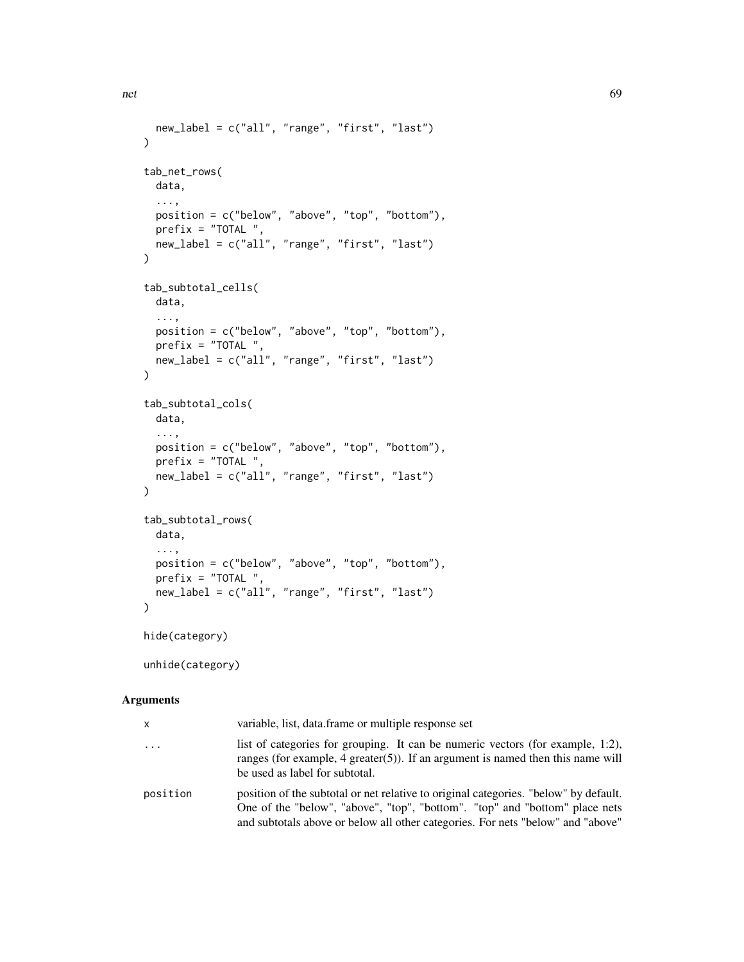```
new_label = c("all", "range", "first", "last")
\lambdatab_net_rows(
 data,
  ...,
 position = c("below", "above", "top", "bottom"),
 prefix = "TOTAL ",
 new_label = c("all", "range", "first", "last")
)
tab_subtotal_cells(
 data,
  ...,
 position = c("below", "above", "top", "bottom"),
 prefix = "TOTAL"new_label = c("all", "range", "first", "last")
\mathcal{L}tab_subtotal_cols(
 data,
  ...,
 position = c("below", "above", "top", "bottom"),
 prefix = "TOTAL ",
 new_label = c("all", "range", "first", "last")
\mathcal{L}tab_subtotal_rows(
  data,
  ...,
 position = c("below", "above", "top", "bottom"),
 prefix = "TOTAL ",
 new_label = c("all", "range", "first", "last")
\lambdahide(category)
```
unhide(category)

## Arguments

| x        | variable, list, data.frame or multiple response set                                                                                                                                                                                                    |
|----------|--------------------------------------------------------------------------------------------------------------------------------------------------------------------------------------------------------------------------------------------------------|
| $\ddots$ | list of categories for grouping. It can be numeric vectors (for example, 1:2),<br>ranges (for example, $4$ greater(5)). If an argument is named then this name will<br>be used as label for subtotal.                                                  |
| position | position of the subtotal or net relative to original categories. "below" by default.<br>One of the "below", "above", "top", "bottom". "top" and "bottom" place nets<br>and subtotals above or below all other categories. For nets "below" and "above" |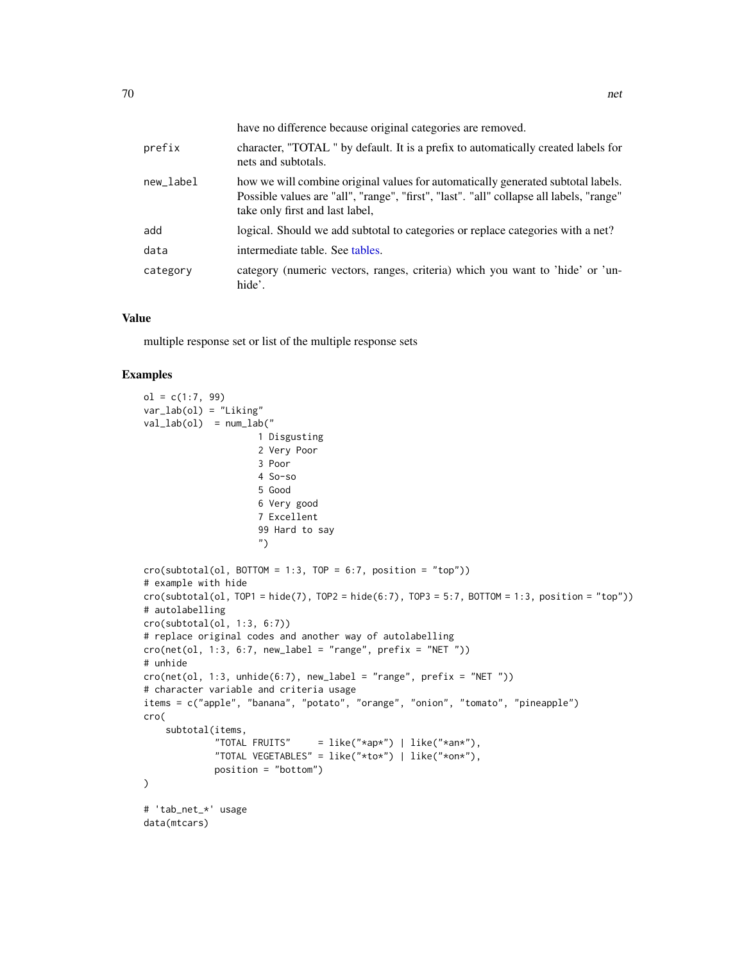|           | have no difference because original categories are removed.                                                                                                                                                    |
|-----------|----------------------------------------------------------------------------------------------------------------------------------------------------------------------------------------------------------------|
| prefix    | character, "TOTAL" by default. It is a prefix to automatically created labels for<br>nets and subtotals.                                                                                                       |
| new_label | how we will combine original values for automatically generated subtotal labels.<br>Possible values are "all", "range", "first", "last". "all" collapse all labels, "range"<br>take only first and last label, |
| add       | logical. Should we add subtotal to categories or replace categories with a net?                                                                                                                                |
| data      | intermediate table. See tables.                                                                                                                                                                                |
| category  | category (numeric vectors, ranges, criteria) which you want to 'hide' or 'un-<br>hide'.                                                                                                                        |

#### Value

multiple response set or list of the multiple response sets

```
ol = c(1:7, 99)var_lab(ol) = "Liking"
val\_lab(ol) = num\_lab("1 Disgusting
                    2 Very Poor
                    3 Poor
                    4 So-so
                    5 Good
                    6 Very good
                    7 Excellent
                    99 Hard to say
                     ")
cro(subtotal(ol, BOTTOM = 1:3, TOP = 6:7, position = "top")# example with hide
cro(subtotal(ol, TOP1 = hide(7), TOP2 = hide(6:7), TOP3 = 5:7, BOTTOM = 1:3, position = "top"))
# autolabelling
cro(subtotal(ol, 1:3, 6:7))
# replace original codes and another way of autolabelling
cro(net(ol, 1:3, 6:7, new_labels = "range", prefix = "NET"))# unhide
cro(net(ol, 1:3, unhide(6:7), new_labels = "range", prefix = "NET"))# character variable and criteria usage
items = c("apple", "banana", "potato", "orange", "onion", "tomato", "pineapple")
cro(
    subtotal(items,
                            = like("*ap*") | like("*an*"),
             "TOTAL VEGETABLES" = like("*to*") | like("*on*"),
             position = "bottom")
\lambda# 'tab_net_*' usage
data(mtcars)
```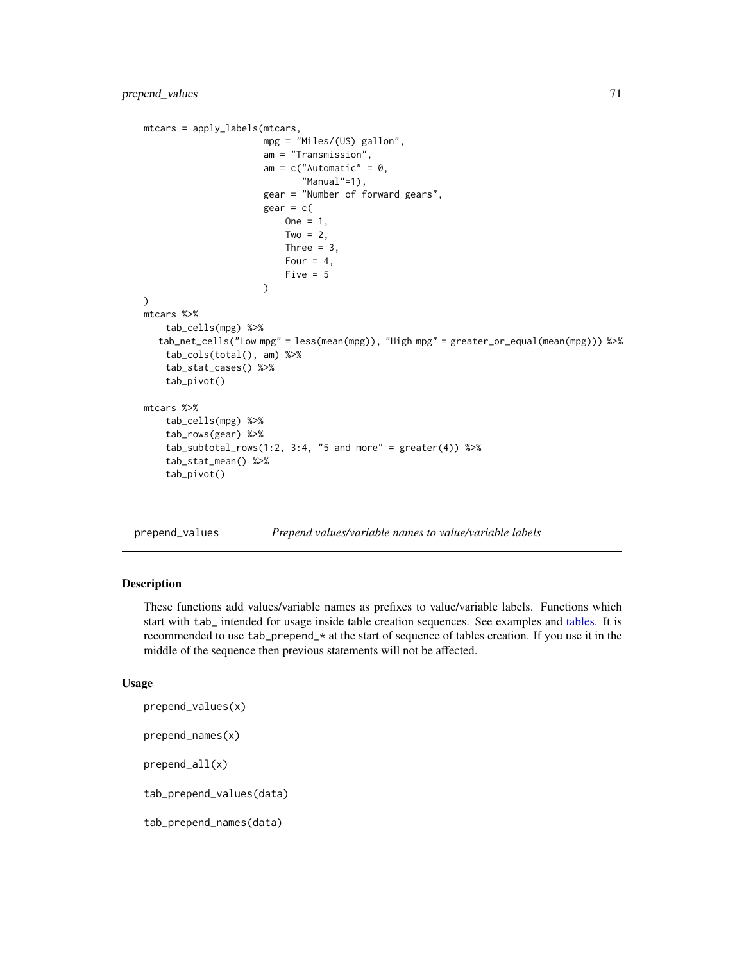```
mtcars = apply_labels(mtcars,
                      mpg = "Miles/(US) gallon",
                      am = "Transmission",
                      am = c("Automatic" = 0,"Manual"=1),
                      gear = "Number of forward gears",
                      ger = c(One = 1,
                          Two = 2Three = 3,
                          Four = 4,
                          Five = 5)
)
mtcars %>%
    tab_cells(mpg) %>%
  tab_net_cells("Low mpg" = less(mean(mpg)), "High mpg" = greater_or_equal(mean(mpg))) %>%
    tab_cols(total(), am) %>%
    tab_stat_cases() %>%
    tab_pivot()
mtcars %>%
    tab_cells(mpg) %>%
    tab_rows(gear) %>%
    tab\_subtotal\_rows(1:2, 3:4, "5 and more" = greater(4)) %tab_stat_mean() %>%
    tab_pivot()
```

```
prepend_values Prepend values/variable names to value/variable labels
```
## Description

These functions add values/variable names as prefixes to value/variable labels. Functions which start with tab\_ intended for usage inside table creation sequences. See examples and [tables.](#page-88-0) It is recommended to use tab\_prepend\_\* at the start of sequence of tables creation. If you use it in the middle of the sequence then previous statements will not be affected.

```
prepend_values(x)
prepend_names(x)
prepend_all(x)
tab_prepend_values(data)
tab_prepend_names(data)
```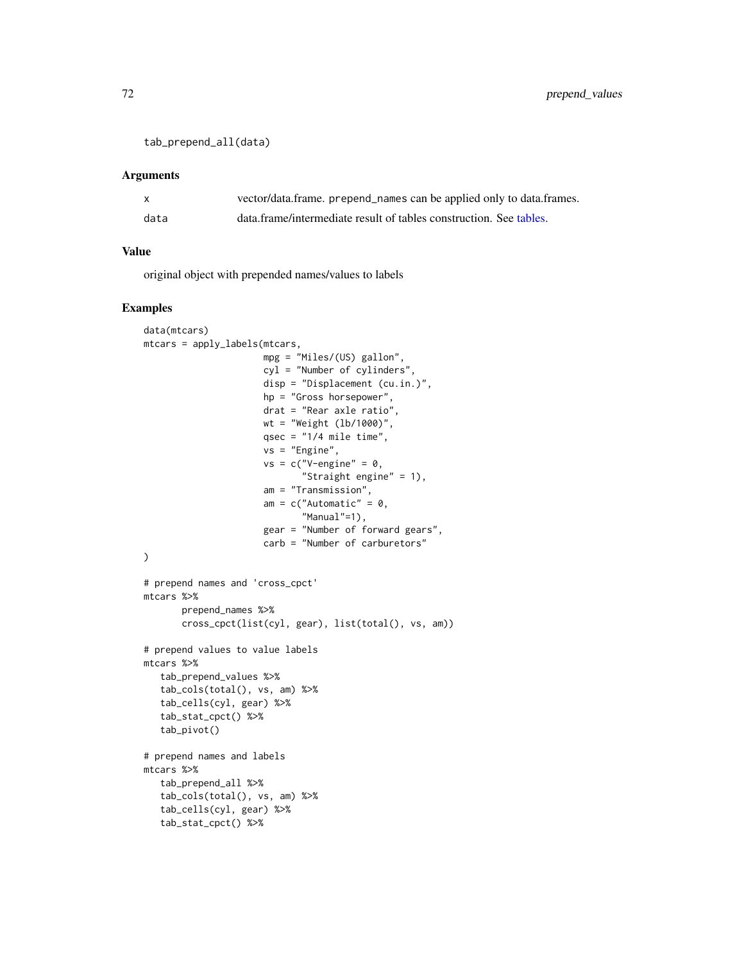```
tab_prepend_all(data)
```
#### Arguments

|      | vector/data.frame. prepend_names can be applied only to data.frames. |
|------|----------------------------------------------------------------------|
| data | data.frame/intermediate result of tables construction. See tables.   |

#### Value

original object with prepended names/values to labels

```
data(mtcars)
mtcars = apply_labels(mtcars,
                      mpg = "Miles/(US) gallon",
                      cyl = "Number of cylinders",
                      disp = "Displacement (cu.in.)",
                      hp = "Gross horsepower",
                      drat = "Rear axle ratio",
                      wt = "Weight (lb/1000)",
                      qsec = "1/4 mile time",
                      vs = "Engine",
                      vs = c("V-engine" = 0,"Straight engine" = 1),
                      am = "Transmission",
                      am = c("Automatic" = 0,"Manual"=1),
                      gear = "Number of forward gears",
                      carb = "Number of carburetors"
)
# prepend names and 'cross_cpct'
mtcars %>%
       prepend_names %>%
       cross_cpct(list(cyl, gear), list(total(), vs, am))
# prepend values to value labels
mtcars %>%
   tab_prepend_values %>%
   tab_cols(total(), vs, am) %>%
   tab_cells(cyl, gear) %>%
   tab_stat_cpct() %>%
   tab_pivot()
# prepend names and labels
mtcars %>%
  tab_prepend_all %>%
   tab_cols(total(), vs, am) %>%
   tab_cells(cyl, gear) %>%
   tab_stat_cpct() %>%
```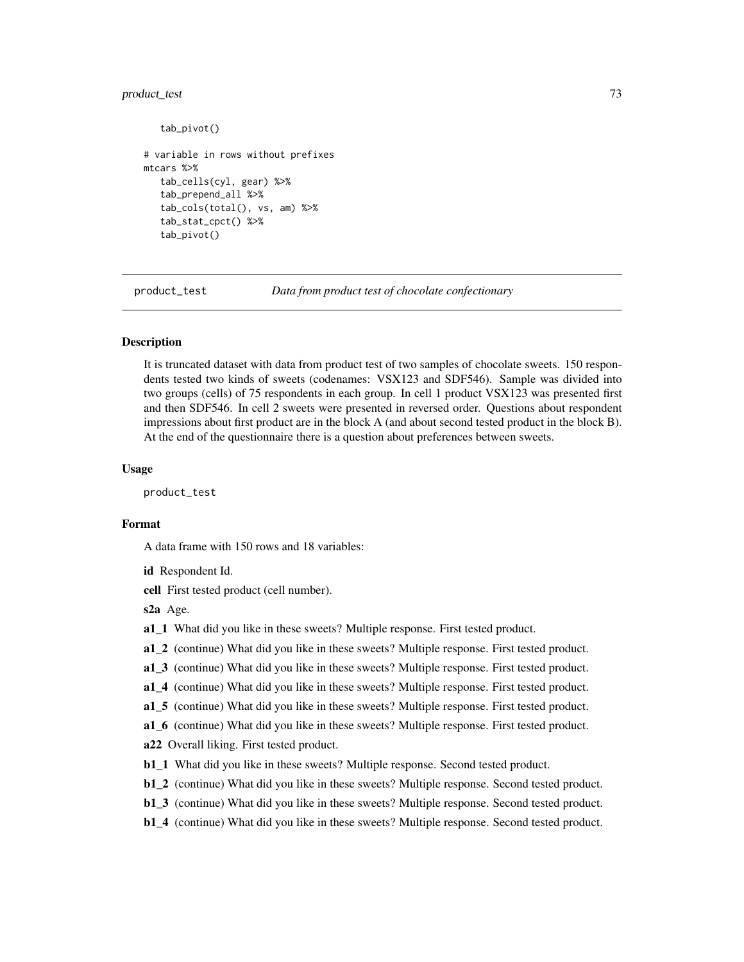### product\_test 73

```
tab_pivot()
# variable in rows without prefixes
mtcars %>%
   tab_cells(cyl, gear) %>%
   tab_prepend_all %>%
   tab_cols(total(), vs, am) %>%
   tab_stat_cpct() %>%
   tab_pivot()
```
product\_test *Data from product test of chocolate confectionary*

# Description

It is truncated dataset with data from product test of two samples of chocolate sweets. 150 respondents tested two kinds of sweets (codenames: VSX123 and SDF546). Sample was divided into two groups (cells) of 75 respondents in each group. In cell 1 product VSX123 was presented first and then SDF546. In cell 2 sweets were presented in reversed order. Questions about respondent impressions about first product are in the block A (and about second tested product in the block B). At the end of the questionnaire there is a question about preferences between sweets.

#### Usage

product\_test

## Format

A data frame with 150 rows and 18 variables:

```
id Respondent Id.
```
cell First tested product (cell number).

#### s2a Age.

- a1 1 What did you like in these sweets? Multiple response. First tested product.
- a1\_2 (continue) What did you like in these sweets? Multiple response. First tested product.
- a1\_3 (continue) What did you like in these sweets? Multiple response. First tested product.
- a1\_4 (continue) What did you like in these sweets? Multiple response. First tested product.
- a1\_5 (continue) What did you like in these sweets? Multiple response. First tested product.
- a1\_6 (continue) What did you like in these sweets? Multiple response. First tested product.

a22 Overall liking. First tested product.

- b1\_1 What did you like in these sweets? Multiple response. Second tested product.
- b1\_2 (continue) What did you like in these sweets? Multiple response. Second tested product.
- b1\_3 (continue) What did you like in these sweets? Multiple response. Second tested product.
- b1\_4 (continue) What did you like in these sweets? Multiple response. Second tested product.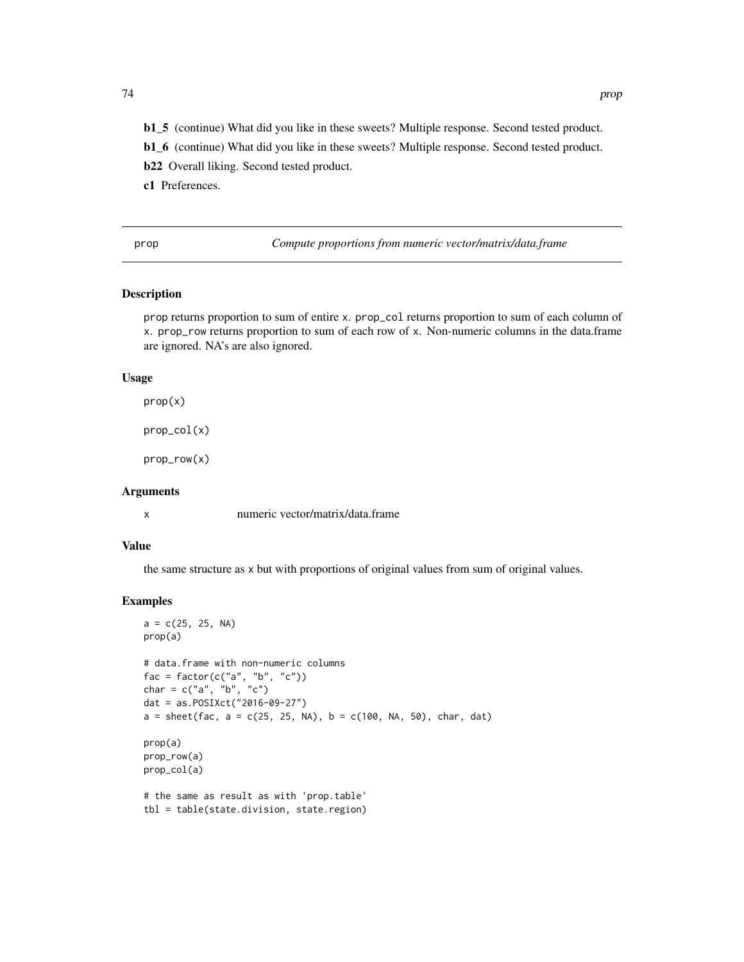- b1\_5 (continue) What did you like in these sweets? Multiple response. Second tested product.
- b1\_6 (continue) What did you like in these sweets? Multiple response. Second tested product.
- b22 Overall liking. Second tested product.
- c1 Preferences.

prop *Compute proportions from numeric vector/matrix/data.frame*

# Description

prop returns proportion to sum of entire x. prop\_col returns proportion to sum of each column of x. prop\_row returns proportion to sum of each row of x. Non-numeric columns in the data.frame are ignored. NA's are also ignored.

### Usage

prop(x)

prop\_col(x)

prop\_row(x)

## Arguments

x numeric vector/matrix/data.frame

# Value

the same structure as x but with proportions of original values from sum of original values.

```
a = c(25, 25, NA)prop(a)
# data.frame with non-numeric columns
fac = factor(c("a", "b", "c"))char = c("a", "b", "c")dat = as.POSIXct("2016-09-27")
a = sheet(fac, a = c(25, 25, NA), b = c(100, NA, 50), char, dat)prop(a)
prop_row(a)
prop_col(a)
# the same as result as with 'prop.table'
tbl = table(state.division, state.region)
```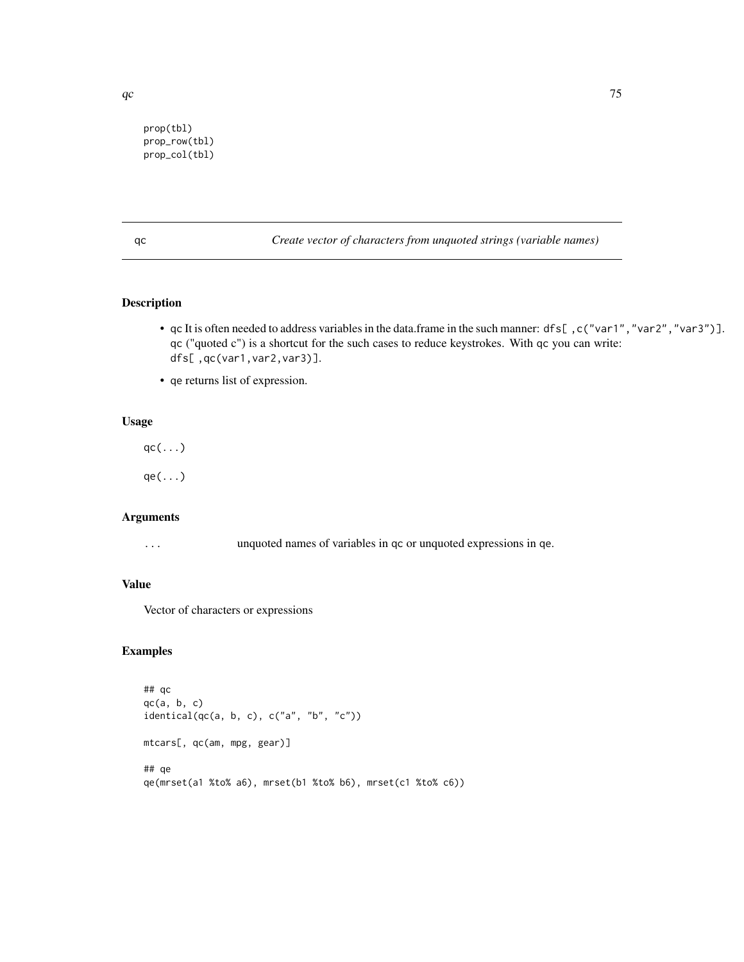prop(tbl) prop\_row(tbl)

prop\_col(tbl)

qc *Create vector of characters from unquoted strings (variable names)*

# Description

- qc It is often needed to address variables in the data.frame in the such manner: dfs[ ,c("var1","var2","var3")]. qc ("quoted c") is a shortcut for the such cases to reduce keystrokes. With qc you can write: dfs[ ,qc(var1,var2,var3)].
- qe returns list of expression.

# Usage

 $qc(\ldots)$ 

 $qe(\ldots)$ 

## Arguments

... unquoted names of variables in qc or unquoted expressions in qe.

## Value

Vector of characters or expressions

```
## qc
qc(a, b, c)identical(qc(a, b, c), c("a", "b", "c"))
mtcars[, qc(am, mpg, gear)]
## qe
qe(mrset(a1 %to% a6), mrset(b1 %to% b6), mrset(c1 %to% c6))
```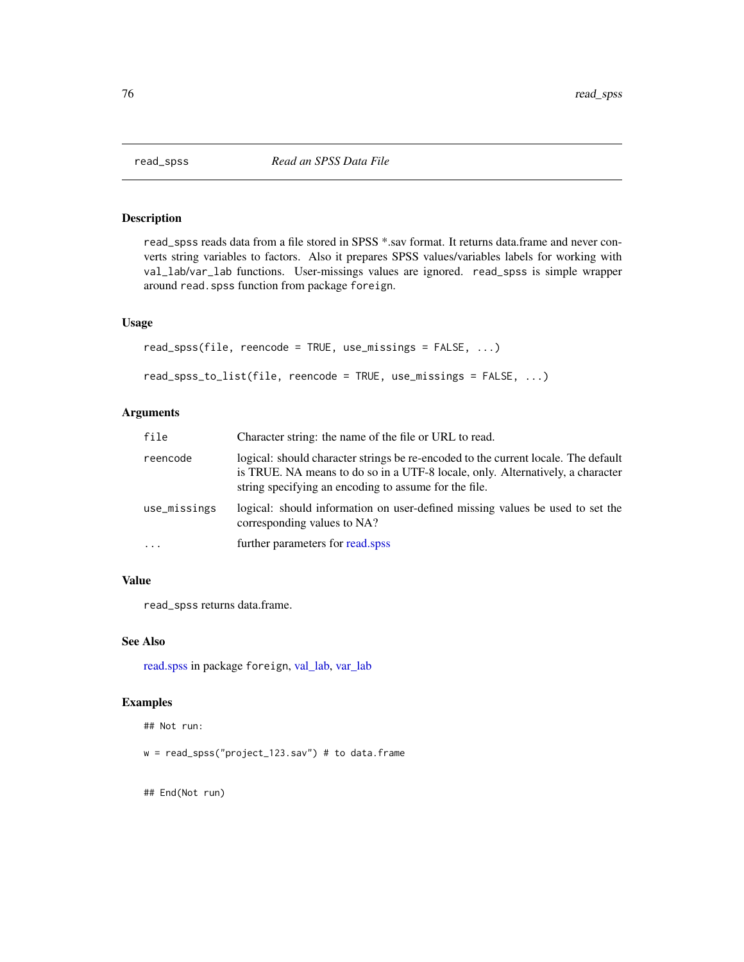read\_spss reads data from a file stored in SPSS \*.sav format. It returns data.frame and never converts string variables to factors. Also it prepares SPSS values/variables labels for working with val\_lab/var\_lab functions. User-missings values are ignored. read\_spss is simple wrapper around read.spss function from package foreign.

## Usage

```
read_spss(file, reencode = TRUE, use_missings = FALSE, ...)
read_spss_to_list(file, reencode = TRUE, use_missings = FALSE, ...)
```
#### Arguments

| file         | Character string: the name of the file or URL to read.                                                                                                                                                                        |
|--------------|-------------------------------------------------------------------------------------------------------------------------------------------------------------------------------------------------------------------------------|
| reencode     | logical: should character strings be re-encoded to the current locale. The default<br>is TRUE. NA means to do so in a UTF-8 locale, only. Alternatively, a character<br>string specifying an encoding to assume for the file. |
| use_missings | logical: should information on user-defined missing values be used to set the<br>corresponding values to NA?                                                                                                                  |
| $\cdots$     | further parameters for read, spss                                                                                                                                                                                             |

## Value

read\_spss returns data.frame.

## See Also

[read.spss](#page-0-0) in package foreign, [val\\_lab,](#page-110-0) [var\\_lab](#page-115-0)

# Examples

## Not run:

 $w = read_spss("project_123.sav") # to data frame$ 

## End(Not run)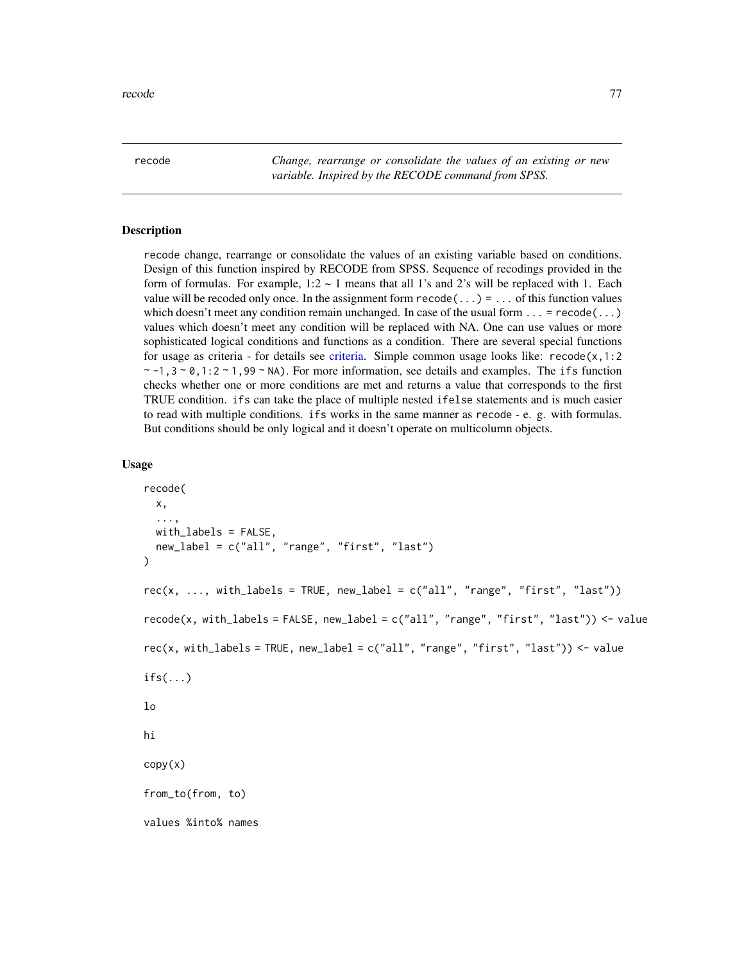recode *Change, rearrange or consolidate the values of an existing or new variable. Inspired by the RECODE command from SPSS.*

## Description

recode change, rearrange or consolidate the values of an existing variable based on conditions. Design of this function inspired by RECODE from SPSS. Sequence of recodings provided in the form of formulas. For example,  $1:2 \sim 1$  means that all 1's and 2's will be replaced with 1. Each value will be recoded only once. In the assignment form  $\text{recode}(\ldots) = \ldots$  of this function values which doesn't meet any condition remain unchanged. In case of the usual form  $\dots$  = recode( $\dots$ ) values which doesn't meet any condition will be replaced with NA. One can use values or more sophisticated logical conditions and functions as a condition. There are several special functions for usage as criteria - for details see [criteria.](#page-24-0) Simple common usage looks like: recode $(x,1:2)$  $\sim$  -1,3  $\sim$  0,1:2  $\sim$  1,99  $\sim$  NA). For more information, see details and examples. The ifs function checks whether one or more conditions are met and returns a value that corresponds to the first TRUE condition. ifs can take the place of multiple nested ifelse statements and is much easier to read with multiple conditions. ifs works in the same manner as recode - e. g. with formulas. But conditions should be only logical and it doesn't operate on multicolumn objects.

#### Usage

```
recode(
  x,
  ...,
  with_labels = FALSE,
 new_label = c("all", "range", "first", "last")
)
rec(x, ..., with_labels = TRUE, new_label = c("all", "range", "first", "last"))recode(x, with_labels = FALSE, new_label = c("all", "range", "first", "last")) \leq valuerec(x, with_labels = TRUE, new_label = c("all", "range", "first", "last")) \le valueif s(...)lo
hi
copy(x)
from_to(from, to)
values %into% names
```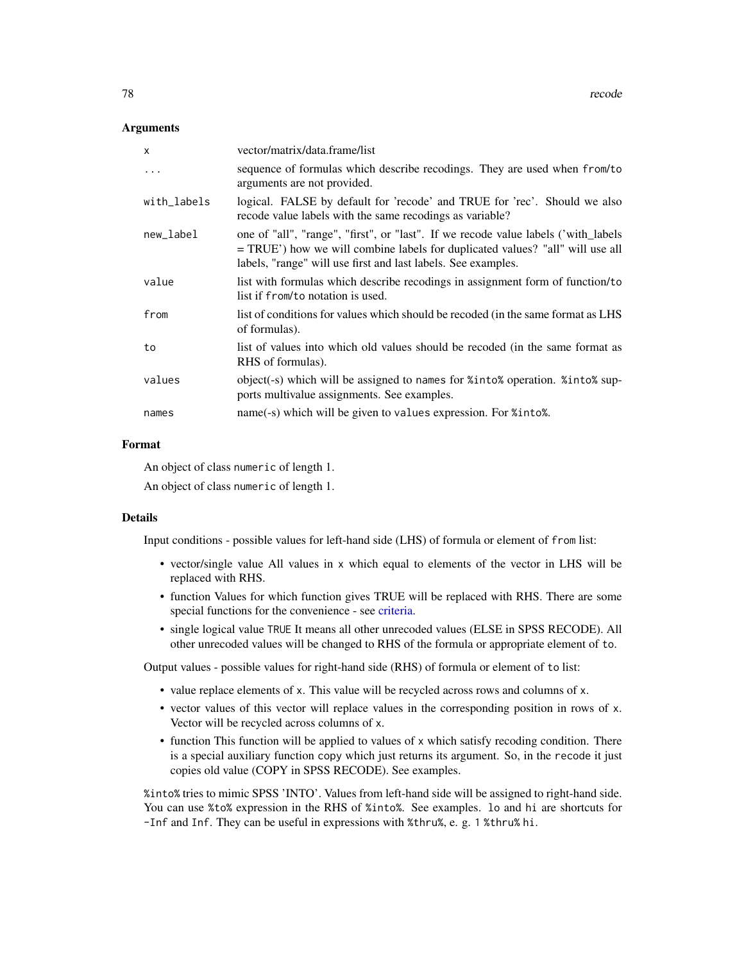#### Arguments

| x           | vector/matrix/data.frame/list                                                                                                                                                                                                        |
|-------------|--------------------------------------------------------------------------------------------------------------------------------------------------------------------------------------------------------------------------------------|
| $\ddots$    | sequence of formulas which describe recodings. They are used when from/to<br>arguments are not provided.                                                                                                                             |
| with_labels | logical. FALSE by default for 'recode' and TRUE for 'rec'. Should we also<br>recode value labels with the same recodings as variable?                                                                                                |
| new label   | one of "all", "range", "first", or "last". If we recode value labels ('with_labels<br>= TRUE') how we will combine labels for duplicated values? "all" will use all<br>labels, "range" will use first and last labels. See examples. |
| value       | list with formulas which describe recodings in assignment form of function/to<br>list if from/to notation is used.                                                                                                                   |
| from        | list of conditions for values which should be recoded (in the same format as LHS<br>of formulas).                                                                                                                                    |
| to          | list of values into which old values should be recoded (in the same format as<br>RHS of formulas).                                                                                                                                   |
| values      | object(-s) which will be assigned to names for %into% operation. %into% sup-<br>ports multivalue assignments. See examples.                                                                                                          |
| names       | name(-s) which will be given to values expression. For %into%.                                                                                                                                                                       |

## Format

An object of class numeric of length 1.

An object of class numeric of length 1.

#### Details

Input conditions - possible values for left-hand side (LHS) of formula or element of from list:

- vector/single value All values in x which equal to elements of the vector in LHS will be replaced with RHS.
- function Values for which function gives TRUE will be replaced with RHS. There are some special functions for the convenience - see [criteria.](#page-24-0)
- single logical value TRUE It means all other unrecoded values (ELSE in SPSS RECODE). All other unrecoded values will be changed to RHS of the formula or appropriate element of to.

Output values - possible values for right-hand side (RHS) of formula or element of to list:

- value replace elements of x. This value will be recycled across rows and columns of x.
- vector values of this vector will replace values in the corresponding position in rows of x. Vector will be recycled across columns of x.
- function This function will be applied to values of x which satisfy recoding condition. There is a special auxiliary function copy which just returns its argument. So, in the recode it just copies old value (COPY in SPSS RECODE). See examples.

%into% tries to mimic SPSS 'INTO'. Values from left-hand side will be assigned to right-hand side. You can use %to% expression in the RHS of %into%. See examples. lo and hi are shortcuts for -Inf and Inf. They can be useful in expressions with %thru%, e. g. 1 %thru% hi.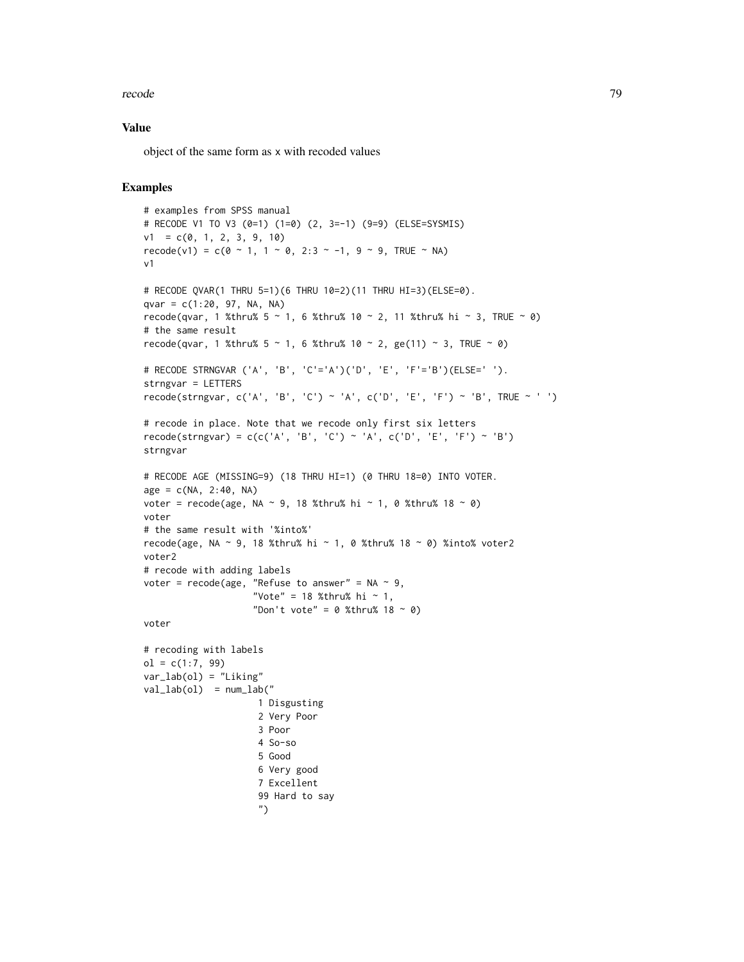#### recode to the contract of the contract of the contract of the contract of the contract of the contract of the contract of the contract of the contract of the contract of the contract of the contract of the contract of the

### Value

object of the same form as x with recoded values

```
# examples from SPSS manual
# RECODE V1 TO V3 (0=1) (1=0) (2, 3=-1) (9=9) (ELSE=SYSMIS)
v1 = c(0, 1, 2, 3, 9, 10)recode(v1) = c(0 ~ 1, 1 ~ 0, 2:3 ~ -1, 9 ~ 9, TRUE ~ NA)
v1
# RECODE QVAR(1 THRU 5=1)(6 THRU 10=2)(11 THRU HI=3)(ELSE=0).
qvar = c(1:20, 97, NA, NA)recode(qvar, 1 %thru% 5 \sim 1, 6 %thru% 10 \sim 2, 11 %thru% hi \sim 3, TRUE \sim 0)
# the same result
recode(qvar, 1 %thru% 5 \sim 1, 6 %thru% 10 \sim 2, ge(11) \sim 3, TRUE \sim 0)
# RECODE STRNGVAR ('A', 'B', 'C'='A')('D', 'E', 'F'='B')(ELSE=' ').
strngvar = LETTERS
recode(strngvar, c('A', 'B', 'C') ~ 'A', c('D', 'E', 'F') ~ 'B', TRUE ~ ' ')
# recode in place. Note that we recode only first six letters
recode(strngvar) = c(c('A', 'B', 'C') \sim 'A', c('D', 'E', 'F') \sim 'B')strngvar
# RECODE AGE (MISSING=9) (18 THRU HI=1) (0 THRU 18=0) INTO VOTER.
age = c(NA, 2:40, NA)voter = recode(age, NA \sim 9, 18 %thru% hi \sim 1, 0 %thru% 18 \sim 0)
voter
# the same result with '%into%'
recode(age, NA ~ 9, 18 %thru% hi ~ 1, 0 %thru% 18 ~ 0) %into% voter2
voter2
# recode with adding labels
voter = recode(age, "Refuse to answer" = NA \sim 9,
                     "Vote" = 18 %thru% hi ~ 1,
                     "Don't vote" = 0 %thru% 18 ~ 0)
voter
# recoding with labels
ol = c(1:7, 99)var_lab(ol) = "Liking"
val\_lab(ol) = num\_lab("1 Disgusting
                     2 Very Poor
                     3 Poor
                     4 So-so
                     5 Good
                     6 Very good
                     7 Excellent
                     99 Hard to say
                      ")
```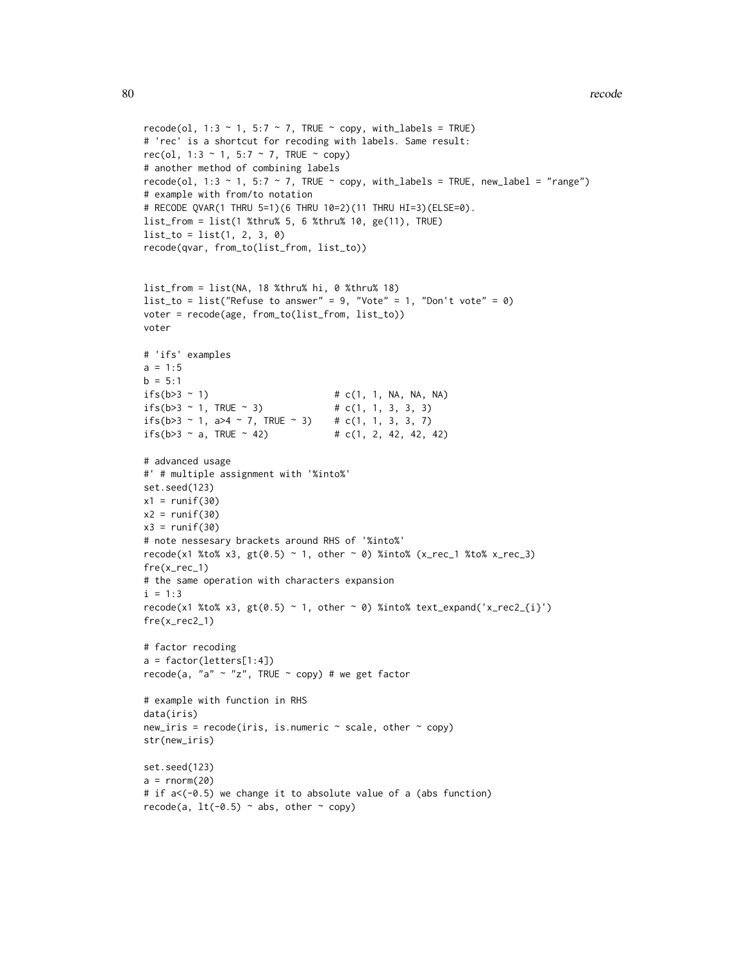```
recode(ol, 1:3 \sim 1, 5:7 \sim 7, TRUE \sim copy, with_labels = TRUE)
# 'rec' is a shortcut for recoding with labels. Same result:
rec(ol, 1:3 \sim 1, 5:7 \sim 7, TRUE \sim copy)
# another method of combining labels
recode(ol, 1:3 \sim 1, 5:7 \sim 7, TRUE \sim copy, with_labels = TRUE, new_label = "range")
# example with from/to notation
# RECODE QVAR(1 THRU 5=1)(6 THRU 10=2)(11 THRU HI=3)(ELSE=0).
list_from = list(1 %thru% 5, 6 %thru% 10, ge(11), TRUE)
list_to = list(1, 2, 3, 0)recode(qvar, from_to(list_from, list_to))
list_from = list(NA, 18 %thru% hi, 0 %thru% 18)
list_to = list("Refuse to answer" = 9, "Vote" = 1, "Don't vote" = 0)
voter = recode(age, from_to(list_from, list_to))
voter
# 'ifs' examples
a = 1:5b = 5:1if s(b>3 \sim 1) # c(1, 1, NA, NA, NA)
ifs(b>3 \sim 1, \text{TRUE} \sim 3) # c(1, 1, 3, 3, 3)
ifs(b>3 ~ 1, a>4 ~ 7, TRUE ~ 3) # c(1, 1, 3, 3, 7)
ifs(b>3 \sim a, TRUE \sim 42) # c(1, 2, 42, 42, 42)
# advanced usage
#' # multiple assignment with '%into%'
set.seed(123)
x1 = runif(30)x2 = runif(30)x3 = runif(30)# note nessesary brackets around RHS of '%into%'
recode(x1 %to% x3, gt(0.5) ~ 1, other ~ 0) %into% (x_rec_1 %to% x_rec_3)
fre(x_rec_1)
# the same operation with characters expansion
i = 1:3recode(x1 %to% x3, gt(0.5) ~ 1, other ~ 0) %into% text_expand('x_rec2_{i}')
fre(x_rec2_1)
# factor recoding
a = factor(letters[1:4])
recode(a, "a" \sim "z", TRUE \sim copy) # we get factor
# example with function in RHS
data(iris)
new\_iris = recode(iris, is.numeric ~ scale, other ~ copy)str(new_iris)
set.seed(123)
a = rnorm(20)# if a<(-0.5) we change it to absolute value of a (abs function)
```

```
recode(a, lt(-0.5) \sim abs, other \sim copy)
```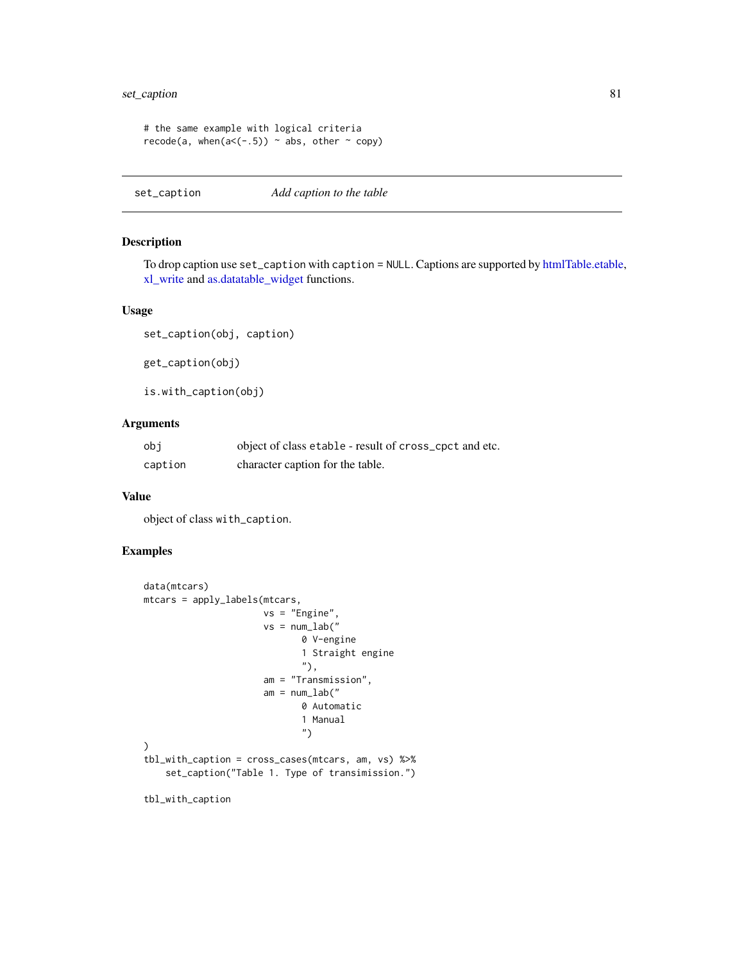# set\_caption 81

```
# the same example with logical criteria
recode(a, when(a < (-.5)) ~ abs, other ~ copy)
```
set\_caption *Add caption to the table*

## Description

To drop caption use set\_caption with caption = NULL. Captions are supported by [htmlTable.etable,](#page-50-0) [xl\\_write](#page-128-0) and [as.datatable\\_widget](#page-6-0) functions.

#### Usage

set\_caption(obj, caption)

get\_caption(obj)

is.with\_caption(obj)

# Arguments

| obi     | object of class etable - result of cross_cpct and etc. |
|---------|--------------------------------------------------------|
| caption | character caption for the table.                       |

#### Value

object of class with\_caption.

## Examples

```
data(mtcars)
mtcars = apply_labels(mtcars,
                     vs = "Engine",
                      vs = num\_lab("0 V-engine
                             1 Straight engine
                             "),
                      am = "Transmission",
                      am = num\_lab("0 Automatic
                             1 Manual
                             ")
)
tbl_with_caption = cross_cases(mtcars, am, vs) %>%
    set_caption("Table 1. Type of transimission.")
```
tbl\_with\_caption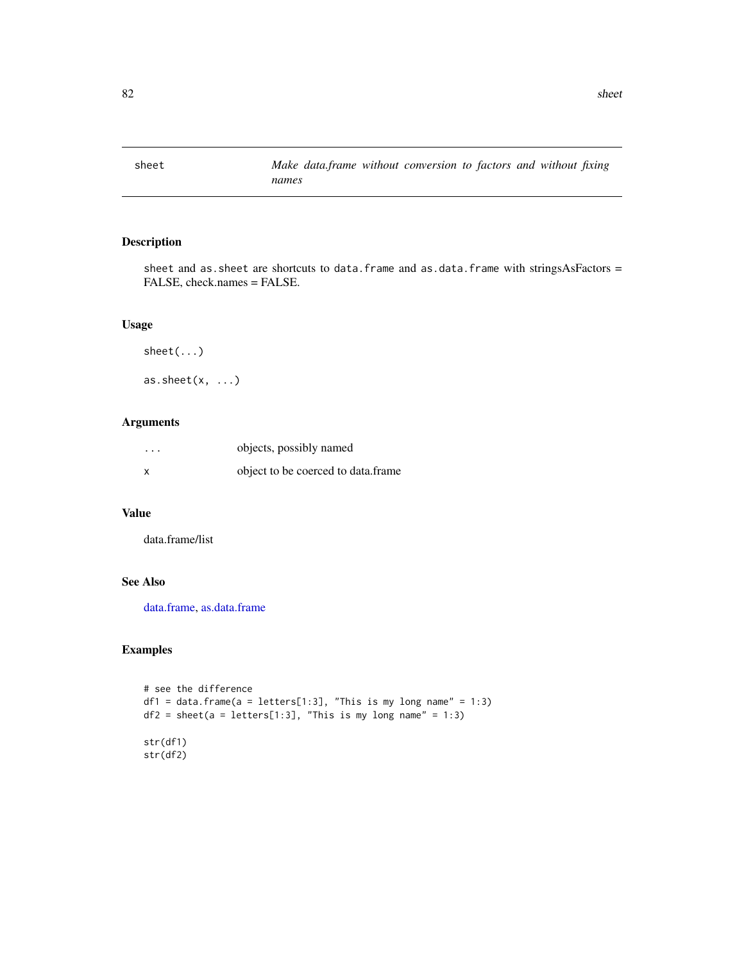sheet and as.sheet are shortcuts to data.frame and as.data.frame with stringsAsFactors = FALSE, check.names = FALSE.

# Usage

sheet(...) as.sheet $(x, \ldots)$ 

## Arguments

| $\cdots$ | objects, possibly named            |
|----------|------------------------------------|
| X        | object to be coerced to data.frame |

# Value

data.frame/list

# See Also

[data.frame,](#page-0-0) [as.data.frame](#page-0-0)

```
# see the difference
df1 = data frame(a = letters[1:3], "This is my long name" = 1:3)df2 = sheet(a = letters[1:3], "This is my long name" = 1:3)str(df1)
str(df2)
```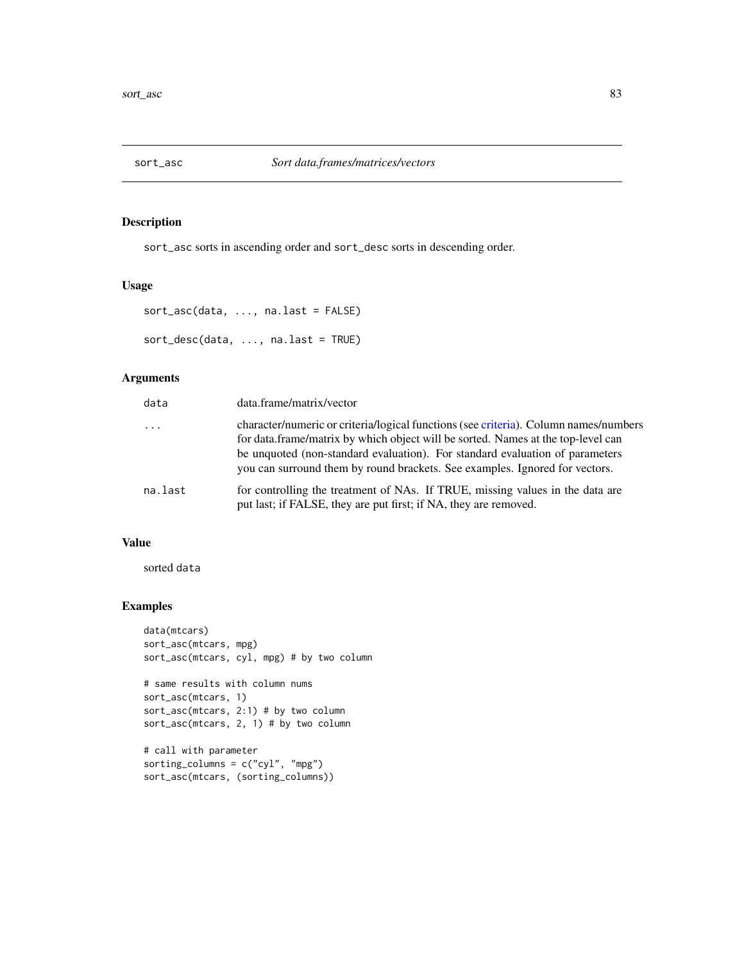sort\_asc sorts in ascending order and sort\_desc sorts in descending order.

## Usage

```
sort_asc(data, ..., na.last = FALSE)
sort_desc(data, ..., na.last = TRUE)
```
### Arguments

| data     | data.frame/matrix/vector                                                                                                                                                                                                                                                                                                                |
|----------|-----------------------------------------------------------------------------------------------------------------------------------------------------------------------------------------------------------------------------------------------------------------------------------------------------------------------------------------|
| $\cdots$ | character/numeric or criteria/logical functions (see criteria). Column names/numbers<br>for data.frame/matrix by which object will be sorted. Names at the top-level can<br>be unquoted (non-standard evaluation). For standard evaluation of parameters<br>you can surround them by round brackets. See examples. Ignored for vectors. |
| na.last  | for controlling the treatment of NAs. If TRUE, missing values in the data are<br>put last; if FALSE, they are put first; if NA, they are removed.                                                                                                                                                                                       |

# Value

sorted data

```
data(mtcars)
sort_asc(mtcars, mpg)
sort_asc(mtcars, cyl, mpg) # by two column
# same results with column nums
sort_asc(mtcars, 1)
sort_asc(mtcars, 2:1) # by two column
sort_asc(mtcars, 2, 1) # by two column
# call with parameter
sorting_columns = c("cyl", "mpg")
sort_asc(mtcars, (sorting_columns))
```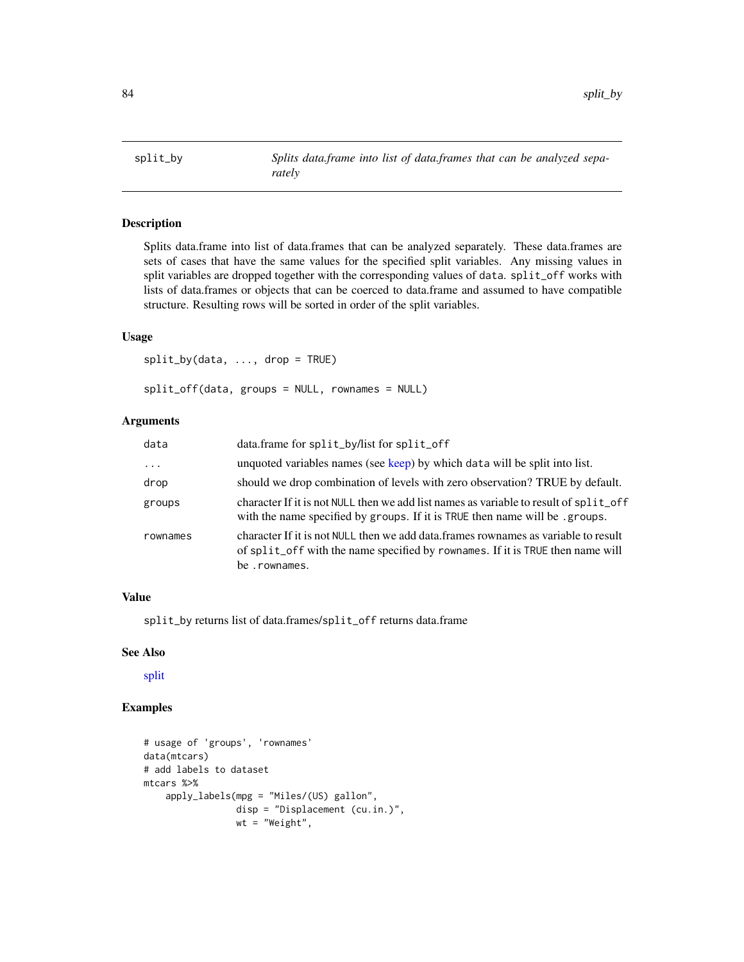Splits data.frame into list of data.frames that can be analyzed separately. These data.frames are sets of cases that have the same values for the specified split variables. Any missing values in split variables are dropped together with the corresponding values of data. split\_off works with lists of data.frames or objects that can be coerced to data.frame and assumed to have compatible structure. Resulting rows will be sorted in order of the split variables.

### Usage

split\_by(data, ..., drop = TRUE) split\_off(data, groups = NULL, rownames = NULL)

# Arguments

| data     | data.frame for split_by/list for split_off                                                                                                                                             |
|----------|----------------------------------------------------------------------------------------------------------------------------------------------------------------------------------------|
| .        | unquoted variables names (see keep) by which data will be split into list.                                                                                                             |
| drop     | should we drop combination of levels with zero observation? TRUE by default.                                                                                                           |
| groups   | character If it is not NULL then we add list names as variable to result of split_off<br>with the name specified by groups. If it is TRUE then name will be .groups.                   |
| rownames | character If it is not NULL then we add data. frames rownames as variable to result<br>of split_off with the name specified by rownames. If it is TRUE then name will<br>be .rownames. |

## Value

split\_by returns list of data.frames/split\_off returns data.frame

#### See Also

[split](#page-0-0)

```
# usage of 'groups', 'rownames'
data(mtcars)
# add labels to dataset
mtcars %>%
    apply_labels(mpg = "Miles/(US) gallon",
                 disp = "Displacement (cu.in.)",
                 wt = "Weight",
```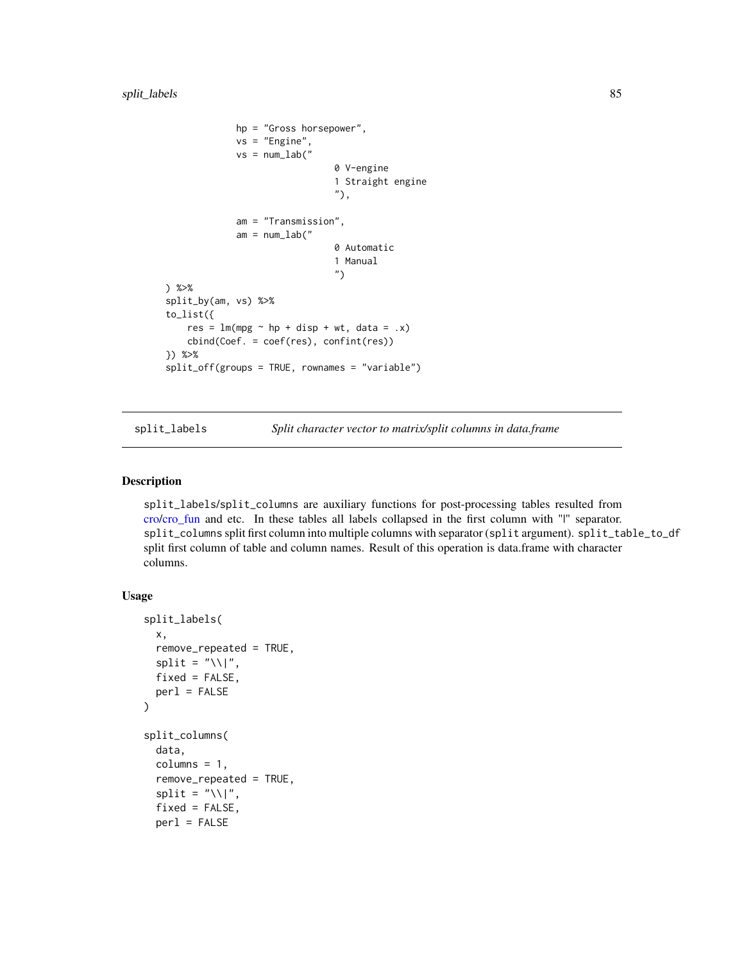```
hp = "Gross horsepower",
             vs = "Engine",
             vs = num\_lab("0 V-engine
                                1 Straight engine
                                "),
             am = "Transmission",
             am = num\_lab("0 Automatic
                                1 Manual
                                ")
) %>%
split_by(am, vs) %>%
to_list({
    res = lm(mpg \sim hp + disp + wt, data = .x)cbind(Coef. = coef(res), confint(res))
}) %>%
split_off(groups = TRUE, rownames = "variable")
```
split\_labels *Split character vector to matrix/split columns in data.frame*

# Description

split\_labels/split\_columns are auxiliary functions for post-processing tables resulted from [cro/](#page-29-0)[cro\\_fun](#page-34-0) and etc. In these tables all labels collapsed in the first column with "|" separator. split\_columns split first column into multiple columns with separator (split argument). split\_table\_to\_df split first column of table and column names. Result of this operation is data.frame with character columns.

#### Usage

```
split_labels(
  x,
  remove_repeated = TRUE,
  split = "\|\|,
  fixed = FALSE,
  per1 = FALSE)
split_columns(
  data,
  columns = 1,
  remove_repeated = TRUE,
  split = "\\\fixed = FALSE,
  per1 = FALSE
```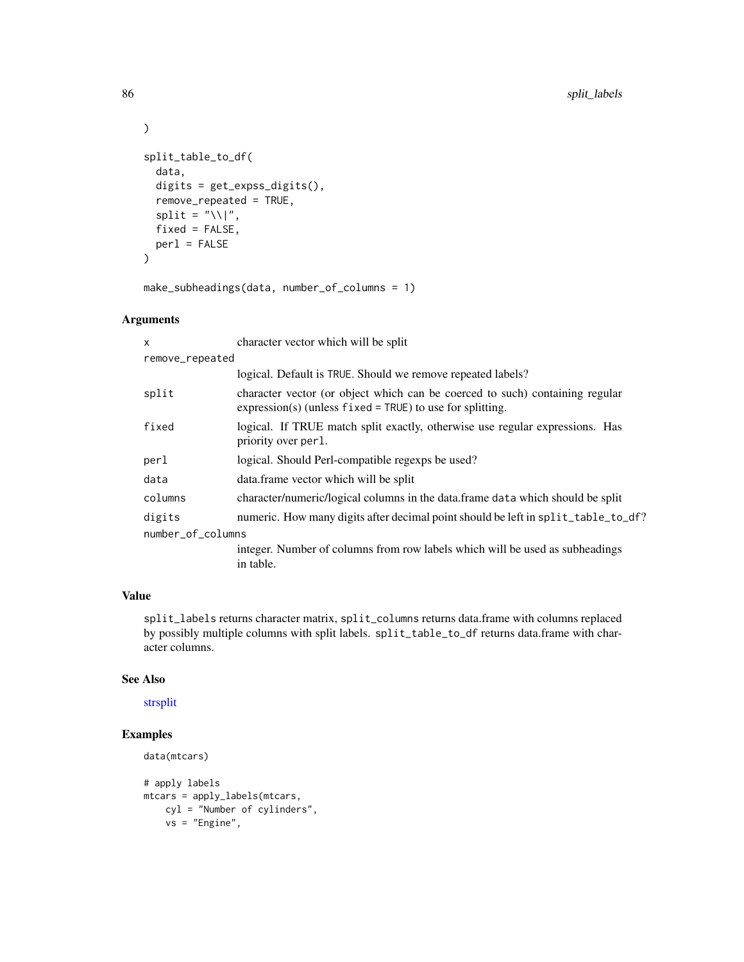```
\mathcal{L}split_table_to_df(
  data,
  digits = get_expss_digits(),
  remove_repeated = TRUE,
  split = "\\\",
  fixed = FALSE,
 per1 = FALSE)
```
make\_subheadings(data, number\_of\_columns = 1)

# Arguments

| X                 | character vector which will be split                                                                                                        |
|-------------------|---------------------------------------------------------------------------------------------------------------------------------------------|
| remove_repeated   |                                                                                                                                             |
|                   | logical. Default is TRUE. Should we remove repeated labels?                                                                                 |
| split             | character vector (or object which can be coerced to such) containing regular<br>$expression(s)$ (unless fixed = TRUE) to use for splitting. |
| fixed             | logical. If TRUE match split exactly, otherwise use regular expressions. Has<br>priority over per l.                                        |
| perl              | logical. Should Perl-compatible regexps be used?                                                                                            |
| data              | data.frame vector which will be split                                                                                                       |
| columns           | character/numeric/logical columns in the data.frame data which should be split                                                              |
| digits            | numeric. How many digits after decimal point should be left in split_table_to_df?                                                           |
| number_of_columns |                                                                                                                                             |
|                   | integer. Number of columns from row labels which will be used as subheadings<br>in table.                                                   |

# Value

split\_labels returns character matrix, split\_columns returns data.frame with columns replaced by possibly multiple columns with split labels. split\_table\_to\_df returns data.frame with character columns.

## See Also

[strsplit](#page-0-0)

```
data(mtcars)
# apply labels
mtcars = apply_labels(mtcars,
   cyl = "Number of cylinders",
   vs = "Engine",
```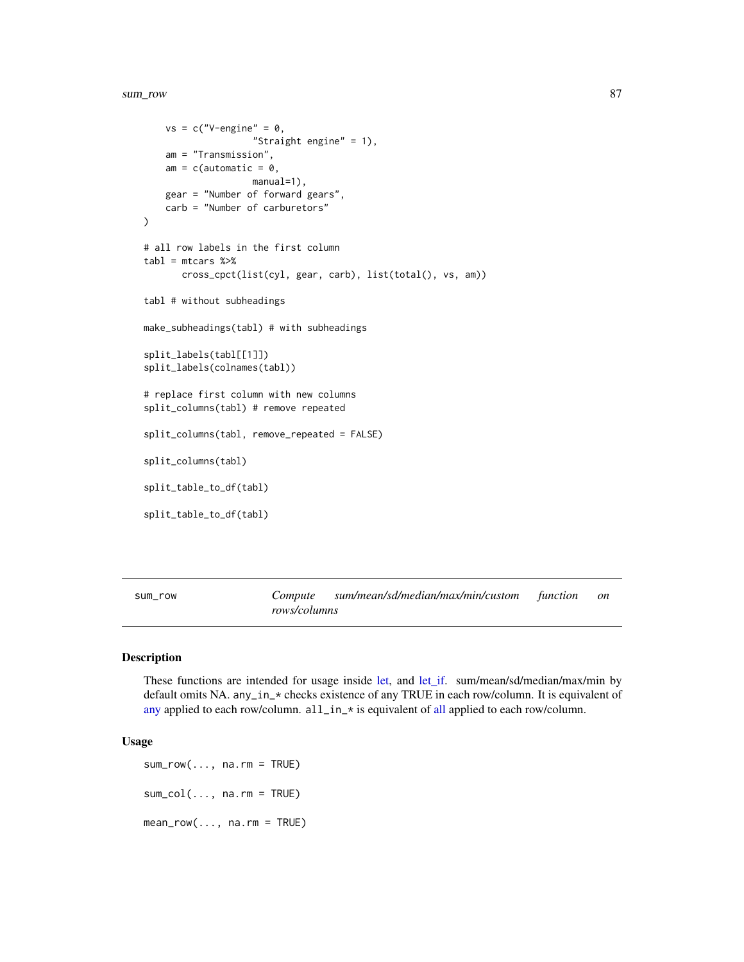#### sum\_row 87

```
vs = c("V-engine" = 0,"Straight engine" = 1),
    am = "Transmission",
    am = c(automatic = 0,
                    manual=1),
    gear = "Number of forward gears",
    carb = "Number of carburetors"
)
# all row labels in the first column
tabl = mtcars %>%
       cross_cpct(list(cyl, gear, carb), list(total(), vs, am))
tabl # without subheadings
make_subheadings(tabl) # with subheadings
split_labels(tabl[[1]])
split_labels(colnames(tabl))
# replace first column with new columns
split_columns(tabl) # remove repeated
split_columns(tabl, remove_repeated = FALSE)
split_columns(tabl)
split_table_to_df(tabl)
split_table_to_df(tabl)
```
sum\_row *Compute sum/mean/sd/median/max/min/custom function on rows/columns*

#### Description

These functions are intended for usage inside [let,](#page-0-0) and [let\\_if.](#page-0-0) sum/mean/sd/median/max/min by default omits NA. any\_in\_\* checks existence of any TRUE in each row/column. It is equivalent of [any](#page-0-0) applied to each row/column. [all](#page-0-0)\_in\_\* is equivalent of all applied to each row/column.

### Usage

 $sum_{row}$ (..., na.rm = TRUE)  $sum_col(..., na.rm = TRUE)$  $mean_{row}(..., na.rm = TRUE)$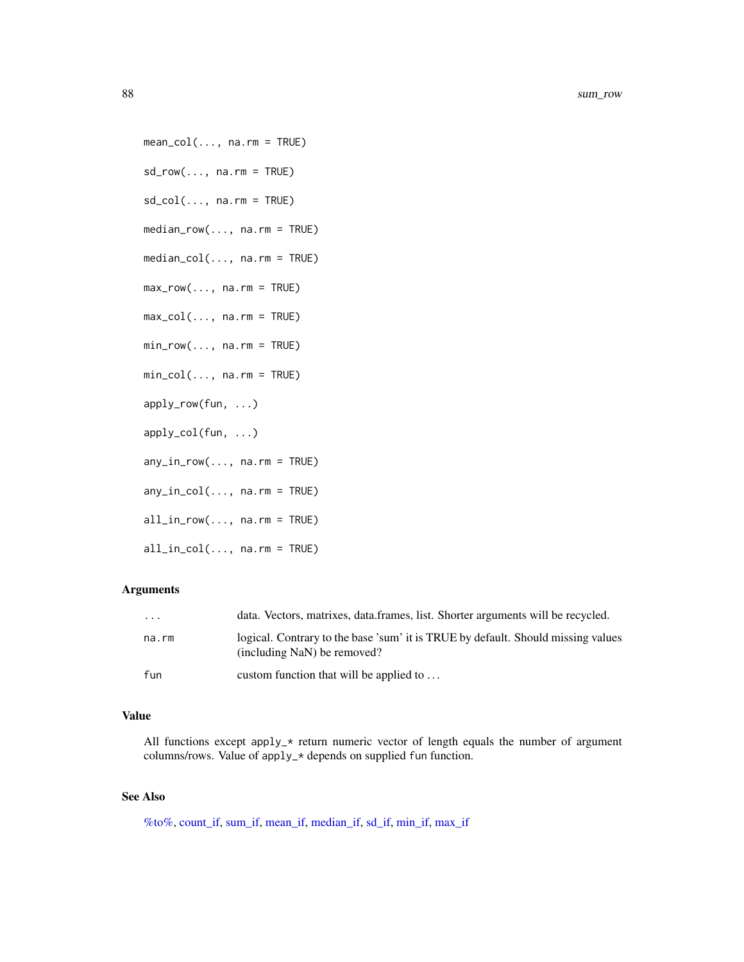88 sum\_row sum\_row sum\_row sum\_row sum\_row sum\_row sum\_row sum\_row sum\_row sum\_row

 $mean\_col(..., na.rm = TRUE)$ 

 $sd_{row}(\ldots, na.rm = TRUE)$ 

 $sd\_col(..., na.rm = TRUE)$ 

median\_row(..., na.rm = TRUE)

median\_col(..., na.rm = TRUE)

 $max_{row}(..., na.rm = TRUE)$ 

 $max_col(..., na.rm = TRUE)$ 

 $min\_row(..., na.rm = TRUE)$ 

min\_col(..., na.rm = TRUE)

apply\_row(fun, ...)

- apply\_col(fun, ...)
- $any_in_{row}(..., na.rm = TRUE)$

 $any_in\_col(..., na.rm = TRUE)$ 

- all\_in\_row(..., na.rm = TRUE)
- all\_in\_col(..., na.rm = TRUE)

## Arguments

| $\cdot$ | data. Vectors, matrixes, data.frames, list. Shorter arguments will be recycled.                                 |
|---------|-----------------------------------------------------------------------------------------------------------------|
| na.rm   | logical. Contrary to the base 'sum' it is TRUE by default. Should missing values<br>(including NaN) be removed? |
| fun     | custom function that will be applied to $\dots$                                                                 |

## Value

All functions except apply\_\* return numeric vector of length equals the number of argument columns/rows. Value of apply\_\* depends on supplied fun function.

# See Also

[%to%,](#page-113-0) [count\\_if,](#page-18-0) [sum\\_if,](#page-18-1) [mean\\_if,](#page-18-1) [median\\_if,](#page-18-1) [sd\\_if,](#page-18-1) [min\\_if,](#page-18-1) [max\\_if](#page-18-1)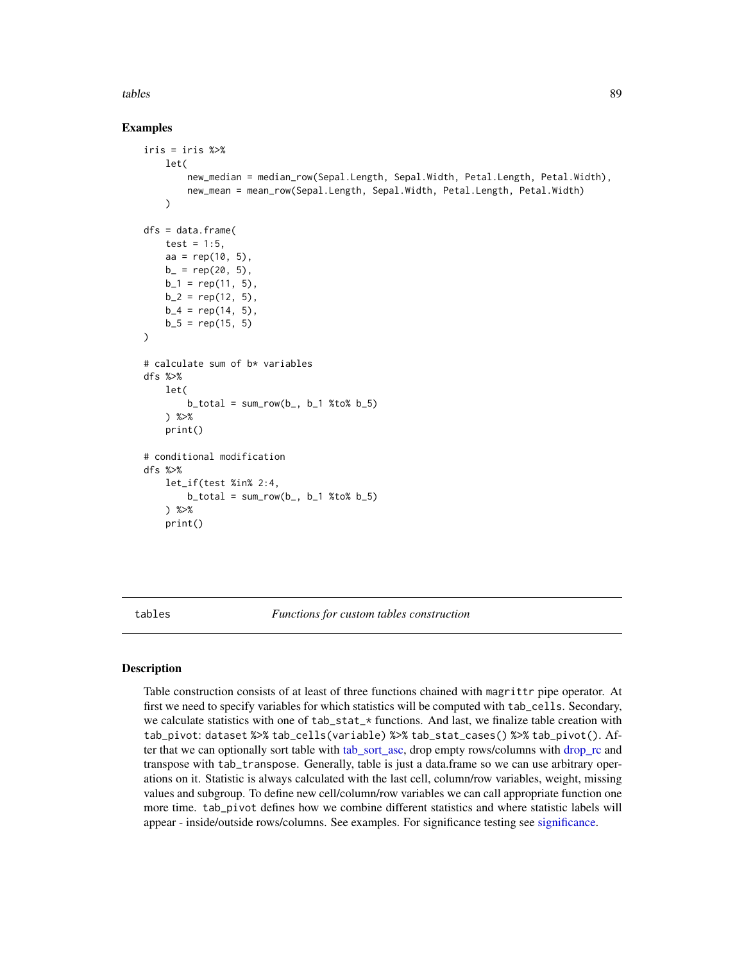#### tables 89

## Examples

```
iris = iris %>%
        let(
                new_median = median_row(Sepal.Length, Sepal.Width, Petal.Length, Petal.Width),
                new_mean = mean_row(Sepal.Length, Sepal.Width, Petal.Length, Petal.Width)
        \lambdadfs = data.frame(
        test = 1:5,
        aa = rep(10, 5),b_ = rep(20, 5),
        b_1 = rep(11, 5),b_2 = rep(12, 5),b_4 = rep(14, 5),b_5 = rep(15, 5))
# calculate sum of b* variables
dfs %>%
        let(
                b_{total} = sum_{row}(b_{-}, b_{-1} % is the function of the function <math>b_{-}</math> and <math>b_{-}</math> for <math>b_{-}</math> and <math>b_{-}</math> for <math>b_{-}</math> for <math>b_{-}</math> for <math>b_{-}</math> for <math>b_{-}</math> for <math>b_{-}</math> for <math>b_{-}</math> for <math>b_{-}</math> for <math>b_{-}</math> for <math>b_{-}</math> for <math>b_{-}</math> for <math>b_{-}</math> for <math>b_{-}</math> for <math>b_{-}</math> for <math>b_{-}</math> for <math>b_{-}</math> for <math>b_{-}</math> for <math>b_{-}</math> for <math>b_{-}</) %>%
        print()
# conditional modification
dfs %>%
        let_if(test %in% 2:4,
                b\_total = sum_{row}(b_-, b_1 %_{top} b_5)) %>%
        print()
```
<span id="page-88-0"></span>tables *Functions for custom tables construction*

## <span id="page-88-1"></span>Description

Table construction consists of at least of three functions chained with magrittr pipe operator. At first we need to specify variables for which statistics will be computed with tab\_cells. Secondary, we calculate statistics with one of tab\_stat\_\* functions. And last, we finalize table creation with tab\_pivot: dataset %>% tab\_cells(variable) %>% tab\_stat\_cases() %>% tab\_pivot(). After that we can optionally sort table with tab sort asc, drop empty rows/columns with drop rc and transpose with tab\_transpose. Generally, table is just a data.frame so we can use arbitrary operations on it. Statistic is always calculated with the last cell, column/row variables, weight, missing values and subgroup. To define new cell/column/row variables we can call appropriate function one more time. tab\_pivot defines how we combine different statistics and where statistic labels will appear - inside/outside rows/columns. See examples. For significance testing see [significance.](#page-97-0)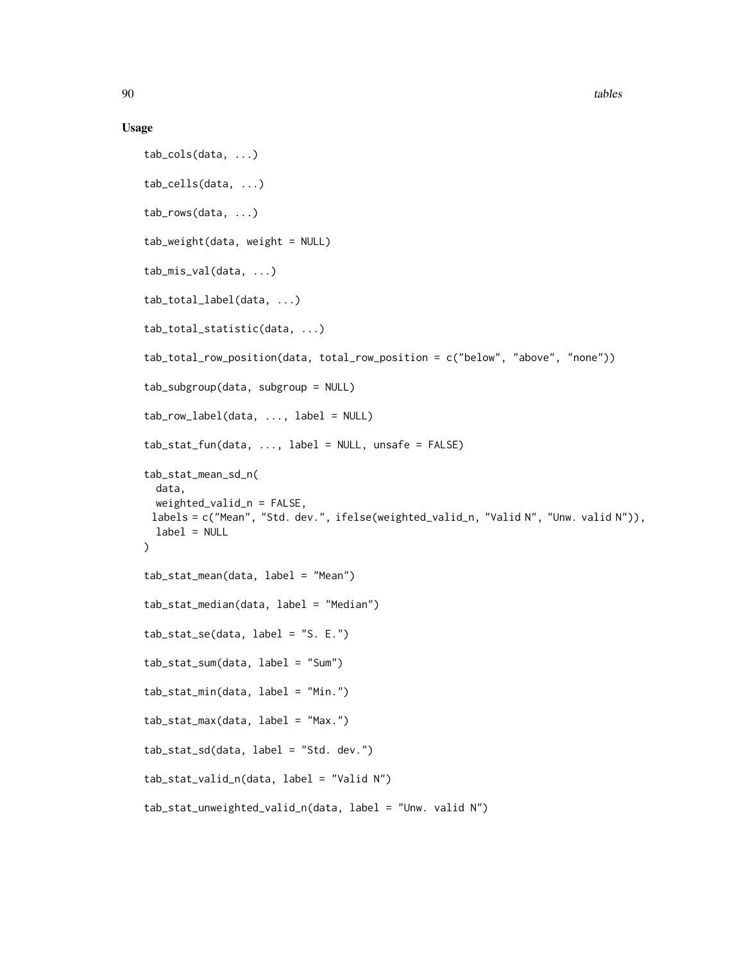#### Usage

```
tab_cols(data, ...)
tab_cells(data, ...)
tab_rows(data, ...)
tab_weight(data, weight = NULL)
tab_mis_val(data, ...)
tab_total_label(data, ...)
tab_total_statistic(data, ...)
tab_total_row_position(data, total_row_position = c("below", "above", "none"))
tab_subgroup(data, subgroup = NULL)
tab_{row\_label(data, ..., label} = NULLtab\_stat\_fun(data, ..., label = NULL, unsafe = FALSE)tab_stat_mean_sd_n(
 data,
 weighted_valid_n = FALSE,
 labels = c("Mean", "Std. dev.", ifelse(weighted_valid_n, "Valid N", "Unw. valid N")),
  label = NULL)
tab_stat_mean(data, label = "Mean")
tab_stat_median(data, label = "Median")
tab_stat_se(data, label = "S. E.")
tab_stat_sum(data, label = "Sum")
tab_stat_min(data, label = "Min.")
tab_stat_max(data, label = "Max.")
tab_stat_sd(data, label = "Std. dev.")
tab_stat_valid_n(data, label = "Valid N")
tab_stat_unweighted_valid_n(data, label = "Unw. valid N")
```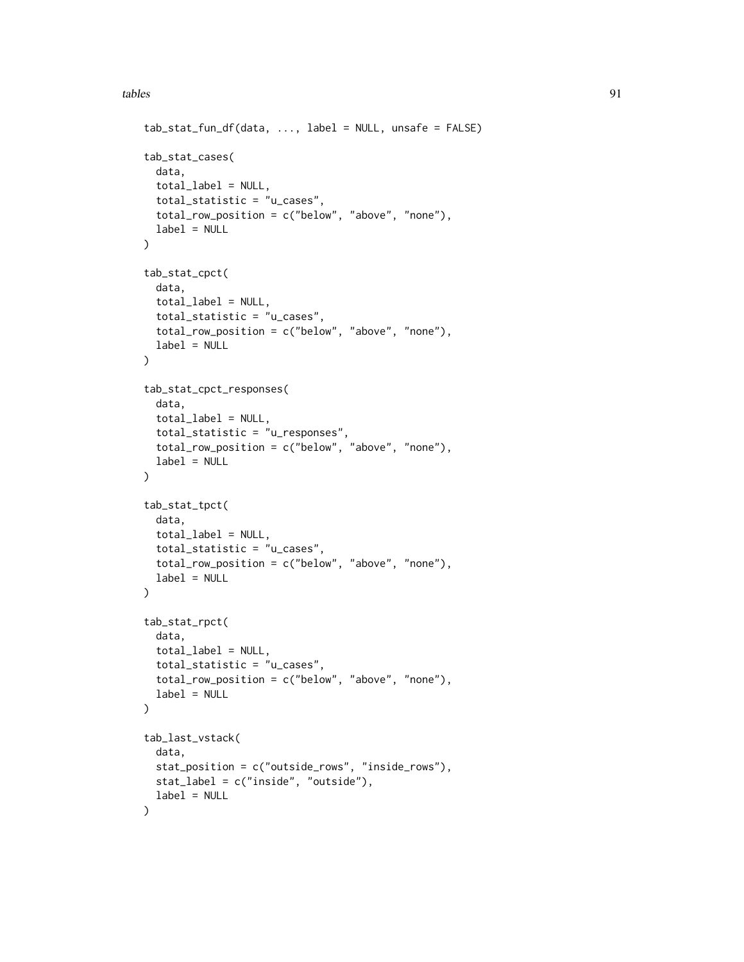```
tab\_stat\_fun\_df(data, ..., label = NULL, unsafe = FALSE)tab_stat_cases(
 data,
  total_label = NULL,
  total_statistic = "u_cases",
  total_row_position = c("below", "above", "none"),
 label = NULL\mathcal{L}tab_stat_cpct(
  data,
  total_label = NULL,
 total_statistic = "u_cases",
  total_row_position = c("below", "above", "none"),
  label = NULL\lambdatab_stat_cpct_responses(
  data,
 total_label = NULL,
  total_statistic = "u_responses",
  total_row_position = c("below", "above", "none"),
  label = NULL
)
tab_stat_tpct(
  data,
  total_label = NULL,
  total_statistic = "u_cases",
  total_row_position = c("below", "above", "none"),
  label = NULL\mathcal{L}tab_stat_rpct(
  data,
  total \text{label} = NULL,total_statistic = "u_cases",
  total_row_position = c("below", "above", "none"),
  label = NULL
\mathcal{L}tab_last_vstack(
  data,
  stat_position = c("outside_rows", "inside_rows"),
  stat_label = c("inside", "outside"),
  label = NULL\mathcal{L}
```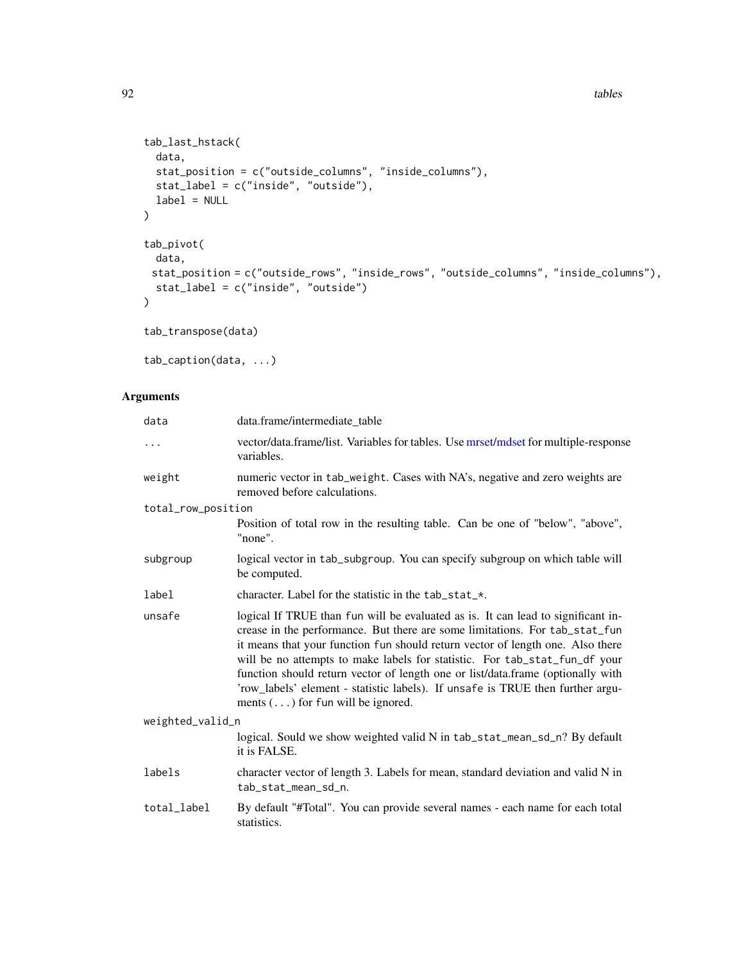example tables the contract of the contract of the contract of the contract of the contract of the contract of the contract of the contract of the contract of the contract of the contract of the contract of the contract of

```
tab_last_hstack(
 data,
 stat_position = c("outside_columns", "inside_columns"),
 stat_label = c("inside", "outside"),
 label = NULL
\mathcal{L}tab_pivot(
 data,
 stat_position = c("outside_rows", "inside_rows", "outside_columns", "inside_columns"),
 stat_label = c("inside", "outside")
)
```

```
tab_transpose(data)
```
tab\_caption(data, ...)

# Arguments

| data               | data.frame/intermediate_table                                                                                                                                                                                                                                                                                                                                                                                                                                                                                                                     |
|--------------------|---------------------------------------------------------------------------------------------------------------------------------------------------------------------------------------------------------------------------------------------------------------------------------------------------------------------------------------------------------------------------------------------------------------------------------------------------------------------------------------------------------------------------------------------------|
| $\cdots$           | vector/data.frame/list. Variables for tables. Use mrset/mdset for multiple-response<br>variables.                                                                                                                                                                                                                                                                                                                                                                                                                                                 |
| weight             | numeric vector in tab_weight. Cases with NA's, negative and zero weights are<br>removed before calculations.                                                                                                                                                                                                                                                                                                                                                                                                                                      |
| total_row_position |                                                                                                                                                                                                                                                                                                                                                                                                                                                                                                                                                   |
|                    | Position of total row in the resulting table. Can be one of "below", "above",<br>"none".                                                                                                                                                                                                                                                                                                                                                                                                                                                          |
| subgroup           | logical vector in tab_subgroup. You can specify subgroup on which table will<br>be computed.                                                                                                                                                                                                                                                                                                                                                                                                                                                      |
| label              | character. Label for the statistic in the tab_stat_*.                                                                                                                                                                                                                                                                                                                                                                                                                                                                                             |
| unsafe             | logical If TRUE than fun will be evaluated as is. It can lead to significant in-<br>crease in the performance. But there are some limitations. For tab_stat_fun<br>it means that your function fun should return vector of length one. Also there<br>will be no attempts to make labels for statistic. For tab_stat_fun_df your<br>function should return vector of length one or list/data.frame (optionally with<br>'row_labels' element - statistic labels). If unsafe is TRUE then further argu-<br>ments $(\ldots)$ for fun will be ignored. |
| weighted_valid_n   |                                                                                                                                                                                                                                                                                                                                                                                                                                                                                                                                                   |
|                    | logical. Sould we show weighted valid N in tab_stat_mean_sd_n? By default<br>it is FALSE.                                                                                                                                                                                                                                                                                                                                                                                                                                                         |
| labels             | character vector of length 3. Labels for mean, standard deviation and valid N in<br>tab_stat_mean_sd_n.                                                                                                                                                                                                                                                                                                                                                                                                                                           |
| total_label        | By default "#Total". You can provide several names - each name for each total<br>statistics.                                                                                                                                                                                                                                                                                                                                                                                                                                                      |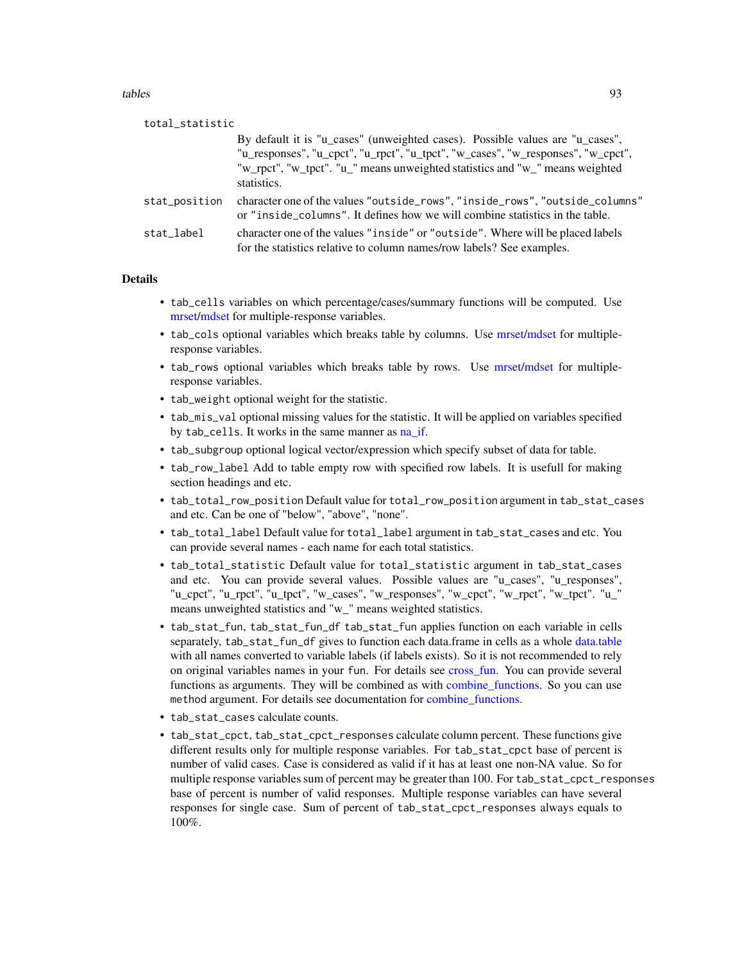tables 5 and 33 and 33 and 33 and 33 and 33 and 33 and 33 and 33 and 33 and 33 and 33 and 33 and 33 and 33 and 33 and 33 and 33 and 33 and 33 and 33 and 33 and 33 and 33 and 33 and 33 and 33 and 33 and 33 and 33 and 33 and

| total_statistic |                                                                                                                                                                                                                                                                  |
|-----------------|------------------------------------------------------------------------------------------------------------------------------------------------------------------------------------------------------------------------------------------------------------------|
|                 | By default it is "u_cases" (unweighted cases). Possible values are "u_cases",<br>"u_responses", "u_cpct", "u_rpct", "u_tpct", "w_cases", "w_responses", "w_cpct",<br>"w_rpct", "w_tpct". "u_" means unweighted statistics and "w_" means weighted<br>statistics. |
| stat_position   | character one of the values "outside_rows", "inside_rows", "outside_columns"<br>or "inside_columns". It defines how we will combine statistics in the table.                                                                                                     |
| stat label      | character one of the values "inside" or "outside". Where will be placed labels<br>for the statistics relative to column names/row labels? See examples.                                                                                                          |
|                 |                                                                                                                                                                                                                                                                  |

# Details

- tab\_cells variables on which percentage/cases/summary functions will be computed. Use [mrset](#page-62-0)[/mdset](#page-62-1) for multiple-response variables.
- tab\_cols optional variables which breaks table by columns. Use [mrset](#page-62-0)[/mdset](#page-62-1) for multipleresponse variables.
- tab\_rows optional variables which breaks table by rows. Use [mrset/](#page-62-0)[mdset](#page-62-1) for multipleresponse variables.
- tab\_weight optional weight for the statistic.
- tab\_mis\_val optional missing values for the statistic. It will be applied on variables specified by tab\_cells. It works in the same manner as [na\\_if.](#page-55-0)
- tab\_subgroup optional logical vector/expression which specify subset of data for table.
- tab\_row\_label Add to table empty row with specified row labels. It is usefull for making section headings and etc.
- tab\_total\_row\_position Default value for total\_row\_position argument in tab\_stat\_cases and etc. Can be one of "below", "above", "none".
- tab\_total\_label Default value for total\_label argument in tab\_stat\_cases and etc. You can provide several names - each name for each total statistics.
- tab\_total\_statistic Default value for total\_statistic argument in tab\_stat\_cases and etc. You can provide several values. Possible values are "u\_cases", "u\_responses", "u\_cpct", "u\_rpct", "u\_tpct", "w\_cases", "w\_responses", "w\_cpct", "w\_rpct", "w\_tpct". "u\_" means unweighted statistics and "w\_" means weighted statistics.
- tab\_stat\_fun, tab\_stat\_fun\_df tab\_stat\_fun applies function on each variable in cells separately, tab\_stat\_fun\_df gives to function each data.frame in cells as a whole [data.table](#page-0-0) with all names converted to variable labels (if labels exists). So it is not recommended to rely on original variables names in your fun. For details see [cross\\_fun.](#page-34-1) You can provide several functions as arguments. They will be combined as with combine functions. So you can use method argument. For details see documentation for combine functions.
- tab\_stat\_cases calculate counts.
- tab\_stat\_cpct, tab\_stat\_cpct\_responses calculate column percent. These functions give different results only for multiple response variables. For tab\_stat\_cpct base of percent is number of valid cases. Case is considered as valid if it has at least one non-NA value. So for multiple response variables sum of percent may be greater than 100. For tab\_stat\_cpct\_responses base of percent is number of valid responses. Multiple response variables can have several responses for single case. Sum of percent of tab\_stat\_cpct\_responses always equals to 100%.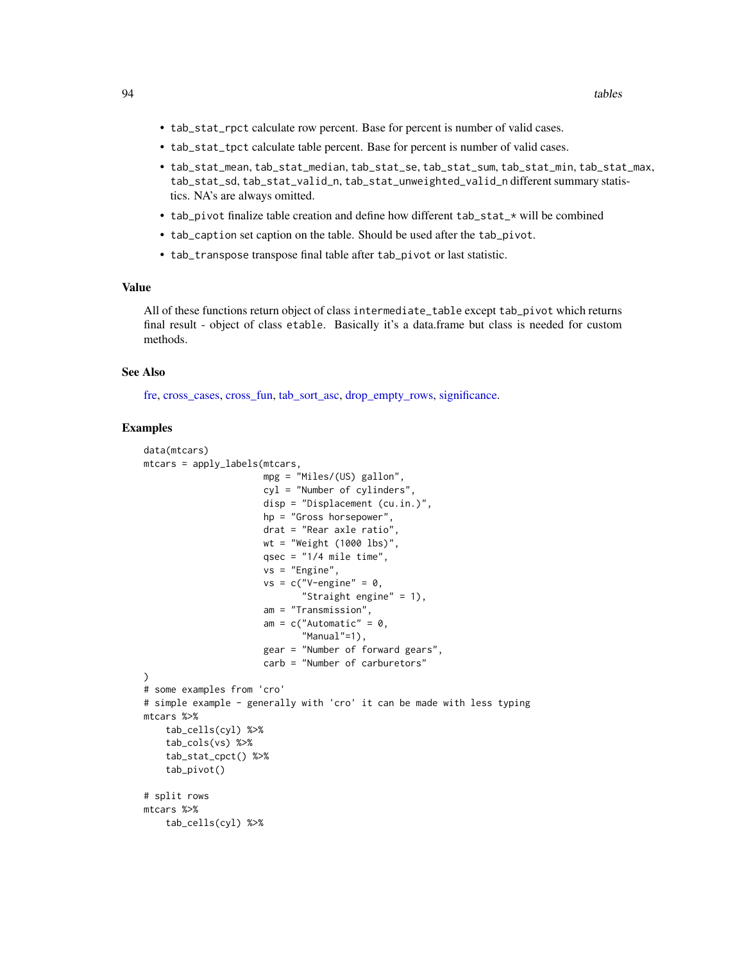- tab\_stat\_rpct calculate row percent. Base for percent is number of valid cases.
- tab\_stat\_tpct calculate table percent. Base for percent is number of valid cases.
- tab\_stat\_mean, tab\_stat\_median, tab\_stat\_se, tab\_stat\_sum, tab\_stat\_min, tab\_stat\_max, tab\_stat\_sd, tab\_stat\_valid\_n, tab\_stat\_unweighted\_valid\_n different summary statistics. NA's are always omitted.
- tab\_pivot finalize table creation and define how different tab\_stat\_ $\star$  will be combined
- tab\_caption set caption on the table. Should be used after the tab\_pivot.
- tab\_transpose transpose final table after tab\_pivot or last statistic.

#### Value

All of these functions return object of class intermediate\_table except tab\_pivot which returns final result - object of class etable. Basically it's a data.frame but class is needed for custom methods.

### See Also

[fre,](#page-49-0) [cross\\_cases,](#page-29-1) [cross\\_fun,](#page-34-1) [tab\\_sort\\_asc,](#page-106-0) [drop\\_empty\\_rows,](#page-43-1) [significance.](#page-97-0)

```
data(mtcars)
mtcars = apply_labels(mtcars,
                      mpg = "Miles/(US) gallon",
                      cyl = "Number of cylinders",
                      disp = "Displacement (cu.in.)",
                      hp = "Gross horsepower",
                      drat = "Rear axle ratio",
                      wt = "Weight (1000 lbs)",
                      qsec = "1/4 mile time",
                      vs = "Engine",vs = c("V-engine" = 0,"Straight engine" = 1),
                      am = "Transmission",
                      am = c("Automatic" = 0,"Manual"=1),
                      gear = "Number of forward gears",
                      carb = "Number of carburetors"
)
# some examples from 'cro'
# simple example - generally with 'cro' it can be made with less typing
mtcars %>%
    tab_cells(cyl) %>%
    tab_cols(vs) %>%
    tab_stat_cpct() %>%
    tab_pivot()
# split rows
mtcars %>%
    tab_cells(cyl) %>%
```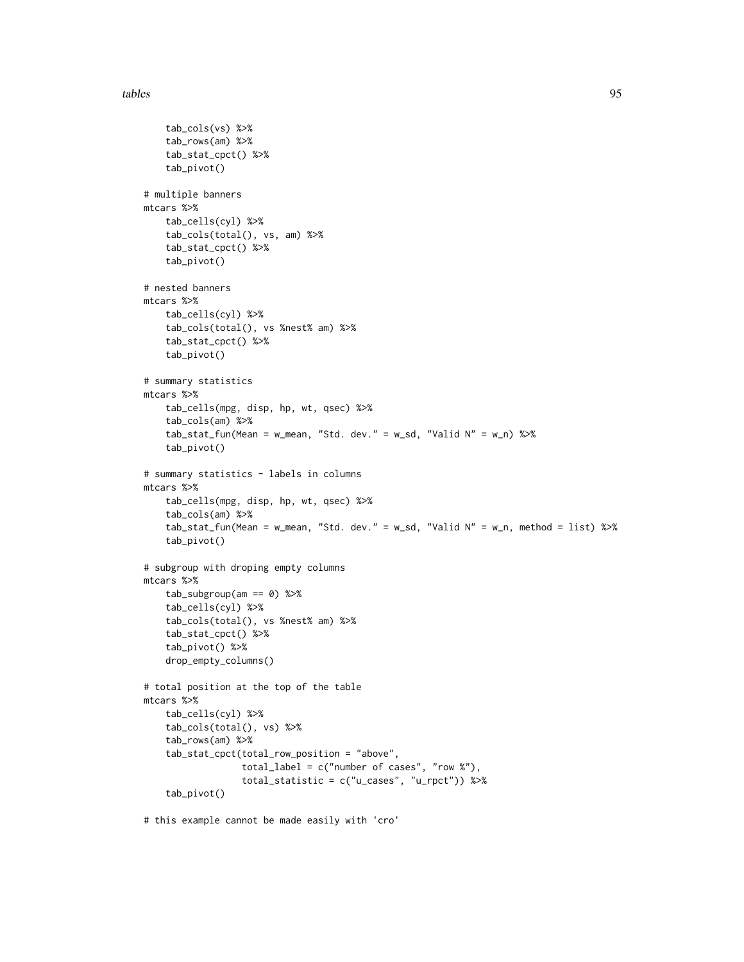#### tables 50 and 200 and 200 and 200 and 200 and 200 and 200 and 200 and 200 and 200 and 200 and 200 and 200 and 200 and 200 and 200 and 200 and 200 and 200 and 200 and 200 and 200 and 200 and 200 and 200 and 200 and 200 and

```
tab_cols(vs) %>%
    tab_rows(am) %>%
    tab_stat_cpct() %>%
    tab_pivot()
# multiple banners
mtcars %>%
   tab_cells(cyl) %>%
    tab_cols(total(), vs, am) %>%
    tab_stat_cpct() %>%
    tab_pivot()
# nested banners
mtcars %>%
    tab_cells(cyl) %>%
    tab_cols(total(), vs %nest% am) %>%
    tab_stat_cpct() %>%
    tab_pivot()
# summary statistics
mtcars %>%
    tab_cells(mpg, disp, hp, wt, qsec) %>%
    tab_cols(am) %>%
    tab_stat_fun(Mean = w_mean, "Std. dev." = w_sd, "Valid N" = w_n) %>%
    tab_pivot()
# summary statistics - labels in columns
mtcars %>%
    tab_cells(mpg, disp, hp, wt, qsec) %>%
    tab_cols(am) %>%
    tab_stat_fun(Mean = w_mean, "Std. dev." = w_sd, "Valid N" = w_n, method = list) %>%
    tab_pivot()
# subgroup with droping empty columns
mtcars %>%
   tab_subgroup(am == 0) %>%
    tab_cells(cyl) %>%
    tab_cols(total(), vs %nest% am) %>%
    tab_stat_cpct() %>%
    tab_pivot() %>%
    drop_empty_columns()
# total position at the top of the table
mtcars %>%
   tab_cells(cyl) %>%
    tab_cols(total(), vs) %>%
    tab_rows(am) %>%
    tab_stat_cpct(total_row_position = "above",
                  total_label = c("number of cases", "row %"),
                  total_statistic = c("u_cases", "u_rpct")) %>%
    tab_pivot()
```
# this example cannot be made easily with 'cro'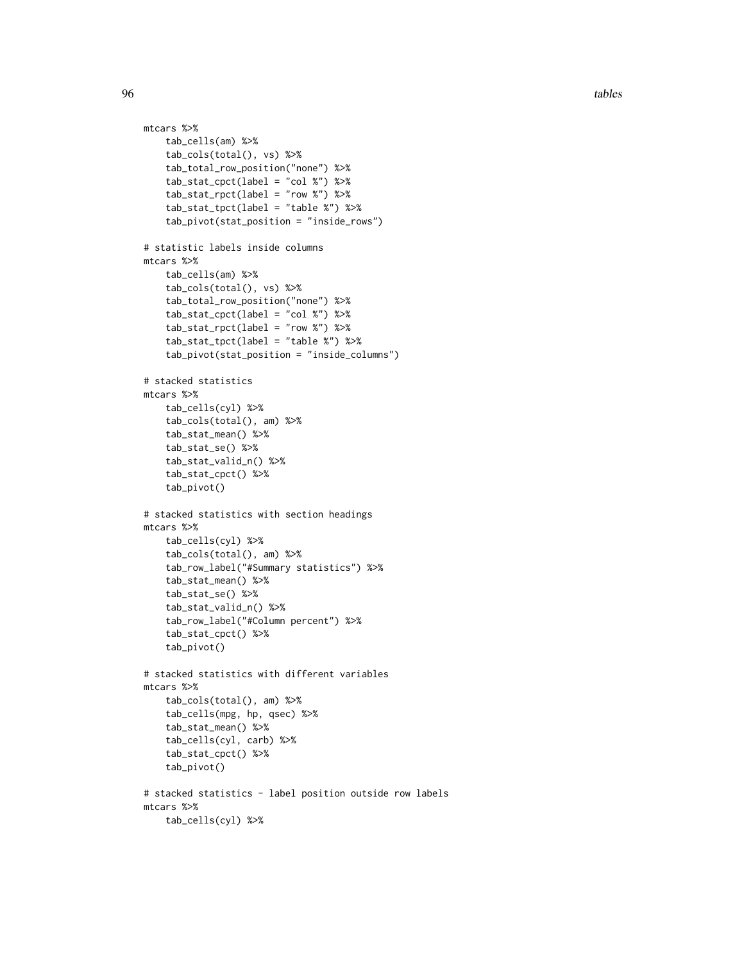```
mtcars %>%
   tab_cells(am) %>%
    tab_cols(total(), vs) %>%
    tab_total_row_position("none") %>%
    tab_stat_cpct(label = "col %") %>%
    tab_stat_rpct(label = "row %") %>%
    tab_stat_tpct(label = "table %") %>%
    tab_pivot(stat_position = "inside_rows")
# statistic labels inside columns
mtcars %>%
    tab_cells(am) %>%
    tab_cols(total(), vs) %>%
    tab_total_row_position("none") %>%
    tab_stat_cpct(label = "col %") %>%
    tab_stat_rpct(label = "row %") %>%
    tab_stat_tpct(label = "table %") %>%
    tab_pivot(stat_position = "inside_columns")
# stacked statistics
mtcars %>%
    tab_cells(cyl) %>%
    tab_cols(total(), am) %>%
    tab_stat_mean() %>%
    tab_stat_se() %>%
    tab_stat_valid_n() %>%
    tab_stat_cpct() %>%
    tab_pivot()
# stacked statistics with section headings
mtcars %>%
   tab_cells(cyl) %>%
    tab_cols(total(), am) %>%
    tab_row_label("#Summary statistics") %>%
    tab_stat_mean() %>%
    tab_stat_se() %>%
    tab_stat_valid_n() %>%
    tab_row_label("#Column percent") %>%
    tab_stat_cpct() %>%
    tab_pivot()
# stacked statistics with different variables
mtcars %>%
    tab_cols(total(), am) %>%
    tab_cells(mpg, hp, qsec) %>%
    tab_stat_mean() %>%
    tab_cells(cyl, carb) %>%
    tab_stat_cpct() %>%
    tab_pivot()
# stacked statistics - label position outside row labels
mtcars %>%
    tab_cells(cyl) %>%
```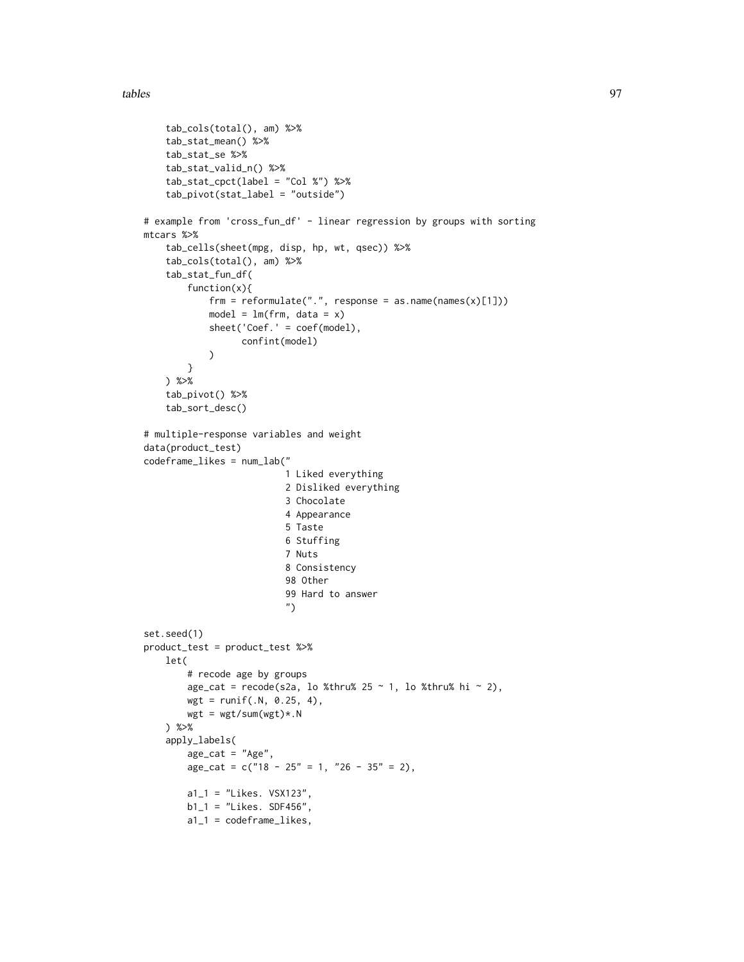```
tab_cols(total(), am) %>%
    tab_stat_mean() %>%
   tab_stat_se %>%
   tab_stat_valid_n() %>%
   tab_stat_cpct(label = "Col %") %>%
   tab_pivot(stat_label = "outside")
# example from 'cross_fun_df' - linear regression by groups with sorting
mtcars %>%
    tab_cells(sheet(mpg, disp, hp, wt, qsec)) %>%
   tab_cols(total(), am) %>%
    tab_stat_fun_df(
        function(x){
            frm = reformulate(".", response = as.name(names(x)[1]))
            model = lm(frm, data = x)sheet('Coef.' = coef(model),
                  confint(model)
            \mathcal{L}}
   ) %>%
    tab_pivot() %>%
    tab_sort_desc()
# multiple-response variables and weight
data(product_test)
codeframe_likes = num_lab("
                          1 Liked everything
                          2 Disliked everything
                          3 Chocolate
                          4 Appearance
                          5 Taste
                          6 Stuffing
                          7 Nuts
                          8 Consistency
                          98 Other
                          99 Hard to answer
                          ")
set.seed(1)
product_test = product_test %>%
    let(
        # recode age by groups
        age_cat = recode(s2a, lo %thru% 25 \sim 1, lo %thru% hi \sim 2),
       wgt = runif(.N, 0.25, 4),
       wgt = wgt/sum(wgt) * .N) %>%
    apply_labels(
       age\_cat = "Age",age\_cat = c("18 - 25" = 1, "26 - 35" = 2),a1_1 = "Likes. VSX123",b1_1 = "Likes. SDF456",
        a1_1 = codeframe_likes,
```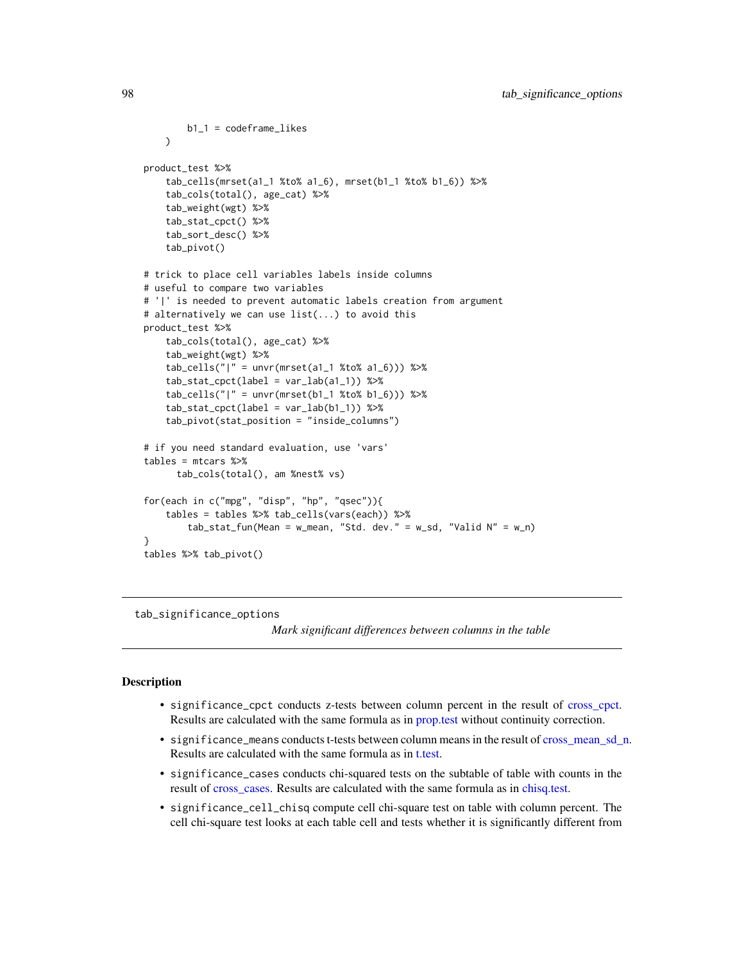```
b1_1 = codeframe_likes
   )
product_test %>%
    tab_cells(mrset(a1_1 %to% a1_6), mrset(b1_1 %to% b1_6)) %>%
    tab_cols(total(), age_cat) %>%
    tab_weight(wgt) %>%
    tab_stat_cpct() %>%
    tab_sort_desc() %>%
    tab_pivot()
# trick to place cell variables labels inside columns
# useful to compare two variables
# '|' is needed to prevent automatic labels creation from argument
# alternatively we can use list(...) to avoid this
product_test %>%
    tab_cols(total(), age_cat) %>%
    tab_weight(wgt) %>%
    tab_cells("|" = unvr(mrset(a1_1 %to% a1_6))) %>%
    tab_stat_cpct(label = var_lab(a1_1)) %>%
    tab_cells("|" = unvr(mrset(b1_1 %to% b1_6))) %>%
    tab\_stat\_cpt(label = var\_lab(b1_1)) %>%
    tab_pivot(stat_position = "inside_columns")
# if you need standard evaluation, use 'vars'
tables = mtcars %>%
     tab_cols(total(), am %nest% vs)
for(each in c("mpg", "disp", "hp", "qsec")){
    tables = tables %>% tab_cells(vars(each)) %>%
        tab\_stat\_fun(Mean = w_mean, "Std. dev." = w_sd, "Valid N" = w_n)}
tables %>% tab_pivot()
```
tab\_significance\_options

*Mark significant differences between columns in the table*

## <span id="page-97-0"></span>Description

- significance\_cpct conducts z-tests between column percent in the result of cross cpct. Results are calculated with the same formula as in [prop.test](#page-0-0) without continuity correction.
- significance\_means conducts t-tests between column means in the result of [cross\\_mean\\_sd\\_n.](#page-34-0) Results are calculated with the same formula as in [t.test.](#page-0-0)
- significance\_cases conducts chi-squared tests on the subtable of table with counts in the result of [cross\\_cases.](#page-29-1) Results are calculated with the same formula as in [chisq.test.](#page-0-0)
- significance\_cell\_chisq compute cell chi-square test on table with column percent. The cell chi-square test looks at each table cell and tests whether it is significantly different from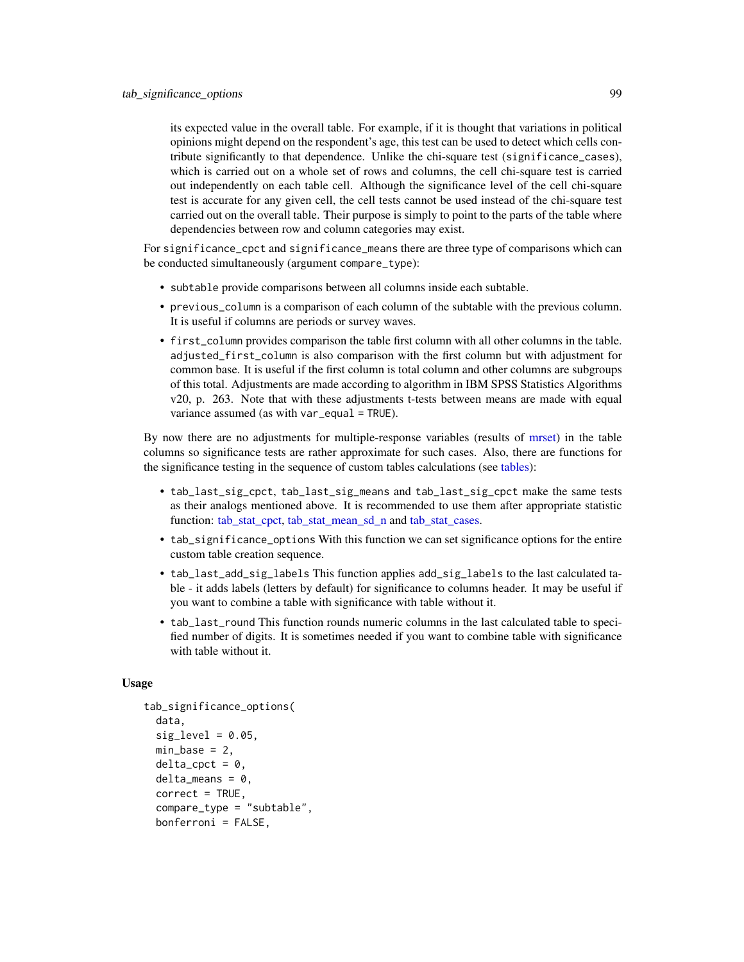its expected value in the overall table. For example, if it is thought that variations in political opinions might depend on the respondent's age, this test can be used to detect which cells contribute significantly to that dependence. Unlike the chi-square test (significance\_cases), which is carried out on a whole set of rows and columns, the cell chi-square test is carried out independently on each table cell. Although the significance level of the cell chi-square test is accurate for any given cell, the cell tests cannot be used instead of the chi-square test carried out on the overall table. Their purpose is simply to point to the parts of the table where dependencies between row and column categories may exist.

For significance\_cpct and significance\_means there are three type of comparisons which can be conducted simultaneously (argument compare\_type):

- subtable provide comparisons between all columns inside each subtable.
- previous\_column is a comparison of each column of the subtable with the previous column. It is useful if columns are periods or survey waves.
- first\_column provides comparison the table first column with all other columns in the table. adjusted\_first\_column is also comparison with the first column but with adjustment for common base. It is useful if the first column is total column and other columns are subgroups of this total. Adjustments are made according to algorithm in IBM SPSS Statistics Algorithms v20, p. 263. Note that with these adjustments t-tests between means are made with equal variance assumed (as with var\_equal = TRUE).

By now there are no adjustments for multiple-response variables (results of [mrset\)](#page-62-0) in the table columns so significance tests are rather approximate for such cases. Also, there are functions for the significance testing in the sequence of custom tables calculations (see [tables\)](#page-88-0):

- tab\_last\_sig\_cpct, tab\_last\_sig\_means and tab\_last\_sig\_cpct make the same tests as their analogs mentioned above. It is recommended to use them after appropriate statistic function: [tab\\_stat\\_cpct,](#page-88-1) [tab\\_stat\\_mean\\_sd\\_n](#page-88-1) and [tab\\_stat\\_cases.](#page-88-1)
- tab\_significance\_options With this function we can set significance options for the entire custom table creation sequence.
- tab\_last\_add\_sig\_labels This function applies add\_sig\_labels to the last calculated table - it adds labels (letters by default) for significance to columns header. It may be useful if you want to combine a table with significance with table without it.
- tab\_last\_round This function rounds numeric columns in the last calculated table to specified number of digits. It is sometimes needed if you want to combine table with significance with table without it.

#### Usage

```
tab_significance_options(
  data,
  sig\_level = 0.05,
 min\_base = 2,
  delta\_cpct = 0,
  delta\_means = 0,
  correct = TRUE,compare_type = "subtable",
  bonferroni = FALSE,
```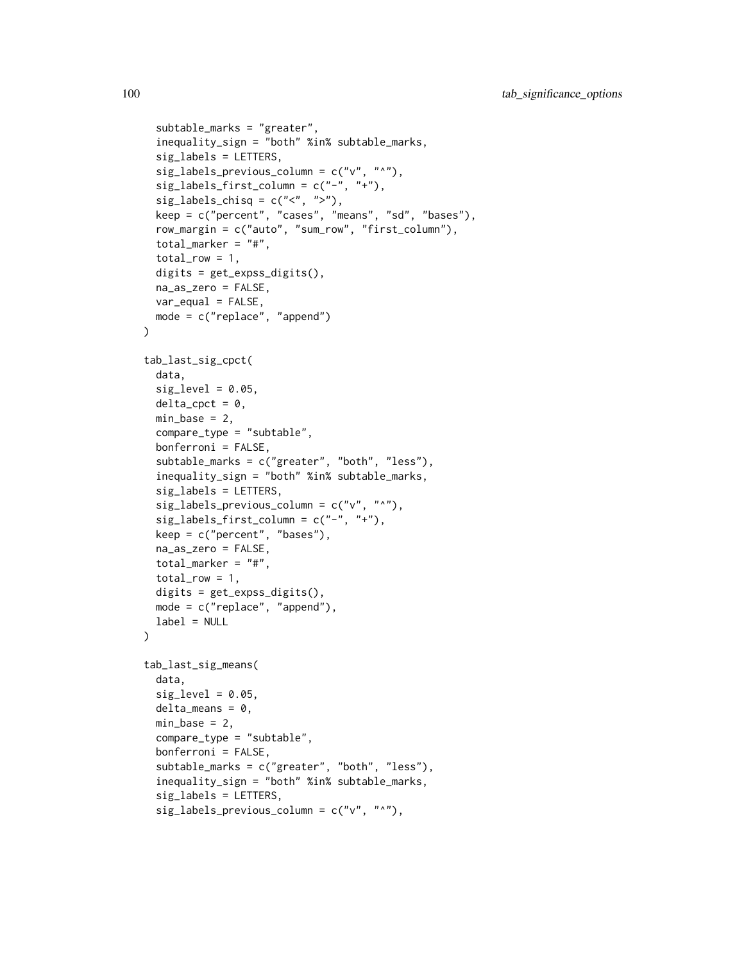```
subtable_marks = "greater",
  inequality_sign = "both" %in% subtable_marks,
  sig_labels = LETTERS,
  sig\_labels\_previous\_column = c("v", "^n),
  sig\_labels\_first\_column = c("-"," "+"),
  sig_labels_chisq = c("<", ">"),
  keep = c("percent", "cases", "means", "sd", "bases"),
  row_margin = c("auto", "sum_row", "first_column"),
  total_marker = "#",
  total_{row} = 1,
  digits = get_expss_digits(),
  na_as_zero = FALSE,
  var_equal = FALSE,
 mode = c("replace", "append")
)
tab_last_sig_cpct(
  data,
  sig\_level = 0.05,
  delta_cpct = \theta,
  min\_base = 2,
  compare_type = "subtable",
  bonferroni = FALSE,
  subtable_marks = c("greater", "both", "less"),
  inequality_sign = "both" %in% subtable_marks,
  sig_labels = LETTERS,
  sig_labels_previous_column = c("v", "^"),
  sig\_labels\_first\_column = c("--", "++"),keep = c("percent", "bases"),
  na_as_zero = FALSE,
  total_marker = "#",
  total_{row} = 1,
  digits = get_expss_digits(),
  mode = c("replace", "append"),
  label = NULL
\lambdatab_last_sig_means(
  data,
  sig\_level = 0.05,
  delta_means = 0,
  min\_base = 2,
  compare_type = "subtable",
  bonferroni = FALSE,
  subtable_marks = c("greater", "both", "less"),
  inequality_sign = "both" %in% subtable_marks,
  sig_labels = LETTERS,
  sig\_labels\_previous\_column = c("v", "^n),
```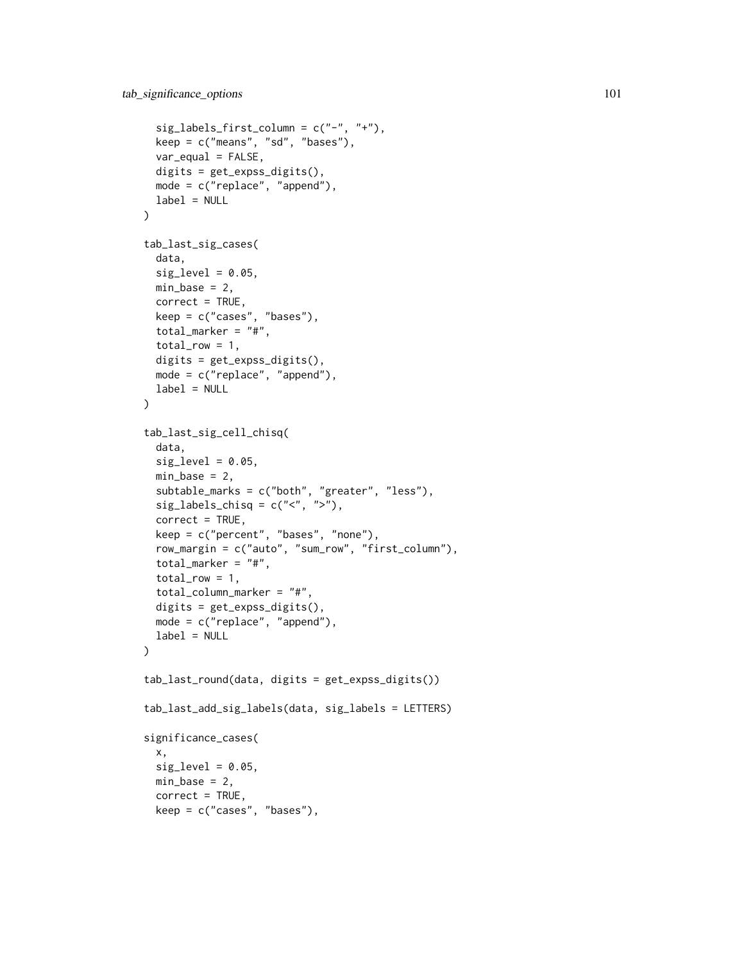```
sig\_labels\_first\_column = c("--", "++"),keep = c("means", "sd", "bases"),var_{equal} = FALSE,
 digits = get_expss_digits(),
 mode = c("replace", "append"),
 label = NULL
\lambdatab_last_sig_cases(
  data,
 sig\_level = 0.05,
 min\_base = 2,
 correct = TRUE,keep = c("cases", "bases"),
  total_marker = "#",
  total_{row} = 1,
 digits = get_expss_digits(),
 mode = c("replace", "append"),
 label = NULL)
tab_last_sig_cell_chisq(
  data,
  sig\_level = 0.05,
 min\_base = 2,
  subtable_marks = c("both", "greater", "less"),
  sig\_labels\_chisq = c("<", ">"),
  correct = TRUE,
 keep = c("percent", "bases", "none"),
  row_margin = c("auto", "sum_row", "first_column"),
  total_marker = "#",
  total_{row} = 1,
  total_column_marker = "#",
 digits = get_expss_digits(),
 mode = c("replace", "append"),
 label = NULL
)
tab_last_round(data, digits = get_expss_digits())
tab_last_add_sig_labels(data, sig_labels = LETTERS)
significance_cases(
 x,
 sig\_level = 0.05,
 min\_base = 2,
 correct = TRUE,keep = c("cases", "bases"),
```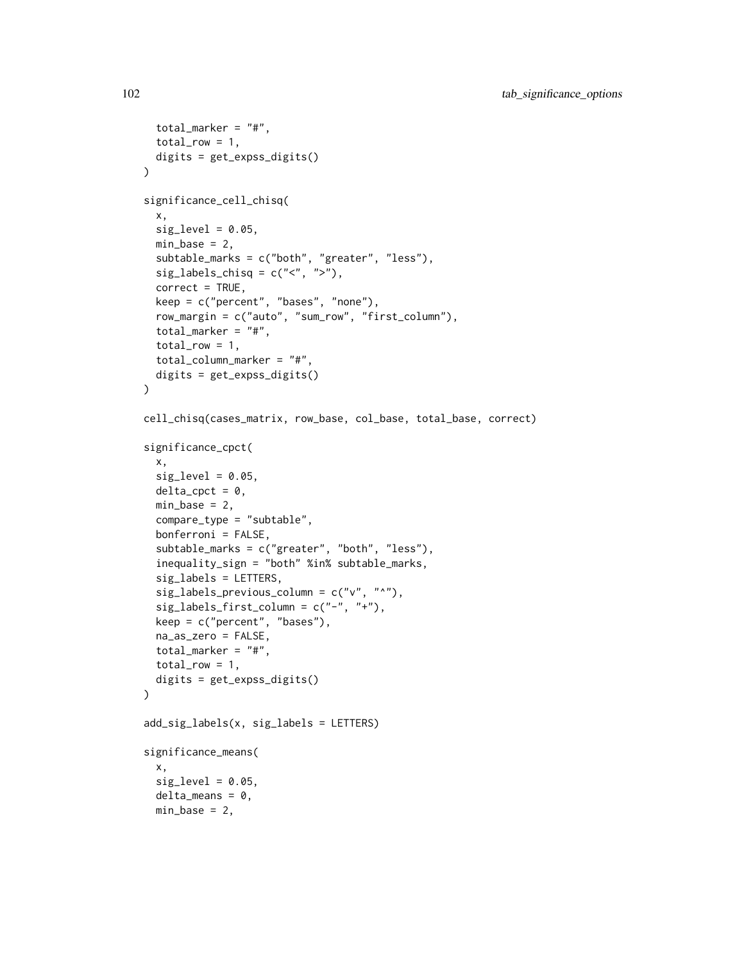```
total_marker = "#",
  total_{row} = 1,
 digits = get_expss_digits()
\lambdasignificance_cell_chisq(
 x,
  sig\_level = 0.05,
 min\_base = 2,
  subtable_marks = c("both", "greater", "less"),
  sig_labels_chisq = c("<", ">"),
  correct = TRUE,keep = c("percent", "bases", "none"),
  row_margin = c("auto", "sum_row", "first_column"),
  total_marker = "#",
  total_{row} = 1,
  total_column_marker = "#",
 digits = get_expss_digits()
\lambdacell_chisq(cases_matrix, row_base, col_base, total_base, correct)
significance_cpct(
 x,
  sig\_level = 0.05,
 delta_cpct = 0,
 min\_base = 2,
  compare_type = "subtable",
 bonferroni = FALSE,
  subtable_marks = c("greater", "both", "less"),
  inequality_sign = "both" %in% subtable_marks,
  sig_labels = LETTERS,
  sig\_labels\_previous\_column = c("v", "^n),
  sig_labels_first_column = c("-", "+"),
  keep = c("percent", "bases"),
 na_as_zero = FALSE,
 total_marker = "#",
 total_{row} = 1,
 digits = get_expss_digits()
)
add_sig_labels(x, sig_labels = LETTERS)
significance_means(
 x,
  sig\_level = 0.05,
 delta_means = 0,
 min\_base = 2,
```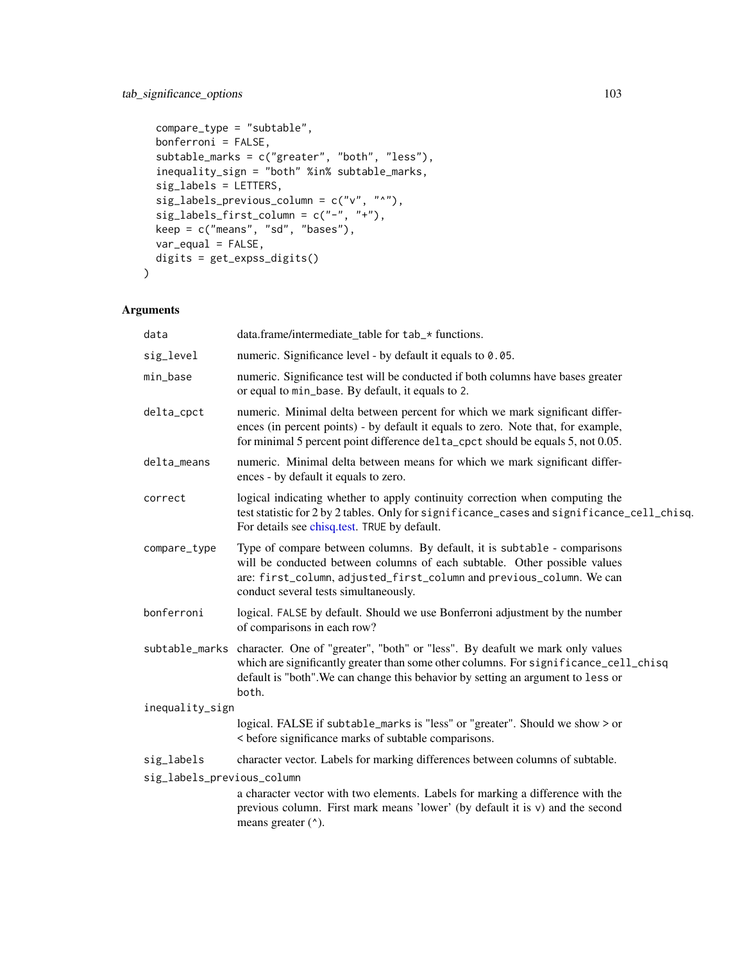```
compare_type = "subtable",
 bonferroni = FALSE,
 subtable_marks = c("greater", "both", "less"),
 inequality_sign = "both" %in% subtable_marks,
  sig_labels = LETTERS,
  sig_labels_previous_column = c("v", "^"),
 sig\_labels\_first\_column = c("-"," "+"),
 keep = c("means", "sd", "bases"),
 var_equal = FALSE,
 digits = get_expss_digits()
\mathcal{L}
```
# Arguments

| data                       | data.frame/intermediate_table for tab_* functions.                                                                                                                                                                                                                      |
|----------------------------|-------------------------------------------------------------------------------------------------------------------------------------------------------------------------------------------------------------------------------------------------------------------------|
| sig_level                  | numeric. Significance level - by default it equals to 0.05.                                                                                                                                                                                                             |
| min_base                   | numeric. Significance test will be conducted if both columns have bases greater<br>or equal to min_base. By default, it equals to 2.                                                                                                                                    |
| delta_cpct                 | numeric. Minimal delta between percent for which we mark significant differ-<br>ences (in percent points) - by default it equals to zero. Note that, for example,<br>for minimal 5 percent point difference delta_cpct should be equals 5, not 0.05.                    |
| delta_means                | numeric. Minimal delta between means for which we mark significant differ-<br>ences - by default it equals to zero.                                                                                                                                                     |
| correct                    | logical indicating whether to apply continuity correction when computing the<br>test statistic for 2 by 2 tables. Only for significance_cases and significance_cell_chisq.<br>For details see chisq.test. TRUE by default.                                              |
| compare_type               | Type of compare between columns. By default, it is subtable - comparisons<br>will be conducted between columns of each subtable. Other possible values<br>are: first_column, adjusted_first_column and previous_column. We can<br>conduct several tests simultaneously. |
| bonferroni                 | logical. FALSE by default. Should we use Bonferroni adjustment by the number<br>of comparisons in each row?                                                                                                                                                             |
| subtable_marks             | character. One of "greater", "both" or "less". By deafult we mark only values<br>which are significantly greater than some other columns. For significance_cell_chisq<br>default is "both". We can change this behavior by setting an argument to less or<br>both.      |
| inequality_sign            |                                                                                                                                                                                                                                                                         |
|                            | logical. FALSE if subtable_marks is "less" or "greater". Should we show > or<br>< before significance marks of subtable comparisons.                                                                                                                                    |
| sig_labels                 | character vector. Labels for marking differences between columns of subtable.                                                                                                                                                                                           |
| sig_labels_previous_column | a character vector with two elements. Labels for marking a difference with the<br>previous column. First mark means 'lower' (by default it is v) and the second<br>means greater ( $\alpha$ ).                                                                          |
|                            |                                                                                                                                                                                                                                                                         |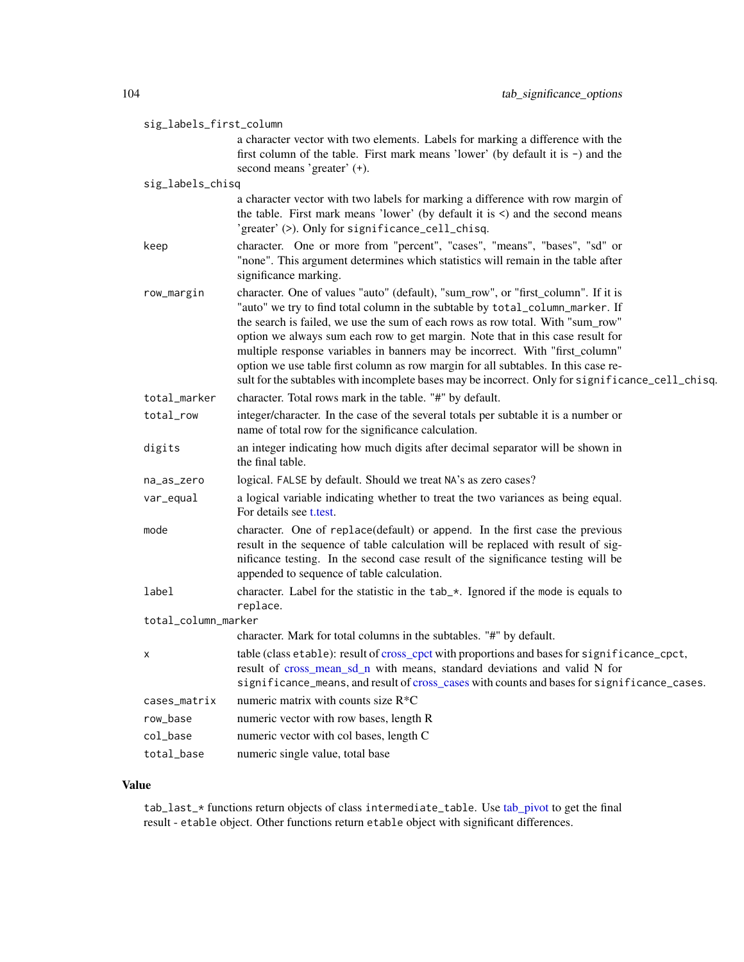| sig_labels_first_column |                                                                                                                                                                                                                                                                                                                                                                                                                                                                                                                                                                                                                  |  |
|-------------------------|------------------------------------------------------------------------------------------------------------------------------------------------------------------------------------------------------------------------------------------------------------------------------------------------------------------------------------------------------------------------------------------------------------------------------------------------------------------------------------------------------------------------------------------------------------------------------------------------------------------|--|
|                         | a character vector with two elements. Labels for marking a difference with the<br>first column of the table. First mark means 'lower' (by default it is $-$ ) and the<br>second means 'greater' (+).                                                                                                                                                                                                                                                                                                                                                                                                             |  |
| sig_labels_chisq        |                                                                                                                                                                                                                                                                                                                                                                                                                                                                                                                                                                                                                  |  |
|                         | a character vector with two labels for marking a difference with row margin of<br>the table. First mark means 'lower' (by default it is $\le$ ) and the second means<br>'greater' (>). Only for significance_cell_chisq.                                                                                                                                                                                                                                                                                                                                                                                         |  |
| keep                    | character. One or more from "percent", "cases", "means", "bases", "sd" or<br>"none". This argument determines which statistics will remain in the table after<br>significance marking.                                                                                                                                                                                                                                                                                                                                                                                                                           |  |
| row_margin              | character. One of values "auto" (default), "sum_row", or "first_column". If it is<br>"auto" we try to find total column in the subtable by total_column_marker. If<br>the search is failed, we use the sum of each rows as row total. With "sum_row"<br>option we always sum each row to get margin. Note that in this case result for<br>multiple response variables in banners may be incorrect. With "first_column"<br>option we use table first column as row margin for all subtables. In this case re-<br>sult for the subtables with incomplete bases may be incorrect. Only for significance_cell_chisq. |  |
| total_marker            | character. Total rows mark in the table. "#" by default.                                                                                                                                                                                                                                                                                                                                                                                                                                                                                                                                                         |  |
| total_row               | integer/character. In the case of the several totals per subtable it is a number or<br>name of total row for the significance calculation.                                                                                                                                                                                                                                                                                                                                                                                                                                                                       |  |
| digits                  | an integer indicating how much digits after decimal separator will be shown in<br>the final table.                                                                                                                                                                                                                                                                                                                                                                                                                                                                                                               |  |
| na_as_zero              | logical. FALSE by default. Should we treat NA's as zero cases?                                                                                                                                                                                                                                                                                                                                                                                                                                                                                                                                                   |  |
| var_equal               | a logical variable indicating whether to treat the two variances as being equal.<br>For details see t test.                                                                                                                                                                                                                                                                                                                                                                                                                                                                                                      |  |
| mode                    | character. One of replace(default) or append. In the first case the previous<br>result in the sequence of table calculation will be replaced with result of sig-<br>nificance testing. In the second case result of the significance testing will be<br>appended to sequence of table calculation.                                                                                                                                                                                                                                                                                                               |  |
| label                   | character. Label for the statistic in the tab_*. Ignored if the mode is equals to<br>replace.                                                                                                                                                                                                                                                                                                                                                                                                                                                                                                                    |  |
| total_column_marker     |                                                                                                                                                                                                                                                                                                                                                                                                                                                                                                                                                                                                                  |  |
|                         | character. Mark for total columns in the subtables. "#" by default.                                                                                                                                                                                                                                                                                                                                                                                                                                                                                                                                              |  |
|                         | table (class etable): result of cross_cpct with proportions and bases for significance_cpct,<br>result of cross_mean_sd_n with means, standard deviations and valid N for<br>significance_means, and result of cross_cases with counts and bases for significance_cases.                                                                                                                                                                                                                                                                                                                                         |  |
| cases_matrix            | numeric matrix with counts size $R^*C$                                                                                                                                                                                                                                                                                                                                                                                                                                                                                                                                                                           |  |
| row_base                | numeric vector with row bases, length R                                                                                                                                                                                                                                                                                                                                                                                                                                                                                                                                                                          |  |
| col_base                | numeric vector with col bases, length C                                                                                                                                                                                                                                                                                                                                                                                                                                                                                                                                                                          |  |
| total_base              | numeric single value, total base                                                                                                                                                                                                                                                                                                                                                                                                                                                                                                                                                                                 |  |

# Value

tab\_last\_\* functions return objects of class intermediate\_table. Use [tab\\_pivot](#page-88-1) to get the final result - etable object. Other functions return etable object with significant differences.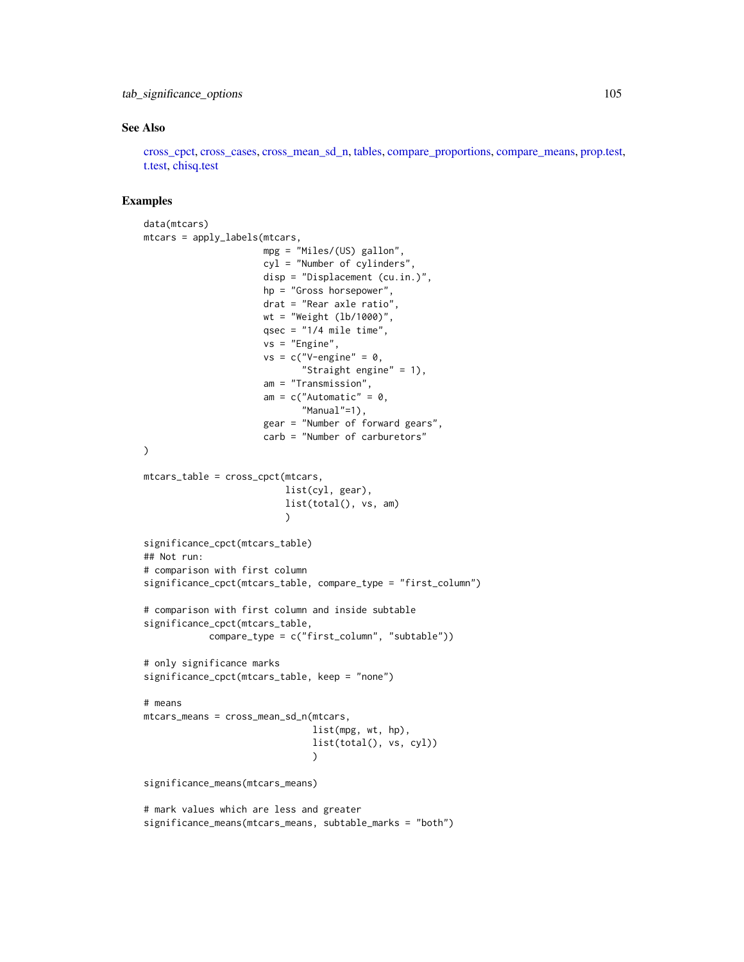## tab\_significance\_options 105

## See Also

[cross\\_cpct,](#page-29-0) [cross\\_cases,](#page-29-1) [cross\\_mean\\_sd\\_n,](#page-34-0) [tables,](#page-88-0) [compare\\_proportions,](#page-14-0) [compare\\_means,](#page-14-1) [prop.test,](#page-0-0) [t.test,](#page-0-0) [chisq.test](#page-0-0)

```
data(mtcars)
mtcars = apply_labels(mtcars,
                      mpg = "Miles/(US) gallon",
                      cyl = "Number of cylinders",
                      disp = "Displacement (cu.in.)",
                      hp = "Gross horsepower",
                      drat = "Rear axle ratio",
                      wt = "Weight (lb/1000)",
                      qsec = "1/4 mile time".
                      vs = "Engine",
                      vs = c("V-engine" = 0,"Straight engine" = 1),
                      am = "Transmission",
                      am = c("Automatic" = 0,"Manual"=1),
                      gear = "Number of forward gears",
                      carb = "Number of carburetors"
\lambdamtcars_table = cross_cpct(mtcars,
                          list(cyl, gear),
                          list(total(), vs, am)
                          )
significance_cpct(mtcars_table)
## Not run:
# comparison with first column
significance_cpct(mtcars_table, compare_type = "first_column")
# comparison with first column and inside subtable
significance_cpct(mtcars_table,
            compare_type = c("first_column", "subtable"))
# only significance marks
significance_cpct(mtcars_table, keep = "none")
# means
mtcars_means = cross_mean_sd_n(mtcars,
                               list(mpg, wt, hp),
                               list(total(), vs, cyl))
                                )
significance_means(mtcars_means)
# mark values which are less and greater
significance_means(mtcars_means, subtable_marks = "both")
```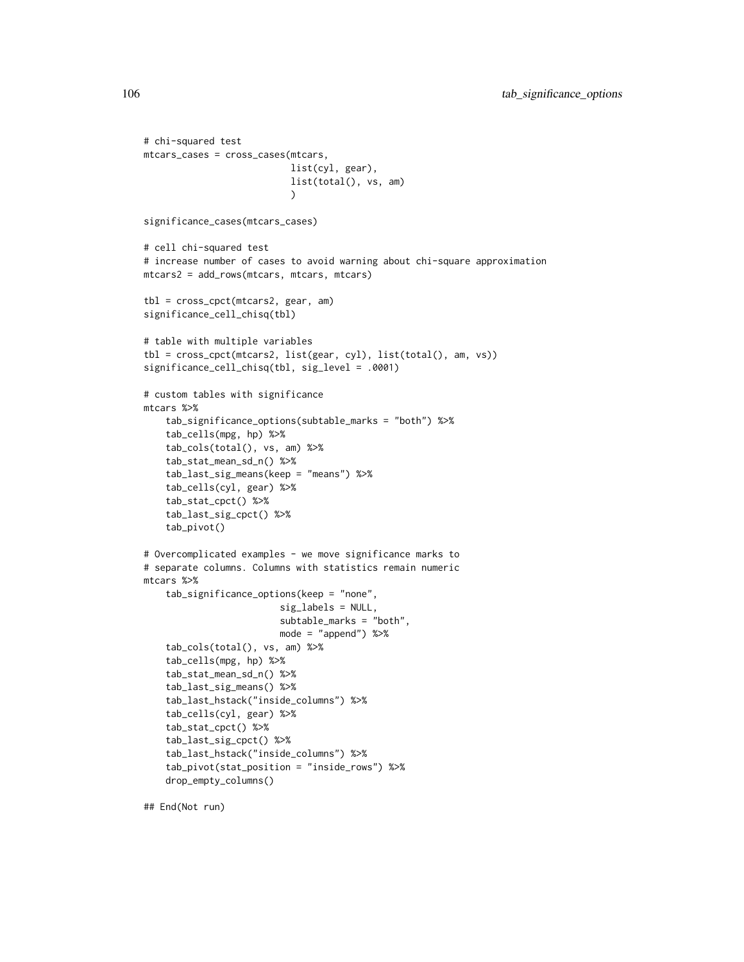```
# chi-squared test
mtcars_cases = cross_cases(mtcars,
                           list(cyl, gear),
                           list(total(), vs, am)
                           \lambdasignificance_cases(mtcars_cases)
# cell chi-squared test
# increase number of cases to avoid warning about chi-square approximation
mtcars2 = add_rows(mtcars, mtcars, mtcars)
tbl = cross_cpct(mtcars2, gear, am)
significance_cell_chisq(tbl)
# table with multiple variables
tbl = cross_cpct(mtcars2, list(gear, cyl), list(total(), am, vs))
significance_cell_chisq(tbl, sig_level = .0001)
# custom tables with significance
mtcars %>%
   tab_significance_options(subtable_marks = "both") %>%
    tab_cells(mpg, hp) %>%
    tab_cols(total(), vs, am) %>%
    tab_stat_mean_sd_n() %>%
    tab_last_sig_means(keep = "means") %>%
    tab_cells(cyl, gear) %>%
    tab_stat_cpct() %>%
    tab_last_sig_cpct() %>%
    tab_pivot()
# Overcomplicated examples - we move significance marks to
# separate columns. Columns with statistics remain numeric
mtcars %>%
    tab_significance_options(keep = "none",
                         sig_labels = NULL,
                         subtable_marks = "both",
                         mode = "append") %>%
    tab_cols(total(), vs, am) %>%
    tab_cells(mpg, hp) %>%
    tab_stat_mean_sd_n() %>%
    tab_last_sig_means() %>%
    tab_last_hstack("inside_columns") %>%
    tab_cells(cyl, gear) %>%
    tab_stat_cpct() %>%
    tab_last_sig_cpct() %>%
    tab_last_hstack("inside_columns") %>%
    tab_pivot(stat_position = "inside_rows") %>%
    drop_empty_columns()
```
## End(Not run)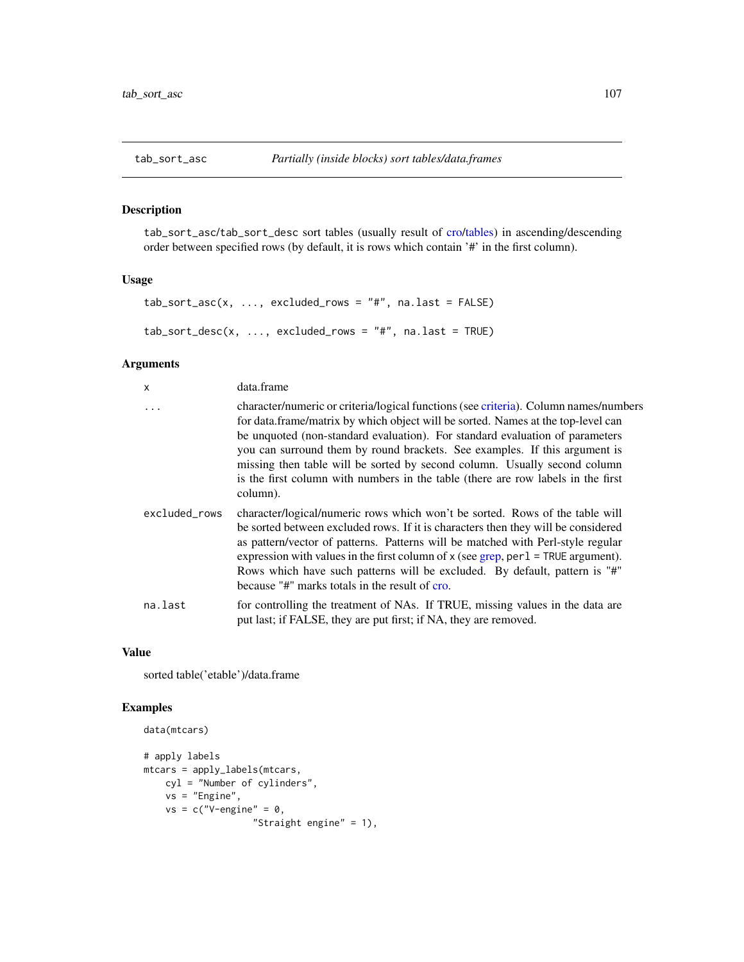<span id="page-106-0"></span>

tab\_sort\_asc/tab\_sort\_desc sort tables (usually result of [cro](#page-29-0)[/tables\)](#page-88-0) in ascending/descending order between specified rows (by default, it is rows which contain '#' in the first column).

# Usage

```
tab\_sort\_asc(x, ..., excluded\_rows = "#", na last = FALSE)tab_sort_desc(x, ..., excluded_rows = "#", na.last = TRUE)
```
## Arguments

| x             | data.frame                                                                                                                                                                                                                                                                                                                                                                                                                                                                                                          |
|---------------|---------------------------------------------------------------------------------------------------------------------------------------------------------------------------------------------------------------------------------------------------------------------------------------------------------------------------------------------------------------------------------------------------------------------------------------------------------------------------------------------------------------------|
| $\ddots$      | character/numeric or criteria/logical functions (see criteria). Column names/numbers<br>for data.frame/matrix by which object will be sorted. Names at the top-level can<br>be unquoted (non-standard evaluation). For standard evaluation of parameters<br>you can surround them by round brackets. See examples. If this argument is<br>missing then table will be sorted by second column. Usually second column<br>is the first column with numbers in the table (there are row labels in the first<br>column). |
| excluded_rows | character/logical/numeric rows which won't be sorted. Rows of the table will<br>be sorted between excluded rows. If it is characters then they will be considered<br>as pattern/vector of patterns. Patterns will be matched with Perl-style regular<br>expression with values in the first column of $x$ (see grep, per $1 = \text{TRUE}$ argument).<br>Rows which have such patterns will be excluded. By default, pattern is "#"<br>because "#" marks totals in the result of cro.                               |
| na.last       | for controlling the treatment of NAs. If TRUE, missing values in the data are<br>put last; if FALSE, they are put first; if NA, they are removed.                                                                                                                                                                                                                                                                                                                                                                   |

### Value

sorted table('etable')/data.frame

# Examples

```
data(mtcars)
# apply labels
mtcars = apply_labels(mtcars,
   cyl = "Number of cylinders",
   vs = "Engine",
   vs = c("V-engine" = 0,
```
"Straight engine" = 1),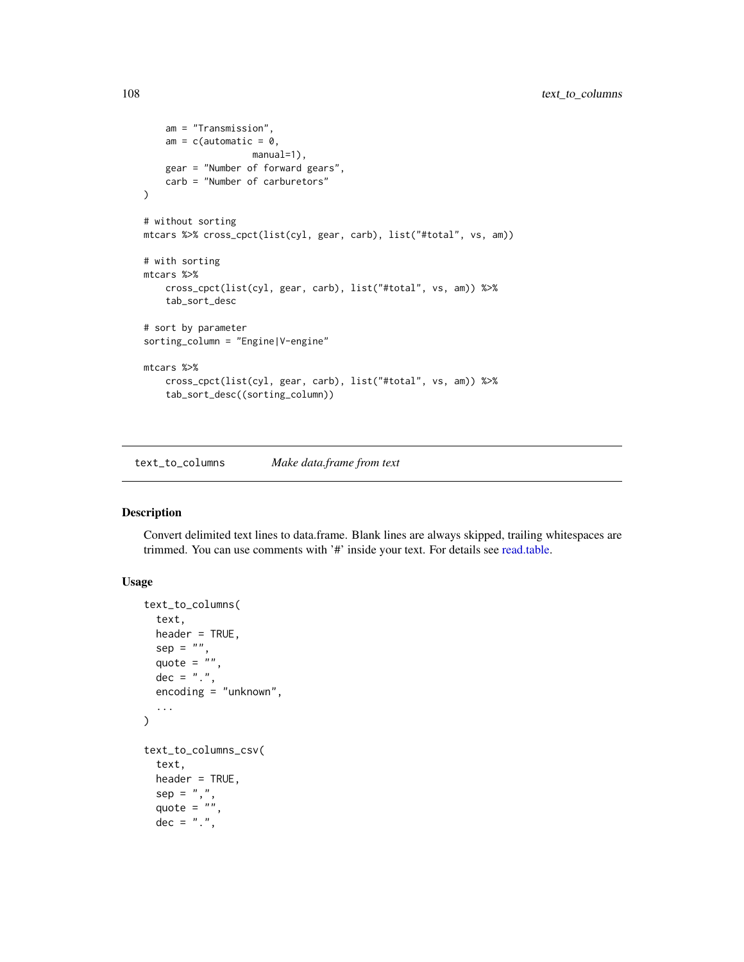```
am = "Transmission",
    am = c(automatic = 0,
                    manual=1),
    gear = "Number of forward gears",
    carb = "Number of carburetors"
\lambda# without sorting
mtcars %>% cross_cpct(list(cyl, gear, carb), list("#total", vs, am))
# with sorting
mtcars %>%
    cross_cpct(list(cyl, gear, carb), list("#total", vs, am)) %>%
    tab_sort_desc
# sort by parameter
sorting_column = "Engine|V-engine"
mtcars %>%
   cross_cpct(list(cyl, gear, carb), list("#total", vs, am)) %>%
    tab_sort_desc((sorting_column))
```
text\_to\_columns *Make data.frame from text*

## Description

Convert delimited text lines to data.frame. Blank lines are always skipped, trailing whitespaces are trimmed. You can use comments with '#' inside your text. For details see [read.table.](#page-0-0)

## Usage

```
text_to_columns(
  text,
 header = TRUE,
  sep = "",quote = ",
 dec = "."encoding = "unknown",
  ...
)
text_to_columns_csv(
  text,
 header = TRUE,
  sep = ","quote = ",
  dec = "."
```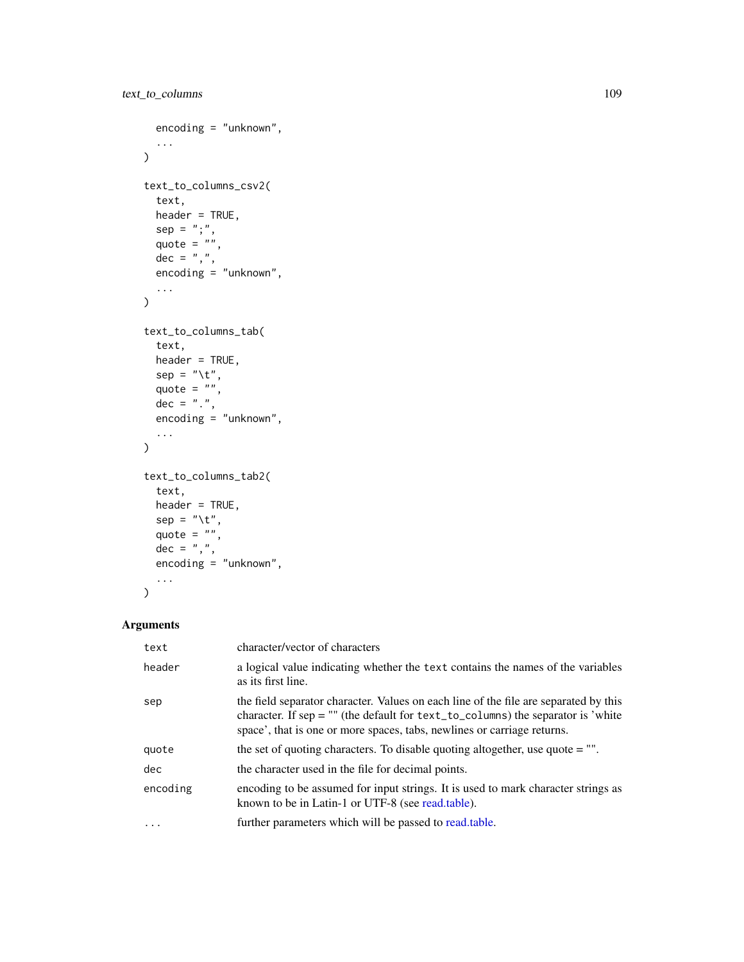```
encoding = "unknown",
  ...
\mathcal{L}text_to_columns_csv2(
  text,
  header = TRUE,
  sep = "; "quote = ",
  dec = ","encoding = "unknown",
  ...
)
text_to_columns_tab(
  text,
  header = TRUE,
  sep = "\t",
  quote = ",
  dec = "."encoding = "unknown",
  ...
\mathcal{L}text_to_columns_tab2(
  text,
  header = TRUE,sep = "\t",
  quote = ",
  dec = ","encoding = "unknown",
  ...
\lambda
```
# Arguments

| text     | character/vector of characters                                                                                                                                                                                                                           |
|----------|----------------------------------------------------------------------------------------------------------------------------------------------------------------------------------------------------------------------------------------------------------|
| header   | a logical value indicating whether the text contains the names of the variables<br>as its first line.                                                                                                                                                    |
| sep      | the field separator character. Values on each line of the file are separated by this<br>character. If $sep = ""$ (the default for $text_to_columns$ ) the separator is 'white<br>space', that is one or more spaces, tabs, newlines or carriage returns. |
| quote    | the set of quoting characters. To disable quoting altogether, use quote $=$ "".                                                                                                                                                                          |
| dec      | the character used in the file for decimal points.                                                                                                                                                                                                       |
| encoding | encoding to be assumed for input strings. It is used to mark character strings as<br>known to be in Latin-1 or UTF-8 (see read.table).                                                                                                                   |
| $\cdots$ | further parameters which will be passed to read.table.                                                                                                                                                                                                   |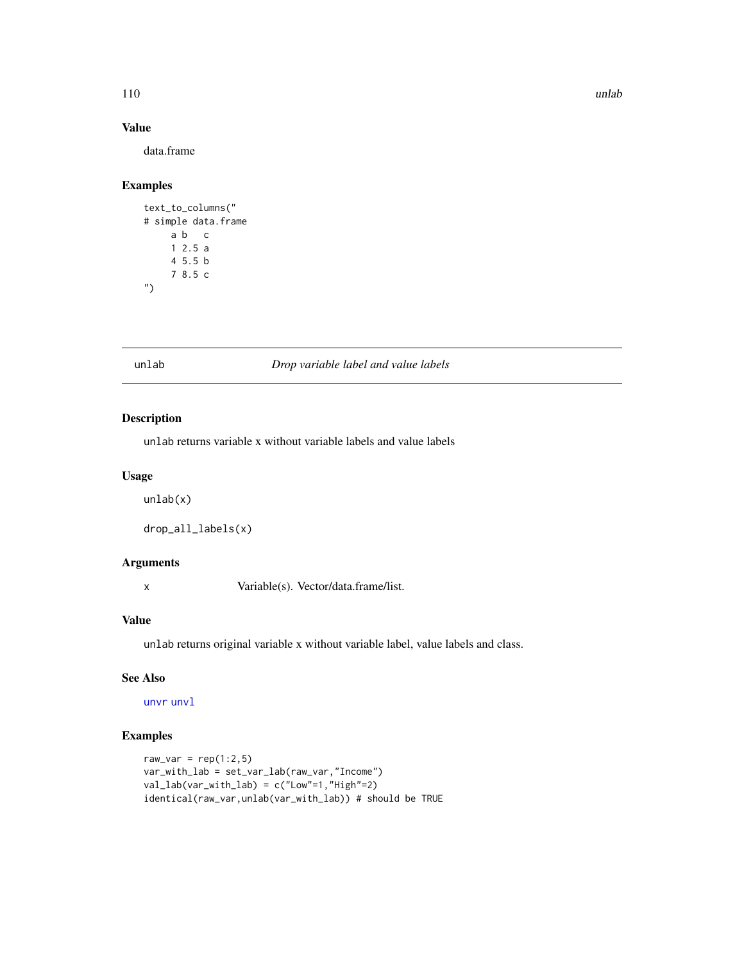#### 110 unlab unlab unlab unlab unlab unlab unlab unlab unlab unlab unlab unlab unlab unlab unlab unlab unlab unla

# Value

data.frame

### Examples

```
text_to_columns("
# simple data.frame
    a b c
    1 2.5 a
    4 5.5 b
    7 8.5 c
")
```
#### unlab *Drop variable label and value labels*

# Description

unlab returns variable x without variable labels and value labels

# Usage

unlab(x)

```
drop_all_labels(x)
```
# Arguments

x Variable(s). Vector/data.frame/list.

# Value

unlab returns original variable x without variable label, value labels and class.

# See Also

[unvr](#page-115-0) [unvl](#page-110-0)

```
raw_var = rep(1:2,5)var_with_lab = set_var_lab(raw_var,"Income")
val_lab(var_with_lab) = c("Low"=1,"High"=2)
identical(raw_var,unlab(var_with_lab)) # should be TRUE
```
<span id="page-109-0"></span>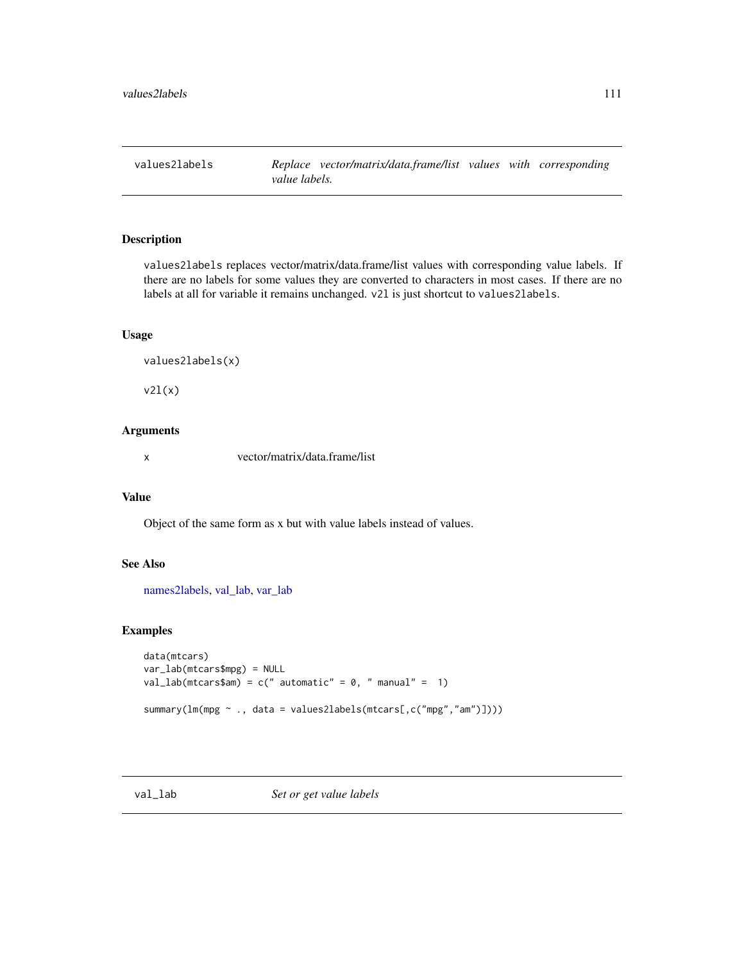<span id="page-110-2"></span>

values2labels replaces vector/matrix/data.frame/list values with corresponding value labels. If there are no labels for some values they are converted to characters in most cases. If there are no labels at all for variable it remains unchanged. v2l is just shortcut to values2labels.

# Usage

```
values2labels(x)
```
 $v2l(x)$ 

# Arguments

x vector/matrix/data.frame/list

# Value

Object of the same form as x but with value labels instead of values.

#### See Also

[names2labels,](#page-64-0) [val\\_lab,](#page-110-1) [var\\_lab](#page-115-1)

# Examples

```
data(mtcars)
var_lab(mtcars$mpg) = NULL
val_lab(mtcars$am) = c(" automatic" = 0, " manual" = 1)
summary(lm(mpg ~ ., data = values2labels(mtcars[,c("mpg","am")])))
```
<span id="page-110-0"></span>

<span id="page-110-1"></span>val\_lab *Set or get value labels*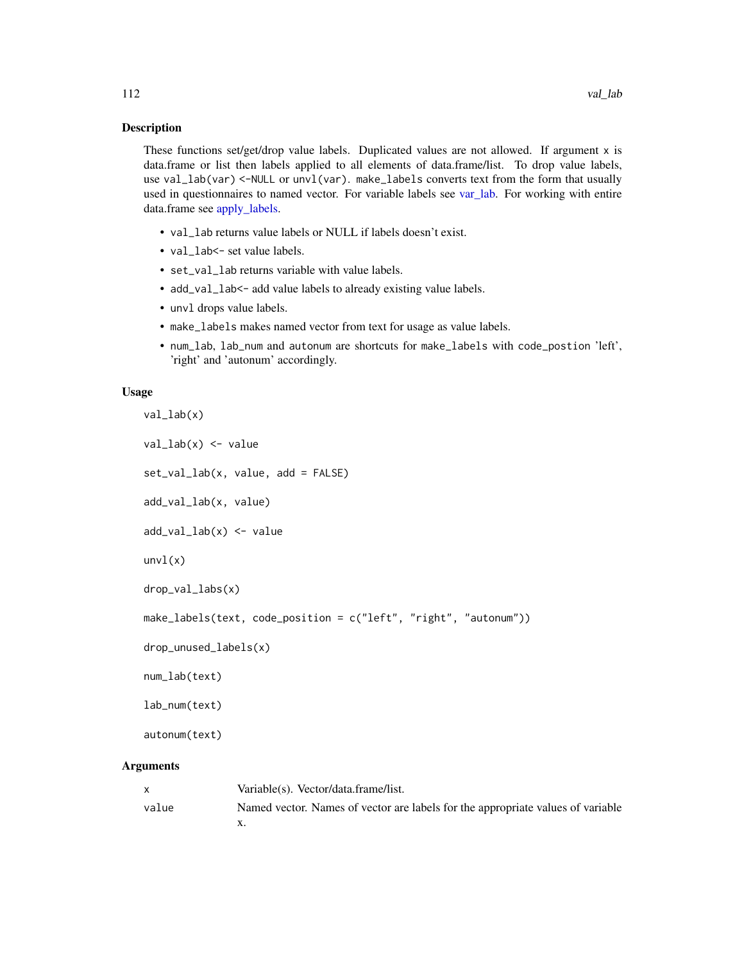<span id="page-111-0"></span>These functions set/get/drop value labels. Duplicated values are not allowed. If argument x is data.frame or list then labels applied to all elements of data.frame/list. To drop value labels, use val\_lab(var) <-NULL or unvl(var). make\_labels converts text from the form that usually used in questionnaires to named vector. For variable labels see [var\\_lab.](#page-115-1) For working with entire data.frame see [apply\\_labels.](#page-4-0)

- val\_lab returns value labels or NULL if labels doesn't exist.
- val\_lab<- set value labels.
- set\_val\_lab returns variable with value labels.
- add\_val\_lab<- add value labels to already existing value labels.
- unvl drops value labels.
- make\_labels makes named vector from text for usage as value labels.
- num\_lab, lab\_num and autonum are shortcuts for make\_labels with code\_postion 'left', 'right' and 'autonum' accordingly.

#### Usage

```
val_lab(x)
val_lab(x) <- value
set_val_lab(x, value, add = FALSE)
add_val_lab(x, value)
add_val_lab(x) <- value
unvl(x)drop_val_labs(x)
make_labels(text, code_position = c("left", "right", "autonum"))
drop_unused_labels(x)
num_lab(text)
lab_num(text)
autonum(text)
```
# Arguments

|       | Variable(s). Vector/data.frame/list.                                            |
|-------|---------------------------------------------------------------------------------|
| value | Named vector. Names of vector are labels for the appropriate values of variable |
|       |                                                                                 |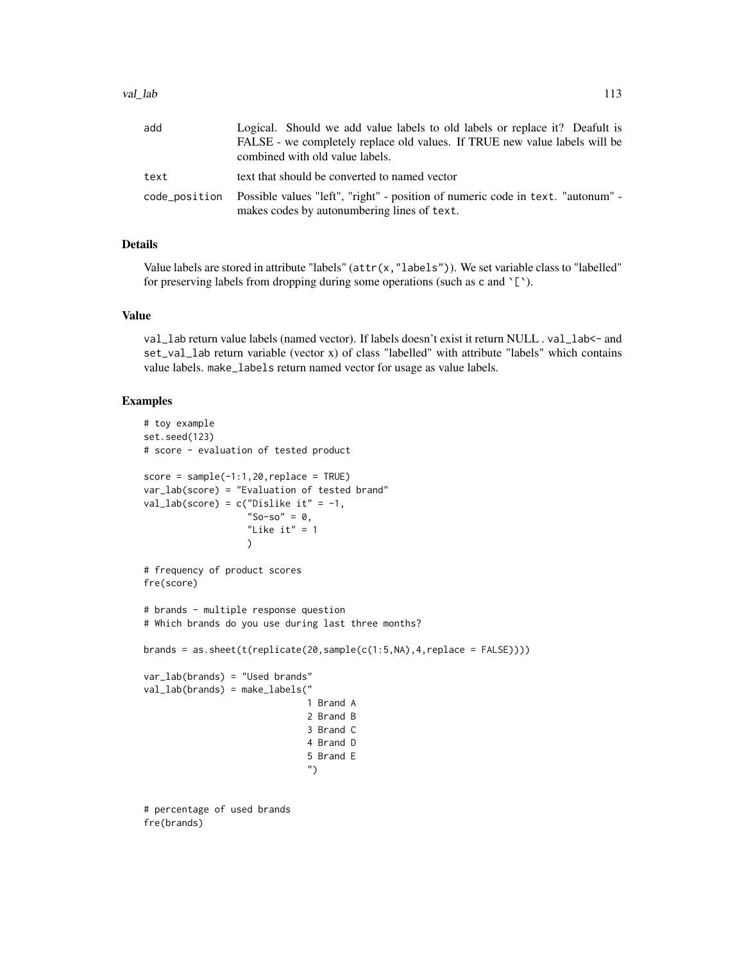| add  | Logical. Should we add value labels to old labels or replace it? Deafult is                                                                  |
|------|----------------------------------------------------------------------------------------------------------------------------------------------|
|      | FALSE - we completely replace old values. If TRUE new value labels will be                                                                   |
|      | combined with old value labels.                                                                                                              |
| text | text that should be converted to named vector                                                                                                |
|      | code_position Possible values "left", "right" - position of numeric code in text. "autonum" -<br>makes codes by autonumbering lines of text. |

# Details

Value labels are stored in attribute "labels" (attr(x,"labels")). We set variable class to "labelled" for preserving labels from dropping during some operations (such as c and  $\S$ ).

# Value

val\_lab return value labels (named vector). If labels doesn't exist it return NULL . val\_lab<- and set\_val\_lab return variable (vector x) of class "labelled" with attribute "labels" which contains value labels. make\_labels return named vector for usage as value labels.

```
# toy example
set.seed(123)
# score - evaluation of tested product
score = sample(-1:1,20, replace = TRUE)var_lab(score) = "Evaluation of tested brand"
val_lab(score) = c("Dislike it" = -1,
                   "So-so" = \theta,
                   "Like it" = 1\lambda# frequency of product scores
fre(score)
# brands - multiple response question
# Which brands do you use during last three months?
brands = as.sheet(t(replicate(20,sample(c(1:5,NA),4,replace = FALSE))))
var_lab(brands) = "Used brands"
val_lab(brands) = make_labels("
                              1 Brand A
                              2 Brand B
                              3 Brand C
                              4 Brand D
                              5 Brand E
                              ")
# percentage of used brands
fre(brands)
```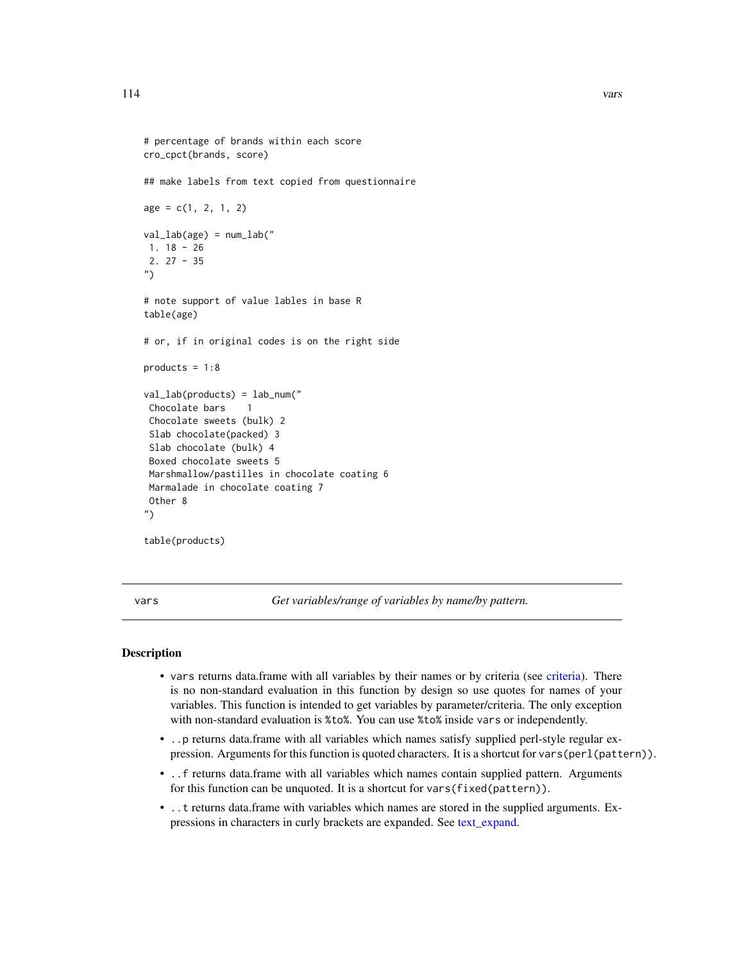```
# percentage of brands within each score
cro_cpct(brands, score)
## make labels from text copied from questionnaire
age = c(1, 2, 1, 2)val_lab(age) = num_lab("
1. 18 - 26
2. 27 - 35
")
# note support of value lables in base R
table(age)
# or, if in original codes is on the right side
products = 1:8val_lab(products) = lab_num("
Chocolate bars 1
Chocolate sweets (bulk) 2
Slab chocolate(packed) 3
Slab chocolate (bulk) 4
 Boxed chocolate sweets 5
Marshmallow/pastilles in chocolate coating 6
Marmalade in chocolate coating 7
Other 8
")
table(products)
```
vars *Get variables/range of variables by name/by pattern.*

### **Description**

- vars returns data.frame with all variables by their names or by criteria (see [criteria\)](#page-24-0). There is no non-standard evaluation in this function by design so use quotes for names of your variables. This function is intended to get variables by parameter/criteria. The only exception with non-standard evaluation is %to%. You can use %to% inside vars or independently.
- ..p returns data.frame with all variables which names satisfy supplied perl-style regular expression. Arguments for this function is quoted characters. It is a shortcut for vars(perl(pattern)).
- ..f returns data.frame with all variables which names contain supplied pattern. Arguments for this function can be unquoted. It is a shortcut for vars(fixed(pattern)).
- ..t returns data.frame with variables which names are stored in the supplied arguments. Expressions in characters in curly brackets are expanded. See [text\\_expand.](#page-0-0)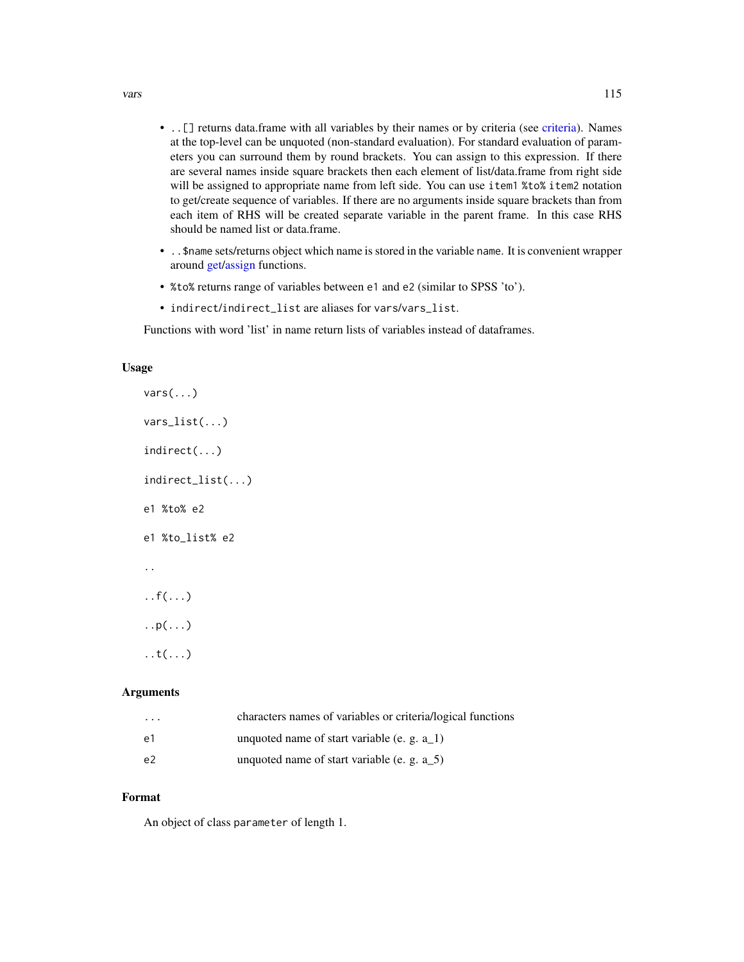- <span id="page-114-0"></span>• ..[] returns data.frame with all variables by their names or by criteria (see [criteria\)](#page-24-0). Names at the top-level can be unquoted (non-standard evaluation). For standard evaluation of parameters you can surround them by round brackets. You can assign to this expression. If there are several names inside square brackets then each element of list/data.frame from right side will be assigned to appropriate name from left side. You can use item1 %to% item2 notation to get/create sequence of variables. If there are no arguments inside square brackets than from each item of RHS will be created separate variable in the parent frame. In this case RHS should be named list or data.frame.
- ..\$name sets/returns object which name is stored in the variable name. It is convenient wrapper around [get/assign](#page-0-0) functions.
- %to% returns range of variables between e1 and e2 (similar to SPSS 'to').
- indirect/indirect\_list are aliases for vars/vars\_list.

Functions with word 'list' in name return lists of variables instead of dataframes.

# Usage

vars(...) vars\_list(...) indirect(...) indirect\_list(...) e1 %to% e2 e1 %to\_list% e2 ..  $\ldots f(\ldots)$  $\ldots p(\ldots)$  $\ldots$ )

# Arguments

| $\cdot$ $\cdot$ $\cdot$ | characters names of variables or criteria/logical functions |
|-------------------------|-------------------------------------------------------------|
| -e1                     | unquoted name of start variable (e. g. a $\bar{1}$ )        |
| e <sup>2</sup>          | unquoted name of start variable (e. g. a $\,$ 5)            |

#### Format

An object of class parameter of length 1.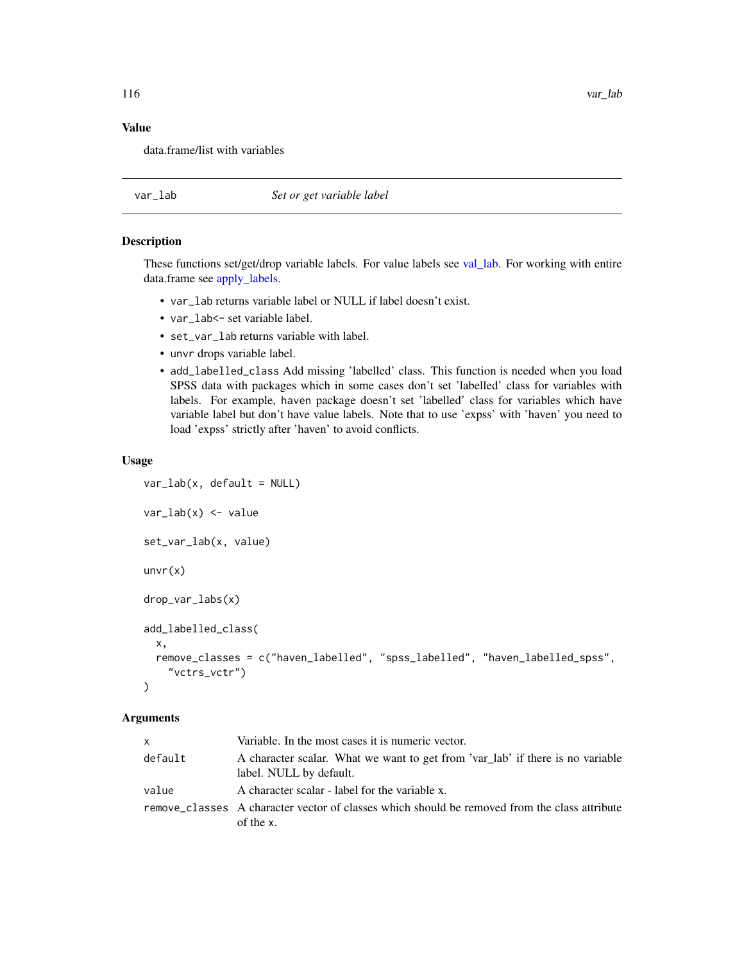116 var\_lab

# Value

data.frame/list with variables

<span id="page-115-1"></span>var\_lab *Set or get variable label*

# <span id="page-115-0"></span>Description

These functions set/get/drop variable labels. For value labels see [val\\_lab.](#page-110-1) For working with entire data.frame see [apply\\_labels.](#page-4-0)

- var\_lab returns variable label or NULL if label doesn't exist.
- var\_lab<- set variable label.
- set\_var\_lab returns variable with label.
- unvr drops variable label.
- add\_labelled\_class Add missing 'labelled' class. This function is needed when you load SPSS data with packages which in some cases don't set 'labelled' class for variables with labels. For example, haven package doesn't set 'labelled' class for variables which have variable label but don't have value labels. Note that to use 'expss' with 'haven' you need to load 'expss' strictly after 'haven' to avoid conflicts.

#### Usage

```
var\_lab(x, default = NULL)var_lab(x) <- value
set_var_lab(x, value)
unvr(x)drop_var_labs(x)
add_labelled_class(
  x,
  remove_classes = c("haven_labelled", "spss_labelled", "haven_labelled_spss",
    "vctrs_vctr")
)
```
#### Arguments

| x       | Variable. In the most cases it is numeric vector.                                                             |
|---------|---------------------------------------------------------------------------------------------------------------|
| default | A character scalar. What we want to get from 'var_lab' if there is no variable<br>label. NULL by default.     |
| value   | A character scalar - label for the variable x.                                                                |
|         | remove_classes A character vector of classes which should be removed from the class attribute<br>of the $x$ . |

<span id="page-115-2"></span>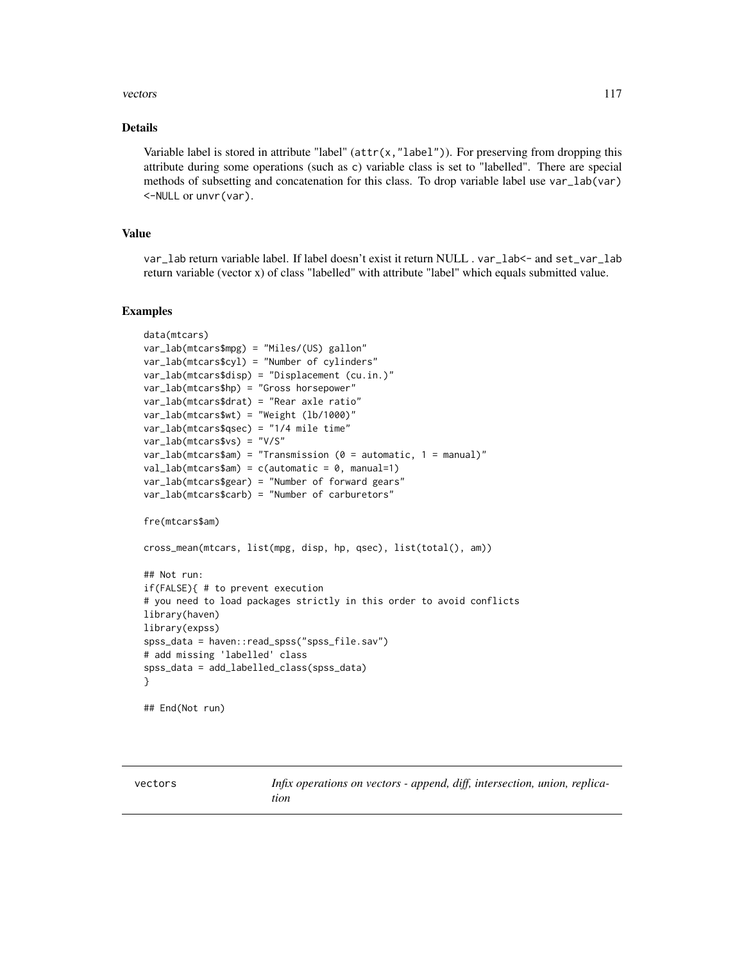#### <span id="page-116-0"></span>vectors and the set of the set of the set of the set of the set of the set of the set of the set of the set of the set of the set of the set of the set of the set of the set of the set of the set of the set of the set of t

#### Details

Variable label is stored in attribute "label" (attr(x,"label")). For preserving from dropping this attribute during some operations (such as c) variable class is set to "labelled". There are special methods of subsetting and concatenation for this class. To drop variable label use var\_lab(var) <-NULL or unvr(var).

# Value

var\_lab return variable label. If label doesn't exist it return NULL . var\_lab<- and set\_var\_lab return variable (vector x) of class "labelled" with attribute "label" which equals submitted value.

#### Examples

```
data(mtcars)
var_lab(mtcars$mpg) = "Miles/(US) gallon"
var_lab(mtcars$cyl) = "Number of cylinders"
var_lab(mtcars$disp) = "Displacement (cu.in.)"
var_lab(mtcars$hp) = "Gross horsepower"
var_lab(mtcars$drat) = "Rear axle ratio"
var_lab(mtcars$wt) = "Weight (lb/1000)"
var_lab(mtcars$qsec) = "1/4 mile time"
var_lab(mtcars$vs) = "V/S"
var\_lab(mtcars$am) = "Transmission (<math>0 = automatic, 1 = manual)"val\_lab(mtcars$am) = c(automatic = 0, manual=1)var_lab(mtcars$gear) = "Number of forward gears"
var_lab(mtcars$carb) = "Number of carburetors"
fre(mtcars$am)
cross_mean(mtcars, list(mpg, disp, hp, qsec), list(total(), am))
## Not run:
if(FALSE){ # to prevent execution
# you need to load packages strictly in this order to avoid conflicts
library(haven)
library(expss)
spss_data = haven::read_spss("spss_file.sav")
# add missing 'labelled' class
spss_data = add_labelled_class(spss_data)
}
## End(Not run)
```
vectors *Infix operations on vectors - append, diff, intersection, union, replication*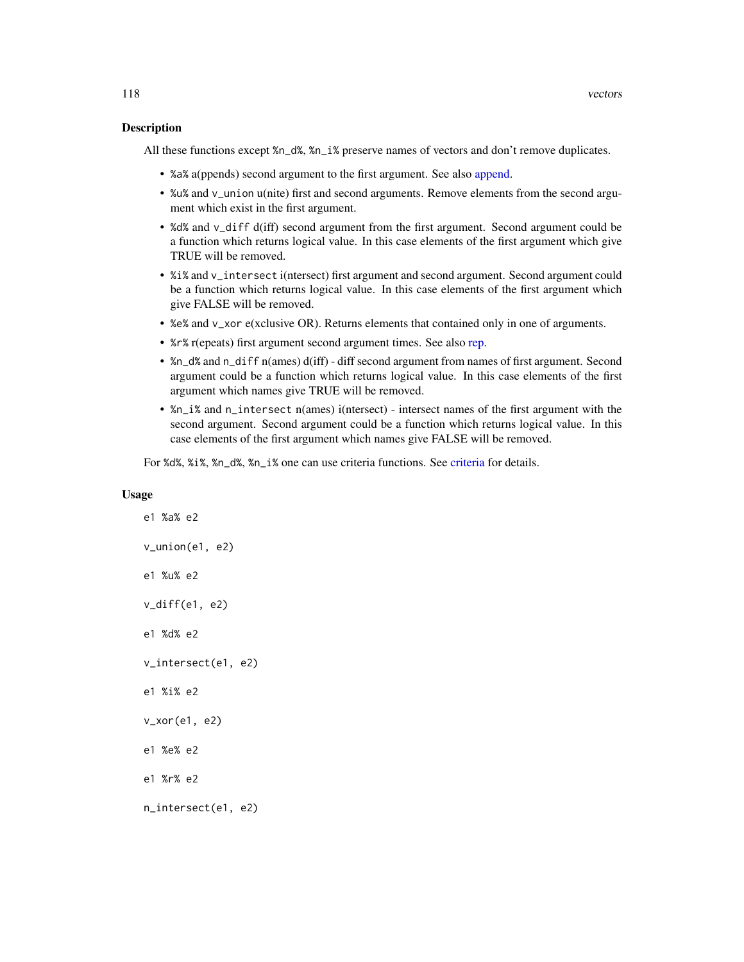<span id="page-117-0"></span>All these functions except %n\_d%, %n\_i% preserve names of vectors and don't remove duplicates.

- %a% a(ppends) second argument to the first argument. See also [append.](#page-0-0)
- %u% and v\_union u(nite) first and second arguments. Remove elements from the second argument which exist in the first argument.
- %d% and v\_diff d(iff) second argument from the first argument. Second argument could be a function which returns logical value. In this case elements of the first argument which give TRUE will be removed.
- %i% and v\_intersect i(ntersect) first argument and second argument. Second argument could be a function which returns logical value. In this case elements of the first argument which give FALSE will be removed.
- %e% and v\_xor e(xclusive OR). Returns elements that contained only in one of arguments.
- %r% r(epeats) first argument second argument times. See also [rep.](#page-0-0)
- %n\_d% and n\_diff n(ames) d(iff) diff second argument from names of first argument. Second argument could be a function which returns logical value. In this case elements of the first argument which names give TRUE will be removed.
- %n\_i% and n\_intersect n(ames) i(ntersect) intersect names of the first argument with the second argument. Second argument could be a function which returns logical value. In this case elements of the first argument which names give FALSE will be removed.

For %d%, %i%, %n\_d%, %n\_i% one can use criteria functions. See [criteria](#page-24-0) for details.

#### Usage

e1 %a% e2 v\_union(e1, e2) e1 %u% e2 v\_diff(e1, e2) e1 %d% e2 v\_intersect(e1, e2) e1 %i% e2 v\_xor(e1, e2) e1 %e% e2 e1 %r% e2 n\_intersect(e1, e2)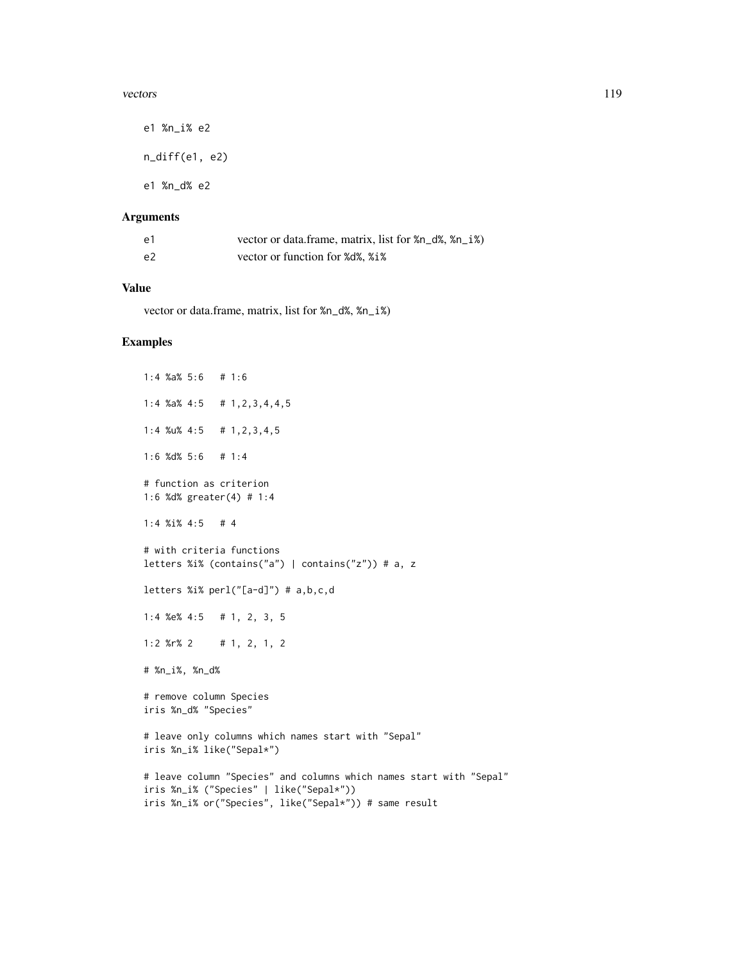#### vectors and the set of the set of the set of the set of the set of the set of the set of the set of the set of the set of the set of the set of the set of the set of the set of the set of the set of the set of the set of t

e1 %n\_i% e2 n\_diff(e1, e2) e1 %n\_d% e2

# Arguments

| -e1 | vector or data frame, matrix, list for %n_d%, %n_i%) |
|-----|------------------------------------------------------|
| e2  | vector or function for %d%, %i%                      |

# Value

vector or data.frame, matrix, list for %n\_d%, %n\_i%)

```
1:4 %a% 5:6 # 1:6
1:4 %a% 4:5 # 1,2,3,4,4,5
1:4 %u% 4:5 # 1,2,3,4,5
1:6 %d% 5:6 # 1:4
# function as criterion
1:6 %d% greater(4) # 1:4
1:4 %i% 4:5 # 4
# with criteria functions
letters %i% (contains("a") | contains("z")) # a, z
letters %i% perl("[a-d]") # a,b,c,d
1:4 %e% 4:5 # 1, 2, 3, 5
1:2 %r% 2 # 1, 2, 1, 2
# %n_i%, %n_d%
# remove column Species
iris %n_d% "Species"
# leave only columns which names start with "Sepal"
iris %n_i% like("Sepal*")
# leave column "Species" and columns which names start with "Sepal"
iris %n_i% ("Species" | like("Sepal*"))
iris %n_i% or("Species", like("Sepal*")) # same result
```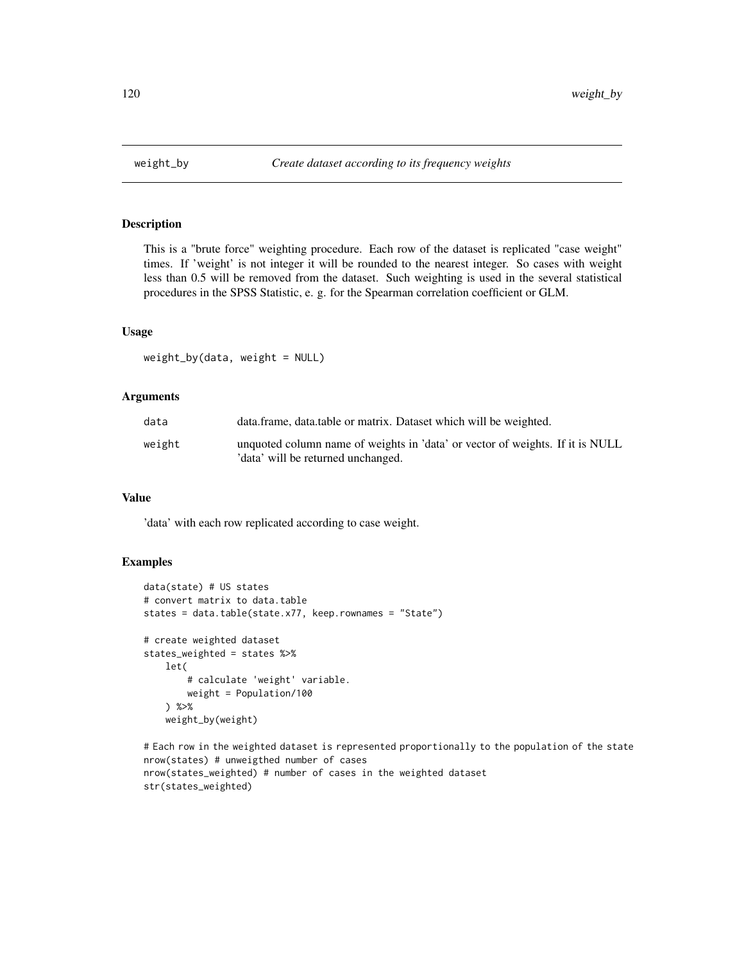<span id="page-119-0"></span>

This is a "brute force" weighting procedure. Each row of the dataset is replicated "case weight" times. If 'weight' is not integer it will be rounded to the nearest integer. So cases with weight less than 0.5 will be removed from the dataset. Such weighting is used in the several statistical procedures in the SPSS Statistic, e. g. for the Spearman correlation coefficient or GLM.

#### Usage

weight\_by(data, weight = NULL)

#### Arguments

| data   | data.frame, data.table or matrix. Dataset which will be weighted.                                                   |
|--------|---------------------------------------------------------------------------------------------------------------------|
| weight | unquoted column name of weights in 'data' or vector of weights. If it is NULL<br>'data' will be returned unchanged. |

# Value

'data' with each row replicated according to case weight.

```
data(state) # US states
# convert matrix to data.table
states = data.table(state.x77, keep.rownames = "State")
# create weighted dataset
states_weighted = states %>%
    let(
        # calculate 'weight' variable.
       weight = Population/100
    ) %>%
   weight_by(weight)
```

```
# Each row in the weighted dataset is represented proportionally to the population of the state
nrow(states) # unweigthed number of cases
nrow(states_weighted) # number of cases in the weighted dataset
str(states_weighted)
```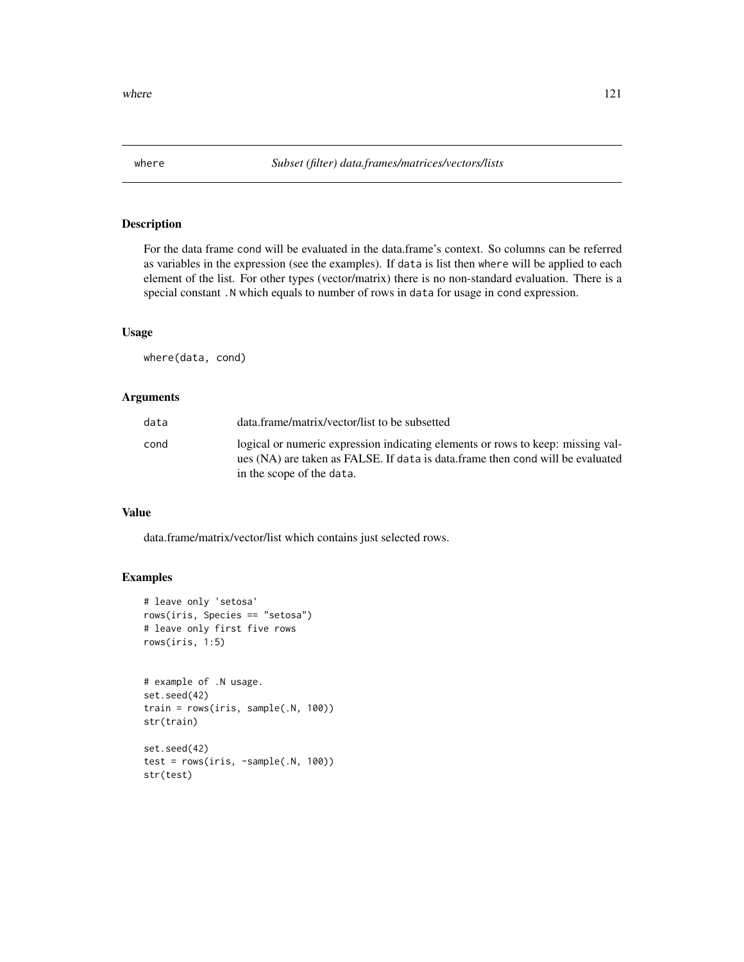<span id="page-120-0"></span>For the data frame cond will be evaluated in the data.frame's context. So columns can be referred as variables in the expression (see the examples). If data is list then where will be applied to each element of the list. For other types (vector/matrix) there is no non-standard evaluation. There is a special constant .N which equals to number of rows in data for usage in cond expression.

#### Usage

where(data, cond)

#### Arguments

| data | data.frame/matrix/vector/list to be subsetted                                                                                                                     |
|------|-------------------------------------------------------------------------------------------------------------------------------------------------------------------|
| cond | logical or numeric expression indicating elements or rows to keep: missing val-<br>ues (NA) are taken as FALSE. If data is data frame then cond will be evaluated |
|      | in the scope of the data.                                                                                                                                         |

# Value

data.frame/matrix/vector/list which contains just selected rows.

```
# leave only 'setosa'
rows(iris, Species == "setosa")
# leave only first five rows
rows(iris, 1:5)
```

```
# example of .N usage.
set.seed(42)
train = rows(iris, sample(.N, 100))
str(train)
set.seed(42)
```

```
test = rows(iris, -sample(.N, 100))
str(test)
```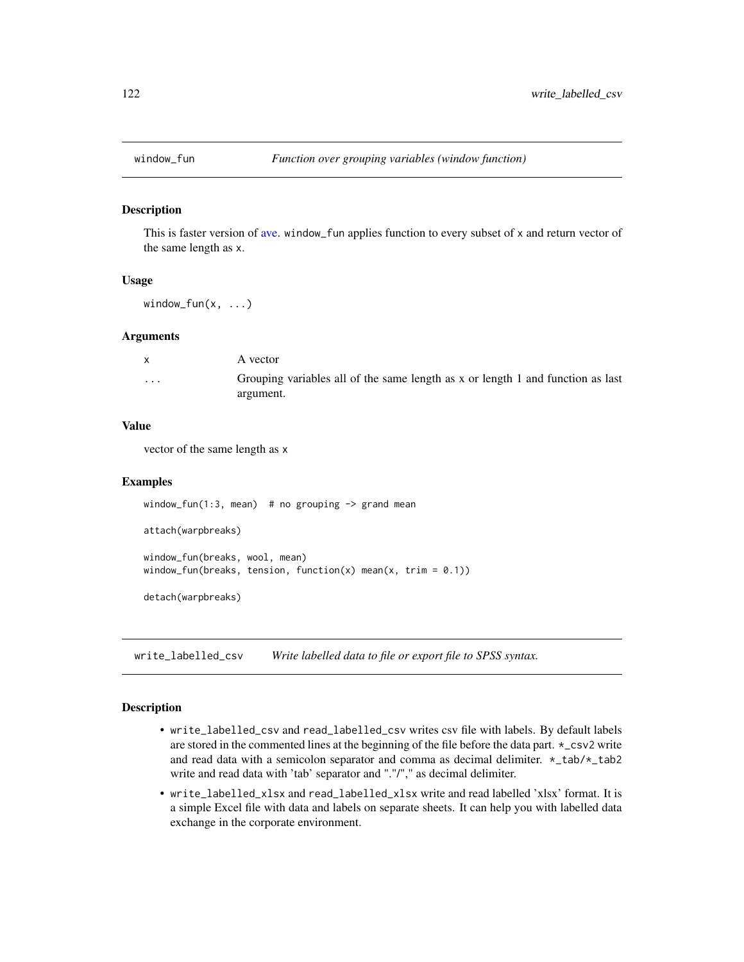<span id="page-121-0"></span>

This is faster version of [ave.](#page-0-0) window\_fun applies function to every subset of x and return vector of the same length as x.

# Usage

window\_fun $(x, \ldots)$ 

#### Arguments

| $\mathsf{X}$ | A vector                                                                                     |
|--------------|----------------------------------------------------------------------------------------------|
| $\cdot$      | Grouping variables all of the same length as x or length 1 and function as last<br>argument. |

#### Value

vector of the same length as x

#### Examples

```
window_fun(1:3, mean) # no grouping \rightarrow grand mean
attach(warpbreaks)
window_fun(breaks, wool, mean)
window_fun(breaks, tension, function(x) mean(x, trim = 0.1))
detach(warpbreaks)
```
write\_labelled\_csv *Write labelled data to file or export file to SPSS syntax.*

# Description

- write\_labelled\_csv and read\_labelled\_csv writes csv file with labels. By default labels are stored in the commented lines at the beginning of the file before the data part. \*\_csv2 write and read data with a semicolon separator and comma as decimal delimiter. \*\_tab/\*\_tab2 write and read data with 'tab' separator and "."/"," as decimal delimiter.
- write\_labelled\_xlsx and read\_labelled\_xlsx write and read labelled 'xlsx' format. It is a simple Excel file with data and labels on separate sheets. It can help you with labelled data exchange in the corporate environment.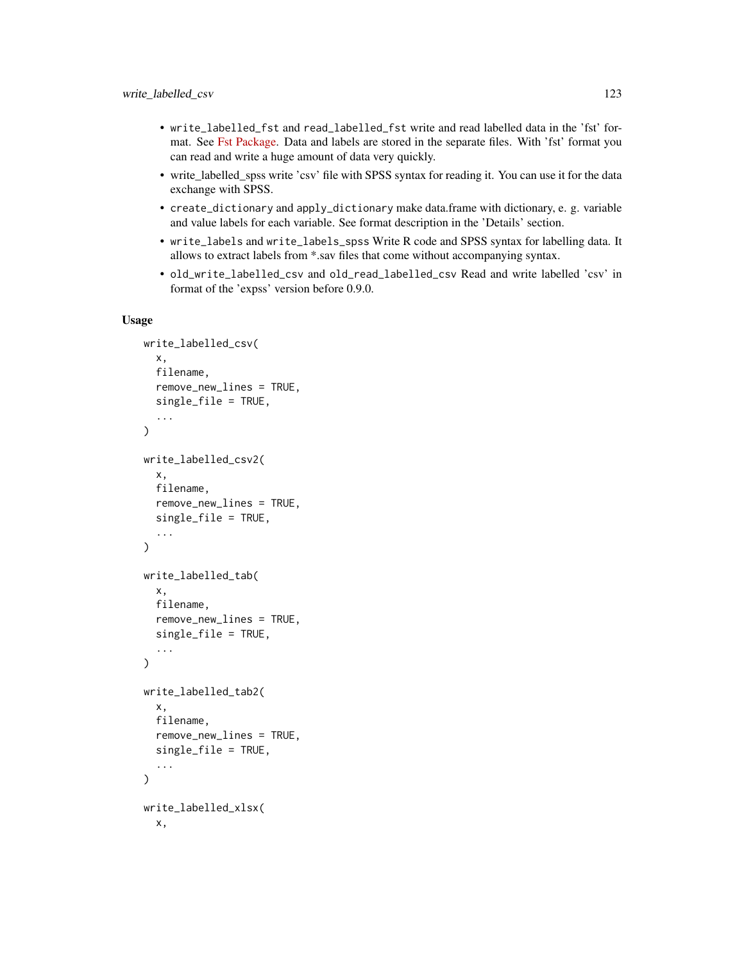- write\_labelled\_fst and read\_labelled\_fst write and read labelled data in the 'fst' format. See [Fst Package.](https://www.fstpackage.org/) Data and labels are stored in the separate files. With 'fst' format you can read and write a huge amount of data very quickly.
- write\_labelled\_spss write 'csv' file with SPSS syntax for reading it. You can use it for the data exchange with SPSS.
- create\_dictionary and apply\_dictionary make data.frame with dictionary, e. g. variable and value labels for each variable. See format description in the 'Details' section.
- write\_labels and write\_labels\_spss Write R code and SPSS syntax for labelling data. It allows to extract labels from \*.sav files that come without accompanying syntax.
- old\_write\_labelled\_csv and old\_read\_labelled\_csv Read and write labelled 'csv' in format of the 'expss' version before 0.9.0.

#### Usage

```
write_labelled_csv(
  x,
  filename,
  remove_new_lines = TRUE,
  single_file = TRUE,
  ...
)
write_labelled_csv2(
  x,
  filename,
  remove_new_lines = TRUE,
  single_file = TRUE,
  ...
)
write_labelled_tab(
  x,
  filename,
  remove_new_lines = TRUE,
  single_file = TRUE,
  ...
\lambdawrite_labelled_tab2(
  x,
  filename,
  remove_new_lines = TRUE,
  single_file = TRUE,
  ...
)
write_labelled_xlsx(
  x,
```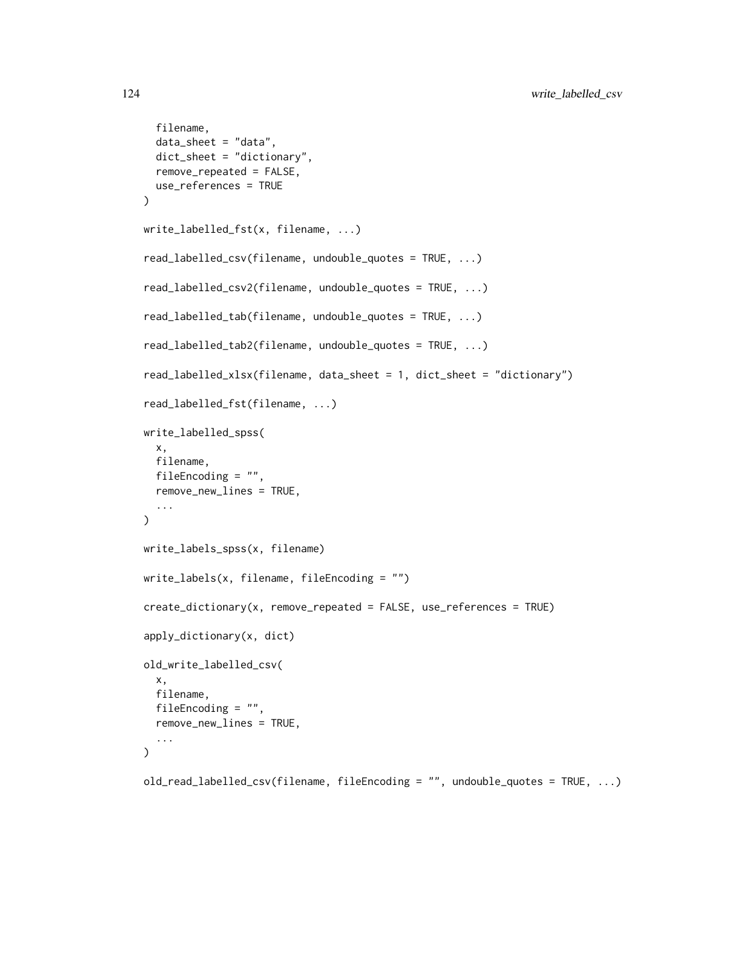```
filename,
  data_sheet = "data",
  dict_sheet = "dictionary",
  remove_repeated = FALSE,
  use_references = TRUE
\lambdawrite_labelled_fst(x, filename, ...)
read_labelled_csv(filename, undouble_quotes = TRUE, ...)
read_labelled_csv2(filename, undouble_quotes = TRUE, ...)
read_labelled_tab(filename, undouble_quotes = TRUE, ...)
read_labelled_tab2(filename, undouble_quotes = TRUE, ...)
read_labelled_xlsx(filename, data_sheet = 1, dict_sheet = "dictionary")
read_labelled_fst(filename, ...)
write_labelled_spss(
  x,
  filename,
 fileEncoding = "",
  remove_new_lines = TRUE,
  ...
)
write_labels_spss(x, filename)
write_labels(x, filename, fileEncoding = "")
create_dictionary(x, remove_repeated = FALSE, use_references = TRUE)
apply_dictionary(x, dict)
old_write_labelled_csv(
  x,
 filename,
  fileEncoding = "",
  remove_new_lines = TRUE,
  ...
\lambdaold_read_labelled_csv(filename, fileEncoding = "", undouble_quotes = TRUE, ...)
```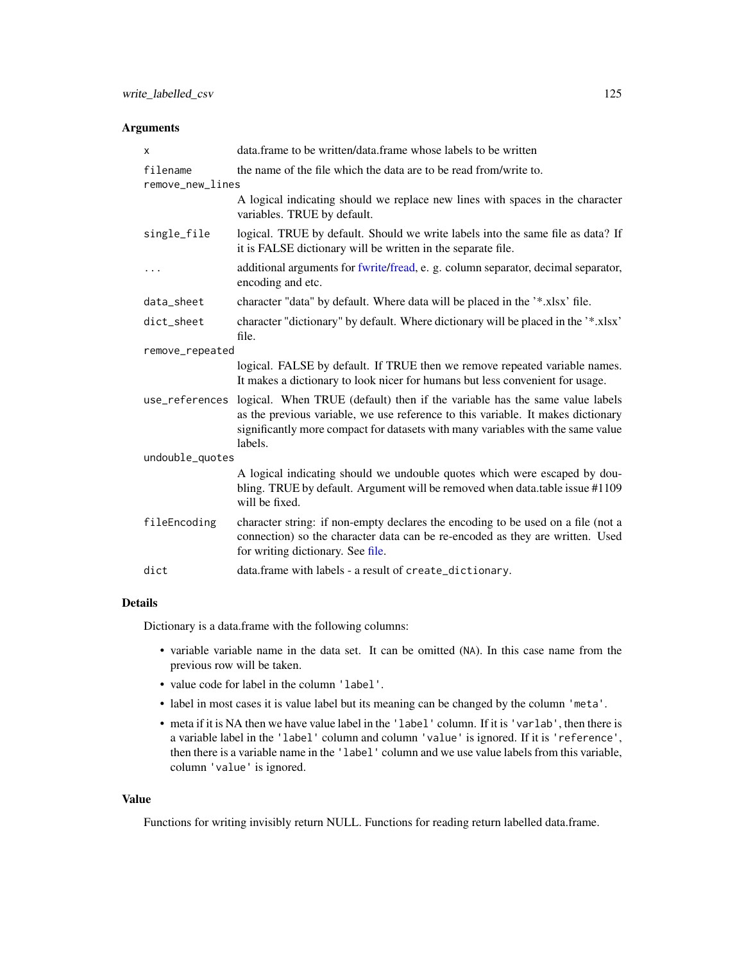# <span id="page-124-0"></span>Arguments

| X                            | data.frame to be written/data.frame whose labels to be written                                                                                                                                                                                                               |  |
|------------------------------|------------------------------------------------------------------------------------------------------------------------------------------------------------------------------------------------------------------------------------------------------------------------------|--|
| filename<br>remove_new_lines | the name of the file which the data are to be read from/write to.                                                                                                                                                                                                            |  |
|                              | A logical indicating should we replace new lines with spaces in the character<br>variables. TRUE by default.                                                                                                                                                                 |  |
| single_file                  | logical. TRUE by default. Should we write labels into the same file as data? If<br>it is FALSE dictionary will be written in the separate file.                                                                                                                              |  |
|                              | additional arguments for fwrite/fread, e. g. column separator, decimal separator,<br>encoding and etc.                                                                                                                                                                       |  |
| data_sheet                   | character "data" by default. Where data will be placed in the '*.xlsx' file.                                                                                                                                                                                                 |  |
| dict_sheet                   | character "dictionary" by default. Where dictionary will be placed in the '*.xlsx'<br>file.                                                                                                                                                                                  |  |
| remove_repeated              |                                                                                                                                                                                                                                                                              |  |
|                              | logical. FALSE by default. If TRUE then we remove repeated variable names.<br>It makes a dictionary to look nicer for humans but less convenient for usage.                                                                                                                  |  |
|                              | use_references logical. When TRUE (default) then if the variable has the same value labels<br>as the previous variable, we use reference to this variable. It makes dictionary<br>significantly more compact for datasets with many variables with the same value<br>labels. |  |
| undouble_quotes              |                                                                                                                                                                                                                                                                              |  |
|                              | A logical indicating should we undouble quotes which were escaped by dou-<br>bling. TRUE by default. Argument will be removed when data.table issue #1109<br>will be fixed.                                                                                                  |  |
| fileEncoding                 | character string: if non-empty declares the encoding to be used on a file (not a<br>connection) so the character data can be re-encoded as they are written. Used<br>for writing dictionary. See file.                                                                       |  |
| dict                         | data.frame with labels - a result of create_dictionary.                                                                                                                                                                                                                      |  |

# Details

Dictionary is a data.frame with the following columns:

- variable variable name in the data set. It can be omitted (NA). In this case name from the previous row will be taken.
- value code for label in the column 'label'.
- label in most cases it is value label but its meaning can be changed by the column 'meta'.
- meta if it is NA then we have value label in the 'label' column. If it is 'varlab', then there is a variable label in the 'label' column and column 'value' is ignored. If it is 'reference', then there is a variable name in the 'label' column and we use value labels from this variable, column 'value' is ignored.

# Value

Functions for writing invisibly return NULL. Functions for reading return labelled data.frame.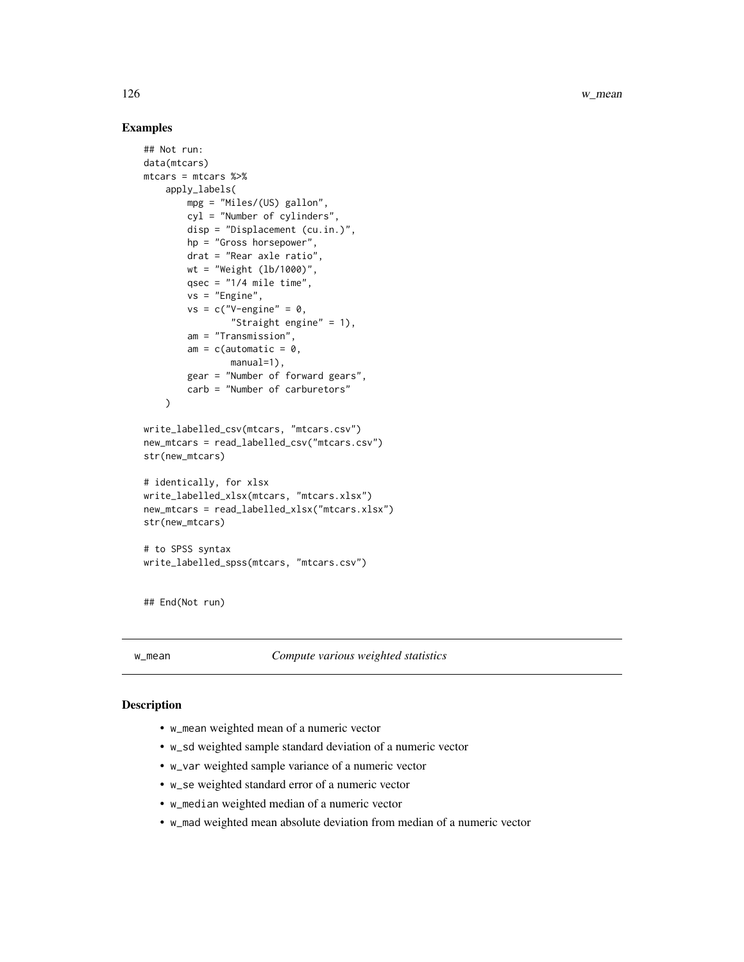<span id="page-125-0"></span>126 w\_mean

# Examples

```
## Not run:
data(mtcars)
mtcars = mtcars %>%
    apply_labels(
        mpg = "Miles/(US) gallon",
        cyl = "Number of cylinders",
        disp = "Displacement (cu.in.)",
        hp = "Gross horsepower",
        drat = "Rear axle ratio",
        wt = "Weight (lb/1000)",
        qsec = "1/4 mile time",
        vs = "Engine",
        vs = c("V-engine" = 0,"Straight engine" = 1),
        am = "Transmission",
        am = c(automatic = 0,
                manual=1),
        gear = "Number of forward gears",
        carb = "Number of carburetors"
    )
write_labelled_csv(mtcars, "mtcars.csv")
new_mtcars = read_labelled_csv("mtcars.csv")
str(new_mtcars)
# identically, for xlsx
write_labelled_xlsx(mtcars, "mtcars.xlsx")
new_mtcars = read_labelled_xlsx("mtcars.xlsx")
str(new_mtcars)
# to SPSS syntax
write_labelled_spss(mtcars, "mtcars.csv")
```
## End(Not run)

w\_mean *Compute various weighted statistics*

# **Description**

- w\_mean weighted mean of a numeric vector
- w\_sd weighted sample standard deviation of a numeric vector
- w\_var weighted sample variance of a numeric vector
- w\_se weighted standard error of a numeric vector
- w\_median weighted median of a numeric vector
- w\_mad weighted mean absolute deviation from median of a numeric vector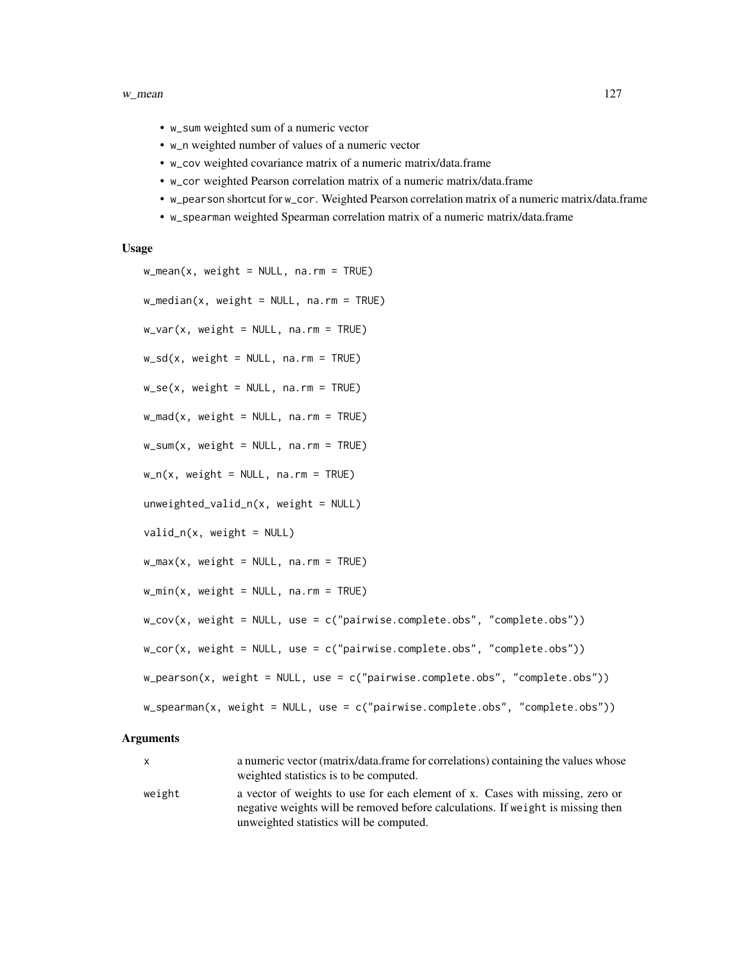#### w\_mean 127

- w\_sum weighted sum of a numeric vector
- w\_n weighted number of values of a numeric vector
- w\_cov weighted covariance matrix of a numeric matrix/data.frame
- w\_cor weighted Pearson correlation matrix of a numeric matrix/data.frame
- w\_pearson shortcut for w\_cor. Weighted Pearson correlation matrix of a numeric matrix/data.frame
- w\_spearman weighted Spearman correlation matrix of a numeric matrix/data.frame

#### Usage

```
w_mean(x, weight = NULL, na.rm = TRUE)w_{\text{median}}(x, \text{ weight} = \text{NULL}, \text{na} \cdot \text{rm} = \text{TRUE})w_{av} weight = NULL, na.rm = TRUE)
w_s/d(x, weight = NULL, na.rm = TRUE)w\_se(x, weight = NULL, na.rm = TRUE)w_{max}(x, weight = NULL, na.rm = TRUE)w\_sum(x, weight = NULL, na.rm = TRUE)w_n(x, weight = NULL, na.rm = TRUE)unweighted_value_n(x, weight = NULL)valid_n(x, weight = NULL)w_max(x, weight = NULL, na.rm = TRUE)w_{min}(x, weight = NULL, na.rm = TRUE)w_{\text{cov}}(x, \text{ weight} = \text{NULL}, \text{use} = c("pairwise.compile.e.obs", "complete.obs"))w\_cor(x, weight = NULL, use = c("pairwise.compile.e.obs", "complete.obs"))w_pearson(x, weight = NULL, use = c("pairwise.complete.obs", "complete.obs"))
w_spearman(x, weight = NULL, use = c("pairwise.complete.obs", "complete.obs"))
```
#### Arguments

x a numeric vector (matrix/data.frame for correlations) containing the values whose weighted statistics is to be computed. weight a vector of weights to use for each element of x. Cases with missing, zero or negative weights will be removed before calculations. If weight is missing then unweighted statistics will be computed.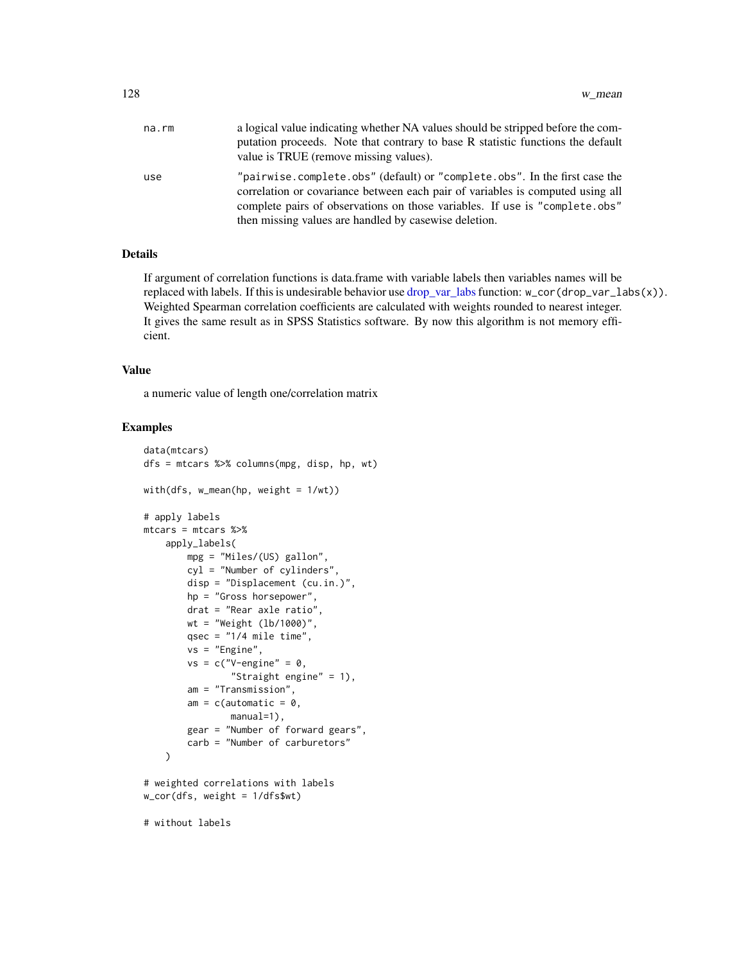<span id="page-127-0"></span>

| na.rm | a logical value indicating whether NA values should be stripped before the com-<br>putation proceeds. Note that contrary to base R statistic functions the default<br>value is TRUE (remove missing values).                                                                                         |
|-------|------------------------------------------------------------------------------------------------------------------------------------------------------------------------------------------------------------------------------------------------------------------------------------------------------|
| use   | "pairwise.complete.obs" (default) or "complete.obs". In the first case the<br>correlation or covariance between each pair of variables is computed using all<br>complete pairs of observations on those variables. If use is "complete.obs"<br>then missing values are handled by casewise deletion. |

# Details

If argument of correlation functions is data.frame with variable labels then variables names will be replaced with labels. If this is undesirable behavior use [drop\\_var\\_labs](#page-115-0) function: w\_cor(drop\_var\_labs(x)). Weighted Spearman correlation coefficients are calculated with weights rounded to nearest integer. It gives the same result as in SPSS Statistics software. By now this algorithm is not memory efficient.

# Value

a numeric value of length one/correlation matrix

```
data(mtcars)
dfs = mtcars %>% columns(mpg, disp, hp, wt)
with(dfs, w_mean(hp, weight = 1/wt))
# apply labels
mtcars = mtcars %>%
    apply_labels(
        mpg = "Miles/(US) gallon",
        cyl = "Number of cylinders",
        disp = "Displacement (cu.in.)",
        hp = "Gross horsepower",
        drat = "Rear axle ratio",
        wt = "Weight (lb/1000)",
        qsec = "1/4 mile time",
        vs = "Engine",
        vs = c("V-engine" = 0,"Straight engine" = 1),
        am = "Transmission",
        am = c(automatic = 0,
                manual=1),
        gear = "Number of forward gears",
        carb = "Number of carburetors"
    \mathcal{L}# weighted correlations with labels
w_cor(dfs, weight = 1/dfs$wt)
# without labels
```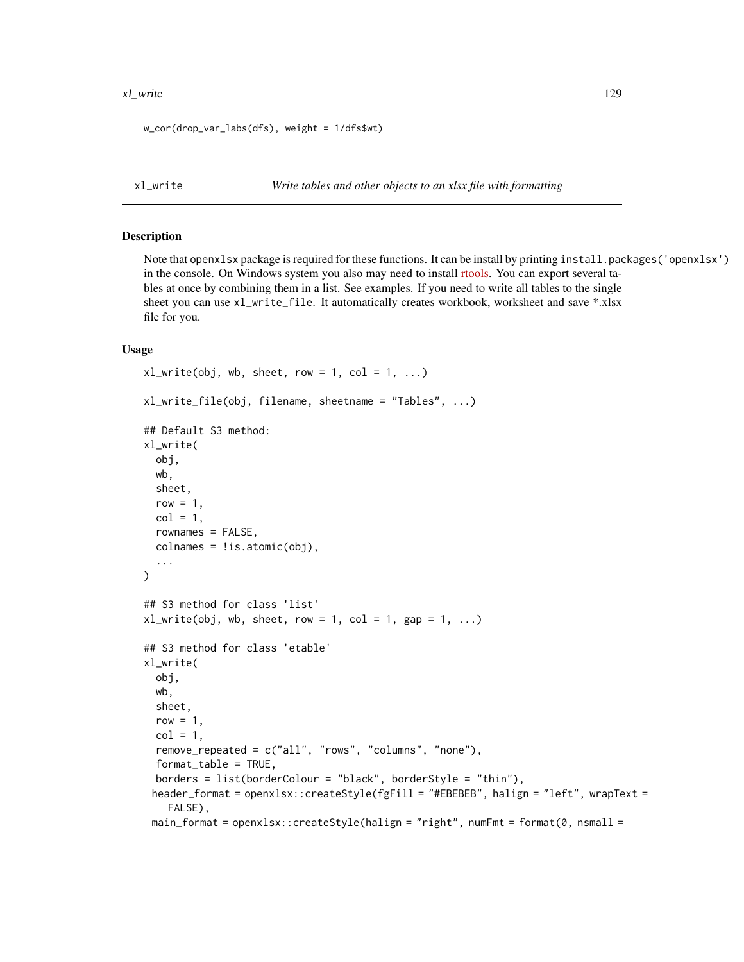#### <span id="page-128-0"></span>xl\_write 129

w\_cor(drop\_var\_labs(dfs), weight = 1/dfs\$wt)

xl\_write *Write tables and other objects to an xlsx file with formatting*

#### Description

Note that openxlsx package is required for these functions. It can be install by printing install.packages('openxlsx') in the console. On Windows system you also may need to install [rtools.](https://cran.r-project.org/bin/windows/Rtools/) You can export several tables at once by combining them in a list. See examples. If you need to write all tables to the single sheet you can use xl\_write\_file. It automatically creates workbook, worksheet and save \*.xlsx file for you.

#### Usage

```
x1_write(obj, wb, sheet, row = 1, col = 1, ...)
xl_write_file(obj, filename, sheetname = "Tables", ...)
## Default S3 method:
xl_write(
  obj,
  wb,
  sheet,
  row = 1,
  col = 1,
  rownames = FALSE,
  colnames = !is.atomic(obj),
  ...
\lambda## S3 method for class 'list'
x1_write(obj, wb, sheet, row = 1, col = 1, gap = 1, ...)
## S3 method for class 'etable'
xl_write(
  obj,
  wb,
  sheet,
  row = 1,
  col = 1,
  remove_repeated = c("all", "rows", "columns", "none"),
  format_table = TRUE,
  borders = list(borderColour = "black", borderStyle = "thin"),
 header_format = openxlsx::createStyle(fgFill = "#EBEBEB", halign = "left", wrapText =
    FALSE),
 main_format = openxlsx::createStyle(halign = "right", numFmt = format(0, nsmall =
```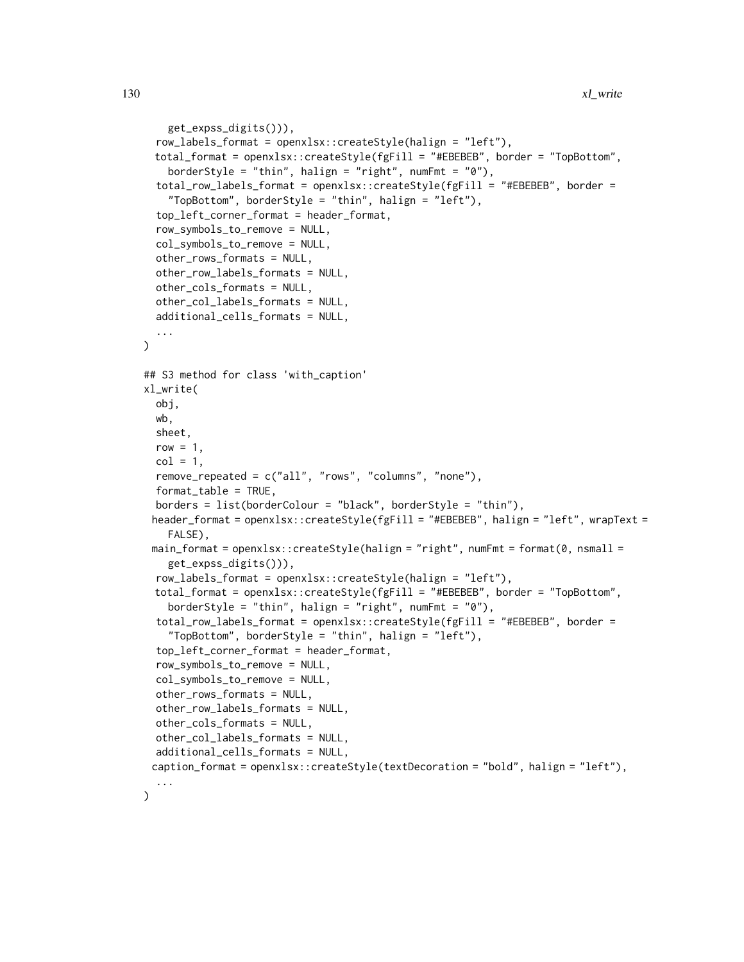```
get_expss_digits())),
  row_labels_format = openxlsx::createStyle(halign = "left"),
 total_format = openxlsx::createStyle(fgFill = "#EBEBEB", border = "TopBottom",
    borderStyle = "thin", halign = "right", numFmt = "0"),
  total_row_labels_format = openxlsx::createStyle(fgFill = "#EBEBEB", border =
    "TopBottom", borderStyle = "thin", halign = "left"),
  top_left_corner_format = header_format,
  row_symbols_to_remove = NULL,
  col_symbols_to_remove = NULL,
  other_rows_formats = NULL,
  other_row_labels_formats = NULL,
  other_cols_formats = NULL,
  other_col_labels_formats = NULL,
  additional_cells_formats = NULL,
  ...
)
## S3 method for class 'with_caption'
xl_write(
  obj,
 wb,
  sheet,
  row = 1,
  col = 1,
  remove_repeated = c("all", "rows", "columns", "none"),
  format_table = TRUE,borders = list(borderColour = "black", borderStyle = "thin"),
 header_format = openxlsx::createStyle(fgFill = "#EBEBEB", halign = "left", wrapText =
    FALSE),
 main_format = openxlsx::createStyle(halign = "right", numFmt = format(0, nsmall =
    get_expss_digits())),
  row_labels_format = openxlsx::createStyle(halign = "left"),
 total_format = openxlsx::createStyle(fgFill = "#EBEBEB", border = "TopBottom",
    borderStyle = "thin", halign = "right", numFmt = "0"),
  total_row_labels_format = openxlsx::createStyle(fgFill = "#EBEBEB", border =
    "TopBottom", borderStyle = "thin", halign = "left"),
  top_left_corner_format = header_format,
  row_symbols_to_remove = NULL,
  col_symbols_to_remove = NULL,
  other_rows_formats = NULL,
  other_row_labels_formats = NULL,
  other_cols_formats = NULL,
  other_col_labels_formats = NULL,
  additional_cells_formats = NULL,
 caption_format = openxlsx::createStyle(textDecoration = "bold", halign = "left"),
  ...
)
```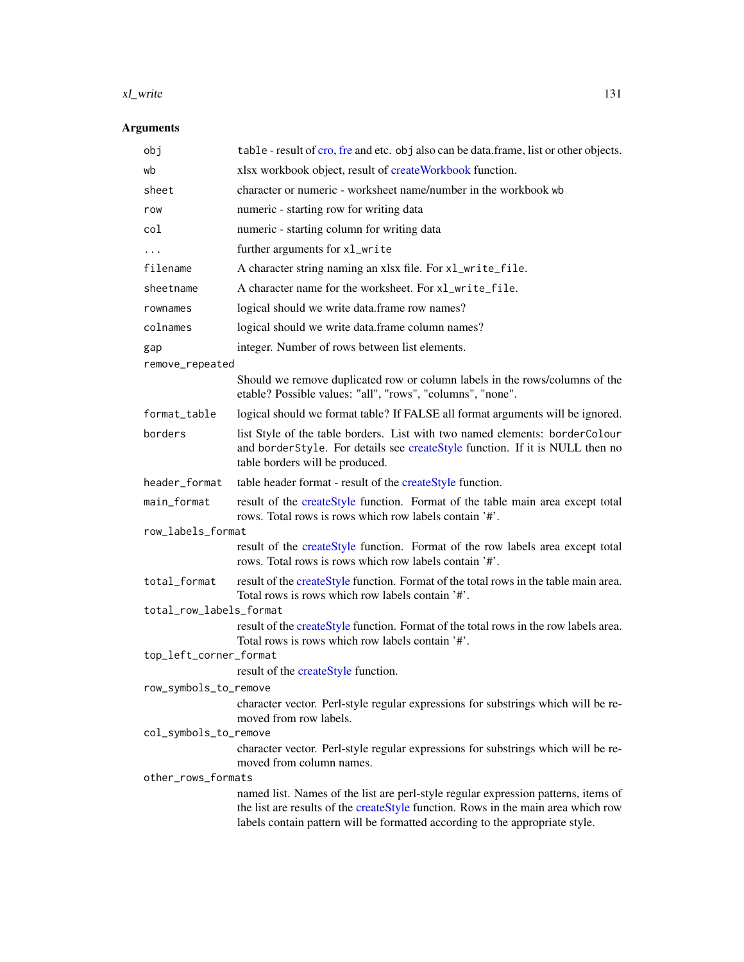#### <span id="page-130-0"></span>xl\_write 131

# Arguments

| obj                     | table - result of cro, fre and etc. obj also can be data.frame, list or other objects.                                                                                                         |  |
|-------------------------|------------------------------------------------------------------------------------------------------------------------------------------------------------------------------------------------|--|
| wb                      | xlsx workbook object, result of createWorkbook function.                                                                                                                                       |  |
| sheet                   | character or numeric - worksheet name/number in the workbook wb                                                                                                                                |  |
| row                     | numeric - starting row for writing data                                                                                                                                                        |  |
| col                     | numeric - starting column for writing data                                                                                                                                                     |  |
|                         | further arguments for xl_write                                                                                                                                                                 |  |
| filename                | A character string naming an xlsx file. For xl_write_file.                                                                                                                                     |  |
| sheetname               | A character name for the worksheet. For xl_write_file.                                                                                                                                         |  |
| rownames                | logical should we write data.frame row names?                                                                                                                                                  |  |
| colnames                | logical should we write data.frame column names?                                                                                                                                               |  |
| gap                     | integer. Number of rows between list elements.                                                                                                                                                 |  |
| remove_repeated         |                                                                                                                                                                                                |  |
|                         | Should we remove duplicated row or column labels in the rows/columns of the<br>etable? Possible values: "all", "rows", "columns", "none".                                                      |  |
| format_table            | logical should we format table? If FALSE all format arguments will be ignored.                                                                                                                 |  |
| borders                 | list Style of the table borders. List with two named elements: borderColour<br>and borderStyle. For details see createStyle function. If it is NULL then no<br>table borders will be produced. |  |
| header_format           | table header format - result of the createStyle function.                                                                                                                                      |  |
| main_format             | result of the createStyle function. Format of the table main area except total<br>rows. Total rows is rows which row labels contain '#'.                                                       |  |
| row_labels_format       |                                                                                                                                                                                                |  |
|                         | result of the createStyle function. Format of the row labels area except total<br>rows. Total rows is rows which row labels contain '#'.                                                       |  |
| total_format            | result of the createStyle function. Format of the total rows in the table main area.<br>Total rows is rows which row labels contain '#'.                                                       |  |
| total_row_labels_format |                                                                                                                                                                                                |  |
|                         | result of the createStyle function. Format of the total rows in the row labels area.<br>Total rows is rows which row labels contain '#'.                                                       |  |
| top_left_corner_format  | result of the createStyle function.                                                                                                                                                            |  |
| row_symbols_to_remove   |                                                                                                                                                                                                |  |
|                         | character vector. Perl-style regular expressions for substrings which will be re-                                                                                                              |  |
|                         | moved from row labels.                                                                                                                                                                         |  |
| col_symbols_to_remove   |                                                                                                                                                                                                |  |
|                         | character vector. Perl-style regular expressions for substrings which will be re-<br>moved from column names.                                                                                  |  |
| other_rows_formats      | named list. Names of the list are perl-style regular expression patterns, items of                                                                                                             |  |
|                         | the list are results of the createStyle function. Rows in the main area which row<br>labels contain pattern will be formatted according to the appropriate style.                              |  |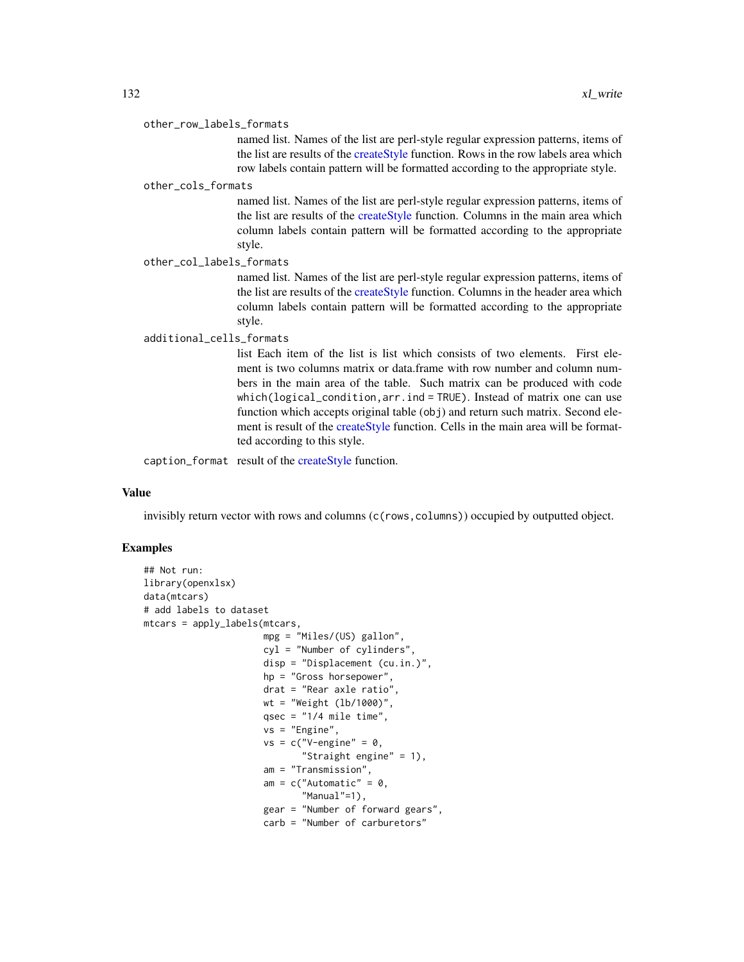#### <span id="page-131-0"></span>other\_row\_labels\_formats

named list. Names of the list are perl-style regular expression patterns, items of the list are results of the [createStyle](#page-0-0) function. Rows in the row labels area which row labels contain pattern will be formatted according to the appropriate style.

#### other\_cols\_formats

named list. Names of the list are perl-style regular expression patterns, items of the list are results of the [createStyle](#page-0-0) function. Columns in the main area which column labels contain pattern will be formatted according to the appropriate style.

other\_col\_labels\_formats

named list. Names of the list are perl-style regular expression patterns, items of the list are results of the [createStyle](#page-0-0) function. Columns in the header area which column labels contain pattern will be formatted according to the appropriate style.

#### additional\_cells\_formats

list Each item of the list is list which consists of two elements. First element is two columns matrix or data.frame with row number and column numbers in the main area of the table. Such matrix can be produced with code which(logical\_condition,arr.ind = TRUE). Instead of matrix one can use function which accepts original table (obj) and return such matrix. Second element is result of the [createStyle](#page-0-0) function. Cells in the main area will be formatted according to this style.

caption\_format result of the [createStyle](#page-0-0) function.

#### Value

invisibly return vector with rows and columns (c(rows, columns)) occupied by outputted object.

```
## Not run:
library(openxlsx)
data(mtcars)
# add labels to dataset
mtcars = apply_labels(mtcars,
                      mpg = "Miles/(US) gallon",
                      cyl = "Number of cylinders",
                      disp = "Displacement (cu.in.)",
                      hp = "Gross horsepower",
                      drat = "Rear axle ratio",
                      wt = "Weight (lb/1000)",
                      qsec = "1/4 mile time",
                      vs = "Engine",
                      vs = c("V-engine" = 0,"Straight engine" = 1),
                      am = "Transmission",
                      am = c("Automatic" = 0,"Manual"=1),
                      gear = "Number of forward gears",
                      carb = "Number of carburetors"
```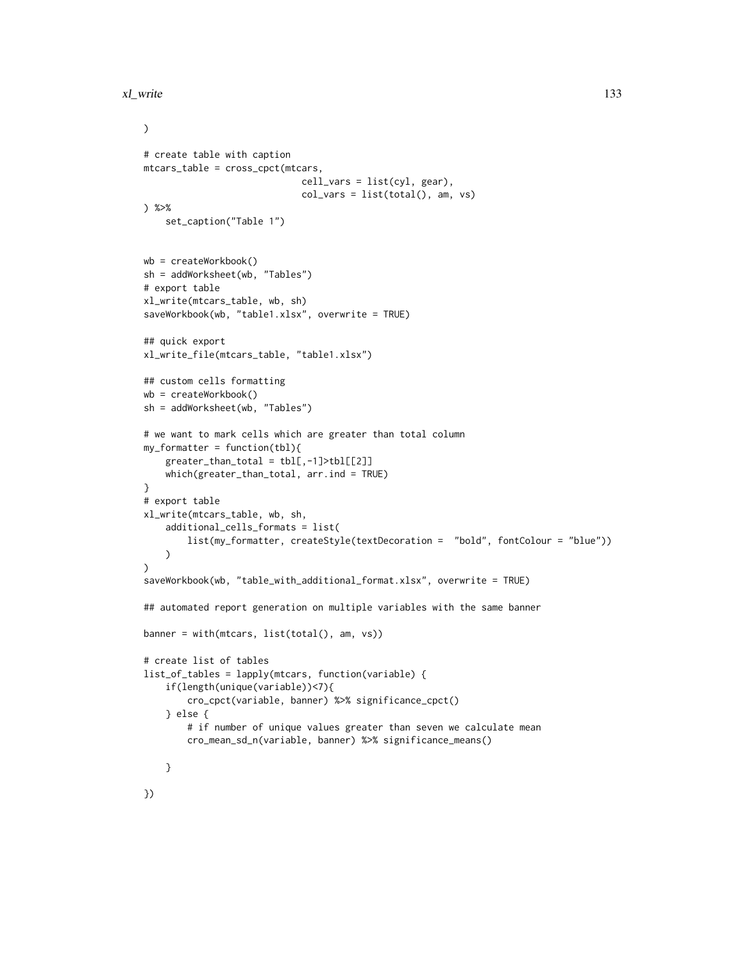```
)
# create table with caption
mtcars_table = cross_cpct(mtcars,
                             cell_vars = list(cyl, gear),
                             col_vars = list(total(), am, vs)) %>%
    set_caption("Table 1")
wb = createWorkbook()
sh = addWorksheet(wb, "Tables")
# export table
xl_write(mtcars_table, wb, sh)
saveWorkbook(wb, "table1.xlsx", overwrite = TRUE)
## quick export
xl_write_file(mtcars_table, "table1.xlsx")
## custom cells formatting
wb = createWorkbook()
sh = addWorksheet(wb, "Tables")
# we want to mark cells which are greater than total column
my_formatter = function(tbl){
    greater_{than\_total} = \text{th}[, -1] > \text{th}[[2]]which(greater_than_total, arr.ind = TRUE)
}
# export table
xl_write(mtcars_table, wb, sh,
   additional_cells_formats = list(
        list(my_formatter, createStyle(textDecoration = "bold", fontColour = "blue"))
    )
)
saveWorkbook(wb, "table_with_additional_format.xlsx", overwrite = TRUE)
## automated report generation on multiple variables with the same banner
banner = with(mtcars, list(total(), am, vs))
# create list of tables
list_of_tables = lapply(mtcars, function(variable) {
    if(length(unique(variable))<7){
        cro_cpct(variable, banner) %>% significance_cpct()
    } else {
        # if number of unique values greater than seven we calculate mean
        cro_mean_sd_n(variable, banner) %>% significance_means()
    }
```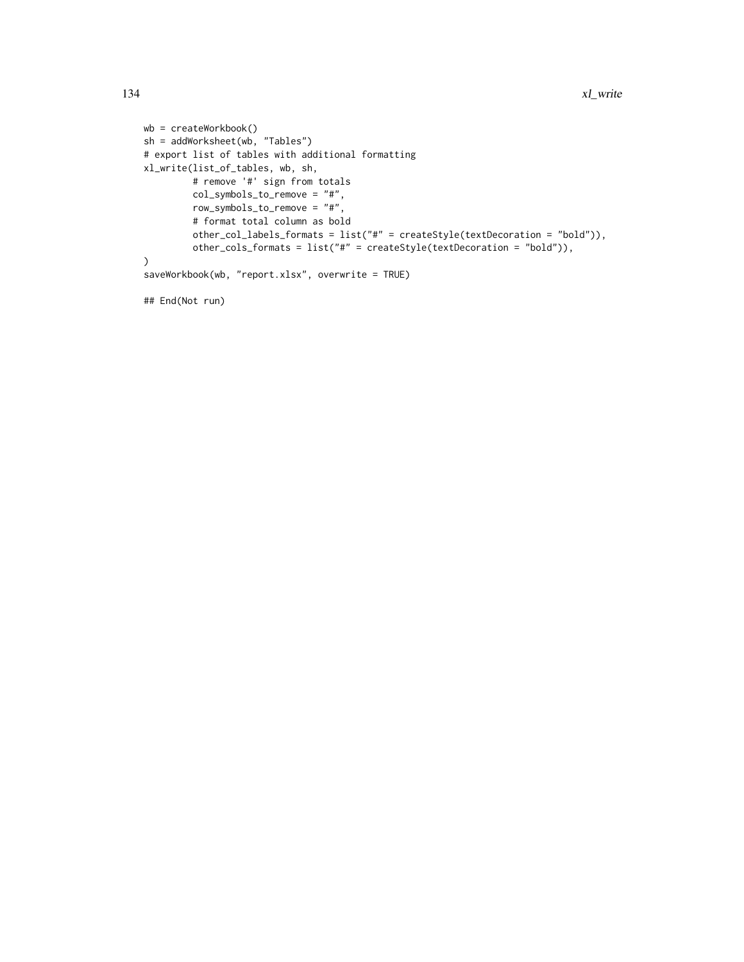```
wb = createWorkbook()
sh = addWorksheet(wb, "Tables")
# export list of tables with additional formatting
xl_write(list_of_tables, wb, sh,
         # remove '#' sign from totals
         col_symbols_to_remove = "#",
         row_symbols_to_remove = "#",
         # format total column as bold
         other_col_labels_formats = list("#" = createStyle(textDecoration = "bold")),
         other_cols_formats = list("#" = createStyle(textDecoration = "bold")),
)
saveWorkbook(wb, "report.xlsx", overwrite = TRUE)
```
## End(Not run)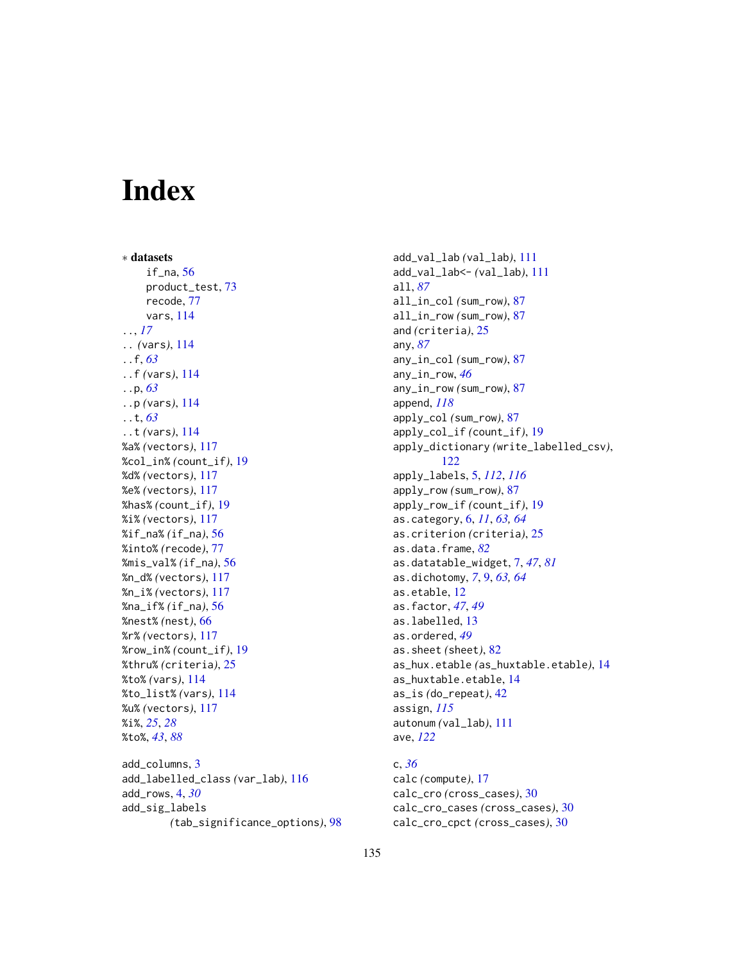# **Index**

∗ datasets if\_na, [56](#page-55-0) product\_test, [73](#page-72-0) recode, [77](#page-76-0) vars, [114](#page-113-0) .., *[17](#page-16-0)* .. *(*vars*)*, [114](#page-113-0) ..f, *[63](#page-62-0)* ..f *(*vars*)*, [114](#page-113-0) ..p, *[63](#page-62-0)* ..p *(*vars*)*, [114](#page-113-0) ..t, *[63](#page-62-0)* ..t *(*vars*)*, [114](#page-113-0) %a% *(*vectors*)*, [117](#page-116-0) %col\_in% *(*count\_if*)*, [19](#page-18-0) %d% *(*vectors*)*, [117](#page-116-0) %e% *(*vectors*)*, [117](#page-116-0) %has% *(*count\_if*)*, [19](#page-18-0) %i% *(*vectors*)*, [117](#page-116-0) %if\_na% *(*if\_na*)*, [56](#page-55-0) %into% *(*recode*)*, [77](#page-76-0) %mis\_val% *(*if\_na*)*, [56](#page-55-0) %n\_d% *(*vectors*)*, [117](#page-116-0) %n\_i% *(*vectors*)*, [117](#page-116-0) %na\_if% *(*if\_na*)*, [56](#page-55-0) %nest% *(*nest*)*, [66](#page-65-0) %r% *(*vectors*)*, [117](#page-116-0) %row\_in% *(*count\_if*)*, [19](#page-18-0) %thru% *(*criteria*)*, [25](#page-24-1) %to% *(*vars*)*, [114](#page-113-0) %to\_list% *(*vars*)*, [114](#page-113-0) %u% *(*vectors*)*, [117](#page-116-0) %i%, *[25](#page-24-1)*, *[28](#page-27-0)* %to%, *[43](#page-42-0)*, *[88](#page-87-0)* add\_columns, [3](#page-2-0)

add\_labelled\_class *(*var\_lab*)*, [116](#page-115-2) add\_rows, [4,](#page-3-0) *[30](#page-29-1)* add\_sig\_labels *(*tab\_significance\_options*)*, [98](#page-97-0) add\_val\_lab *(*val\_lab*)*, [111](#page-110-2) add\_val\_lab<- *(*val\_lab*)*, [111](#page-110-2) all, *[87](#page-86-0)* all\_in\_col *(*sum\_row*)*, [87](#page-86-0) all\_in\_row *(*sum\_row*)*, [87](#page-86-0) and *(*criteria*)*, [25](#page-24-1) any, *[87](#page-86-0)* any\_in\_col *(*sum\_row*)*, [87](#page-86-0) any\_in\_row, *[46](#page-45-0)* any\_in\_row *(*sum\_row*)*, [87](#page-86-0) append, *[118](#page-117-0)* apply\_col *(*sum\_row*)*, [87](#page-86-0) apply\_col\_if *(*count\_if*)*, [19](#page-18-0) apply\_dictionary *(*write\_labelled\_csv*)*, [122](#page-121-0) apply\_labels, [5,](#page-4-1) *[112](#page-111-0)*, *[116](#page-115-2)* apply\_row *(*sum\_row*)*, [87](#page-86-0) apply\_row\_if *(*count\_if*)*, [19](#page-18-0) as.category, [6,](#page-5-0) *[11](#page-10-0)*, *[63,](#page-62-0) [64](#page-63-0)* as.criterion *(*criteria*)*, [25](#page-24-1) as.data.frame, *[82](#page-81-0)* as.datatable\_widget, [7,](#page-6-0) *[47](#page-46-0)*, *[81](#page-80-0)* as.dichotomy, *[7](#page-6-0)*, [9,](#page-8-0) *[63,](#page-62-0) [64](#page-63-0)* as.etable, [12](#page-11-0) as.factor, *[47](#page-46-0)*, *[49](#page-48-0)* as.labelled, [13](#page-12-0) as.ordered, *[49](#page-48-0)* as.sheet *(*sheet*)*, [82](#page-81-0) as\_hux.etable *(*as\_huxtable.etable*)*, [14](#page-13-0) as\_huxtable.etable, [14](#page-13-0) as\_is *(*do\_repeat*)*, [42](#page-41-0) assign, *[115](#page-114-0)* autonum *(*val\_lab*)*, [111](#page-110-2) ave, *[122](#page-121-0)*

c, *[36](#page-35-0)* calc *(*compute*)*, [17](#page-16-0) calc\_cro *(*cross\_cases*)*, [30](#page-29-1) calc\_cro\_cases *(*cross\_cases*)*, [30](#page-29-1) calc\_cro\_cpct *(*cross\_cases*)*, [30](#page-29-1)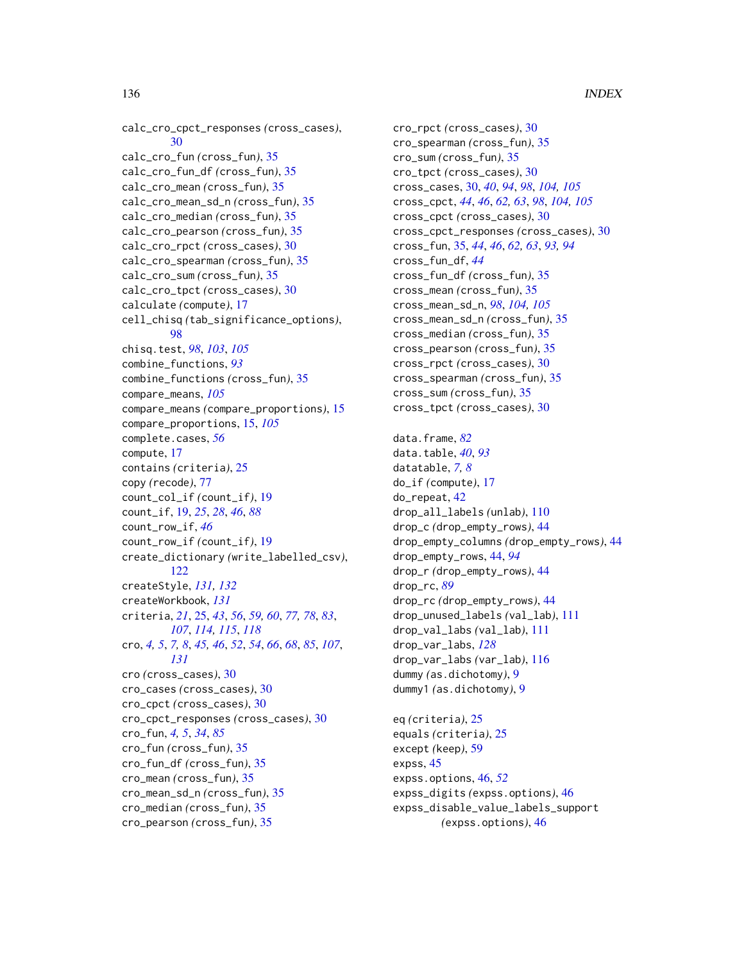calc\_cro\_cpct\_responses *(*cross\_cases*)*, [30](#page-29-1) calc\_cro\_fun *(*cross\_fun*)*, [35](#page-34-0) calc\_cro\_fun\_df *(*cross\_fun*)*, [35](#page-34-0) calc\_cro\_mean *(*cross\_fun*)*, [35](#page-34-0) calc\_cro\_mean\_sd\_n *(*cross\_fun*)*, [35](#page-34-0) calc\_cro\_median *(*cross\_fun*)*, [35](#page-34-0) calc\_cro\_pearson *(*cross\_fun*)*, [35](#page-34-0) calc\_cro\_rpct *(*cross\_cases*)*, [30](#page-29-1) calc\_cro\_spearman *(*cross\_fun*)*, [35](#page-34-0) calc\_cro\_sum *(*cross\_fun*)*, [35](#page-34-0) calc\_cro\_tpct *(*cross\_cases*)*, [30](#page-29-1) calculate *(*compute*)*, [17](#page-16-0) cell\_chisq *(*tab\_significance\_options*)*, [98](#page-97-0) chisq.test, *[98](#page-97-0)*, *[103](#page-102-0)*, *[105](#page-104-0)* combine\_functions, *[93](#page-92-0)* combine\_functions *(*cross\_fun*)*, [35](#page-34-0) compare\_means, *[105](#page-104-0)* compare\_means *(*compare\_proportions*)*, [15](#page-14-0) compare\_proportions, [15,](#page-14-0) *[105](#page-104-0)* complete.cases, *[56](#page-55-0)* compute, [17](#page-16-0) contains *(*criteria*)*, [25](#page-24-1) copy *(*recode*)*, [77](#page-76-0) count\_col\_if *(*count\_if*)*, [19](#page-18-0) count\_if, [19,](#page-18-0) *[25](#page-24-1)*, *[28](#page-27-0)*, *[46](#page-45-0)*, *[88](#page-87-0)* count\_row\_if, *[46](#page-45-0)* count\_row\_if *(*count\_if*)*, [19](#page-18-0) create\_dictionary *(*write\_labelled\_csv*)*, [122](#page-121-0) createStyle, *[131,](#page-130-0) [132](#page-131-0)* createWorkbook, *[131](#page-130-0)* criteria, *[21](#page-20-0)*, [25,](#page-24-1) *[43](#page-42-0)*, *[56](#page-55-0)*, *[59,](#page-58-0) [60](#page-59-0)*, *[77,](#page-76-0) [78](#page-77-0)*, *[83](#page-82-0)*, *[107](#page-106-0)*, *[114,](#page-113-0) [115](#page-114-0)*, *[118](#page-117-0)* cro, *[4,](#page-3-0) [5](#page-4-1)*, *[7,](#page-6-0) [8](#page-7-0)*, *[45,](#page-44-0) [46](#page-45-0)*, *[52](#page-51-0)*, *[54](#page-53-0)*, *[66](#page-65-0)*, *[68](#page-67-0)*, *[85](#page-84-0)*, *[107](#page-106-0)*, *[131](#page-130-0)* cro *(*cross\_cases*)*, [30](#page-29-1) cro\_cases *(*cross\_cases*)*, [30](#page-29-1) cro\_cpct *(*cross\_cases*)*, [30](#page-29-1) cro\_cpct\_responses *(*cross\_cases*)*, [30](#page-29-1) cro\_fun, *[4,](#page-3-0) [5](#page-4-1)*, *[34](#page-33-0)*, *[85](#page-84-0)* cro\_fun *(*cross\_fun*)*, [35](#page-34-0) cro\_fun\_df *(*cross\_fun*)*, [35](#page-34-0) cro\_mean *(*cross\_fun*)*, [35](#page-34-0) cro\_mean\_sd\_n *(*cross\_fun*)*, [35](#page-34-0) cro\_median *(*cross\_fun*)*, [35](#page-34-0) cro\_pearson *(*cross\_fun*)*, [35](#page-34-0)

cro\_rpct *(*cross\_cases*)*, [30](#page-29-1) cro\_spearman *(*cross\_fun*)*, [35](#page-34-0) cro\_sum *(*cross\_fun*)*, [35](#page-34-0) cro\_tpct *(*cross\_cases*)*, [30](#page-29-1) cross\_cases, [30,](#page-29-1) *[40](#page-39-0)*, *[94](#page-93-0)*, *[98](#page-97-0)*, *[104,](#page-103-0) [105](#page-104-0)* cross\_cpct, *[44](#page-43-0)*, *[46](#page-45-0)*, *[62,](#page-61-0) [63](#page-62-0)*, *[98](#page-97-0)*, *[104,](#page-103-0) [105](#page-104-0)* cross\_cpct *(*cross\_cases*)*, [30](#page-29-1) cross\_cpct\_responses *(*cross\_cases*)*, [30](#page-29-1) cross\_fun, [35,](#page-34-0) *[44](#page-43-0)*, *[46](#page-45-0)*, *[62,](#page-61-0) [63](#page-62-0)*, *[93,](#page-92-0) [94](#page-93-0)* cross\_fun\_df, *[44](#page-43-0)* cross\_fun\_df *(*cross\_fun*)*, [35](#page-34-0) cross\_mean *(*cross\_fun*)*, [35](#page-34-0) cross\_mean\_sd\_n, *[98](#page-97-0)*, *[104,](#page-103-0) [105](#page-104-0)* cross\_mean\_sd\_n *(*cross\_fun*)*, [35](#page-34-0) cross\_median *(*cross\_fun*)*, [35](#page-34-0) cross\_pearson *(*cross\_fun*)*, [35](#page-34-0) cross\_rpct *(*cross\_cases*)*, [30](#page-29-1) cross\_spearman *(*cross\_fun*)*, [35](#page-34-0) cross\_sum *(*cross\_fun*)*, [35](#page-34-0) cross\_tpct *(*cross\_cases*)*, [30](#page-29-1) data.frame, *[82](#page-81-0)* data.table, *[40](#page-39-0)*, *[93](#page-92-0)* datatable, *[7,](#page-6-0) [8](#page-7-0)* do\_if *(*compute*)*, [17](#page-16-0) do\_repeat, [42](#page-41-0) drop\_all\_labels *(*unlab*)*, [110](#page-109-0) drop\_c *(*drop\_empty\_rows*)*, [44](#page-43-0) drop\_empty\_columns *(*drop\_empty\_rows*)*, [44](#page-43-0) drop\_empty\_rows, [44,](#page-43-0) *[94](#page-93-0)* drop\_r *(*drop\_empty\_rows*)*, [44](#page-43-0) drop\_rc, *[89](#page-88-0)* drop\_rc *(*drop\_empty\_rows*)*, [44](#page-43-0) drop\_unused\_labels *(*val\_lab*)*, [111](#page-110-2) drop\_val\_labs *(*val\_lab*)*, [111](#page-110-2) drop\_var\_labs, *[128](#page-127-0)* drop\_var\_labs *(*var\_lab*)*, [116](#page-115-2) dummy *(*as.dichotomy*)*, [9](#page-8-0) dummy1 *(*as.dichotomy*)*, [9](#page-8-0) eq *(*criteria*)*, [25](#page-24-1)

equals *(*criteria*)*, [25](#page-24-1) except *(*keep*)*, [59](#page-58-0) expss, [45](#page-44-0) expss.options, [46,](#page-45-0) *[52](#page-51-0)* expss\_digits *(*expss.options*)*, [46](#page-45-0) expss\_disable\_value\_labels\_support *(*expss.options*)*, [46](#page-45-0)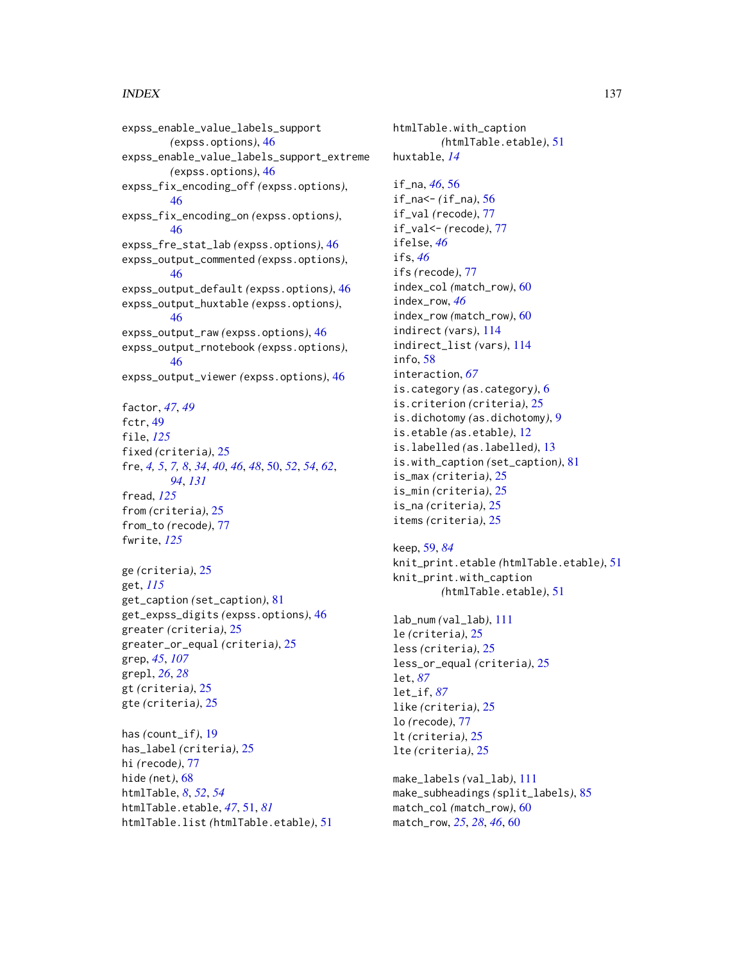expss\_enable\_value\_labels\_support *(*expss.options*)*, [46](#page-45-0) expss\_enable\_value\_labels\_support\_extreme *(*expss.options*)*, [46](#page-45-0) expss\_fix\_encoding\_off *(*expss.options*)*, [46](#page-45-0) expss\_fix\_encoding\_on *(*expss.options*)*, [46](#page-45-0) expss\_fre\_stat\_lab *(*expss.options*)*, [46](#page-45-0) expss\_output\_commented *(*expss.options*)*, [46](#page-45-0) expss\_output\_default *(*expss.options*)*, [46](#page-45-0) expss\_output\_huxtable *(*expss.options*)*, [46](#page-45-0) expss\_output\_raw *(*expss.options*)*, [46](#page-45-0) expss\_output\_rnotebook *(*expss.options*)*, [46](#page-45-0) expss\_output\_viewer *(*expss.options*)*, [46](#page-45-0) factor, *[47](#page-46-0)*, *[49](#page-48-0)* fctr, [49](#page-48-0) file, *[125](#page-124-0)* fixed *(*criteria*)*, [25](#page-24-1) fre, *[4,](#page-3-0) [5](#page-4-1)*, *[7,](#page-6-0) [8](#page-7-0)*, *[34](#page-33-0)*, *[40](#page-39-0)*, *[46](#page-45-0)*, *[48](#page-47-0)*, [50,](#page-49-1) *[52](#page-51-0)*, *[54](#page-53-0)*, *[62](#page-61-0)*, *[94](#page-93-0)*, *[131](#page-130-0)* fread, *[125](#page-124-0)* from *(*criteria*)*, [25](#page-24-1) from\_to *(*recode*)*, [77](#page-76-0) fwrite, *[125](#page-124-0)* ge *(*criteria*)*, [25](#page-24-1) get, *[115](#page-114-0)* get\_caption *(*set\_caption*)*, [81](#page-80-0) get\_expss\_digits *(*expss.options*)*, [46](#page-45-0) greater *(*criteria*)*, [25](#page-24-1) greater\_or\_equal *(*criteria*)*, [25](#page-24-1) grep, *[45](#page-44-0)*, *[107](#page-106-0)* grepl, *[26](#page-25-0)*, *[28](#page-27-0)* gt *(*criteria*)*, [25](#page-24-1) gte *(*criteria*)*, [25](#page-24-1) has *(*count\_if*)*, [19](#page-18-0) has\_label *(*criteria*)*, [25](#page-24-1) hi *(*recode*)*, [77](#page-76-0) hide *(*net*)*, [68](#page-67-0)

htmlTable, *[8](#page-7-0)*, *[52](#page-51-0)*, *[54](#page-53-0)* htmlTable.etable, *[47](#page-46-0)*, [51,](#page-50-0) *[81](#page-80-0)* htmlTable.list *(*htmlTable.etable*)*, [51](#page-50-0) htmlTable.with\_caption *(*htmlTable.etable*)*, [51](#page-50-0) huxtable, *[14](#page-13-0)* if\_na, *[46](#page-45-0)*, [56](#page-55-0) if\_na<- *(*if\_na*)*, [56](#page-55-0) if\_val *(*recode*)*, [77](#page-76-0) if\_val<- *(*recode*)*, [77](#page-76-0) ifelse, *[46](#page-45-0)* ifs, *[46](#page-45-0)* ifs *(*recode*)*, [77](#page-76-0) index\_col *(*match\_row*)*, [60](#page-59-0) index\_row, *[46](#page-45-0)* index\_row *(*match\_row*)*, [60](#page-59-0) indirect *(*vars*)*, [114](#page-113-0) indirect\_list *(*vars*)*, [114](#page-113-0) info, [58](#page-57-0) interaction, *[67](#page-66-0)* is.category *(*as.category*)*, [6](#page-5-0) is.criterion *(*criteria*)*, [25](#page-24-1) is.dichotomy *(*as.dichotomy*)*, [9](#page-8-0) is.etable *(*as.etable*)*, [12](#page-11-0) is.labelled *(*as.labelled*)*, [13](#page-12-0) is.with\_caption *(*set\_caption*)*, [81](#page-80-0) is\_max *(*criteria*)*, [25](#page-24-1) is\_min *(*criteria*)*, [25](#page-24-1) is\_na *(*criteria*)*, [25](#page-24-1) items *(*criteria*)*, [25](#page-24-1)

# keep, [59,](#page-58-0) *[84](#page-83-0)*

knit\_print.etable *(*htmlTable.etable*)*, [51](#page-50-0) knit\_print.with\_caption *(*htmlTable.etable*)*, [51](#page-50-0)

lab\_num *(*val\_lab*)*, [111](#page-110-2) le *(*criteria*)*, [25](#page-24-1) less *(*criteria*)*, [25](#page-24-1) less\_or\_equal *(*criteria*)*, [25](#page-24-1) let, *[87](#page-86-0)* let\_if, *[87](#page-86-0)* like *(*criteria*)*, [25](#page-24-1) lo *(*recode*)*, [77](#page-76-0) lt *(*criteria*)*, [25](#page-24-1) lte *(*criteria*)*, [25](#page-24-1)

make\_labels *(*val\_lab*)*, [111](#page-110-2) make\_subheadings *(*split\_labels*)*, [85](#page-84-0) match\_col *(*match\_row*)*, [60](#page-59-0) match\_row, *[25](#page-24-1)*, *[28](#page-27-0)*, *[46](#page-45-0)*, [60](#page-59-0)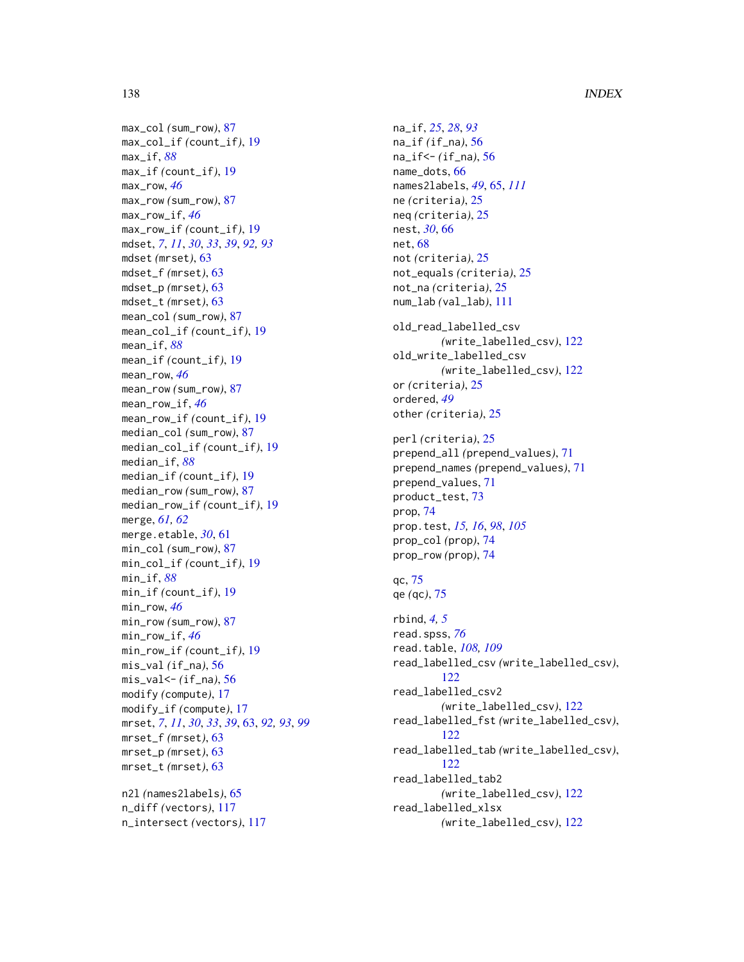max\_col *(*sum\_row*)*, [87](#page-86-0) max\_col\_if *(*count\_if*)*, [19](#page-18-0) max\_if, *[88](#page-87-0)* max\_if *(*count\_if*)*, [19](#page-18-0) max\_row, *[46](#page-45-0)* max\_row *(*sum\_row*)*, [87](#page-86-0) max\_row\_if, *[46](#page-45-0)* max\_row\_if *(*count\_if*)*, [19](#page-18-0) mdset, *[7](#page-6-0)*, *[11](#page-10-0)*, *[30](#page-29-1)*, *[33](#page-32-0)*, *[39](#page-38-0)*, *[92,](#page-91-0) [93](#page-92-0)* mdset *(*mrset*)*, [63](#page-62-0) mdset\_f *(*mrset*)*, [63](#page-62-0) mdset\_p *(*mrset*)*, [63](#page-62-0) mdset\_t *(*mrset*)*, [63](#page-62-0) mean\_col *(*sum\_row*)*, [87](#page-86-0) mean\_col\_if *(*count\_if*)*, [19](#page-18-0) mean\_if, *[88](#page-87-0)* mean\_if *(*count\_if*)*, [19](#page-18-0) mean\_row, *[46](#page-45-0)* mean\_row *(*sum\_row*)*, [87](#page-86-0) mean\_row\_if, *[46](#page-45-0)* mean\_row\_if *(*count\_if*)*, [19](#page-18-0) median\_col *(*sum\_row*)*, [87](#page-86-0) median\_col\_if *(*count\_if*)*, [19](#page-18-0) median\_if, *[88](#page-87-0)* median\_if *(*count\_if*)*, [19](#page-18-0) median\_row *(*sum\_row*)*, [87](#page-86-0) median\_row\_if *(*count\_if*)*, [19](#page-18-0) merge, *[61,](#page-60-0) [62](#page-61-0)* merge.etable, *[30](#page-29-1)*, [61](#page-60-0) min\_col *(*sum\_row*)*, [87](#page-86-0) min\_col\_if *(*count\_if*)*, [19](#page-18-0) min\_if, *[88](#page-87-0)* min\_if *(*count\_if*)*, [19](#page-18-0) min\_row, *[46](#page-45-0)* min\_row *(*sum\_row*)*, [87](#page-86-0) min\_row\_if, *[46](#page-45-0)* min\_row\_if *(*count\_if*)*, [19](#page-18-0) mis\_val *(*if\_na*)*, [56](#page-55-0) mis\_val<- *(*if\_na*)*, [56](#page-55-0) modify *(*compute*)*, [17](#page-16-0) modify\_if *(*compute*)*, [17](#page-16-0) mrset, *[7](#page-6-0)*, *[11](#page-10-0)*, *[30](#page-29-1)*, *[33](#page-32-0)*, *[39](#page-38-0)*, [63,](#page-62-0) *[92,](#page-91-0) [93](#page-92-0)*, *[99](#page-98-0)* mrset\_f *(*mrset*)*, [63](#page-62-0) mrset\_p *(*mrset*)*, [63](#page-62-0) mrset\_t *(*mrset*)*, [63](#page-62-0) n2l *(*names2labels*)*, [65](#page-64-1) n\_diff *(*vectors*)*, [117](#page-116-0) n\_intersect *(*vectors*)*, [117](#page-116-0)

na\_if, *[25](#page-24-1)*, *[28](#page-27-0)*, *[93](#page-92-0)* na\_if *(*if\_na*)*, [56](#page-55-0) na\_if<- *(*if\_na*)*, [56](#page-55-0) name\_dots, [66](#page-65-0) names2labels, *[49](#page-48-0)*, [65,](#page-64-1) *[111](#page-110-2)* ne *(*criteria*)*, [25](#page-24-1) neq *(*criteria*)*, [25](#page-24-1) nest, *[30](#page-29-1)*, [66](#page-65-0) net, [68](#page-67-0) not *(*criteria*)*, [25](#page-24-1) not\_equals *(*criteria*)*, [25](#page-24-1) not\_na *(*criteria*)*, [25](#page-24-1) num\_lab *(*val\_lab*)*, [111](#page-110-2) old\_read\_labelled\_csv *(*write\_labelled\_csv*)*, [122](#page-121-0) old\_write\_labelled\_csv *(*write\_labelled\_csv*)*, [122](#page-121-0) or *(*criteria*)*, [25](#page-24-1) ordered, *[49](#page-48-0)* other *(*criteria*)*, [25](#page-24-1) perl *(*criteria*)*, [25](#page-24-1) prepend\_all *(*prepend\_values*)*, [71](#page-70-0) prepend\_names *(*prepend\_values*)*, [71](#page-70-0) prepend\_values, [71](#page-70-0) product\_test, [73](#page-72-0) prop, [74](#page-73-0) prop.test, *[15,](#page-14-0) [16](#page-15-0)*, *[98](#page-97-0)*, *[105](#page-104-0)* prop\_col *(*prop*)*, [74](#page-73-0) prop\_row *(*prop*)*, [74](#page-73-0) qc, [75](#page-74-0) qe *(*qc*)*, [75](#page-74-0) rbind, *[4,](#page-3-0) [5](#page-4-1)* read.spss, *[76](#page-75-0)* read.table, *[108,](#page-107-0) [109](#page-108-0)* read\_labelled\_csv *(*write\_labelled\_csv*)*, [122](#page-121-0) read\_labelled\_csv2 *(*write\_labelled\_csv*)*, [122](#page-121-0) read\_labelled\_fst *(*write\_labelled\_csv*)*, [122](#page-121-0) read\_labelled\_tab *(*write\_labelled\_csv*)*, [122](#page-121-0) read\_labelled\_tab2 *(*write\_labelled\_csv*)*, [122](#page-121-0) read\_labelled\_xlsx *(*write\_labelled\_csv*)*, [122](#page-121-0)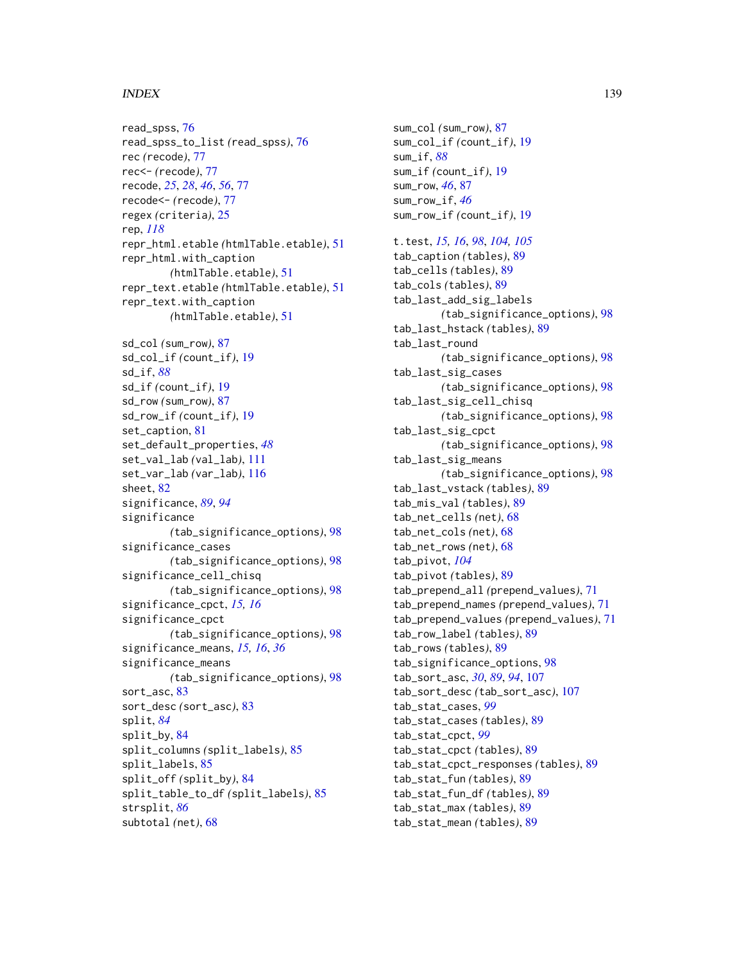read\_spss, [76](#page-75-0) read\_spss\_to\_list *(*read\_spss*)*, [76](#page-75-0) rec *(*recode*)*, [77](#page-76-0) rec<- *(*recode*)*, [77](#page-76-0) recode, *[25](#page-24-1)*, *[28](#page-27-0)*, *[46](#page-45-0)*, *[56](#page-55-0)*, [77](#page-76-0) recode<- *(*recode*)*, [77](#page-76-0) regex *(*criteria*)*, [25](#page-24-1) rep, *[118](#page-117-0)* repr\_html.etable *(*htmlTable.etable*)*, [51](#page-50-0) repr\_html.with\_caption *(*htmlTable.etable*)*, [51](#page-50-0) repr\_text.etable *(*htmlTable.etable*)*, [51](#page-50-0) repr\_text.with\_caption *(*htmlTable.etable*)*, [51](#page-50-0) sd\_col *(*sum\_row*)*, [87](#page-86-0) sd\_col\_if *(*count\_if*)*, [19](#page-18-0) sd\_if, *[88](#page-87-0)* sd\_if *(*count\_if*)*, [19](#page-18-0) sd\_row *(*sum\_row*)*, [87](#page-86-0) sd\_row\_if *(*count\_if*)*, [19](#page-18-0) set\_caption, [81](#page-80-0) set\_default\_properties, *[48](#page-47-0)* set\_val\_lab *(*val\_lab*)*, [111](#page-110-2) set\_var\_lab *(*var\_lab*)*, [116](#page-115-2) sheet, [82](#page-81-0) significance, *[89](#page-88-0)*, *[94](#page-93-0)* significance *(*tab\_significance\_options*)*, [98](#page-97-0) significance\_cases *(*tab\_significance\_options*)*, [98](#page-97-0) significance\_cell\_chisq *(*tab\_significance\_options*)*, [98](#page-97-0) significance\_cpct, *[15,](#page-14-0) [16](#page-15-0)* significance\_cpct *(*tab\_significance\_options*)*, [98](#page-97-0) significance\_means, *[15,](#page-14-0) [16](#page-15-0)*, *[36](#page-35-0)* significance\_means *(*tab\_significance\_options*)*, [98](#page-97-0) sort\_asc, [83](#page-82-0) sort\_desc *(*sort\_asc*)*, [83](#page-82-0) split, *[84](#page-83-0)* split\_by, [84](#page-83-0) split\_columns *(*split\_labels*)*, [85](#page-84-0) split\_labels, [85](#page-84-0) split\_off *(*split\_by*)*, [84](#page-83-0) split\_table\_to\_df *(*split\_labels*)*, [85](#page-84-0) strsplit, *[86](#page-85-0)* subtotal *(*net*)*, [68](#page-67-0)

sum\_col *(*sum\_row*)*, [87](#page-86-0) sum\_col\_if *(*count\_if*)*, [19](#page-18-0) sum\_if, *[88](#page-87-0)* sum\_if *(*count\_if*)*, [19](#page-18-0) sum\_row, *[46](#page-45-0)*, [87](#page-86-0) sum\_row\_if, *[46](#page-45-0)* sum\_row\_if *(*count\_if*)*, [19](#page-18-0) t.test, *[15,](#page-14-0) [16](#page-15-0)*, *[98](#page-97-0)*, *[104,](#page-103-0) [105](#page-104-0)* tab\_caption *(*tables*)*, [89](#page-88-0) tab\_cells *(*tables*)*, [89](#page-88-0) tab\_cols *(*tables*)*, [89](#page-88-0) tab\_last\_add\_sig\_labels *(*tab\_significance\_options*)*, [98](#page-97-0) tab\_last\_hstack *(*tables*)*, [89](#page-88-0) tab\_last\_round *(*tab\_significance\_options*)*, [98](#page-97-0) tab\_last\_sig\_cases *(*tab\_significance\_options*)*, [98](#page-97-0) tab\_last\_sig\_cell\_chisq *(*tab\_significance\_options*)*, [98](#page-97-0) tab\_last\_sig\_cpct *(*tab\_significance\_options*)*, [98](#page-97-0) tab\_last\_sig\_means *(*tab\_significance\_options*)*, [98](#page-97-0) tab\_last\_vstack *(*tables*)*, [89](#page-88-0) tab\_mis\_val *(*tables*)*, [89](#page-88-0) tab\_net\_cells *(*net*)*, [68](#page-67-0) tab\_net\_cols *(*net*)*, [68](#page-67-0) tab\_net\_rows *(*net*)*, [68](#page-67-0) tab\_pivot, *[104](#page-103-0)* tab\_pivot *(*tables*)*, [89](#page-88-0) tab\_prepend\_all *(*prepend\_values*)*, [71](#page-70-0) tab\_prepend\_names *(*prepend\_values*)*, [71](#page-70-0) tab\_prepend\_values *(*prepend\_values*)*, [71](#page-70-0) tab\_row\_label *(*tables*)*, [89](#page-88-0) tab\_rows *(*tables*)*, [89](#page-88-0) tab\_significance\_options, [98](#page-97-0) tab\_sort\_asc, *[30](#page-29-1)*, *[89](#page-88-0)*, *[94](#page-93-0)*, [107](#page-106-0) tab\_sort\_desc *(*tab\_sort\_asc*)*, [107](#page-106-0) tab\_stat\_cases, *[99](#page-98-0)* tab\_stat\_cases *(*tables*)*, [89](#page-88-0) tab\_stat\_cpct, *[99](#page-98-0)* tab\_stat\_cpct *(*tables*)*, [89](#page-88-0) tab\_stat\_cpct\_responses *(*tables*)*, [89](#page-88-0) tab\_stat\_fun *(*tables*)*, [89](#page-88-0) tab\_stat\_fun\_df *(*tables*)*, [89](#page-88-0) tab\_stat\_max *(*tables*)*, [89](#page-88-0) tab\_stat\_mean *(*tables*)*, [89](#page-88-0)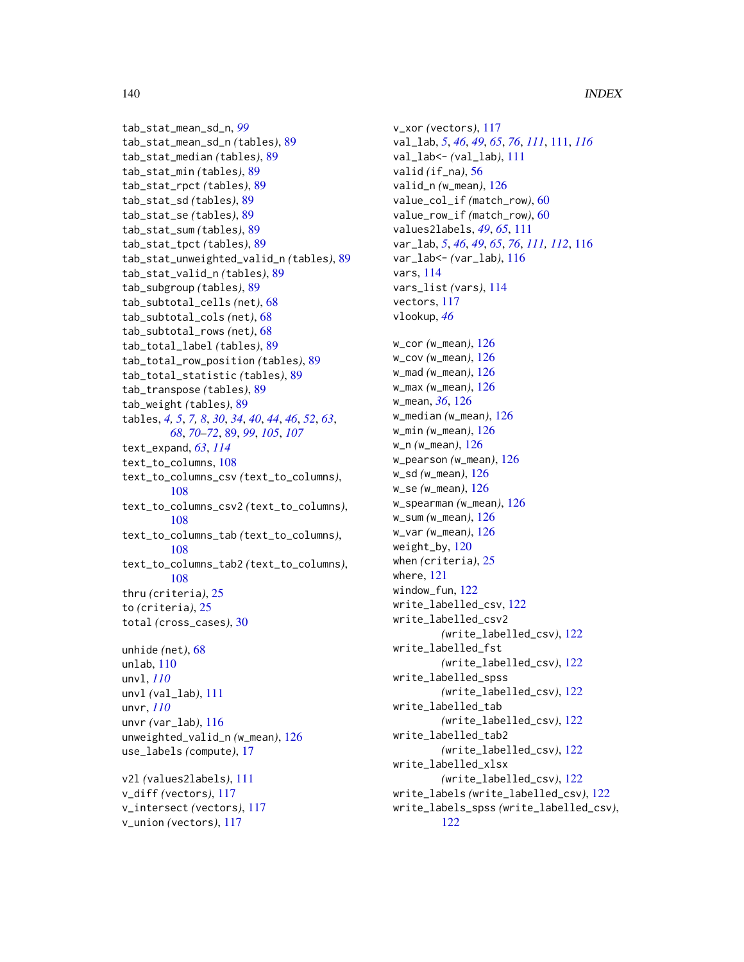```
tab_stat_mean_sd_n, 99
tab_stat_mean_sd_n (tables), 89
tab_stat_median (tables), 89
tab_stat_min (tables), 89
tab_stat_rpct (tables), 89
tab_stat_sd (tables), 89
tab_stat_se (tables), 89
tab_stat_sum (tables), 89
tab_stat_tpct (tables), 89
tab_stat_unweighted_valid_n (tables), 89
tab_stat_valid_n (tables), 89
tab_subgroup (tables), 89
tab_subtotal_cells (net), 68
tab_subtotal_cols (net), 68
tab_subtotal_rows (net), 68
tab_total_label (tables), 89
tab_total_row_position (tables), 89
tab_total_statistic (tables), 89
tab_transpose (tables), 89
tab_weight (tables), 89
tables, 4, 5, 7, 8, 30, 34, 40, 44, 46, 52, 63,
        68, 70–72, 89, 99, 105, 107
text_expand, 63, 114
text_to_columns, 108
text_to_columns_csv (text_to_columns),
         108
text_to_columns_csv2 (text_to_columns),
         108
text_to_columns_tab (text_to_columns),
        108
text_to_columns_tab2 (text_to_columns),
        108
thru (criteria), 25
to (criteria), 25
total (cross_cases), 30
unhide (net), 68
unlab, 110
unvl, 110
unvl (val_lab), 111
unvr, 110
unvr (var_lab), 116
unweighted_valid_n (w_mean), 126
use_labels (compute), 17
v2l (values2labels), 111
v_diff (vectors), 117
v_intersect (vectors), 117
```

```
v_union (vectors), 117
```
v\_xor *(*vectors*)*, [117](#page-116-0) val\_lab, *[5](#page-4-1)*, *[46](#page-45-0)*, *[49](#page-48-0)*, *[65](#page-64-1)*, *[76](#page-75-0)*, *[111](#page-110-2)*, [111,](#page-110-2) *[116](#page-115-2)* val\_lab<- *(*val\_lab*)*, [111](#page-110-2) valid *(*if\_na*)*, [56](#page-55-0) valid\_n *(*w\_mean*)*, [126](#page-125-0) value\_col\_if *(*match\_row*)*, [60](#page-59-0) value\_row\_if *(*match\_row*)*, [60](#page-59-0) values2labels, *[49](#page-48-0)*, *[65](#page-64-1)*, [111](#page-110-2) var\_lab, *[5](#page-4-1)*, *[46](#page-45-0)*, *[49](#page-48-0)*, *[65](#page-64-1)*, *[76](#page-75-0)*, *[111,](#page-110-2) [112](#page-111-0)*, [116](#page-115-2) var\_lab<- *(*var\_lab*)*, [116](#page-115-2) vars, [114](#page-113-0) vars\_list *(*vars*)*, [114](#page-113-0) vectors, [117](#page-116-0) vlookup, *[46](#page-45-0)* w\_cor *(*w\_mean*)*, [126](#page-125-0) w\_cov *(*w\_mean*)*, [126](#page-125-0) w\_mad *(*w\_mean*)*, [126](#page-125-0) w\_max *(*w\_mean*)*, [126](#page-125-0) w\_mean, *[36](#page-35-0)*, [126](#page-125-0) w\_median *(*w\_mean*)*, [126](#page-125-0) w\_min *(*w\_mean*)*, [126](#page-125-0) w\_n *(*w\_mean*)*, [126](#page-125-0) w\_pearson *(*w\_mean*)*, [126](#page-125-0) w\_sd *(*w\_mean*)*, [126](#page-125-0) w\_se *(*w\_mean*)*, [126](#page-125-0) w\_spearman *(*w\_mean*)*, [126](#page-125-0) w\_sum *(*w\_mean*)*, [126](#page-125-0) w\_var *(*w\_mean*)*, [126](#page-125-0) weight\_by, [120](#page-119-0) when *(*criteria*)*, [25](#page-24-1) where, [121](#page-120-0) window fun, [122](#page-121-0) write\_labelled\_csv, [122](#page-121-0) write\_labelled\_csv2 *(*write\_labelled\_csv*)*, [122](#page-121-0) write\_labelled\_fst *(*write\_labelled\_csv*)*, [122](#page-121-0) write\_labelled\_spss *(*write\_labelled\_csv*)*, [122](#page-121-0) write\_labelled\_tab *(*write\_labelled\_csv*)*, [122](#page-121-0) write\_labelled\_tab2 *(*write\_labelled\_csv*)*, [122](#page-121-0) write\_labelled\_xlsx *(*write\_labelled\_csv*)*, [122](#page-121-0) write\_labels *(*write\_labelled\_csv*)*, [122](#page-121-0) write\_labels\_spss *(*write\_labelled\_csv*)*, [122](#page-121-0)